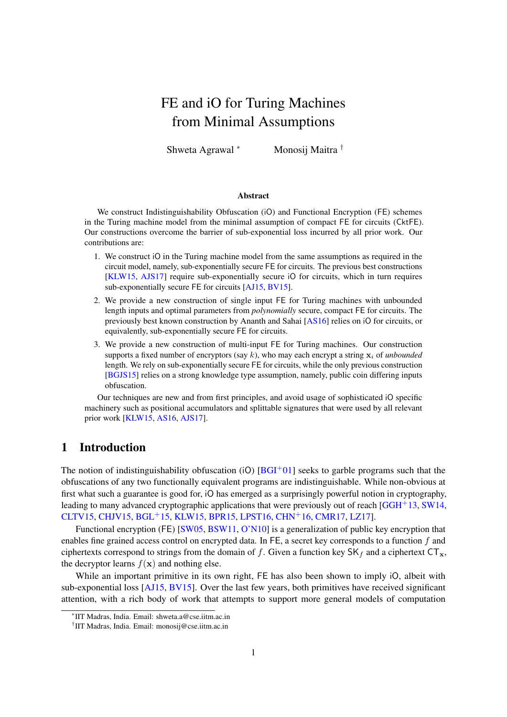# FE and iO for Turing Machines from Minimal Assumptions

Shweta Agrawal <sup>∗</sup> Monosij Maitra <sup>†</sup>

#### Abstract

We construct Indistinguishability Obfuscation (iO) and Functional Encryption (FE) schemes in the Turing machine model from the minimal assumption of compact FE for circuits (CktFE). Our constructions overcome the barrier of sub-exponential loss incurred by all prior work. Our contributions are:

- 1. We construct iO in the Turing machine model from the same assumptions as required in the circuit model, namely, sub-exponentially secure FE for circuits. The previous best constructions [\[KLW15,](#page-37-0) [AJS17\]](#page-35-0) require sub-exponentially secure iO for circuits, which in turn requires sub-exponentially secure FE for circuits [\[AJ15,](#page-35-1) [BV15\]](#page-36-0).
- 2. We provide a new construction of single input FE for Turing machines with unbounded length inputs and optimal parameters from *polynomially* secure, compact FE for circuits. The previously best known construction by Ananth and Sahai [\[AS16\]](#page-35-2) relies on iO for circuits, or equivalently, sub-exponentially secure FE for circuits.
- 3. We provide a new construction of multi-input FE for Turing machines. Our construction supports a fixed number of encryptors (say  $k$ ), who may each encrypt a string  $x_i$  of *unbounded* length. We rely on sub-exponentially secure FE for circuits, while the only previous construction [\[BGJS15\]](#page-35-3) relies on a strong knowledge type assumption, namely, public coin differing inputs obfuscation.

Our techniques are new and from first principles, and avoid usage of sophisticated iO specific machinery such as positional accumulators and splittable signatures that were used by all relevant prior work [\[KLW15,](#page-37-0) [AS16,](#page-35-2) [AJS17\]](#page-35-0).

# <span id="page-0-0"></span>1 Introduction

The notion of indistinguishability obfuscation (iO)  $[BGI^+01]$  $[BGI^+01]$  seeks to garble programs such that the obfuscations of any two functionally equivalent programs are indistinguishable. While non-obvious at first what such a guarantee is good for, iO has emerged as a surprisingly powerful notion in cryptography, leading to many advanced cryptographic applications that were previously out of reach  $[GGH<sup>+</sup>13, SW14,$  $[GGH<sup>+</sup>13, SW14,$  $[GGH<sup>+</sup>13, SW14,$ [CLTV15,](#page-36-2) [CHJV15,](#page-36-3) [BGL](#page-35-5)+15, [KLW15,](#page-37-0) [BPR15,](#page-36-4) [LPST16,](#page-38-1) [CHN](#page-36-5)+16, [CMR17,](#page-36-6) [LZ17\]](#page-38-2).

Functional encryption (FE) [\[SW05,](#page-38-3) [BSW11,](#page-36-7) [O'N10\]](#page-38-4) is a generalization of public key encryption that enables fine grained access control on encrypted data. In FE, a secret key corresponds to a function f and ciphertexts correspond to strings from the domain of f. Given a function key  $SK_f$  and a ciphertext  $CT_x$ , the decryptor learns  $f(\mathbf{x})$  and nothing else.

While an important primitive in its own right, FE has also been shown to imply iO, albeit with sub-exponential loss [\[AJ15,](#page-35-1) [BV15\]](#page-36-0). Over the last few years, both primitives have received significant attention, with a rich body of work that attempts to support more general models of computation

<sup>∗</sup> IIT Madras, India. Email: shweta.a@cse.iitm.ac.in

<sup>†</sup> IIT Madras, India. Email: monosij@cse.iitm.ac.in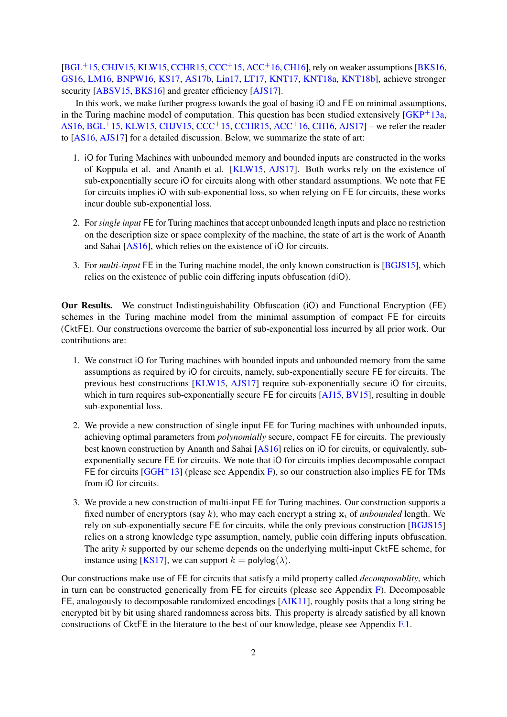$[BGL<sup>+</sup>15, CHJV15, KLW15, CCHR15, CCC<sup>+</sup>15, ACC<sup>+</sup>16, CH16]$  $[BGL<sup>+</sup>15, CHJV15, KLW15, CCHR15, CCC<sup>+</sup>15, ACC<sup>+</sup>16, CH16]$  $[BGL<sup>+</sup>15, CHJV15, KLW15, CCHR15, CCC<sup>+</sup>15, ACC<sup>+</sup>16, CH16]$  $[BGL<sup>+</sup>15, CHJV15, KLW15, CCHR15, CCC<sup>+</sup>15, ACC<sup>+</sup>16, CH16]$  $[BGL<sup>+</sup>15, CHJV15, KLW15, CCHR15, CCC<sup>+</sup>15, ACC<sup>+</sup>16, CH16]$  $[BGL<sup>+</sup>15, CHJV15, KLW15, CCHR15, CCC<sup>+</sup>15, ACC<sup>+</sup>16, CH16]$  $[BGL<sup>+</sup>15, CHJV15, KLW15, CCHR15, CCC<sup>+</sup>15, ACC<sup>+</sup>16, CH16]$  $[BGL<sup>+</sup>15, CHJV15, KLW15, CCHR15, CCC<sup>+</sup>15, ACC<sup>+</sup>16, CH16]$  $[BGL<sup>+</sup>15, CHJV15, KLW15, CCHR15, CCC<sup>+</sup>15, ACC<sup>+</sup>16, CH16]$  $[BGL<sup>+</sup>15, CHJV15, KLW15, CCHR15, CCC<sup>+</sup>15, ACC<sup>+</sup>16, CH16]$  $[BGL<sup>+</sup>15, CHJV15, KLW15, CCHR15, CCC<sup>+</sup>15, ACC<sup>+</sup>16, CH16]$  $[BGL<sup>+</sup>15, CHJV15, KLW15, CCHR15, CCC<sup>+</sup>15, ACC<sup>+</sup>16, CH16]$  $[BGL<sup>+</sup>15, CHJV15, KLW15, CCHR15, CCC<sup>+</sup>15, ACC<sup>+</sup>16, CH16]$ , rely on weaker assumptions  $[BKS16,$ [GS16,](#page-37-1) [LM16,](#page-38-5) [BNPW16,](#page-35-8) [KS17,](#page-37-2) [AS17b,](#page-35-9) [Lin17,](#page-38-6) [LT17,](#page-38-7) [KNT17,](#page-37-3) [KNT18a,](#page-37-4) [KNT18b\]](#page-37-5), achieve stronger security [\[ABSV15,](#page-35-10) [BKS16\]](#page-35-7) and greater efficiency [\[AJS17\]](#page-35-0).

In this work, we make further progress towards the goal of basing iO and FE on minimal assumptions, in the Turing machine model of computation. This question has been studied extensively  $[GKP^+13a,$  $[GKP^+13a,$ [AS16,](#page-35-2) [BGL](#page-35-5)<sup>+</sup>15, [KLW15,](#page-37-0) [CHJV15,](#page-36-3) [CCC](#page-36-9)<sup>+</sup>15, [CCHR15,](#page-36-8) [ACC](#page-35-6)<sup>+</sup>16, [CH16,](#page-36-10) [AJS17\]](#page-35-0) – we refer the reader to [\[AS16,](#page-35-2) [AJS17\]](#page-35-0) for a detailed discussion. Below, we summarize the state of art:

- 1. iO for Turing Machines with unbounded memory and bounded inputs are constructed in the works of Koppula et al. and Ananth et al. [\[KLW15,](#page-37-0) [AJS17\]](#page-35-0). Both works rely on the existence of sub-exponentially secure iO for circuits along with other standard assumptions. We note that FE for circuits implies iO with sub-exponential loss, so when relying on FE for circuits, these works incur double sub-exponential loss.
- 2. For *single input* FE for Turing machines that accept unbounded length inputs and place no restriction on the description size or space complexity of the machine, the state of art is the work of Ananth and Sahai [\[AS16\]](#page-35-2), which relies on the existence of iO for circuits.
- 3. For *multi-input* FE in the Turing machine model, the only known construction is [\[BGJS15\]](#page-35-3), which relies on the existence of public coin differing inputs obfuscation (diO).

Our Results. We construct Indistinguishability Obfuscation (iO) and Functional Encryption (FE) schemes in the Turing machine model from the minimal assumption of compact FE for circuits (CktFE). Our constructions overcome the barrier of sub-exponential loss incurred by all prior work. Our contributions are:

- 1. We construct iO for Turing machines with bounded inputs and unbounded memory from the same assumptions as required by iO for circuits, namely, sub-exponentially secure FE for circuits. The previous best constructions [\[KLW15,](#page-37-0) [AJS17\]](#page-35-0) require sub-exponentially secure iO for circuits, which in turn requires sub-exponentially secure FE for circuits [\[AJ15,](#page-35-1) [BV15\]](#page-36-0), resulting in double sub-exponential loss.
- 2. We provide a new construction of single input FE for Turing machines with unbounded inputs, achieving optimal parameters from *polynomially* secure, compact FE for circuits. The previously best known construction by Ananth and Sahai [\[AS16\]](#page-35-2) relies on iO for circuits, or equivalently, subexponentially secure FE for circuits. We note that iO for circuits implies decomposable compact FE for circuits  $[GGH^+13]$  $[GGH^+13]$  (please see Appendix [F\)](#page-64-0), so our construction also implies FE for TMs from iO for circuits.
- 3. We provide a new construction of multi-input FE for Turing machines. Our construction supports a fixed number of encryptors (say  $k$ ), who may each encrypt a string  $x_i$  of *unbounded* length. We rely on sub-exponentially secure FE for circuits, while the only previous construction [\[BGJS15\]](#page-35-3) relies on a strong knowledge type assumption, namely, public coin differing inputs obfuscation. The arity  $k$  supported by our scheme depends on the underlying multi-input CktFE scheme, for instance using [\[KS17\]](#page-37-2), we can support  $k = \text{polylog}(\lambda)$ .

Our constructions make use of FE for circuits that satisfy a mild property called *decomposablity*, which in turn can be constructed generically from FE for circuits (please see Appendix [F\)](#page-64-0). Decomposable FE, analogously to decomposable randomized encodings [\[AIK11\]](#page-35-11), roughly posits that a long string be encrypted bit by bit using shared randomness across bits. This property is already satisfied by all known constructions of CktFE in the literature to the best of our knowledge, please see Appendix [F.1.](#page-68-0)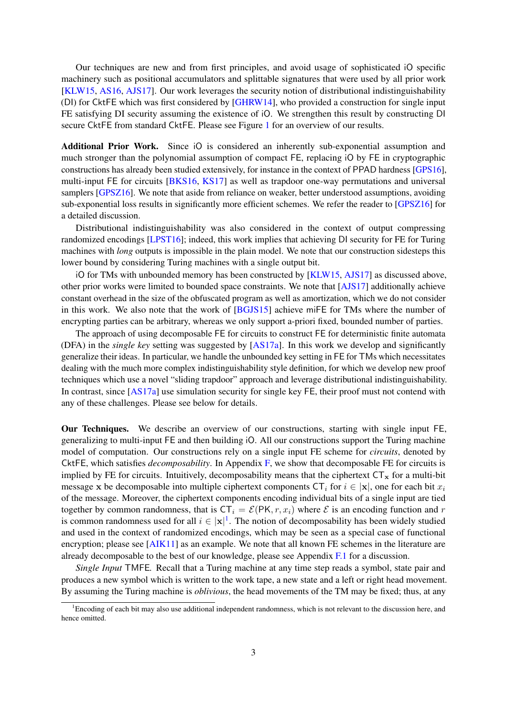Our techniques are new and from first principles, and avoid usage of sophisticated iO specific machinery such as positional accumulators and splittable signatures that were used by all prior work [\[KLW15,](#page-37-0) [AS16,](#page-35-2) [AJS17\]](#page-35-0). Our work leverages the security notion of distributional indistinguishability (DI) for CktFE which was first considered by [\[GHRW14\]](#page-37-7), who provided a construction for single input FE satisfying DI security assuming the existence of iO. We strengthen this result by constructing DI secure CktFE from standard CktFE. Please see Figure [1](#page-2-0) for an overview of our results.

<span id="page-2-0"></span>Additional Prior Work. Since iO is considered an inherently sub-exponential assumption and much stronger than the polynomial assumption of compact FE, replacing iO by FE in cryptographic constructions has already been studied extensively, for instance in the context of PPAD hardness [\[GPS16\]](#page-37-8), multi-input FE for circuits [\[BKS16,](#page-35-7) [KS17\]](#page-37-2) as well as trapdoor one-way permutations and universal samplers [\[GPSZ16\]](#page-37-9). We note that aside from reliance on weaker, better understood assumptions, avoiding sub-exponential loss results in significantly more efficient schemes. We refer the reader to [\[GPSZ16\]](#page-37-9) for a detailed discussion.

Distributional indistinguishability was also considered in the context of output compressing randomized encodings [\[LPST16\]](#page-38-1); indeed, this work implies that achieving DI security for FE for Turing machines with *long* outputs is impossible in the plain model. We note that our construction sidesteps this lower bound by considering Turing machines with a single output bit.

iO for TMs with unbounded memory has been constructed by [\[KLW15,](#page-37-0) [AJS17\]](#page-35-0) as discussed above, other prior works were limited to bounded space constraints. We note that [\[AJS17\]](#page-35-0) additionally achieve constant overhead in the size of the obfuscated program as well as amortization, which we do not consider in this work. We also note that the work of [\[BGJS15\]](#page-35-3) achieve miFE for TMs where the number of encrypting parties can be arbitrary, whereas we only support a-priori fixed, bounded number of parties.

The approach of using decomposable FE for circuits to construct FE for deterministic finite automata (DFA) in the *single key* setting was suggested by [\[AS17a\]](#page-35-12). In this work we develop and significantly generalize their ideas. In particular, we handle the unbounded key setting in FE for TMs which necessitates dealing with the much more complex indistinguishability style definition, for which we develop new proof techniques which use a novel "sliding trapdoor" approach and leverage distributional indistinguishability. In contrast, since [\[AS17a\]](#page-35-12) use simulation security for single key FE, their proof must not contend with any of these challenges. Please see below for details.

Our Techniques. We describe an overview of our constructions, starting with single input FE, generalizing to multi-input FE and then building iO. All our constructions support the Turing machine model of computation. Our constructions rely on a single input FE scheme for *circuits*, denoted by CktFE, which satisfies *decomposability*. In Appendix [F,](#page-64-0) we show that decomposable FE for circuits is implied by FE for circuits. Intuitively, decomposability means that the ciphertext  $CT_x$  for a multi-bit message x be decomposable into multiple ciphertext components  $\mathsf{CT}_i$  for  $i \in |\mathbf{x}|$ , one for each bit  $x_i$ of the message. Moreover, the ciphertext components encoding individual bits of a single input are tied together by common randomness, that is  $CT_i = \mathcal{E}(PK, r, x_i)$  where  $\mathcal E$  is an encoding function and r is common randomness used for all  $i \in |x|^1$  $i \in |x|^1$ . The notion of decomposability has been widely studied and used in the context of randomized encodings, which may be seen as a special case of functional encryption; please see [\[AIK11\]](#page-35-11) as an example. We note that all known FE schemes in the literature are already decomposable to the best of our knowledge, please see Appendix [F.1](#page-68-0) for a discussion.

*Single Input* TMFE*.* Recall that a Turing machine at any time step reads a symbol, state pair and produces a new symbol which is written to the work tape, a new state and a left or right head movement. By assuming the Turing machine is *oblivious*, the head movements of the TM may be fixed; thus, at any

<span id="page-2-1"></span> ${}^{1}$ Encoding of each bit may also use additional independent randomness, which is not relevant to the discussion here, and hence omitted.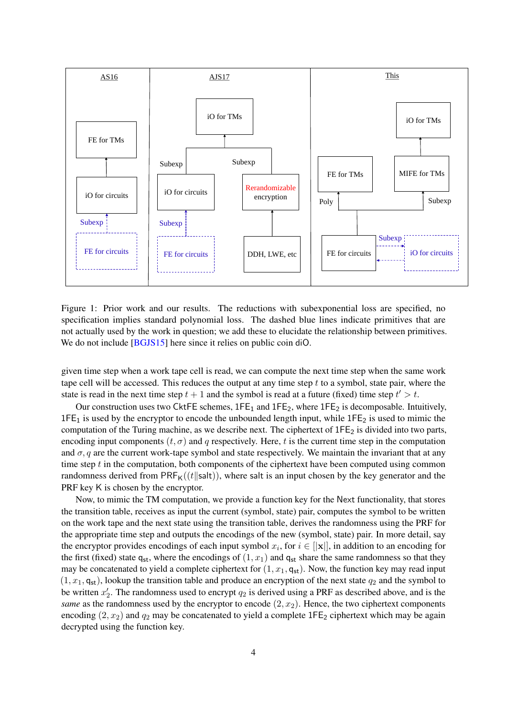

Figure 1: Prior work and our results. The reductions with subexponential loss are specified, no specification implies standard polynomial loss. The dashed blue lines indicate primitives that are not actually used by the work in question; we add these to elucidate the relationship between primitives. We do not include [\[BGJS15\]](#page-35-3) here since it relies on public coin diO.

given time step when a work tape cell is read, we can compute the next time step when the same work tape cell will be accessed. This reduces the output at any time step  $t$  to a symbol, state pair, where the state is read in the next time step  $t + 1$  and the symbol is read at a future (fixed) time step  $t' > t$ .

Our construction uses two CktFE schemes,  $1FE_1$  and  $1FE_2$ , where  $1FE_2$  is decomposable. Intuitively,  $1FE<sub>1</sub>$  is used by the encryptor to encode the unbounded length input, while  $1FE<sub>2</sub>$  is used to mimic the computation of the Turing machine, as we describe next. The ciphertext of  $1FE_2$  is divided into two parts, encoding input components  $(t, \sigma)$  and q respectively. Here, t is the current time step in the computation and  $\sigma$ , q are the current work-tape symbol and state respectively. We maintain the invariant that at any time step  $t$  in the computation, both components of the ciphertext have been computed using common randomness derived from  $PRF<sub>K</sub>((t||salt))$ , where salt is an input chosen by the key generator and the PRF key K is chosen by the encryptor.

Now, to mimic the TM computation, we provide a function key for the Next functionality, that stores the transition table, receives as input the current (symbol, state) pair, computes the symbol to be written on the work tape and the next state using the transition table, derives the randomness using the PRF for the appropriate time step and outputs the encodings of the new (symbol, state) pair. In more detail, say the encryptor provides encodings of each input symbol  $x_i$ , for  $i \in [\mathbf{x}]$ , in addition to an encoding for the first (fixed) state  $q_{st}$ , where the encodings of  $(1, x_1)$  and  $q_{st}$  share the same randomness so that they may be concatenated to yield a complete ciphertext for  $(1, x_1, q_{st})$ . Now, the function key may read input  $(1, x_1, q_{st})$ , lookup the transition table and produce an encryption of the next state  $q_2$  and the symbol to be written  $x_2'$ . The randomness used to encrypt  $q_2$  is derived using a PRF as described above, and is the *same* as the randomness used by the encryptor to encode  $(2, x_2)$ . Hence, the two ciphertext components encoding  $(2, x_2)$  and  $q_2$  may be concatenated to yield a complete 1FE<sub>2</sub> ciphertext which may be again decrypted using the function key.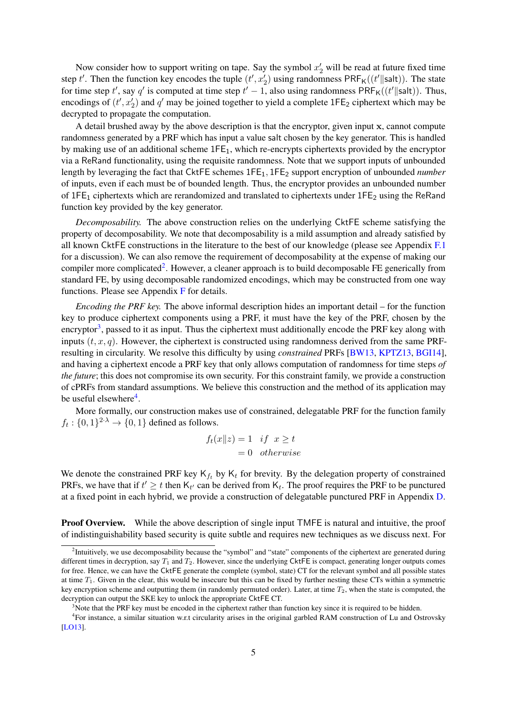Now consider how to support writing on tape. Say the symbol  $x'_2$  will be read at future fixed time step t'. Then the function key encodes the tuple  $(t', x'_2)$  using randomness  $\text{PRF}_{\mathsf{K}}((t'||\text{salt}))$ . The state for time step t', say q' is computed at time step  $t' - 1$ , also using randomness PRF<sub>K</sub>((t'||salt)). Thus, encodings of  $(t', x_2')$  and  $q'$  may be joined together to yield a complete 1FE<sub>2</sub> ciphertext which may be decrypted to propagate the computation.

A detail brushed away by the above description is that the encryptor, given input x, cannot compute randomness generated by a PRF which has input a value salt chosen by the key generator. This is handled by making use of an additional scheme 1FE1, which re-encrypts ciphertexts provided by the encryptor via a ReRand functionality, using the requisite randomness. Note that we support inputs of unbounded length by leveraging the fact that CktFE schemes 1FE1, 1FE<sup>2</sup> support encryption of unbounded *number* of inputs, even if each must be of bounded length. Thus, the encryptor provides an unbounded number of 1FE<sub>1</sub> ciphertexts which are rerandomized and translated to ciphertexts under 1FE<sub>2</sub> using the ReRand function key provided by the key generator.

*Decomposability.* The above construction relies on the underlying CktFE scheme satisfying the property of decomposability. We note that decomposability is a mild assumption and already satisfied by all known CktFE constructions in the literature to the best of our knowledge (please see Appendix [F.1](#page-68-0) for a discussion). We can also remove the requirement of decomposability at the expense of making our compiler more complicated<sup>[2](#page-4-0)</sup>. However, a cleaner approach is to build decomposable FE generically from standard FE, by using decomposable randomized encodings, which may be constructed from one way functions. Please see Appendix [F](#page-64-0) for details.

*Encoding the PRF key.* The above informal description hides an important detail – for the function key to produce ciphertext components using a PRF, it must have the key of the PRF, chosen by the encryptor<sup>[3](#page-4-1)</sup>, passed to it as input. Thus the ciphertext must additionally encode the PRF key along with inputs  $(t, x, q)$ . However, the ciphertext is constructed using randomness derived from the same PRFresulting in circularity. We resolve this difficulty by using *constrained* PRFs [\[BW13,](#page-36-11) [KPTZ13,](#page-37-10) [BGI14\]](#page-35-13), and having a ciphertext encode a PRF key that only allows computation of randomness for time steps *of the future*; this does not compromise its own security. For this constraint family, we provide a construction of cPRFs from standard assumptions. We believe this construction and the method of its application may be useful elsewhere<sup>[4](#page-4-2)</sup>.

More formally, our construction makes use of constrained, delegatable PRF for the function family  $f_t: \{0,1\}^{2 \cdot \lambda} \to \{0,1\}$  defined as follows.

$$
f_t(x||z) = 1 \quad if \quad x \ge t
$$
  
= 0 \quad otherwise

We denote the constrained PRF key  $K_{f_t}$  by  $K_t$  for brevity. By the delegation property of constrained PRFs, we have that if  $t' \geq t$  then  $\mathsf{K}_{t'}$  can be derived from  $\mathsf{K}_{t}$ . The proof requires the PRF to be punctured at a fixed point in each hybrid, we provide a construction of delegatable punctured PRF in Appendix [D.](#page-59-0)

**Proof Overview.** While the above description of single input TMFE is natural and intuitive, the proof of indistinguishability based security is quite subtle and requires new techniques as we discuss next. For

<span id="page-4-0"></span><sup>&</sup>lt;sup>2</sup>Intuitively, we use decomposability because the "symbol" and "state" components of the ciphertext are generated during different times in decryption, say  $T_1$  and  $T_2$ . However, since the underlying CktFE is compact, generating longer outputs comes for free. Hence, we can have the CktFE generate the complete (symbol, state) CT for the relevant symbol and all possible states at time  $T_1$ . Given in the clear, this would be insecure but this can be fixed by further nesting these CTs within a symmetric key encryption scheme and outputting them (in randomly permuted order). Later, at time  $T_2$ , when the state is computed, the decryption can output the SKE key to unlock the appropriate CktFE CT.

<span id="page-4-2"></span><span id="page-4-1"></span><sup>&</sup>lt;sup>3</sup>Note that the PRF key must be encoded in the ciphertext rather than function key since it is required to be hidden.

<sup>&</sup>lt;sup>4</sup>For instance, a similar situation w.r.t circularity arises in the original garbled RAM construction of Lu and Ostrovsky [\[LO13\]](#page-38-8).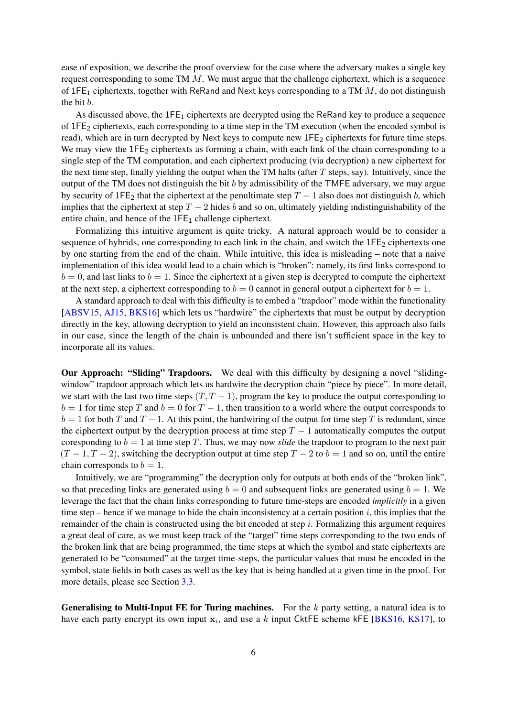ease of exposition, we describe the proof overview for the case where the adversary makes a single key request corresponding to some TM M. We must argue that the challenge ciphertext, which is a sequence of 1FE<sub>1</sub> ciphertexts, together with ReRand and Next keys corresponding to a TM  $M$ , do not distinguish the bit b.

As discussed above, the  $1FE_1$  ciphertexts are decrypted using the ReRand key to produce a sequence of  $1FE_2$  ciphertexts, each corresponding to a time step in the TM execution (when the encoded symbol is read), which are in turn decrypted by Next keys to compute new 1FE<sub>2</sub> ciphertexts for future time steps. We may view the  $1FE_2$  ciphertexts as forming a chain, with each link of the chain corresponding to a single step of the TM computation, and each ciphertext producing (via decryption) a new ciphertext for the next time step, finally yielding the output when the TM halts (after  $T$  steps, say). Intuitively, since the output of the TM does not distinguish the bit b by admissibility of the TMFE adversary, we may argue by security of 1FE<sub>2</sub> that the ciphertext at the penultimate step  $T - 1$  also does not distinguish b, which implies that the ciphertext at step  $T - 2$  hides b and so on, ultimately yielding indistinguishability of the entire chain, and hence of the  $1FE<sub>1</sub>$  challenge ciphertext.

Formalizing this intuitive argument is quite tricky. A natural approach would be to consider a sequence of hybrids, one corresponding to each link in the chain, and switch the  $1FE_2$  ciphertexts one by one starting from the end of the chain. While intuitive, this idea is misleading – note that a naive implementation of this idea would lead to a chain which is "broken": namely, its first links correspond to  $b = 0$ , and last links to  $b = 1$ . Since the ciphertext at a given step is decrypted to compute the ciphertext at the next step, a ciphertext corresponding to  $b = 0$  cannot in general output a ciphertext for  $b = 1$ .

A standard approach to deal with this difficulty is to embed a "trapdoor" mode within the functionality [\[ABSV15,](#page-35-10) [AJ15,](#page-35-1) [BKS16\]](#page-35-7) which lets us "hardwire" the ciphertexts that must be output by decryption directly in the key, allowing decryption to yield an inconsistent chain. However, this approach also fails in our case, since the length of the chain is unbounded and there isn't sufficient space in the key to incorporate all its values.

Our Approach: "Sliding" Trapdoors. We deal with this difficulty by designing a novel "slidingwindow" trapdoor approach which lets us hardwire the decryption chain "piece by piece". In more detail, we start with the last two time steps  $(T, T - 1)$ , program the key to produce the output corresponding to  $b = 1$  for time step T and  $b = 0$  for  $T - 1$ , then transition to a world where the output corresponds to  $b = 1$  for both T and T − 1. At this point, the hardwiring of the output for time step T is redundant, since the ciphertext output by the decryption process at time step  $T - 1$  automatically computes the output coresponding to  $b = 1$  at time step T. Thus, we may now *slide* the trapdoor to program to the next pair  $(T-1, T-2)$ , switching the decryption output at time step  $T-2$  to  $b=1$  and so on, until the entire chain corresponds to  $b = 1$ .

Intuitively, we are "programming" the decryption only for outputs at both ends of the "broken link", so that preceding links are generated using  $b = 0$  and subsequent links are generated using  $b = 1$ . We leverage the fact that the chain links corresponding to future time-steps are encoded *implicitly* in a given time step – hence if we manage to hide the chain inconsistency at a certain position  $i$ , this implies that the remainder of the chain is constructed using the bit encoded at step  $i$ . Formalizing this argument requires a great deal of care, as we must keep track of the "target" time steps corresponding to the two ends of the broken link that are being programmed, the time steps at which the symbol and state ciphertexts are generated to be "consumed" at the target time-steps, the particular values that must be encoded in the symbol, state fields in both cases as well as the key that is being handled at a given time in the proof. For more details, please see Section [3.3.](#page-20-0)

**Generalising to Multi-Input FE for Turing machines.** For the  $k$  party setting, a natural idea is to have each party encrypt its own input  $x_i$ , and use a k input CktFE scheme kFE [\[BKS16,](#page-35-7) [KS17\]](#page-37-2), to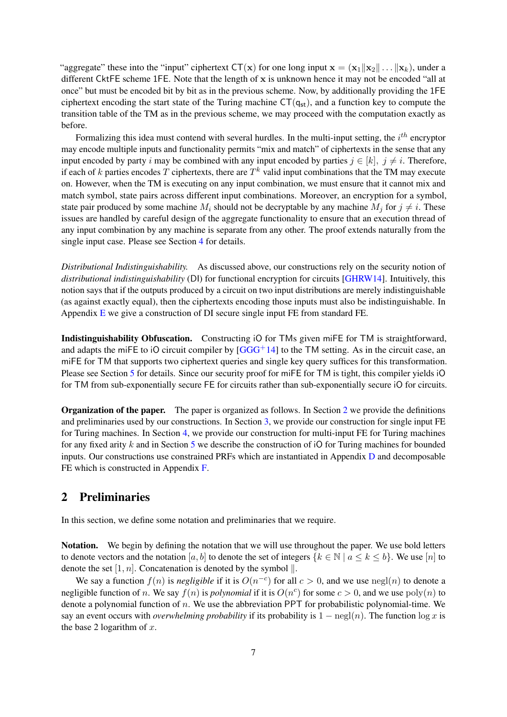"aggregate" these into the "input" ciphertext  $CT(x)$  for one long input  $x = (x_1||x_2|| \dots ||x_k)$ , under a different CktFE scheme 1FE. Note that the length of x is unknown hence it may not be encoded "all at once" but must be encoded bit by bit as in the previous scheme. Now, by additionally providing the 1FE ciphertext encoding the start state of the Turing machine  $CT(q_{st})$ , and a function key to compute the transition table of the TM as in the previous scheme, we may proceed with the computation exactly as before.

Formalizing this idea must contend with several hurdles. In the multi-input setting, the  $i^{th}$  encryptor may encode multiple inputs and functionality permits "mix and match" of ciphertexts in the sense that any input encoded by party i may be combined with any input encoded by parties  $j \in [k]$ ,  $j \neq i$ . Therefore, if each of k parties encodes T ciphertexts, there are  $T^k$  valid input combinations that the TM may execute on. However, when the TM is executing on any input combination, we must ensure that it cannot mix and match symbol, state pairs across different input combinations. Moreover, an encryption for a symbol, state pair produced by some machine  $M_i$  should not be decryptable by any machine  $M_i$  for  $j \neq i$ . These issues are handled by careful design of the aggregate functionality to ensure that an execution thread of any input combination by any machine is separate from any other. The proof extends naturally from the single input case. Please see Section [4](#page-25-0) for details.

*Distributional Indistinguishability.* As discussed above, our constructions rely on the security notion of *distributional indistinguishability* (DI) for functional encryption for circuits [\[GHRW14\]](#page-37-7). Intuitively, this notion says that if the outputs produced by a circuit on two input distributions are merely indistinguishable (as against exactly equal), then the ciphertexts encoding those inputs must also be indistinguishable. In Appendix  $E$  we give a construction of DI secure single input FE from standard FE.

Indistinguishability Obfuscation. Constructing iO for TMs given miFE for TM is straightforward, and adapts the miFE to iO circuit compiler by  $[GGG<sup>+</sup>14]$  $[GGG<sup>+</sup>14]$  to the TM setting. As in the circuit case, an miFE for TM that supports two ciphertext queries and single key query suffices for this transformation. Please see Section [5](#page-33-0) for details. Since our security proof for miFE for TM is tight, this compiler yields iO for TM from sub-exponentially secure FE for circuits rather than sub-exponentially secure iO for circuits.

Organization of the paper. The paper is organized as follows. In Section [2](#page-6-0) we provide the definitions and preliminaries used by our constructions. In Section [3,](#page-15-0) we provide our construction for single input FE for Turing machines. In Section [4,](#page-25-0) we provide our construction for multi-input FE for Turing machines for any fixed arity k and in Section [5](#page-33-0) we describe the construction of iO for Turing machines for bounded inputs. Our constructions use constrained PRFs which are instantiated in Appendix [D](#page-59-0) and decomposable FE which is constructed in Appendix [F.](#page-64-0)

# <span id="page-6-0"></span>2 Preliminaries

In this section, we define some notation and preliminaries that we require.

Notation. We begin by defining the notation that we will use throughout the paper. We use bold letters to denote vectors and the notation [a, b] to denote the set of integers  $\{k \in \mathbb{N} \mid a \le k \le b\}$ . We use [n] to denote the set [1, n]. Concatenation is denoted by the symbol  $\parallel$ .

We say a function  $f(n)$  is *negligible* if it is  $O(n^{-c})$  for all  $c > 0$ , and we use  $negl(n)$  to denote a negligible function of n. We say  $f(n)$  is *polynomial* if it is  $O(n^c)$  for some  $c > 0$ , and we use  $poly(n)$  to denote a polynomial function of n. We use the abbreviation PPT for probabilistic polynomial-time. We say an event occurs with *overwhelming probability* if its probability is  $1 - \text{negl}(n)$ . The function  $\log x$  is the base 2 logarithm of  $x$ .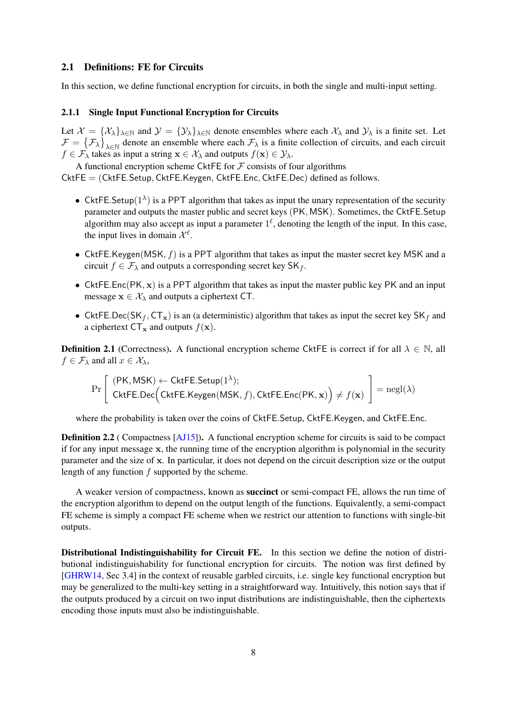### 2.1 Definitions: FE for Circuits

In this section, we define functional encryption for circuits, in both the single and multi-input setting.

#### 2.1.1 Single Input Functional Encryption for Circuits

Let  $\mathcal{X} = {\mathcal{X}}_{\lambda}$ ,  $\lambda \in \mathbb{N}$  and  $\mathcal{Y} = {\mathcal{Y}}_{\lambda}$ ,  $\lambda \in \mathbb{N}$  denote ensembles where each  $\mathcal{X}_{\lambda}$  and  $\mathcal{Y}_{\lambda}$  is a finite set. Let  $\mathcal{F} = \{\mathcal{F}_\lambda\}_{\lambda \in \mathbb{N}}$  denote an ensemble where each  $\mathcal{F}_\lambda$  is a finite collection of circuits, and each circuit  $f \in \mathcal{F}_{\lambda}$  takes as input a string  $\mathbf{x} \in \mathcal{X}_{\lambda}$  and outputs  $f(\mathbf{x}) \in \mathcal{Y}_{\lambda}$ .

A functional encryption scheme CktFE for  $\mathcal F$  consists of four algorithms CktFE = (CktFE.Setup, CktFE.Keygen, CktFE.Enc, CktFE.Dec) defined as follows.

- CktFE.Setup( $1^{\lambda}$ ) is a PPT algorithm that takes as input the unary representation of the security parameter and outputs the master public and secret keys (PK, MSK). Sometimes, the CktFE.Setup algorithm may also accept as input a parameter  $1^{\ell}$ , denoting the length of the input. In this case, the input lives in domain  $\mathcal{X}^{\ell}$ .
- CktFE.Keygen(MSK,  $f$ ) is a PPT algorithm that takes as input the master secret key MSK and a circuit  $f \in \mathcal{F}_{\lambda}$  and outputs a corresponding secret key SK<sub>f</sub>.
- CktFE.Enc( $PK, x$ ) is a PPT algorithm that takes as input the master public key PK and an input message  $x \in \mathcal{X}_{\lambda}$  and outputs a ciphertext CT.
- CktFE.Dec(SK<sub>f</sub>, CT<sub>x</sub>) is an (a deterministic) algorithm that takes as input the secret key SK<sub>f</sub> and a ciphertext  $CT_x$  and outputs  $f(x)$ .

**Definition 2.1** (Correctness). A functional encryption scheme CktFE is correct if for all  $\lambda \in \mathbb{N}$ , all  $f \in \mathcal{F}_{\lambda}$  and all  $x \in \mathcal{X}_{\lambda}$ ,

$$
\Pr\left[\begin{array}{l}(\textsf{PK},\textsf{MSK})\leftarrow \textsf{CktFE}.\textsf{Setup}(1^{\lambda}); \\ \textsf{CktFE}.\textsf{Dec}\Big(\textsf{CktFE}.\textsf{Keygen}(\textsf{MSK},f),\textsf{CktFE}.\textsf{Enc}(\textsf{PK},\mathbf{x})\Big) \neq f(\mathbf{x})\end{array}\right] = {\rm negl}(\lambda)
$$

where the probability is taken over the coins of CktFE.Setup, CktFE.Keygen, and CktFE.Enc.

Definition 2.2 ( Compactness [\[AJ15\]](#page-35-1)). A functional encryption scheme for circuits is said to be compact if for any input message x, the running time of the encryption algorithm is polynomial in the security parameter and the size of x. In particular, it does not depend on the circuit description size or the output length of any function  $f$  supported by the scheme.

A weaker version of compactness, known as **succinct** or semi-compact FE, allows the run time of the encryption algorithm to depend on the output length of the functions. Equivalently, a semi-compact FE scheme is simply a compact FE scheme when we restrict our attention to functions with single-bit outputs.

Distributional Indistinguishability for Circuit FE. In this section we define the notion of distributional indistinguishability for functional encryption for circuits. The notion was first defined by [\[GHRW14,](#page-37-7) Sec 3.4] in the context of reusable garbled circuits, i.e. single key functional encryption but may be generalized to the multi-key setting in a straightforward way. Intuitively, this notion says that if the outputs produced by a circuit on two input distributions are indistinguishable, then the ciphertexts encoding those inputs must also be indistinguishable.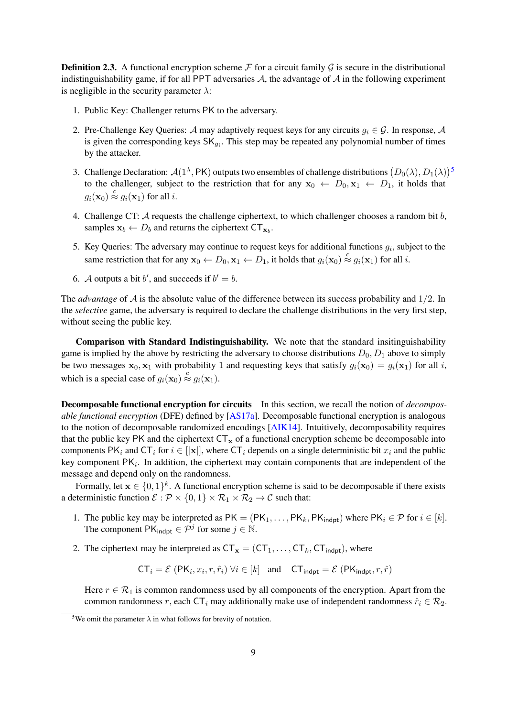<span id="page-8-1"></span>**Definition 2.3.** A functional encryption scheme  $\mathcal F$  for a circuit family  $\mathcal G$  is secure in the distributional indistinguishability game, if for all PPT adversaries  $A$ , the advantage of  $A$  in the following experiment is negligible in the security parameter  $\lambda$ :

- 1. Public Key: Challenger returns PK to the adversary.
- 2. Pre-Challenge Key Queries: A may adaptively request keys for any circuits  $q_i \in \mathcal{G}$ . In response, A is given the corresponding keys  $SK_{g_i}$ . This step may be repeated any polynomial number of times by the attacker.
- 3. Challenge Declaration:  $\mathcal{A}(1^{\lambda},\textsf{PK})$  outputs two ensembles of challenge distributions  $(D_0(\lambda), D_1(\lambda))^5$  $(D_0(\lambda), D_1(\lambda))^5$ to the challenger, subject to the restriction that for any  $x_0 \leftarrow D_0, x_1 \leftarrow D_1$ , it holds that  $g_i(\mathbf{x}_0) \stackrel{c}{\approx} g_i(\mathbf{x}_1)$  for all i.
- 4. Challenge CT:  $A$  requests the challenge ciphertext, to which challenger chooses a random bit  $b$ , samples  $\mathbf{x}_b \leftarrow D_b$  and returns the ciphertext  $CT_{\mathbf{x}_b}$ .
- 5. Key Queries: The adversary may continue to request keys for additional functions  $g_i$ , subject to the same restriction that for any  $\mathbf{x}_0 \leftarrow D_0, \mathbf{x}_1 \leftarrow D_1$ , it holds that  $g_i(\mathbf{x}_0) \stackrel{c}{\approx} g_i(\mathbf{x}_1)$  for all i.
- 6. A outputs a bit b', and succeeds if  $b' = b$ .

The *advantage* of  $A$  is the absolute value of the difference between its success probability and  $1/2$ . In the *selective* game, the adversary is required to declare the challenge distributions in the very first step, without seeing the public key.

Comparison with Standard Indistinguishability. We note that the standard insitinguishability game is implied by the above by restricting the adversary to choose distributions  $D_0$ ,  $D_1$  above to simply be two messages  $x_0, x_1$  with probability 1 and requesting keys that satisfy  $g_i(x_0) = g_i(x_1)$  for all i, which is a special case of  $g_i(\mathbf{x}_0) \stackrel{c}{\approx} g_i(\mathbf{x}_1)$ .

<span id="page-8-2"></span>Decomposable functional encryption for circuits In this section, we recall the notion of *decomposable functional encryption* (DFE) defined by [\[AS17a\]](#page-35-12). Decomposable functional encryption is analogous to the notion of decomposable randomized encodings [\[AIK14\]](#page-35-14). Intuitively, decomposability requires that the public key PK and the ciphertext  $CT_x$  of a functional encryption scheme be decomposable into components PK<sub>i</sub> and CT<sub>i</sub> for  $i \in ||\mathbf{x}||$ , where CT<sub>i</sub> depends on a single deterministic bit  $x_i$  and the public key component  $PK<sub>i</sub>$ . In addition, the ciphertext may contain components that are independent of the message and depend only on the randomness.

Formally, let  $x \in \{0,1\}^k$ . A functional encryption scheme is said to be decomposable if there exists a deterministic function  $\mathcal{E} : \mathcal{P} \times \{0,1\} \times \mathcal{R}_1 \times \mathcal{R}_2 \to \mathcal{C}$  such that:

- 1. The public key may be interpreted as  $PK = (PK_1, \ldots, PK_k, PK_{indpt})$  where  $PK_i \in \mathcal{P}$  for  $i \in [k]$ . The component  $PK_{\text{indpt}} \in \mathcal{P}^j$  for some  $j \in \mathbb{N}$ .
- 2. The ciphertext may be interpreted as  $CT_x = (CT_1, \ldots, CT_k, CT_{indpt})$ , where

$$
CT_i = \mathcal{E}(PK_i, x_i, r, \hat{r}_i) \,\forall i \in [k] \text{ and } CT_{\text{indpt}} = \mathcal{E}(PK_{\text{indpt}}, r, \hat{r})
$$

Here  $r \in \mathcal{R}_1$  is common randomness used by all components of the encryption. Apart from the common randomness r, each CT<sub>i</sub> may additionally make use of independent randomness  $\hat{r}_i \in \mathcal{R}_2$ .

<span id="page-8-0"></span><sup>&</sup>lt;sup>5</sup>We omit the parameter  $\lambda$  in what follows for brevity of notation.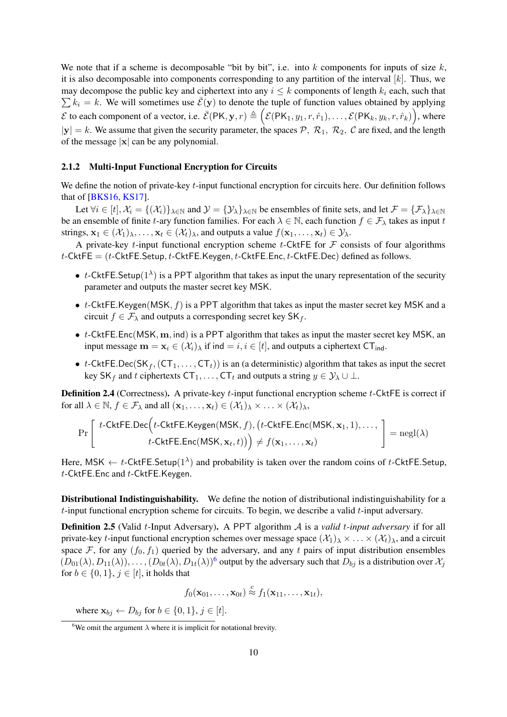We note that if a scheme is decomposable "bit by bit", i.e. into  $k$  components for inputs of size  $k$ , it is also decomposable into components corresponding to any partition of the interval  $[k]$ . Thus, we may decompose the public key and ciphertext into any  $i \leq k$  components of length  $k_i$  each, such that  $\sum k_i = k$ . We will sometimes use  $\overline{\mathcal{E}}(\mathbf{y})$  to denote the tuple of function values obtained by applying  $\mathcal E$  to each component of a vector, i.e.  $\bar{\mathcal E}(\mathsf P\mathsf K, \mathbf y, r) \triangleq \Big( \mathcal E(\mathsf P\mathsf K_1, y_1, r, \hat r_1), \ldots, \mathcal E(\mathsf P\mathsf K_k, y_k, r, \hat r_k) \Big),$  where  $|y| = k$ . We assume that given the security parameter, the spaces  $P$ ,  $R_1$ ,  $R_2$ ,  $C$  are fixed, and the length of the message  $|x|$  can be any polynomial.

### 2.1.2 Multi-Input Functional Encryption for Circuits

We define the notion of private-key  $t$ -input functional encryption for circuits here. Our definition follows that of [\[BKS16,](#page-35-7) [KS17\]](#page-37-2).

Let  $\forall i \in [t], \mathcal{X}_i = \{(\mathcal{X}_i)\}_{\lambda \in \mathbb{N}}$  and  $\mathcal{Y} = \{\mathcal{Y}_\lambda\}_{\lambda \in \mathbb{N}}$  be ensembles of finite sets, and let  $\mathcal{F} = \{\mathcal{F}_\lambda\}_{\lambda \in \mathbb{N}}$ be an ensemble of finite t-ary function families. For each  $\lambda \in \mathbb{N}$ , each function  $f \in \mathcal{F}_{\lambda}$  takes as input t strings,  $x_1 \in (\mathcal{X}_1)_{\lambda}, \ldots, x_t \in (\mathcal{X}_t)_{\lambda}$ , and outputs a value  $f(x_1, \ldots, x_t) \in \mathcal{Y}_{\lambda}$ .

A private-key t-input functional encryption scheme t-CktFE for  $\mathcal F$  consists of four algorithms  $t$ -CktFE = ( $t$ -CktFE.Setup,  $t$ -CktFE.Keygen,  $t$ -CktFE.Enc,  $t$ -CktFE.Dec) defined as follows.

- t-CktFE.Setup( $1^{\lambda}$ ) is a PPT algorithm that takes as input the unary representation of the security parameter and outputs the master secret key MSK.
- $t$ -CktFE.Keygen(MSK,  $f$ ) is a PPT algorithm that takes as input the master secret key MSK and a circuit  $f \in \mathcal{F}_{\lambda}$  and outputs a corresponding secret key SK<sub>f</sub>.
- $t$ -CktFE.Enc(MSK,  $m$ , ind) is a PPT algorithm that takes as input the master secret key MSK, an input message  $\mathbf{m} = \mathbf{x}_i \in (\mathcal{X}_i)_{\lambda}$  if ind  $i, i \in [t]$ , and outputs a ciphertext CT<sub>ind</sub>.
- t-CktFE.Dec(SK<sub>f</sub>, (CT<sub>1</sub>, ..., CT<sub>t</sub>)) is an (a deterministic) algorithm that takes as input the secret key SK<sub>f</sub> and t ciphertexts CT<sub>1</sub>, ..., CT<sub>t</sub> and outputs a string  $y \in \mathcal{Y}_\lambda \cup \bot$ .

**Definition 2.4** (Correctness). A private-key  $t$ -input functional encryption scheme  $t$ -CktFE is correct if for all  $\lambda \in \mathbb{N}$ ,  $f \in \mathcal{F}_{\lambda}$  and all  $(\mathbf{x}_1, \dots, \mathbf{x}_t) \in (\mathcal{X}_1)_{\lambda} \times \dots \times (\mathcal{X}_t)_{\lambda}$ ,

$$
\Pr\left[\begin{array}{c} t\text{-CktFE.Dec}\Big(t\text{-CktFE.Keygen(MSK,\textit{f}),\big(t\text{-CktFE.Enc(MSK,\textbf{x}_1,1),\dots,\atop t\text{-CktFE.Enc(MSK,\textbf{x}_t,t)\big)}\Big) \neq f(\textbf{x}_1,\dots,\textbf{x}_t) \end{array}\right] = {\rm negl}(\lambda)
$$

Here, MSK  $\leftarrow t$ -CktFE.Setup $(1^{\lambda})$  and probability is taken over the random coins of t-CktFE.Setup,  $t$ -CktFE.Enc and  $t$ -CktFE.Keygen.

Distributional Indistinguishability. We define the notion of distributional indistinguishability for a  $t$ -input functional encryption scheme for circuits. To begin, we describe a valid  $t$ -input adversary.

<span id="page-9-1"></span>Definition 2.5 (Valid t-Input Adversary). A PPT algorithm A is a *valid* t*-input adversary* if for all private-key *t*-input functional encryption schemes over message space  $(\mathcal{X}_1)_\lambda \times \ldots \times (\mathcal{X}_t)_\lambda$ , and a circuit space F, for any  $(f_0, f_1)$  queried by the adversary, and any t pairs of input distribution ensembles  $(D_{01}(\lambda), D_{11}(\lambda)), \ldots, (D_{0t}(\lambda), D_{1t}(\lambda))$ <sup>[6](#page-9-0)</sup> output by the adversary such that  $D_{bj}$  is a distribution over  $\mathcal{X}_j$ for  $b \in \{0, 1\}$ ,  $j \in [t]$ , it holds that

$$
f_0(\mathbf{x}_{01},\ldots,\mathbf{x}_{0t}) \stackrel{c}{\approx} f_1(\mathbf{x}_{11},\ldots,\mathbf{x}_{1t}),
$$

where  $\mathbf{x}_{bj} \leftarrow D_{bj}$  for  $b \in \{0, 1\}$ ,  $j \in [t]$ .

<span id="page-9-0"></span><sup>&</sup>lt;sup>6</sup>We omit the argument  $\lambda$  where it is implicit for notational brevity.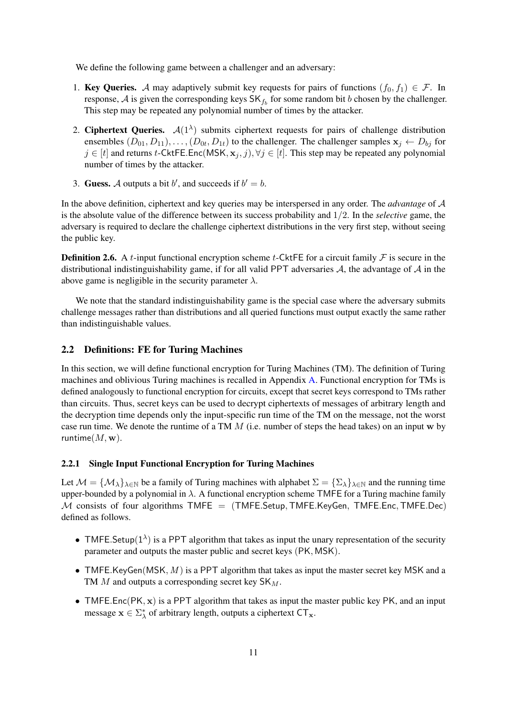We define the following game between a challenger and an adversary:

- 1. Key Queries. A may adaptively submit key requests for pairs of functions  $(f_0, f_1) \in \mathcal{F}$ . In response, A is given the corresponding keys  $SK_{f_b}$  for some random bit b chosen by the challenger. This step may be repeated any polynomial number of times by the attacker.
- 2. Ciphertext Queries.  $A(1^{\lambda})$  submits ciphertext requests for pairs of challenge distribution ensembles  $(D_{01}, D_{11}), \ldots, (D_{0t}, D_{1t})$  to the challenger. The challenger samples  $\mathbf{x}_j \leftarrow D_{bj}$  for  $j \in [t]$  and returns t-CktFE.Enc(MSK,  $\mathbf{x}_j, j$ ),  $\forall j \in [t]$ . This step may be repeated any polynomial number of times by the attacker.
- 3. Guess. A outputs a bit b', and succeeds if  $b' = b$ .

In the above definition, ciphertext and key queries may be interspersed in any order. The *advantage* of A is the absolute value of the difference between its success probability and 1/2. In the *selective* game, the adversary is required to declare the challenge ciphertext distributions in the very first step, without seeing the public key.

**Definition 2.6.** A t-input functional encryption scheme t-CktFE for a circuit family  $\mathcal F$  is secure in the distributional indistinguishability game, if for all valid PPT adversaries  $A$ , the advantage of  $A$  in the above game is negligible in the security parameter  $\lambda$ .

We note that the standard indistinguishability game is the special case where the adversary submits challenge messages rather than distributions and all queried functions must output exactly the same rather than indistinguishable values.

### <span id="page-10-0"></span>2.2 Definitions: FE for Turing Machines

In this section, we will define functional encryption for Turing Machines (TM). The definition of Turing machines and oblivious Turing machines is recalled in Appendix [A.](#page-38-9) Functional encryption for TMs is defined analogously to functional encryption for circuits, except that secret keys correspond to TMs rather than circuits. Thus, secret keys can be used to decrypt ciphertexts of messages of arbitrary length and the decryption time depends only the input-specific run time of the TM on the message, not the worst case run time. We denote the runtime of a TM  $M$  (i.e. number of steps the head takes) on an input w by runtime $(M, \mathbf{w})$ .

#### 2.2.1 Single Input Functional Encryption for Turing Machines

Let  $\mathcal{M} = \{\mathcal{M}_\lambda\}_{\lambda \in \mathbb{N}}$  be a family of Turing machines with alphabet  $\Sigma = \{\Sigma_\lambda\}_{\lambda \in \mathbb{N}}$  and the running time upper-bounded by a polynomial in  $\lambda$ . A functional encryption scheme TMFE for a Turing machine family M consists of four algorithms  $\mathsf{TMFE} = (\mathsf{TMFE}.\mathsf{Setup}, \mathsf{TMFE}.\mathsf{KeyGen}, \mathsf{TMFE}.\mathsf{Enc}, \mathsf{TMFE}.\mathsf{Dec})$ defined as follows.

- TMFE. Setup( $1^{\lambda}$ ) is a PPT algorithm that takes as input the unary representation of the security parameter and outputs the master public and secret keys (PK, MSK).
- TMFE.KeyGen(MSK,  $M$ ) is a PPT algorithm that takes as input the master secret key MSK and a TM  $M$  and outputs a corresponding secret key  $SK_M$ .
- TMFE.Enc( $PK, x$ ) is a PPT algorithm that takes as input the master public key PK, and an input message  $\mathbf{x} \in \Sigma_{\lambda}^*$  of arbitrary length, outputs a ciphertext  $CT_{\mathbf{x}}$ .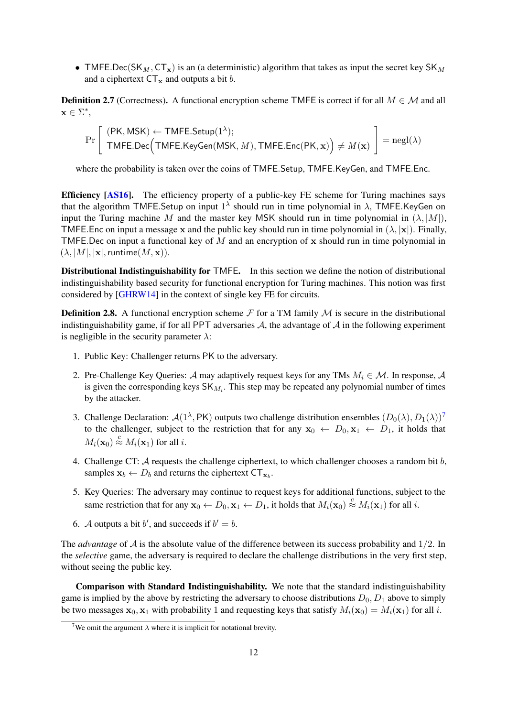• TMFE.Dec(SK<sub>M</sub>, CT<sub>x</sub>) is an (a deterministic) algorithm that takes as input the secret key SK<sub>M</sub> and a ciphertext  $CT_x$  and outputs a bit b.

**Definition 2.7** (Correctness). A functional encryption scheme TMFE is correct if for all  $M \in \mathcal{M}$  and all  $\mathbf{x} \in \Sigma^*,$ 

$$
\Pr\left[\begin{array}{l}(\mathsf{PK},\mathsf{MSK}) \leftarrow \mathsf{TMFE}.\mathsf{Setup}(1^{\lambda}); \\ \mathsf{TMFE}.\mathsf{Dec}\Big(\mathsf{TMFE}.\mathsf{KeyGen}(\mathsf{MSK},M),\mathsf{TMFE}.\mathsf{Enc}(\mathsf{PK},\mathbf{x})\Big) \neq M(\mathbf{x})\end{array}\right] = \mathsf{negl}(\lambda)
$$

where the probability is taken over the coins of TMFE.Setup, TMFE.KeyGen, and TMFE.Enc.

Efficiency [\[AS16\]](#page-35-2). The efficiency property of a public-key FE scheme for Turing machines says that the algorithm TMFE. Setup on input  $1^{\lambda}$  should run in time polynomial in  $\lambda$ , TMFE. Key Gen on input the Turing machine M and the master key MSK should run in time polynomial in  $(\lambda, |M|)$ , TMFE. Enc on input a message x and the public key should run in time polynomial in  $(\lambda, |x|)$ . Finally, TMFE. Dec on input a functional key of M and an encryption of  $x$  should run in time polynomial in  $(\lambda, |M|, |\mathbf{x}|, \text{ runtime}(M, \mathbf{x})).$ 

Distributional Indistinguishability for TMFE. In this section we define the notion of distributional indistinguishability based security for functional encryption for Turing machines. This notion was first considered by [\[GHRW14\]](#page-37-7) in the context of single key FE for circuits.

<span id="page-11-1"></span>**Definition 2.8.** A functional encryption scheme  $\mathcal F$  for a TM family  $\mathcal M$  is secure in the distributional indistinguishability game, if for all PPT adversaries  $A$ , the advantage of  $A$  in the following experiment is negligible in the security parameter  $\lambda$ :

- 1. Public Key: Challenger returns PK to the adversary.
- 2. Pre-Challenge Key Queries: A may adaptively request keys for any TMs  $M_i \in \mathcal{M}$ . In response, A is given the corresponding keys  $SK_{M_i}$ . This step may be repeated any polynomial number of times by the attacker.
- 3. Challenge Declaration:  $\mathcal{A}(1^{\lambda}, PK)$  outputs two challenge distribution ensembles  $(D_0(\lambda), D_1(\lambda))^7$  $(D_0(\lambda), D_1(\lambda))^7$ to the challenger, subject to the restriction that for any  $x_0 \leftarrow D_0, x_1 \leftarrow D_1$ , it holds that  $M_i(\mathbf{x}_0) \stackrel{c}{\approx} M_i(\mathbf{x}_1)$  for all *i*.
- 4. Challenge CT:  $A$  requests the challenge ciphertext, to which challenger chooses a random bit  $b$ , samples  $\mathbf{x}_b \leftarrow D_b$  and returns the ciphertext  $CT_{\mathbf{x}_b}$ .
- 5. Key Queries: The adversary may continue to request keys for additional functions, subject to the same restriction that for any  $x_0 \leftarrow D_0, x_1 \leftarrow D_1$ , it holds that  $M_i(x_0) \stackrel{c}{\approx} M_i(x_1)$  for all i.
- 6. A outputs a bit b', and succeeds if  $b' = b$ .

The *advantage* of A is the absolute value of the difference between its success probability and 1/2. In the *selective* game, the adversary is required to declare the challenge distributions in the very first step, without seeing the public key.

Comparison with Standard Indistinguishability. We note that the standard indistinguishability game is implied by the above by restricting the adversary to choose distributions  $D_0$ ,  $D_1$  above to simply be two messages  $x_0$ ,  $x_1$  with probability 1 and requesting keys that satisfy  $M_i(x_0) = M_i(x_1)$  for all i.

<span id="page-11-0"></span><sup>&</sup>lt;sup>7</sup>We omit the argument  $\lambda$  where it is implicit for notational brevity.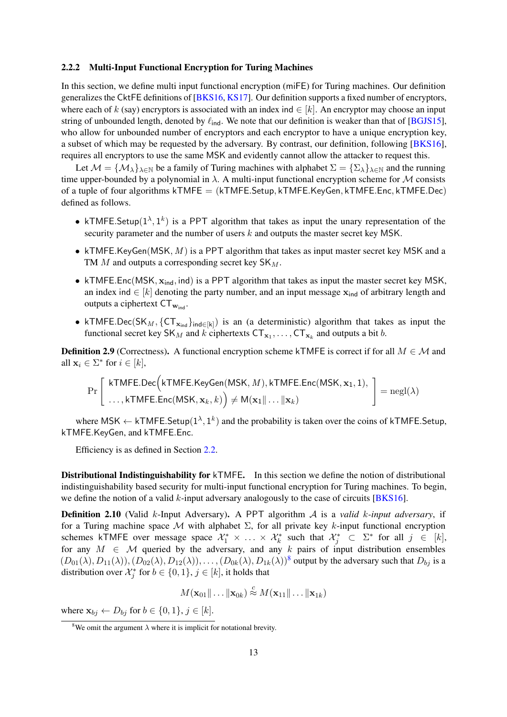### <span id="page-12-1"></span>2.2.2 Multi-Input Functional Encryption for Turing Machines

In this section, we define multi input functional encryption (miFE) for Turing machines. Our definition generalizes the CktFE definitions of [\[BKS16,](#page-35-7) [KS17\]](#page-37-2). Our definition supports a fixed number of encryptors, where each of k (say) encryptors is associated with an index ind  $\in [k]$ . An encryptor may choose an input string of unbounded length, denoted by  $\ell_{\text{ind}}$ . We note that our definition is weaker than that of [\[BGJS15\]](#page-35-3), who allow for unbounded number of encryptors and each encryptor to have a unique encryption key, a subset of which may be requested by the adversary. By contrast, our definition, following [\[BKS16\]](#page-35-7), requires all encryptors to use the same MSK and evidently cannot allow the attacker to request this.

Let  $M = \{M_{\lambda}\}_{\lambda \in \mathbb{N}}$  be a family of Turing machines with alphabet  $\Sigma = \{\Sigma_{\lambda}\}_{\lambda \in \mathbb{N}}$  and the running time upper-bounded by a polynomial in  $\lambda$ . A multi-input functional encryption scheme for M consists of a tuple of four algorithms  $k$ TMFE = ( $k$ TMFE.Setup,  $k$ TMFE.KeyGen,  $k$ TMFE.Enc,  $k$ TMFE.Dec) defined as follows.

- kTMFE. Setup $(1^{\lambda}, 1^k)$  is a PPT algorithm that takes as input the unary representation of the security parameter and the number of users k and outputs the master secret key MSK.
- kTMFE.KeyGen(MSK,  $M$ ) is a PPT algorithm that takes as input master secret key MSK and a TM M and outputs a corresponding secret key  $SK_M$ .
- kTMFE.Enc(MSK,  $x_{ind}$ , ind) is a PPT algorithm that takes as input the master secret key MSK, an index ind  $\in$  [k] denoting the party number, and an input message  $\mathbf{x}_{ind}$  of arbitrary length and outputs a ciphertext  $CT_{w_{ind}}$ .
- kTMFE.Dec(SK<sub>M</sub>, {CT<sub>x<sub>ind</sub>}<sub>ind∈[k]</sub>) is an (a deterministic) algorithm that takes as input the</sub> functional secret key SK<sub>M</sub> and k ciphertexts  $CT_{\mathbf{x}_1}, \dots, CT_{\mathbf{x}_k}$  and outputs a bit b.

**Definition 2.9** (Correctness). A functional encryption scheme kTMFE is correct if for all  $M \in \mathcal{M}$  and all  $\mathbf{x}_i \in \Sigma^*$  for  $i \in [k]$ ,

$$
\Pr\left[\begin{array}{l}\textsf{kTMFE.Dec}\Big(\textsf{kTMFE.KeyGen(MSK, }M),\textsf{kTMFE.Enc(MSK, }{\bf x}_1,1),\\ \ldots,\textsf{kTMFE.Enc(MSK, }{\bf x}_k,k)\Big) \neq \textsf{M}({\bf x}_1\|\ldots\|{\bf x}_k)\end{array}\right] = {\rm negl}(\lambda)
$$

where MSK  $\leftarrow$  kTMFE.Setup( $1^{\lambda}, 1^k$ ) and the probability is taken over the coins of kTMFE.Setup, kTMFE.KeyGen, and kTMFE.Enc.

Efficiency is as defined in Section [2.2.](#page-10-0)

Distributional Indistinguishability for kTMFE. In this section we define the notion of distributional indistinguishability based security for multi-input functional encryption for Turing machines. To begin, we define the notion of a valid  $k$ -input adversary analogously to the case of circuits [\[BKS16\]](#page-35-7).

Definition 2.10 (Valid k-Input Adversary). A PPT algorithm A is a *valid* k*-input adversary*, if for a Turing machine space  $M$  with alphabet  $\Sigma$ , for all private key k-input functional encryption schemes kTMFE over message space  $\mathcal{X}_1^* \times \ldots \times \mathcal{X}_k^*$  such that  $\mathcal{X}_j^* \subset \Sigma^*$  for all  $j \in [k]$ , for any  $M \in \mathcal{M}$  queried by the adversary, and any k pairs of input distribution ensembles  $(D_{01}(\lambda), D_{11}(\lambda)), (D_{02}(\lambda), D_{12}(\lambda)), \ldots, (D_{0k}(\lambda), D_{1k}(\lambda))^8$  $(D_{01}(\lambda), D_{11}(\lambda)), (D_{02}(\lambda), D_{12}(\lambda)), \ldots, (D_{0k}(\lambda), D_{1k}(\lambda))^8$  output by the adversary such that  $D_{bj}$  is a distribution over  $\mathcal{X}_j^*$  for  $b \in \{0,1\}$ ,  $j \in [k]$ , it holds that

$$
M(\mathbf{x}_{01} \|\ldots \|\mathbf{x}_{0k}) \stackrel{c}{\approx} M(\mathbf{x}_{11} \|\ldots \|\mathbf{x}_{1k})
$$

where  $\mathbf{x}_{bj} \leftarrow D_{bj}$  for  $b \in \{0, 1\}, j \in [k]$ .

<span id="page-12-0"></span><sup>&</sup>lt;sup>8</sup>We omit the argument  $\lambda$  where it is implicit for notational brevity.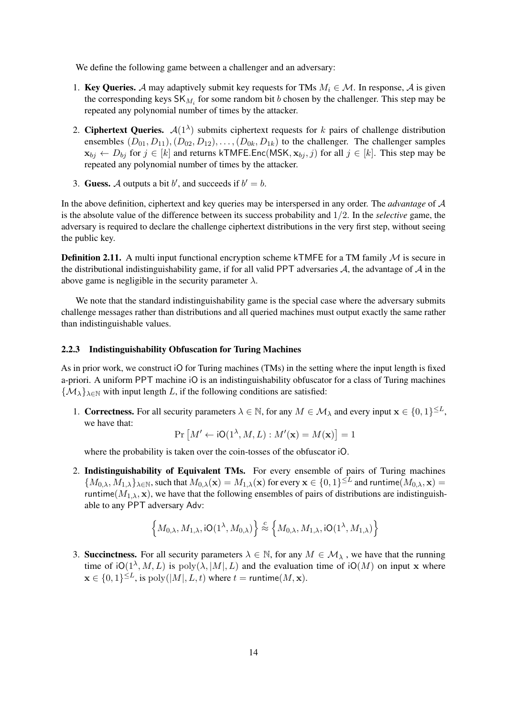We define the following game between a challenger and an adversary:

- 1. Key Queries. A may adaptively submit key requests for TMs  $M_i \in \mathcal{M}$ . In response, A is given the corresponding keys  $\mathsf{SK}_{M_i}$  for some random bit b chosen by the challenger. This step may be repeated any polynomial number of times by the attacker.
- 2. Ciphertext Queries.  $\mathcal{A}(1^{\lambda})$  submits ciphertext requests for k pairs of challenge distribution ensembles  $(D_{01}, D_{11}), (D_{02}, D_{12}), \ldots, (D_{0k}, D_{1k})$  to the challenger. The challenger samples  $\mathbf{x}_{bj} \leftarrow D_{bj}$  for  $j \in [k]$  and returns kTMFE.Enc(MSK,  $\mathbf{x}_{bj}$ , j) for all  $j \in [k]$ . This step may be repeated any polynomial number of times by the attacker.
- 3. Guess. A outputs a bit b', and succeeds if  $b' = b$ .

In the above definition, ciphertext and key queries may be interspersed in any order. The *advantage* of A is the absolute value of the difference between its success probability and 1/2. In the *selective* game, the adversary is required to declare the challenge ciphertext distributions in the very first step, without seeing the public key.

**Definition 2.11.** A multi input functional encryption scheme kTMFE for a TM family  $M$  is secure in the distributional indistinguishability game, if for all valid PPT adversaries  $A$ , the advantage of  $A$  in the above game is negligible in the security parameter  $\lambda$ .

We note that the standard indistinguishability game is the special case where the adversary submits challenge messages rather than distributions and all queried machines must output exactly the same rather than indistinguishable values.

### <span id="page-13-0"></span>2.2.3 Indistinguishability Obfuscation for Turing Machines

As in prior work, we construct iO for Turing machines (TMs) in the setting where the input length is fixed a-priori. A uniform PPT machine iO is an indistinguishability obfuscator for a class of Turing machines  $\{\mathcal{M}_{\lambda}\}_{\lambda\in\mathbb{N}}$  with input length L, if the following conditions are satisfied:

1. **Correctness.** For all security parameters  $\lambda \in \mathbb{N}$ , for any  $M \in \mathcal{M}_{\lambda}$  and every input  $\mathbf{x} \in \{0,1\}^{\leq L}$ , we have that:

$$
\Pr\left[M' \leftarrow iO(1^{\lambda}, M, L) : M'(\mathbf{x}) = M(\mathbf{x})\right] = 1
$$

where the probability is taken over the coin-tosses of the obfuscator iO.

2. Indistinguishability of Equivalent TMs. For every ensemble of pairs of Turing machines  ${M_{0,\lambda}, M_{1,\lambda}}_{\lambda \in \mathbb{N}}$ , such that  $M_{0,\lambda}(\mathbf{x}) = M_{1,\lambda}(\mathbf{x})$  for every  $\mathbf{x} \in \{0,1\}^{\leq L}$  and runtime $(M_{0,\lambda}, \mathbf{x}) =$ runtime( $M_{1,\lambda}$ , x), we have that the following ensembles of pairs of distributions are indistinguishable to any PPT adversary Adv:

$$
\left\{M_{0,\lambda}, M_{1,\lambda}, \mathsf{iO}(1^\lambda, M_{0,\lambda})\right\} \stackrel{c}{\approx} \left\{M_{0,\lambda}, M_{1,\lambda}, \mathsf{iO}(1^\lambda, M_{1,\lambda})\right\}
$$

3. Succinctness. For all security parameters  $\lambda \in \mathbb{N}$ , for any  $M \in \mathcal{M}_{\lambda}$ , we have that the running time of  $iO(1^{\lambda}, M, L)$  is  $poly(\lambda, |M|, L)$  and the evaluation time of  $iO(M)$  on input x where  $\mathbf{x} \in \{0,1\}^{\leq L}$ , is  $\text{poly}(|M|, L, t)$  where  $t = \text{runtime}(M, \mathbf{x})$ .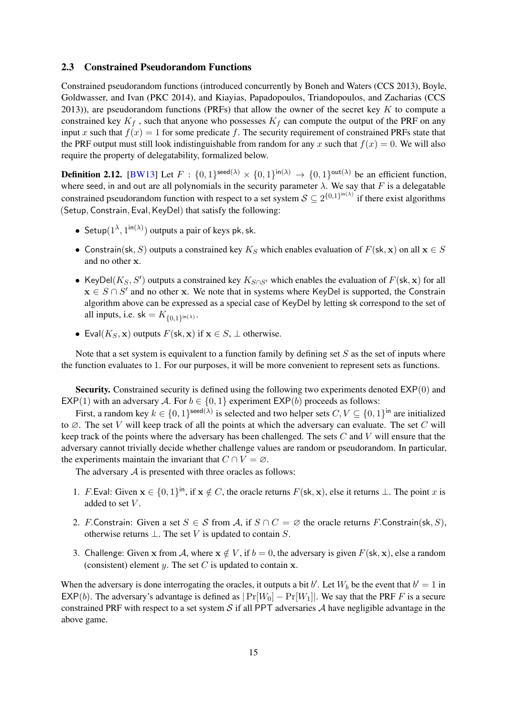### <span id="page-14-0"></span>2.3 Constrained Pseudorandom Functions

Constrained pseudorandom functions (introduced concurrently by Boneh and Waters (CCS 2013), Boyle, Goldwasser, and Ivan (PKC 2014), and Kiayias, Papadopoulos, Triandopoulos, and Zacharias (CCS 2013)), are pseudorandom functions (PRFs) that allow the owner of the secret key  $K$  to compute a constrained key  $K_f$ , such that anyone who possesses  $K_f$  can compute the output of the PRF on any input x such that  $f(x) = 1$  for some predicate f. The security requirement of constrained PRFs state that the PRF output must still look indistinguishable from random for any x such that  $f(x) = 0$ . We will also require the property of delegatability, formalized below.

<span id="page-14-1"></span>**Definition 2.12.** [\[BW13\]](#page-36-11) Let  $F : \{0,1\}^{\text{seed}(\lambda)} \times \{0,1\}^{\text{in}(\lambda)} \rightarrow \{0,1\}^{\text{out}(\lambda)}$  be an efficient function, where seed, in and out are all polynomials in the security parameter  $\lambda$ . We say that F is a delegatable constrained pseudorandom function with respect to a set system  $S \subseteq 2^{\{0,1\}^{\text{in}(\lambda)}}$  if there exist algorithms (Setup, Constrain, Eval, KeyDel) that satisfy the following:

- Setup $(1^{\lambda}, 1^{\text{in}(\lambda)})$  outputs a pair of keys pk, sk.
- Constrain(sk, S) outputs a constrained key K<sub>S</sub> which enables evaluation of  $F$ (sk, x) on all  $x \in S$ and no other x.
- KeyDel( $K_S$ , S') outputs a constrained key  $K_{S \cap S'}$  which enables the evaluation of  $F(\mathsf{sk}, \mathbf{x})$  for all  $x \in S \cap S'$  and no other x. We note that in systems where KeyDel is supported, the Constrain algorithm above can be expressed as a special case of KeyDel by letting sk correspond to the set of all inputs, i.e. sk =  $K_{\{0,1\}^{\text{in}(\lambda)}}$ .
- Eval( $K_S$ , x) outputs  $F$ (sk, x) if  $x \in S$ ,  $\perp$  otherwise.

Note that a set system is equivalent to a function family by defining set  $S$  as the set of inputs where the function evaluates to 1. For our purposes, it will be more convenient to represent sets as functions.

Security. Constrained security is defined using the following two experiments denoted EXP(0) and EXP(1) with an adversary A. For  $b \in \{0, 1\}$  experiment EXP(b) proceeds as follows:

First, a random key  $k \in \{0,1\}^{\text{seed}(\lambda)}$  is selected and two helper sets  $C, V \subseteq \{0,1\}^{\text{in}}$  are initialized to  $\emptyset$ . The set V will keep track of all the points at which the adversary can evaluate. The set C will keep track of the points where the adversary has been challenged. The sets  $C$  and  $V$  will ensure that the adversary cannot trivially decide whether challenge values are random or pseudorandom. In particular, the experiments maintain the invariant that  $C \cap V = \emptyset$ .

The adversary  $A$  is presented with three oracles as follows:

- 1. F.Eval: Given  $\mathbf{x} \in \{0,1\}^{\text{in}}$ , if  $\mathbf{x} \notin C$ , the oracle returns  $F(\mathsf{sk}, \mathbf{x})$ , else it returns  $\perp$ . The point x is added to set  $V$ .
- 2. F.Constrain: Given a set  $S \in \mathcal{S}$  from A, if  $S \cap C = \emptyset$  the oracle returns F.Constrain(sk, S), otherwise returns  $\bot$ . The set V is updated to contain S.
- 3. Challenge: Given x from A, where  $x \notin V$ , if  $b = 0$ , the adversary is given  $F(s, x)$ , else a random (consistent) element y. The set  $C$  is updated to contain  $x$ .

When the adversary is done interrogating the oracles, it outputs a bit b'. Let  $W_b$  be the event that  $b' = 1$  in EXP(b). The adversary's advantage is defined as  $|Pr[W_0] - Pr[W_1]|$ . We say that the PRF F is a secure constrained PRF with respect to a set system S if all PPT adversaries A have negligible advantage in the above game.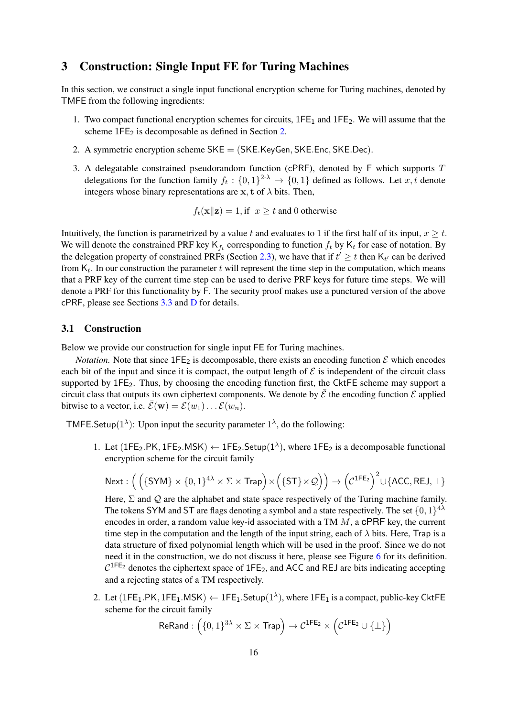### <span id="page-15-0"></span>3 Construction: Single Input FE for Turing Machines

In this section, we construct a single input functional encryption scheme for Turing machines, denoted by TMFE from the following ingredients:

- 1. Two compact functional encryption schemes for circuits,  $1FE<sub>1</sub>$  and  $1FE<sub>2</sub>$ . We will assume that the scheme  $1FE_2$  is decomposable as defined in Section [2.](#page-6-0)
- 2. A symmetric encryption scheme SKE = (SKE.KeyGen, SKE.Enc, SKE.Dec).
- 3. A delegatable constrained pseudorandom function (cPRF), denoted by  $F$  which supports  $T$ delegations for the function family  $f_t: \{0,1\}^{2\cdot\lambda} \to \{0,1\}$  defined as follows. Let  $x, t$  denote integers whose binary representations are  $x$ , t of  $\lambda$  bits. Then,

$$
f_t(\mathbf{x}||\mathbf{z}) = 1
$$
, if  $x \ge t$  and 0 otherwise

Intuitively, the function is parametrized by a value t and evaluates to 1 if the first half of its input,  $x > t$ . We will denote the constrained PRF key  $K_{f_t}$  corresponding to function  $f_t$  by  $K_t$  for ease of notation. By the delegation property of constrained PRFs (Section [2.3\)](#page-14-0), we have that if  $t' \geq t$  then  $K_{t'}$  can be derived from  $K_t$ . In our construction the parameter t will represent the time step in the computation, which means that a PRF key of the current time step can be used to derive PRF keys for future time steps. We will denote a PRF for this functionality by F. The security proof makes use a punctured version of the above cPRF, please see Sections [3.3](#page-20-0) and [D](#page-59-0) for details.

### 3.1 Construction

Below we provide our construction for single input FE for Turing machines.

*Notation.* Note that since  $1FE_2$  is decomposable, there exists an encoding function  $\mathcal E$  which encodes each bit of the input and since it is compact, the output length of  $\mathcal E$  is independent of the circuit class supported by 1FE<sub>2</sub>. Thus, by choosing the encoding function first, the CktFE scheme may support a circuit class that outputs its own ciphertext components. We denote by  $\bar{\mathcal{E}}$  the encoding function  $\mathcal{E}$  applied bitwise to a vector, i.e.  $\bar{\mathcal{E}}(\mathbf{w}) = \mathcal{E}(w_1) \dots \mathcal{E}(w_n)$ .

TMFE. Setup( $1^{\lambda}$ ): Upon input the security parameter  $1^{\lambda}$ , do the following:

1. Let (1FE<sub>2</sub>.PK, 1FE<sub>2</sub>.MSK)  $\leftarrow$  1FE<sub>2</sub>.Setup(1<sup> $\lambda$ </sup>), where 1FE<sub>2</sub> is a decomposable functional encryption scheme for the circuit family

$$
\mathsf{Next}:\Big(\left(\{\mathsf{SYM}\}\times\{0,1\}^{4\lambda}\times\Sigma\times\mathsf{Trap}\right)\times\Big(\{\mathsf{ST}\}\times\mathcal{Q}\Big)\Big)\rightarrow\Big(\mathcal{C}^{\mathsf{1FE}_2}\Big)^2\cup\{\mathsf{ACC},\mathsf{REJ},\bot\}
$$

Here,  $\Sigma$  and  $\mathcal Q$  are the alphabet and state space respectively of the Turing machine family. The tokens SYM and ST are flags denoting a symbol and a state respectively. The set  $\{0,1\}^{4\lambda}$ encodes in order, a random value key-id associated with a TM  $M$ , a cPRF key, the current time step in the computation and the length of the input string, each of  $\lambda$  bits. Here, Trap is a data structure of fixed polynomial length which will be used in the proof. Since we do not need it in the construction, we do not discuss it here, please see Figure [6](#page-21-0) for its definition.  $C^{1FE_2}$  denotes the ciphertext space of 1FE<sub>2</sub>, and ACC and REJ are bits indicating accepting and a rejecting states of a TM respectively.

2. Let (1FE<sub>1</sub>.PK, 1FE<sub>1</sub>.MSK)  $\leftarrow$  1FE<sub>1</sub>.Setup(1<sup> $\lambda$ </sup>), where 1FE<sub>1</sub> is a compact, public-key CktFE scheme for the circuit family

$$
\mathsf{ReRand}:\left(\{0,1\}^{3\lambda} \times \Sigma \times \mathsf{Trap}\right) \to \mathcal{C}^{\mathsf{1FE}_2} \times \left(\mathcal{C}^{\mathsf{1FE}_2} \cup \{\bot\}\right)
$$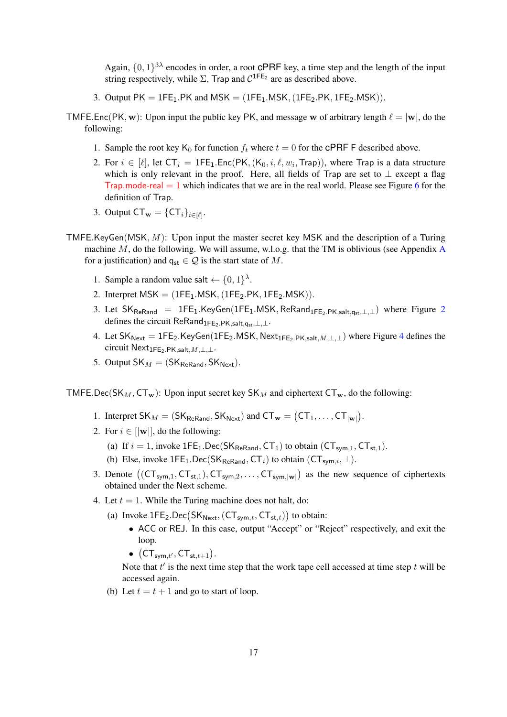Again,  $\{0,1\}^{3\lambda}$  encodes in order, a root CPRF key, a time step and the length of the input string respectively, while  $\Sigma$ , Trap and  $C^{1FE_2}$  are as described above.

- 3. Output  $PK = 1FE_1.PK$  and  $MSK = (1FE_1.MSK, (1FE_2.PK, 1FE_2.MSK))$ .
- TMFE.Enc(PK, w): Upon input the public key PK, and message w of arbitrary length  $\ell = |w|$ , do the following:
	- 1. Sample the root key  $K_0$  for function  $f_t$  where  $t = 0$  for the CPRF F described above.
	- 2. For  $i \in [\ell]$ , let  $\mathsf{CT}_i = \mathsf{1FE}_1.\mathsf{Enc}(\mathsf{PK},(\mathsf{K}_0,i,\ell,w_i,\mathsf{Trap})),$  where Trap is a data structure which is only relevant in the proof. Here, all fields of Trap are set to  $\perp$  except a flag Trap.mode-real  $= 1$  which indicates that we are in the real world. Please see Figure [6](#page-21-0) for the definition of Trap.
	- 3. Output  $CT_{\mathbf{w}} = \{CT_i\}_{i \in [\ell]}.$
- TMFE.KeyGen(MSK,  $M$ ): Upon input the master secret key MSK and the description of a Turing machine  $M$ , do the following. We will assume, w.l.o.g. that the TM is oblivious (see [A](#page-38-9)ppendix A for a justification) and  $q_{st} \in \mathcal{Q}$  is the start state of M.
	- 1. Sample a random value salt  $\leftarrow \{0,1\}^{\lambda}$ .
	- 2. Interpret  $MSK = (1FE<sub>1</sub> . MSK, (1FE<sub>2</sub>.PK, 1FE<sub>2</sub>.MSK)).$
	- 3. Let  $SK_{ReRand}$  = 1FE<sub>1</sub>.KeyGen(1FE<sub>1</sub>.MSK, ReRand<sub>1FE[2](#page-17-0).PK,salt,q<sub>st</sub>,⊥,⊥) where Figure 2</sub> defines the circuit ReRand<sub>1FE2</sub>.PK,salt, $q_{\text{est},\perp,\perp}$ .
	- [4](#page-19-0). Let  $SK_{\text{Next}} = 1FE_2.KeyGen(1FE_2.MSK, \text{Next}_{1FE_2.PK,salt,M,\perp,\perp})$  where Figure 4 defines the circuit Next<sub>1FE2</sub>.PK,salt,  $M, \perp, \perp$ .
	- 5. Output  $SK_M = (SK_{\text{ReRand}}, SK_{\text{Next}})$ .

TMFE.Dec(SK<sub>M</sub>, CT<sub>w</sub>): Upon input secret key SK<sub>M</sub> and ciphertext CT<sub>w</sub>, do the following:

- 1. Interpret  $SK_M = (SK_{ReRand}, SK_{Next})$  and  $CT_w = (CT_1, \ldots, CT_{|w|}).$
- 2. For  $i \in [|\mathbf{w}|]$ , do the following:
	- (a) If  $i = 1$ , invoke  $1FE_1$ . Dec(SK<sub>ReRand</sub>, CT<sub>1</sub>) to obtain (CT<sub>sym,1</sub>, CT<sub>st,1</sub>).
	- (b) Else, invoke  $1FE_1$ .Dec(SK<sub>ReRand</sub>, CT<sub>i</sub>) to obtain (CT<sub>sym,i</sub>,  $\perp$ ).
- 3. Denote  $((CT_{sym,1}, CT_{st,1}), CT_{sym,2}, \ldots, CT_{sym,|w|})$  as the new sequence of ciphertexts obtained under the Next scheme.
- 4. Let  $t = 1$ . While the Turing machine does not halt, do:
	- (a) Invoke  $1FE_2$ .Dec( $SK_{Next}$ , ( $CT_{sym,t}$ ,  $CT_{st,t}$ )) to obtain:
		- ACC or REJ. In this case, output "Accept" or "Reject" respectively, and exit the loop.
		- $\bullet$   $(\mathsf{CT}_{\mathsf{sym},t'},\mathsf{CT}_{\mathsf{st},t+1}).$

Note that  $t'$  is the next time step that the work tape cell accessed at time step  $t$  will be accessed again.

(b) Let  $t = t + 1$  and go to start of loop.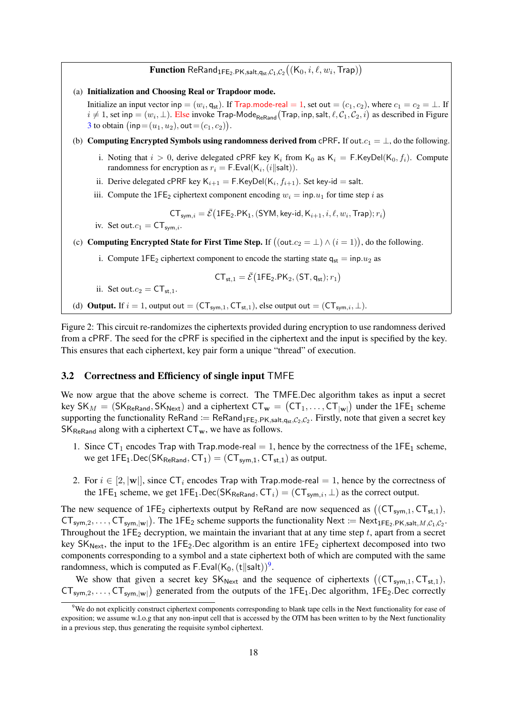# $\mathbf{Function}\ \mathsf{ReRand}_{1\mathsf{FE}_2.\mathsf{PK},\mathsf{salt},\mathsf{q}_\mathsf{st},\mathcal{C}_1,\mathcal{C}_2}\big((\mathsf{K}_0,i,\ell,w_i,\mathsf{Trap})\big)$

(a) Initialization and Choosing Real or Trapdoor mode.

Initialize an input vector inp =  $(w_i, \mathsf{q_{st}})$ . If Trap.mode-real = 1, set out =  $(c_1, c_2)$ , where  $c_1 = c_2 = \perp$ . If  $i\neq 1$ , set inp  $=(w_i,\perp)$ . Else invoke Trap-Mode $_{\sf ReRand}$ (Trap, inp, salt,  $\ell,\mathcal{C}_1,\mathcal{C}_2,i)$  as described in Figure [3](#page-18-0) to obtain  $(\textsf{inp}= (u_1, u_2), \textsf{out} = (c_1, c_2)).$ 

- (b) Computing Encrypted Symbols using randomness derived from cPRF. If out. $c_1 = \perp$ , do the following.
	- i. Noting that  $i > 0$ , derive delegated cPRF key K<sub>i</sub> from K<sub>0</sub> as K<sub>i</sub> = F.KeyDel(K<sub>0</sub>, f<sub>i</sub>). Compute randomness for encryption as  $r_i = \mathsf{F}.\mathsf{Eval}(\mathsf{K}_i, (i \Vert \mathsf{salt})).$
	- ii. Derive delegated c $\mathsf{PRF}$  key  $\mathsf{K}_{i+1} = \mathsf{F}.\mathsf{KeyDel}(\mathsf{K}_i, f_{i+1}).$  Set key-id  $=$  salt.
	- iii. Compute the 1FE<sub>2</sub> ciphertext component encoding  $w_i = \text{inp.} u_1$  for time step i as

 $CT_{sym,i} = \bar{\mathcal{E}} \big( 1\mathsf{FE}_2.\mathsf{PK}_1, \mathsf{(SYM, key-id}, \mathsf{K}_{i+1}, i, \ell, w_i, \mathsf{Trap}); r_i \big)$ 

iv. Set out. $c_1 = \mathsf{CT}_{\mathsf{sym},i}$ .

(c) Computing Encrypted State for First Time Step. If  $((\text{out}.c_2 = \bot) \wedge (i = 1)),$  do the following.

i. Compute 1FE<sub>2</sub> ciphertext component to encode the starting state  $q_{st} = inp.u_2$  as

$$
\mathsf{CT}_{\mathsf{st},1} = \bar{\mathcal{E}} \big( \mathsf{1FE}_2.\mathsf{PK}_2, (\mathsf{ST}, \mathsf{q}_{\mathsf{st}}); r_1 \big)
$$

ii. Set out. $c_2 = CT_{st,1}$ .

<span id="page-17-0"></span>(d) **Output.** If  $i = 1$ , output out =  $(CT_{sym,1}, CT_{st,1})$ , else output out =  $(CT_{sym,i}, \perp)$ .

Figure 2: This circuit re-randomizes the ciphertexts provided during encryption to use randomness derived from a cPRF. The seed for the cPRF is specified in the ciphertext and the input is specified by the key. This ensures that each ciphertext, key pair form a unique "thread" of execution.

#### 3.2 Correctness and Efficiency of single input TMFE

We now argue that the above scheme is correct. The TMFE.Dec algorithm takes as input a secret key SK<sub>M</sub> = (SK<sub>ReRand</sub>, SK<sub>Next</sub>) and a ciphertext  $CT_w = (CT_1, ..., CT_{|w|})$  under the 1FE<sub>1</sub> scheme supporting the functionality ReRand :=  $\text{ReRand}_{1\text{FE}_2.\text{PK},\text{salt},q_{st},C_2,C_2}$ . Firstly, note that given a secret key  $SK_{\text{ReRand}}$  along with a ciphertext  $CT_w$ , we have as follows.

- 1. Since  $CT_1$  encodes Trap with Trap.mode-real = 1, hence by the correctness of the  $1FE_1$  scheme, we get  $1FE_1$ .Dec(SK<sub>ReRand</sub>,  $CT_1$ ) = ( $CT_{sym.1}$ ,  $CT_{st.1}$ ) as output.
- 2. For  $i \in [2, |w|]$ , since  $CT_i$  encodes Trap with Trap.mode-real = 1, hence by the correctness of the 1FE<sub>1</sub> scheme, we get 1FE<sub>1</sub>.Dec(SK<sub>ReRand</sub>, CT<sub>i</sub>) = (CT<sub>sym,i</sub>,  $\perp$ ) as the correct output.

The new sequence of  $1FE_2$  ciphertexts output by ReRand are now sequenced as  $((CT_{sym,1}, CT_{st,1}),$  $CT_{sym,2}, \ldots, CT_{sym,|w|})$ . The 1FE<sub>2</sub> scheme supports the functionality Next := Next<sub>1FE2</sub>.PK,salt, *M*, *C*<sub>1</sub>, *C*<sub>2</sub>. Throughout the  $1FE_2$  decryption, we maintain the invariant that at any time step  $t$ , apart from a secret key  $SK_{Next}$ , the input to the  $1FE_2$ . Dec algorithm is an entire  $1FE_2$  ciphertext decomposed into two components corresponding to a symbol and a state ciphertext both of which are computed with the same randomness, which is computed as F.Eval $(K_0, (t \parallel \text{salt}))^9$  $(K_0, (t \parallel \text{salt}))^9$ .

We show that given a secret key  $SK_{Next}$  and the sequence of ciphertexts  $((CT_{sym,1}, CT_{st,1}),$  $CT_{sym,2}, \ldots, CT_{sym,|w|})$  generated from the outputs of the 1FE<sub>1</sub>.Dec algorithm, 1FE<sub>2</sub>.Dec correctly

<span id="page-17-1"></span><sup>&</sup>lt;sup>9</sup>We do not explicitly construct ciphertext components corresponding to blank tape cells in the Next functionality for ease of exposition; we assume w.l.o.g that any non-input cell that is accessed by the OTM has been written to by the Next functionality in a previous step, thus generating the requisite symbol ciphertext.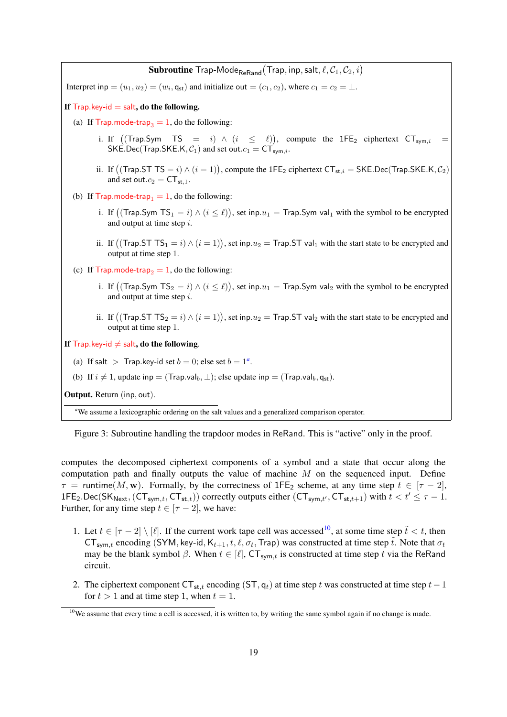${\bf Subroutine}$   ${\sf Trap\text{-}Mode}_{\sf ReRand}({\sf Trap},{\sf inp},{\sf salt}, \ell, \mathcal{C}_1, \mathcal{C}_2, i)$ Interpret inp  $=(u_1, u_2) = (w_i, \mathsf{q}_{st})$  and initialize out  $=(c_1, c_2)$ , where  $c_1 = c_2 = \perp$ . If  $Trap key-id = salt$ , do the following. (a) If Trap.mode-trap<sub>3</sub> = 1, do the following: i. If  $((\text{Trap.Sym } TS = i) \wedge (i \leq \ell))$ , compute the 1FE<sub>2</sub> ciphertext  $CT_{sym,i} =$ SKE.Dec(Trap.SKE.K,  $C_1$ ) and set out. $c_1 = CT_{sym,i}$ . ii. If  $((\text{Trap}.STTS = i) \land (i = 1)),$  compute the 1FE<sub>2</sub> ciphertext  $\text{CT}_{\text{st},i} = \text{SKE}$ .Dec $(\text{Trap}.SKE.K, \mathcal{C}_2)$ and set out. $c_2 = CT_{st,1}$ . (b) If Trap.mode-trap<sub>1</sub> = 1, do the following: i. If  $\big((\mathsf{Trap}.\mathsf{Sym}\ \mathsf{TS}_1=i)\wedge (i\leq \ell)\big),$  set inp. $u_1=\mathsf{Trap}.\mathsf{Sym}$  val $_1$  with the symbol to be encrypted and output at time step i. ii. If  $((\text{Trap}.ST TS_1 = i) \land (i = 1)),$  set inp. $u_2 = \text{Trap}.ST$  val<sub>1</sub> with the start state to be encrypted and output at time step 1. (c) If Trap.mode-trap<sub>2</sub> = 1, do the following: i. If  $((\mathsf{Trap}.\mathsf{Sym}\ \mathsf{TS}_2=i)\wedge (i\leq \ell)),$  set inp. $u_1=\mathsf{Trap}.\mathsf{Sym}$  val $_2$  with the symbol to be encrypted and output at time step i. ii. If  $((\text{Trap}.ST TS}_2 = i) \wedge (i = 1)),$  set inp. $u_2 = \text{Trap}.ST$  val<sub>2</sub> with the start state to be encrypted and output at time step 1. If  $\mathsf{T}_{\mathsf{Tap}.\mathsf{key}\text{-}\mathsf{id}} \neq \mathsf{salt}, \mathsf{do} \mathsf{the} \mathsf{following}.$ ([a](#page-18-1)) If salt  $\ge$  Trap.key-id set  $b = 0$ ; else set  $b = 1^a$ . (b) If  $i \neq 1$ , update inp = (Trap.val<sub>b</sub>,  $\perp$ ); else update inp = (Trap.val<sub>b</sub>, q<sub>st</sub>). Output. Return (inp, out).

<span id="page-18-1"></span>*<sup>a</sup>*We assume a lexicographic ordering on the salt values and a generalized comparison operator.

<span id="page-18-0"></span>Figure 3: Subroutine handling the trapdoor modes in ReRand. This is "active" only in the proof.

computes the decomposed ciphertext components of a symbol and a state that occur along the computation path and finally outputs the value of machine  $M$  on the sequenced input. Define  $\tau$  = runtime(M, w). Formally, by the correctness of 1FE<sub>2</sub> scheme, at any time step  $t \in [\tau - 2]$ , 1FE<sub>2</sub>.Dec(SK<sub>Next</sub>, (CT<sub>sym,t</sub>, CT<sub>st,t</sub>)) correctly outputs either (CT<sub>sym,t'</sub>, CT<sub>st,t+1</sub>) with  $t < t' \leq \tau - 1$ . Further, for any time step  $t \in [\tau - 2]$ , we have:

- 1. Let  $t \in [\tau 2] \setminus [\ell]$ . If the current work tape cell was accessed<sup>[10](#page-18-2)</sup>, at some time step  $\tilde{t} < t$ , then  $CT_{sym,t}$  encoding (SYM, key-id,  $K_{t+1}, t, \ell, \sigma_t$ , Trap) was constructed at time step  $\tilde{t}$ . Note that  $\sigma_t$ may be the blank symbol  $\beta$ . When  $t \in [\ell], C\mathsf{T}_{\mathsf{sym},t}$  is constructed at time step t via the ReRand circuit.
- 2. The ciphertext component  $CT_{st,t}$  encoding (ST, q<sub>t</sub>) at time step t was constructed at time step t 1 for  $t > 1$  and at time step 1, when  $t = 1$ .

<span id="page-18-2"></span> $10$ We assume that every time a cell is accessed, it is written to, by writing the same symbol again if no change is made.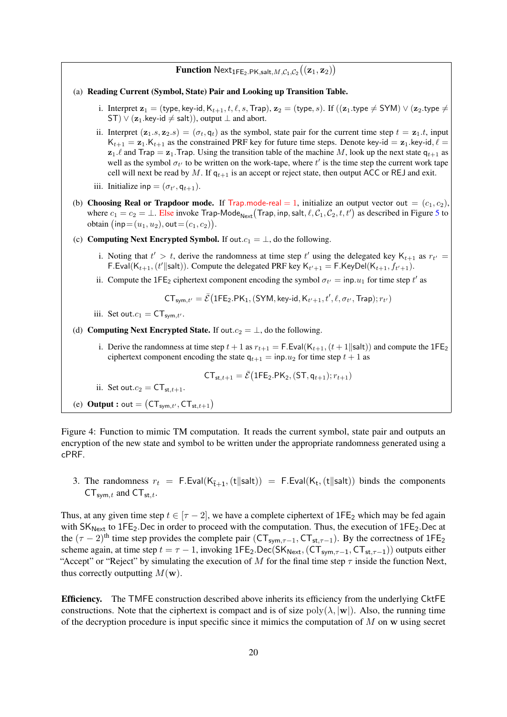# $\mathbf{Function}~\mathsf{Next}_{1\mathsf{FE}_2.\mathsf{PK},\mathsf{salt},M,\mathcal{C}_1,\mathcal{C}_2}\big((\mathbf{z}_1,\mathbf{z}_2)\big)$

#### (a) Reading Current (Symbol, State) Pair and Looking up Transition Table.

- i. Interpret  $z_1 =$  (type, key-id,  $K_{t+1}, t, \ell, s$ , Trap),  $z_2 =$  (type, s). If  $((z_1,$  type  $\neq$  SYM)  $\vee$  ( $z_2$ , type  $\neq$ ST)  $\vee$  ( $\mathbf{z}_1$ .key-id  $\neq$  salt)), output  $\perp$  and abort.
- ii. Interpret  $(z_1, s, z_2, s) = (\sigma_t, q_t)$  as the symbol, state pair for the current time step  $t = z_1, t$ , input  $K_{t+1} = \mathbf{z}_1.K_{t+1}$  as the constrained PRF key for future time steps. Denote key-id =  $\mathbf{z}_1$ . key-id,  $\ell =$  $z_1$ .  $\ell$  and Trap =  $z_1$ . Trap. Using the transition table of the machine M, look up the next state  $q_{t+1}$  as well as the symbol  $\sigma_{t'}$  to be written on the work-tape, where  $t'$  is the time step the current work tape cell will next be read by M. If  $q_{t+1}$  is an accept or reject state, then output ACC or REJ and exit.
- iii. Initialize inp =  $(\sigma_{t'}, q_{t+1})$ .
- (b) Choosing Real or Trapdoor mode. If Trap.mode-real = 1, initialize an output vector out =  $(c_1, c_2)$ , where  $c_1 = c_2 = \bot$ . Else invoke Trap-Mode<sub>Next</sub> (Trap, inp, salt,  $\ell, C_1, C_2, t, t')$  as described in Figure [5](#page-20-1) to obtain  $(\textsf{inp}= (u_1, u_2), \textsf{out} = (c_1, c_2)).$
- (c) Computing Next Encrypted Symbol. If out. $c_1 = \perp$ , do the following.
	- i. Noting that  $t' > t$ , derive the randomness at time step  $t'$  using the delegated key  $K_{t+1}$  as  $r_{t'} =$ F. Eval $(K_{t+1}, (t' \parallel \text{salt}))$ . Compute the delegated PRF key  $K_{t'+1} = F.K$ eyDel $(K_{t+1}, f_{t'+1})$ .
	- ii. Compute the 1FE<sub>2</sub> ciphertext component encoding the symbol  $\sigma_{t'} = \text{inp.} u_1$  for time step t' as

$$
\mathsf{CT}_{\mathsf{sym}, t'} = \bar{\mathcal{E}} \big( \mathsf{1FE}_2.\mathsf{PK}_1, (\mathsf{SYM}, \mathsf{key-id}, \mathsf{K}_{t'+1}, t', \ell, \sigma_{t'}, \mathsf{Trap}); r_{t'} \big)
$$

iii. Set out. $c_1 = \mathsf{CT}_{\mathsf{sym}.t'}$ .

(d) Computing Next Encrypted State. If out. $c_2 = \perp$ , do the following.

i. Derive the randomness at time step  $t + 1$  as  $r_{t+1} = F.Eval(K_{t+1}, (t+1||salt))$  and compute the  $1FE_2$ ciphertext component encoding the state  $q_{t+1} = \text{inp.} u_2$  for time step  $t + 1$  as

$$
CT_{st,t+1} = \bar{\mathcal{E}}(1FE_2.PK_2, (ST, q_{t+1}); r_{t+1})
$$

- ii. Set out. $c_2 = CT_{st,t+1}$ .
- <span id="page-19-0"></span>(e) **Output :** out =  $(CT_{sym,t}, CT_{st,t+1})$

Figure 4: Function to mimic TM computation. It reads the current symbol, state pair and outputs an encryption of the new state and symbol to be written under the appropriate randomness generated using a cPRF.

3. The randomness  $r_t = F.Eval(K_{\tilde{t}+1}, (t||salt)) = F.Eval(K_t, (t||salt))$  binds the components  $CT_{sym,t}$  and  $CT_{st,t}$ .

Thus, at any given time step  $t \in [\tau - 2]$ , we have a complete ciphertext of 1FE<sub>2</sub> which may be fed again with  $SK_{Next}$  to 1FE<sub>2</sub>.Dec in order to proceed with the computation. Thus, the execution of  $1FE_2$ .Dec at the  $(\tau - 2)$ <sup>th</sup> time step provides the complete pair (CT<sub>sym, $\tau$ </sub>-1, CT<sub>st, $\tau$ </sub>-1). By the correctness of 1FE<sub>2</sub> scheme again, at time step  $t = \tau - 1$ , invoking 1FE<sub>2</sub>.Dec(SK<sub>Next</sub>, (CT<sub>sym, $\tau$ -1, CT<sub>st, $\tau$ -1</sub>)) outputs either</sub> "Accept" or "Reject" by simulating the execution of M for the final time step  $\tau$  inside the function Next, thus correctly outputting  $M(\mathbf{w})$ .

Efficiency. The TMFE construction described above inherits its efficiency from the underlying CktFE constructions. Note that the ciphertext is compact and is of size  $poly(\lambda, |w|)$ . Also, the running time of the decryption procedure is input specific since it mimics the computation of  $M$  on  $w$  using secret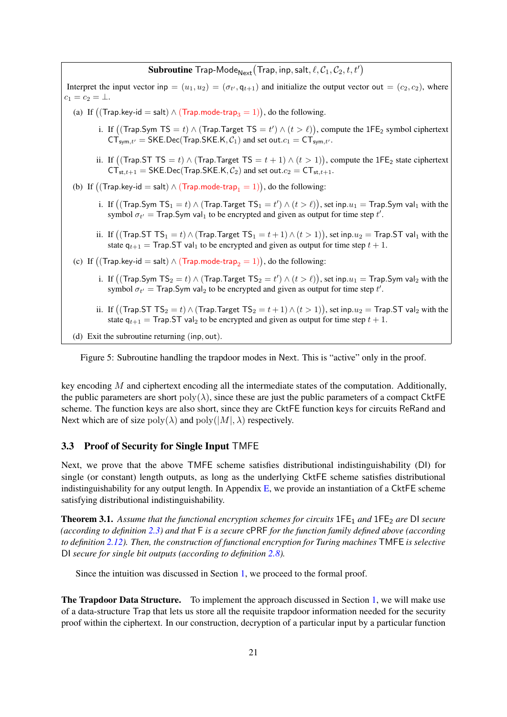# ${\bf Subroutine\; Trap-Mode}_{\sf Next}({\sf Trap}, {\sf inp}, {\sf salt}, \ell, {\cal C}_1, {\cal C}_2, t, t')$

Interpret the input vector inp  $=(u_1, u_2) = (\sigma_{t'}, q_{t+1})$  and initialize the output vector out  $=(c_2, c_2)$ , where  $c_1 = c_2 = \bot.$ (a) If  $((\text{Trap-key-id} = \text{salt}) \land (\text{Trap-mode-trap}_3 = 1)),$  do the following.

- i. If  $((\text{Trap.Sym TS} = t) \land (\text{Trap.Target TS} = t') \land (t > \ell)),$  compute the 1FE<sub>2</sub> symbol ciphertext  $CT_{sym,t'}$  = SKE.Dec(Trap.SKE.K,  $C_1$ ) and set out. $c_1 = CT_{sym,t'}$ .
- ii. If  $((\text{Trap}.ST TS = t) \wedge (\text{Trap}.Target TS = t + 1) \wedge (t > 1)),$  compute the 1FE<sub>2</sub> state ciphertext  $CT_{st,t+1}$  = SKE.Dec(Trap.SKE.K,  $C_2$ ) and set out. $c_2 = CT_{st,t+1}$ .
- (b) If  $\big((\mathsf{Trap}.\mathsf{key}\text{-}\mathsf{id}=\mathsf{salt}) \land (\mathsf{Trap}.\mathsf{mode}\text{-}\mathsf{trap}_1=1)\big),$  do the following:
	- i. If  $\big((\mathsf{Trap}.\mathsf{Sym}\ \mathsf{TS}_1 = t) \land (\mathsf{Trap}.\mathsf{Target}\ \mathsf{TS}_1 = t') \land (t > \ell)\big),$  set inp. $u_1 = \mathsf{Trap}.\mathsf{Sym}\ \mathsf{val}_1$  with the symbol  $\sigma_{t'} =$  Trap. Sym val<sub>1</sub> to be encrypted and given as output for time step t'.
	- ii. If  $\big((\mathsf{Trap}.\mathsf{ST}~\mathsf{TS}_1 = t) \land (\mathsf{Trap}.\mathsf{Target}~\mathsf{TS}_1 = t+1) \land (t > 1)\big),$  set inp. $u_2 = \mathsf{Trap}.\mathsf{ST}$  val $_1$  with the state  $q_{t+1}$  = Trap. ST val<sub>1</sub> to be encrypted and given as output for time step  $t + 1$ .
- (c) If  $((\text{Trap}. \text{key-id} = \text{salt}) \land (\text{Trap}. \text{mode-trap}_2 = 1)),$  do the following:
	- i. If  $\big((\mathsf{Trap}.\mathsf{Sym}\ \mathsf{TS}_2 = t) \land (\mathsf{Trap}.\mathsf{Target}\ \mathsf{TS}_2 = t') \land (t > \ell)\big),$  set inp. $u_1 = \mathsf{Trap}.\mathsf{Sym}$  val $_2$  with the symbol  $\sigma_{t'} =$  Trap. Sym val<sub>2</sub> to be encrypted and given as output for time step t'.
	- ii. If  $\big((\mathsf{Trap}.\mathsf{ST}~\mathsf{TS}_2 = t) \land (\mathsf{Trap}.\mathsf{Target}~\mathsf{TS}_2 = t+1) \land (t > 1)\big) ,$  set inp. $u_2 = \mathsf{Trap}.\mathsf{ST}$  val $_2$  with the state  $q_{t+1}$  = Trap. ST val<sub>2</sub> to be encrypted and given as output for time step  $t + 1$ .
- (d) Exit the subroutine returning (inp, out).

<span id="page-20-1"></span>Figure 5: Subroutine handling the trapdoor modes in Next. This is "active" only in the proof.

key encoding  $M$  and ciphertext encoding all the intermediate states of the computation. Additionally, the public parameters are short  $poly(\lambda)$ , since these are just the public parameters of a compact CktFE scheme. The function keys are also short, since they are CktFE function keys for circuits ReRand and Next which are of size  $\text{poly}(\lambda)$  and  $\text{poly}(|M|, \lambda)$  respectively.

### <span id="page-20-0"></span>3.3 Proof of Security for Single Input TMFE

Next, we prove that the above TMFE scheme satisfies distributional indistinguishability (DI) for single (or constant) length outputs, as long as the underlying CktFE scheme satisfies distributional indistinguishability for any output length. In Appendix  $E$ , we provide an instantiation of a CktFE scheme satisfying distributional indistinguishability.

<span id="page-20-2"></span>Theorem 3.1. *Assume that the functional encryption schemes for circuits* 1FE<sup>1</sup> *and* 1FE<sup>2</sup> *are* DI *secure (according to definition [2.3\)](#page-8-1) and that* F *is a secure* cPRF *for the function family defined above (according to definition [2.12\)](#page-14-1). Then, the construction of functional encryption for Turing machines* TMFE *is selective* DI *secure for single bit outputs (according to definition [2.8\)](#page-11-1).*

Since the intuition was discussed in Section [1,](#page-0-0) we proceed to the formal proof.

The Trapdoor Data Structure. To implement the approach discussed in Section [1,](#page-0-0) we will make use of a data-structure Trap that lets us store all the requisite trapdoor information needed for the security proof within the ciphertext. In our construction, decryption of a particular input by a particular function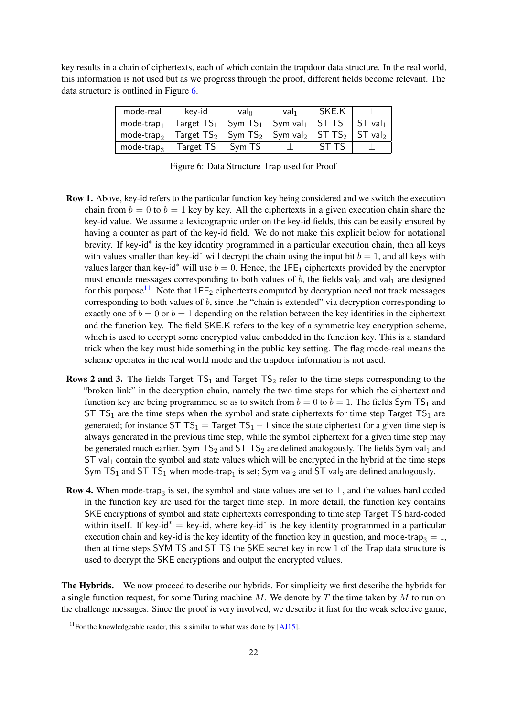key results in a chain of ciphertexts, each of which contain the trapdoor data structure. In the real world, this information is not used but as we progress through the proof, different fields become relevant. The data structure is outlined in Figure [6.](#page-21-0)

| mode-real                | key-id                                                                                 | valo   | val <sub>1</sub> | SKE.K |                                 |
|--------------------------|----------------------------------------------------------------------------------------|--------|------------------|-------|---------------------------------|
| mode-trap, $\frac{1}{2}$ | Target $TS_1$   Sym $TS_1$   Sym val $_1$   ST TS $_1$                                 |        |                  |       | $\parallel$ ST val <sub>1</sub> |
|                          | mode-trap <sub>2</sub>   Target $TS_2$   Sym $TS_2$   Sym val <sub>2</sub>   ST $TS_2$ |        |                  |       | $\parallel$ ST val <sub>2</sub> |
| mode-trap <sub>3</sub>   | Target TS                                                                              | Sym TS |                  |       |                                 |

<span id="page-21-0"></span>Figure 6: Data Structure Trap used for Proof

- Row 1. Above, key-id refers to the particular function key being considered and we switch the execution chain from  $b = 0$  to  $b = 1$  key by key. All the ciphertexts in a given execution chain share the key-id value. We assume a lexicographic order on the key-id fields, this can be easily ensured by having a counter as part of the key-id field. We do not make this explicit below for notational brevity. If key-id<sup>\*</sup> is the key identity programmed in a particular execution chain, then all keys with values smaller than key-id<sup>∗</sup> will decrypt the chain using the input bit  $b = 1$ , and all keys with values larger than key-id<sup>\*</sup> will use  $b = 0$ . Hence, the 1FE<sub>1</sub> ciphertexts provided by the encryptor must encode messages corresponding to both values of b, the fields val<sub>0</sub> and val<sub>1</sub> are designed for this purpose<sup>[11](#page-21-1)</sup>. Note that  $1FE_2$  ciphertexts computed by decryption need not track messages corresponding to both values of b, since the "chain is extended" via decryption corresponding to exactly one of  $b = 0$  or  $b = 1$  depending on the relation between the key identities in the ciphertext and the function key. The field SKE.K refers to the key of a symmetric key encryption scheme, which is used to decrypt some encrypted value embedded in the function key. This is a standard trick when the key must hide something in the public key setting. The flag mode-real means the scheme operates in the real world mode and the trapdoor information is not used.
- **Rows 2 and 3.** The fields Target  $TS_1$  and Target  $TS_2$  refer to the time steps corresponding to the "broken link" in the decryption chain, namely the two time steps for which the ciphertext and function key are being programmed so as to switch from  $b = 0$  to  $b = 1$ . The fields Sym TS<sub>1</sub> and ST TS<sub>1</sub> are the time steps when the symbol and state ciphertexts for time step Target TS<sub>1</sub> are generated; for instance  $ST TS_1 = Target TS_1 - 1$  since the state ciphertext for a given time step is always generated in the previous time step, while the symbol ciphertext for a given time step may be generated much earlier. Sym  $TS_2$  and ST  $TS_2$  are defined analogously. The fields Sym val<sub>1</sub> and  $ST$  val<sub>1</sub> contain the symbol and state values which will be encrypted in the hybrid at the time steps Sym TS<sub>1</sub> and ST TS<sub>1</sub> when mode-trap<sub>1</sub> is set; Sym val<sub>2</sub> and ST val<sub>2</sub> are defined analogously.
- **Row 4.** When mode-trap<sub>3</sub> is set, the symbol and state values are set to  $\perp$ , and the values hard coded in the function key are used for the target time step. In more detail, the function key contains SKE encryptions of symbol and state ciphertexts corresponding to time step Target TS hard-coded within itself. If key-id<sup>\*</sup> = key-id, where key-id<sup>\*</sup> is the key identity programmed in a particular execution chain and key-id is the key identity of the function key in question, and mode-trap<sub>3</sub> = 1, then at time steps SYM TS and ST TS the SKE secret key in row 1 of the Trap data structure is used to decrypt the SKE encryptions and output the encrypted values.

The Hybrids. We now proceed to describe our hybrids. For simplicity we first describe the hybrids for a single function request, for some Turing machine M. We denote by T the time taken by M to run on the challenge messages. Since the proof is very involved, we describe it first for the weak selective game,

<span id="page-21-1"></span> $11$  For the knowledgeable reader, this is similar to what was done by [\[AJ15\]](#page-35-1).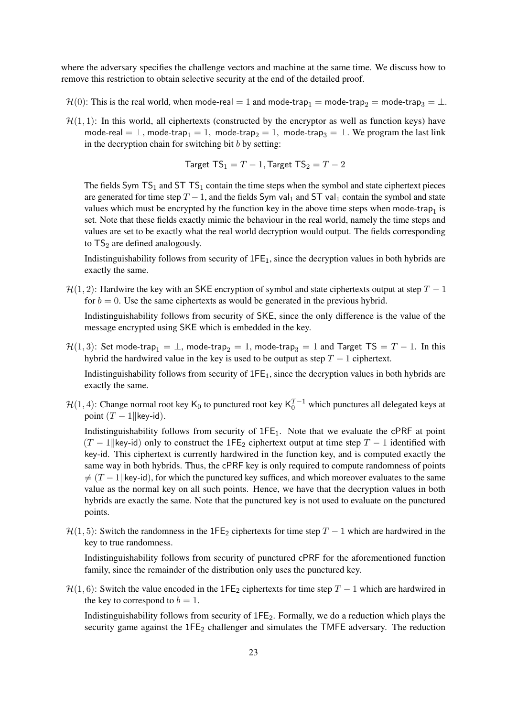where the adversary specifies the challenge vectors and machine at the same time. We discuss how to remove this restriction to obtain selective security at the end of the detailed proof.

- $\mathcal{H}(0)$ : This is the real world, when mode-real = 1 and mode-trap<sub>1</sub> = mode-trap<sub>2</sub> = mode-trap<sub>3</sub> = ⊥.
- $\mathcal{H}(1, 1)$ : In this world, all ciphertexts (constructed by the encryptor as well as function keys) have mode-real =  $\perp$ , mode-trap<sub>1</sub> = 1, mode-trap<sub>2</sub> = 1, mode-trap<sub>3</sub> =  $\perp$ . We program the last link in the decryption chain for switching bit  $b$  by setting:

Target 
$$
TS_1 = T - 1
$$
, Target  $TS_2 = T - 2$ 

The fields Sym  $TS_1$  and  $STTS_1$  contain the time steps when the symbol and state ciphertext pieces are generated for time step  $T - 1$ , and the fields Sym val<sub>1</sub> and ST val<sub>1</sub> contain the symbol and state values which must be encrypted by the function key in the above time steps when mode-trap<sub>1</sub> is set. Note that these fields exactly mimic the behaviour in the real world, namely the time steps and values are set to be exactly what the real world decryption would output. The fields corresponding to  $TS_2$  are defined analogously.

Indistinguishability follows from security of  $1FE<sub>1</sub>$ , since the decryption values in both hybrids are exactly the same.

 $\mathcal{H}(1, 2)$ : Hardwire the key with an SKE encryption of symbol and state ciphertexts output at step  $T - 1$ for  $b = 0$ . Use the same ciphertexts as would be generated in the previous hybrid.

Indistinguishability follows from security of SKE, since the only difference is the value of the message encrypted using SKE which is embedded in the key.

 $\mathcal{H}(1, 3)$ : Set mode-trap<sub>1</sub> =  $\perp$ , mode-trap<sub>2</sub> = 1, mode-trap<sub>3</sub> = 1 and Target TS = T – 1. In this hybrid the hardwired value in the key is used to be output as step  $T - 1$  ciphertext.

Indistinguishability follows from security of  $IFE<sub>1</sub>$ , since the decryption values in both hybrids are exactly the same.

 $\mathcal{H}(1,4)$ : Change normal root key K<sub>0</sub> to punctured root key K<sub>0</sub><sup>T-1</sup> which punctures all delegated keys at point  $(T - 1$ ||key-id).

Indistinguishability follows from security of  $1FE<sub>1</sub>$ . Note that we evaluate the cPRF at point  $(T - 1$ ||key-id) only to construct the 1FE<sub>2</sub> ciphertext output at time step  $T - 1$  identified with key-id. This ciphertext is currently hardwired in the function key, and is computed exactly the same way in both hybrids. Thus, the cPRF key is only required to compute randomness of points  $\neq$  (T – 1||key-id), for which the punctured key suffices, and which moreover evaluates to the same value as the normal key on all such points. Hence, we have that the decryption values in both hybrids are exactly the same. Note that the punctured key is not used to evaluate on the punctured points.

 $\mathcal{H}(1, 5)$ : Switch the randomness in the 1FE<sub>2</sub> ciphertexts for time step T – 1 which are hardwired in the key to true randomness.

Indistinguishability follows from security of punctured cPRF for the aforementioned function family, since the remainder of the distribution only uses the punctured key.

 $\mathcal{H}(1, 6)$ : Switch the value encoded in the 1FE<sub>2</sub> ciphertexts for time step T – 1 which are hardwired in the key to correspond to  $b = 1$ .

Indistinguishability follows from security of 1FE2. Formally, we do a reduction which plays the security game against the  $1FE_2$  challenger and simulates the TMFE adversary. The reduction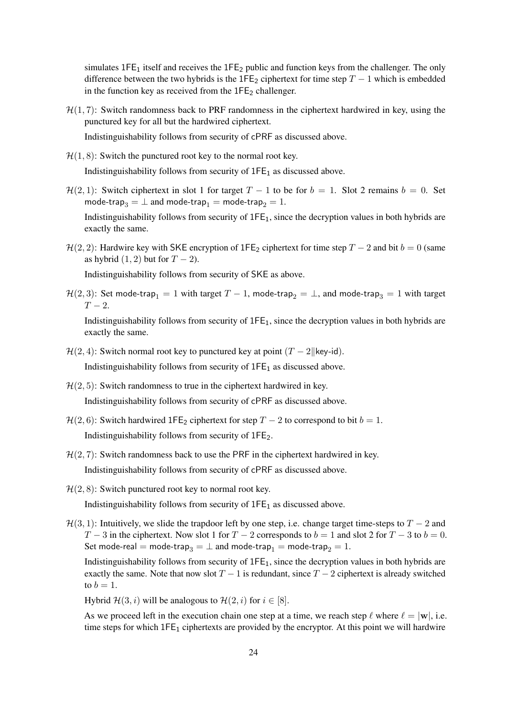simulates  $1FE_1$  itself and receives the  $1FE_2$  public and function keys from the challenger. The only difference between the two hybrids is the 1FE<sub>2</sub> ciphertext for time step  $T - 1$  which is embedded in the function key as received from the  $1FE<sub>2</sub>$  challenger.

 $\mathcal{H}(1,7)$ : Switch randomness back to PRF randomness in the ciphertext hardwired in key, using the punctured key for all but the hardwired ciphertext.

Indistinguishability follows from security of cPRF as discussed above.

 $\mathcal{H}(1, 8)$ : Switch the punctured root key to the normal root key.

Indistinguishability follows from security of  $1FE<sub>1</sub>$  as discussed above.

 $\mathcal{H}(2, 1)$ : Switch ciphertext in slot 1 for target  $T - 1$  to be for  $b = 1$ . Slot 2 remains  $b = 0$ . Set mode-trap<sub>3</sub> =  $\perp$  and mode-trap<sub>1</sub> = mode-trap<sub>2</sub> = 1.

Indistinguishability follows from security of  $1FE<sub>1</sub>$ , since the decryption values in both hybrids are exactly the same.

 $H(2, 2)$ : Hardwire key with SKE encryption of 1FE<sub>2</sub> ciphertext for time step  $T - 2$  and bit  $b = 0$  (same as hybrid  $(1, 2)$  but for  $T - 2$ ).

Indistinguishability follows from security of SKE as above.

 $H(2, 3)$ : Set mode-trap<sub>1</sub> = 1 with target  $T - 1$ , mode-trap<sub>2</sub> =  $\perp$ , and mode-trap<sub>3</sub> = 1 with target  $T-2$ .

Indistinguishability follows from security of  $1FE<sub>1</sub>$ , since the decryption values in both hybrids are exactly the same.

- $\mathcal{H}(2, 4)$ : Switch normal root key to punctured key at point  $(T 2||\text{key-id})$ . Indistinguishability follows from security of  $1FE<sub>1</sub>$  as discussed above.
- $H(2, 5)$ : Switch randomness to true in the ciphertext hardwired in key. Indistinguishability follows from security of cPRF as discussed above.
- $\mathcal{H}(2, 6)$ : Switch hardwired 1FE<sub>2</sub> ciphertext for step  $T 2$  to correspond to bit  $b = 1$ . Indistinguishability follows from security of 1FE2.
- $H(2, 7)$ : Switch randomness back to use the PRF in the ciphertext hardwired in key. Indistinguishability follows from security of cPRF as discussed above.
- $\mathcal{H}(2, 8)$ : Switch punctured root key to normal root key.

Indistinguishability follows from security of  $1FE<sub>1</sub>$  as discussed above.

 $\mathcal{H}(3, 1)$ : Intuitively, we slide the trapdoor left by one step, i.e. change target time-steps to  $T - 2$  and  $T-3$  in the ciphertext. Now slot 1 for  $T-2$  corresponds to  $b = 1$  and slot 2 for  $T-3$  to  $b = 0$ . Set mode-real = mode-trap<sub>3</sub> =  $\perp$  and mode-trap<sub>1</sub> = mode-trap<sub>2</sub> = 1.

Indistinguishability follows from security of  $1FE<sub>1</sub>$ , since the decryption values in both hybrids are exactly the same. Note that now slot  $T - 1$  is redundant, since  $T - 2$  ciphertext is already switched to  $b = 1$ .

Hybrid  $\mathcal{H}(3, i)$  will be analogous to  $\mathcal{H}(2, i)$  for  $i \in [8]$ .

As we proceed left in the execution chain one step at a time, we reach step  $\ell$  where  $\ell = |w|$ , i.e. time steps for which  $1FE_1$  ciphertexts are provided by the encryptor. At this point we will hardwire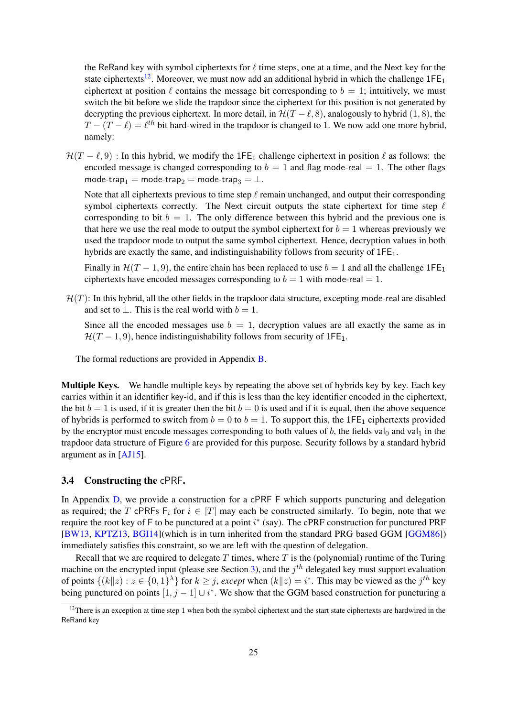the ReRand key with symbol ciphertexts for  $\ell$  time steps, one at a time, and the Next key for the state ciphertexts<sup>[12](#page-24-0)</sup>. Moreover, we must now add an additional hybrid in which the challenge  $1FE<sub>1</sub>$ ciphertext at position  $\ell$  contains the message bit corresponding to  $b = 1$ ; intuitively, we must switch the bit before we slide the trapdoor since the ciphertext for this position is not generated by decrypting the previous ciphertext. In more detail, in  $\mathcal{H}(T - \ell, 8)$ , analogously to hybrid (1, 8), the  $T - (T - \ell) = \ell^{th}$  bit hard-wired in the trapdoor is changed to 1. We now add one more hybrid, namely:

 $\mathcal{H}(T - \ell, 9)$ : In this hybrid, we modify the 1FE<sub>1</sub> challenge ciphertext in position  $\ell$  as follows: the encoded message is changed corresponding to  $b = 1$  and flag mode-real = 1. The other flags mode-trap<sub>1</sub> = mode-trap<sub>2</sub> = mode-trap<sub>3</sub> =  $\perp$ .

Note that all ciphertexts previous to time step  $\ell$  remain unchanged, and output their corresponding symbol ciphertexts correctly. The Next circuit outputs the state ciphertext for time step  $\ell$ corresponding to bit  $b = 1$ . The only difference between this hybrid and the previous one is that here we use the real mode to output the symbol ciphertext for  $b = 1$  whereas previously we used the trapdoor mode to output the same symbol ciphertext. Hence, decryption values in both hybrids are exactly the same, and indistinguishability follows from security of  $1FE<sub>1</sub>$ .

Finally in  $\mathcal{H}(T-1, 9)$ , the entire chain has been replaced to use  $b = 1$  and all the challenge 1FE<sub>1</sub> ciphertexts have encoded messages corresponding to  $b = 1$  with mode-real = 1.

 $H(T)$ : In this hybrid, all the other fields in the trapdoor data structure, excepting mode-real are disabled and set to  $\perp$ . This is the real world with  $b = 1$ .

Since all the encoded messages use  $b = 1$ , decryption values are all exactly the same as in  $\mathcal{H}(T-1, 9)$ , hence indistinguishability follows from security of 1FE<sub>1</sub>.

The formal reductions are provided in Appendix [B.](#page-39-0)

Multiple Keys. We handle multiple keys by repeating the above set of hybrids key by key. Each key carries within it an identifier key-id, and if this is less than the key identifier encoded in the ciphertext, the bit  $b = 1$  is used, if it is greater then the bit  $b = 0$  is used and if it is equal, then the above sequence of hybrids is performed to switch from  $b = 0$  to  $b = 1$ . To support this, the 1FE<sub>1</sub> ciphertexts provided by the encryptor must encode messages corresponding to both values of b, the fields val<sub>0</sub> and val<sub>1</sub> in the trapdoor data structure of Figure [6](#page-21-0) are provided for this purpose. Security follows by a standard hybrid argument as in [\[AJ15\]](#page-35-1).

### 3.4 Constructing the cPRF.

In Appendix [D,](#page-59-0) we provide a construction for a cPRF F which supports puncturing and delegation as required; the T cPRFs  $F_i$  for  $i \in [T]$  may each be constructed similarly. To begin, note that we require the root key of  $F$  to be punctured at a point  $i^*$  (say). The cPRF construction for punctured PRF [\[BW13,](#page-36-11) [KPTZ13,](#page-37-10) [BGI14\]](#page-35-13)(which is in turn inherited from the standard PRG based GGM [\[GGM86\]](#page-37-11)) immediately satisfies this constraint, so we are left with the question of delegation.

Recall that we are required to delegate  $T$  times, where  $T$  is the (polynomial) runtime of the Turing machine on the encrypted input (please see Section [3\)](#page-15-0), and the  $j<sup>th</sup>$  delegated key must support evaluation of points  $\{(k||z): z \in \{0,1\}^{\lambda}\}\$  for  $k \geq j$ , *except* when  $(k||z) = i^*$ . This may be viewed as the  $j^{th}$  key being punctured on points  $[1, j - 1] \cup i^*$ . We show that the GGM based construction for puncturing a

<span id="page-24-0"></span> $12$ There is an exception at time step 1 when both the symbol ciphertext and the start state ciphertexts are hardwired in the ReRand key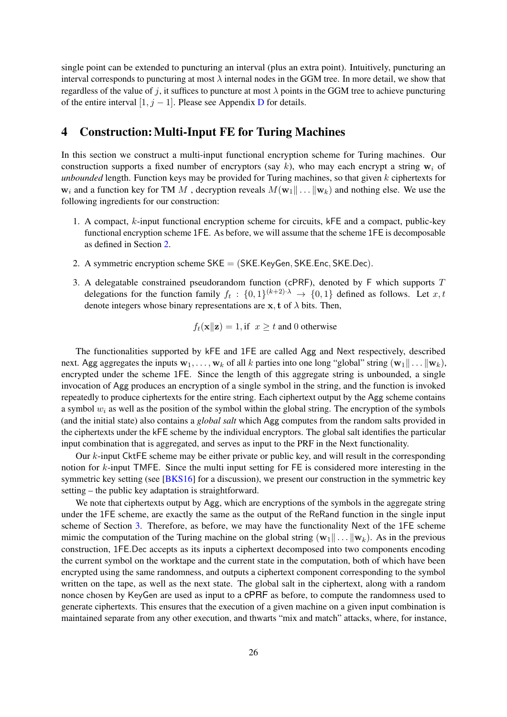single point can be extended to puncturing an interval (plus an extra point). Intuitively, puncturing an interval corresponds to puncturing at most  $\lambda$  internal nodes in the GGM tree. In more detail, we show that regardless of the value of j, it suffices to puncture at most  $\lambda$  points in the GGM tree to achieve puncturing of the entire interval  $[1, j - 1]$ . Please see Appendix [D](#page-59-0) for details.

# <span id="page-25-0"></span>4 Construction: Multi-Input FE for Turing Machines

In this section we construct a multi-input functional encryption scheme for Turing machines. Our construction supports a fixed number of encryptors (say k), who may each encrypt a string  $w_i$  of *unbounded* length. Function keys may be provided for Turing machines, so that given k ciphertexts for  $w_i$  and a function key for TM M, decryption reveals  $M(w_1 \| \dots \| w_k)$  and nothing else. We use the following ingredients for our construction:

- 1. A compact, k-input functional encryption scheme for circuits, kFE and a compact, public-key functional encryption scheme 1FE. As before, we will assume that the scheme 1FE is decomposable as defined in Section [2.](#page-6-0)
- 2. A symmetric encryption scheme SKE = (SKE.KeyGen, SKE.Enc, SKE.Dec).
- 3. A delegatable constrained pseudorandom function (cPRF), denoted by  $F$  which supports  $T$ delegations for the function family  $f_t: \{0,1\}^{(k+2)\cdot\lambda} \to \{0,1\}$  defined as follows. Let  $x, t$ denote integers whose binary representations are  $x$ , t of  $\lambda$  bits. Then,

$$
f_t(\mathbf{x}||\mathbf{z}) = 1
$$
, if  $x \ge t$  and 0 otherwise

The functionalities supported by kFE and 1FE are called Agg and Next respectively, described next. Agg aggregates the inputs  $\mathbf{w}_1, \ldots, \mathbf{w}_k$  of all k parties into one long "global" string  $(\mathbf{w}_1 \| \ldots \| \mathbf{w}_k)$ , encrypted under the scheme 1FE. Since the length of this aggregate string is unbounded, a single invocation of Agg produces an encryption of a single symbol in the string, and the function is invoked repeatedly to produce ciphertexts for the entire string. Each ciphertext output by the Agg scheme contains a symbol  $w_i$  as well as the position of the symbol within the global string. The encryption of the symbols (and the initial state) also contains a *global salt* which Agg computes from the random salts provided in the ciphertexts under the kFE scheme by the individual encryptors. The global salt identifies the particular input combination that is aggregated, and serves as input to the PRF in the Next functionality.

Our k-input CktFE scheme may be either private or public key, and will result in the corresponding notion for k-input TMFE. Since the multi input setting for FE is considered more interesting in the symmetric key setting (see [\[BKS16\]](#page-35-7) for a discussion), we present our construction in the symmetric key setting – the public key adaptation is straightforward.

We note that ciphertexts output by Agg, which are encryptions of the symbols in the aggregate string under the 1FE scheme, are exactly the same as the output of the ReRand function in the single input scheme of Section [3.](#page-15-0) Therefore, as before, we may have the functionality Next of the 1FE scheme mimic the computation of the Turing machine on the global string  $(w_1 \| \dots \| w_k)$ . As in the previous construction, 1FE.Dec accepts as its inputs a ciphertext decomposed into two components encoding the current symbol on the worktape and the current state in the computation, both of which have been encrypted using the same randomness, and outputs a ciphertext component corresponding to the symbol written on the tape, as well as the next state. The global salt in the ciphertext, along with a random nonce chosen by KeyGen are used as input to a cPRF as before, to compute the randomness used to generate ciphertexts. This ensures that the execution of a given machine on a given input combination is maintained separate from any other execution, and thwarts "mix and match" attacks, where, for instance,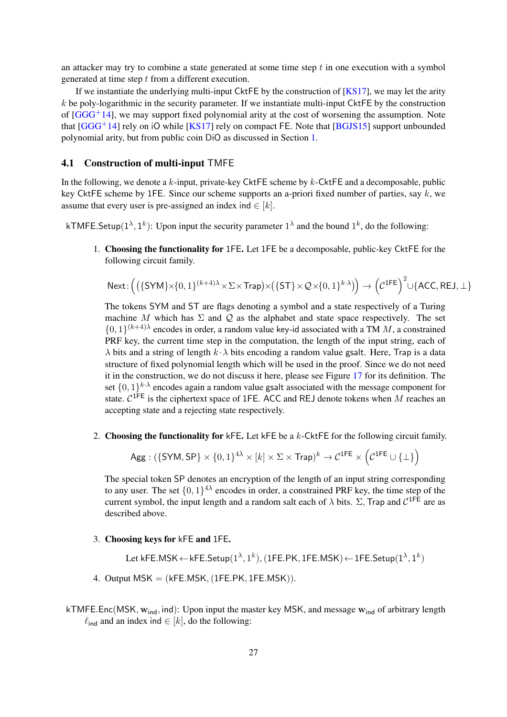an attacker may try to combine a state generated at some time step  $t$  in one execution with a symbol generated at time step  $t$  from a different execution.

If we instantiate the underlying multi-input CktFE by the construction of [\[KS17\]](#page-37-2), we may let the arity  $k$  be poly-logarithmic in the security parameter. If we instantiate multi-input CktFE by the construction of  $[GGG<sup>+</sup>14]$  $[GGG<sup>+</sup>14]$ , we may support fixed polynomial arity at the cost of worsening the assumption. Note that  $[GGG^+14]$  $[GGG^+14]$  rely on iO while  $[KS17]$  rely on compact FE. Note that  $[BGJS15]$  support unbounded polynomial arity, but from public coin DiO as discussed in Section [1.](#page-0-0)

### 4.1 Construction of multi-input TMFE

In the following, we denote a  $k$ -input, private-key CktFE scheme by  $k$ -CktFE and a decomposable, public key CktFE scheme by 1FE. Since our scheme supports an a-priori fixed number of parties, say  $k$ , we assume that every user is pre-assigned an index ind  $\in [k]$ .

kTMFE.Setup $(1^{\lambda}, 1^k)$ : Upon input the security parameter  $1^{\lambda}$  and the bound  $1^k$ , do the following:

1. Choosing the functionality for 1FE. Let 1FE be a decomposable, public-key CktFE for the following circuit family.

$$
\mathsf{Next}\colon\!\Big(\big(\{\mathsf{SYM}\}\times\{0,1\}^{(k+4)\lambda}\times\Sigma\times\mathsf{Trap}\big)\times\big(\{\mathsf{ST}\}\times\mathcal{Q}\times\{0,1\}^{k\cdot\lambda}\big)\!\Big)\rightarrow\Big(\mathcal{C}^{\mathsf{1FE}}\Big)^2\cup\{\mathsf{ACC},\mathsf{REJ},\bot\}
$$

The tokens SYM and ST are flags denoting a symbol and a state respectively of a Turing machine M which has  $\Sigma$  and  $\mathcal Q$  as the alphabet and state space respectively. The set  $\{0,1\}^{(k+4)\lambda}$  encodes in order, a random value key-id associated with a TM M, a constrained PRF key, the current time step in the computation, the length of the input string, each of  $\lambda$  bits and a string of length  $k \cdot \lambda$  bits encoding a random value gsalt. Here, Trap is a data structure of fixed polynomial length which will be used in the proof. Since we do not need it in the construction, we do not discuss it here, please see Figure [17](#page-56-0) for its definition. The set  $\{0,1\}^{k \cdot \lambda}$  encodes again a random value gsalt associated with the message component for state.  $C^{1FE}$  is the ciphertext space of 1FE. ACC and REJ denote tokens when M reaches an accepting state and a rejecting state respectively.

2. Choosing the functionality for kFE. Let kFE be a  $k$ -CktFE for the following circuit family.

$$
\mathsf{Agg} : (\{\mathsf{SYM},\mathsf{SP}\} \times \{0,1\}^{4\lambda} \times [k] \times \Sigma \times \mathsf{Trap})^k \to \mathcal{C}^{\mathsf{1FE}} \times \left(\mathcal{C}^{\mathsf{1FE}} \cup \{\bot\}\right)
$$

The special token SP denotes an encryption of the length of an input string corresponding to any user. The set  $\{0,1\}^{4\lambda}$  encodes in order, a constrained PRF key, the time step of the current symbol, the input length and a random salt each of  $\lambda$  bits.  $\Sigma$ , Trap and  $C^{1FE}$  are as described above.

3. Choosing keys for kFE and 1FE.

Let kFE.MSK  $\leftarrow$  kFE.Setup $(1^{\lambda},1^k),(1$ FE.PK, 1FE.MSK)  $\leftarrow$  1FE.Setup $(1^{\lambda},1^k)$ 

- 4. Output  $MSK = (kFE.MSK, (1FE.PK, 1FE.MSK)).$
- kTMFE.Enc(MSK,  $w_{ind}$ , ind): Upon input the master key MSK, and message  $w_{ind}$  of arbitrary length  $\ell_{\text{ind}}$  and an index ind  $\in$  [k], do the following: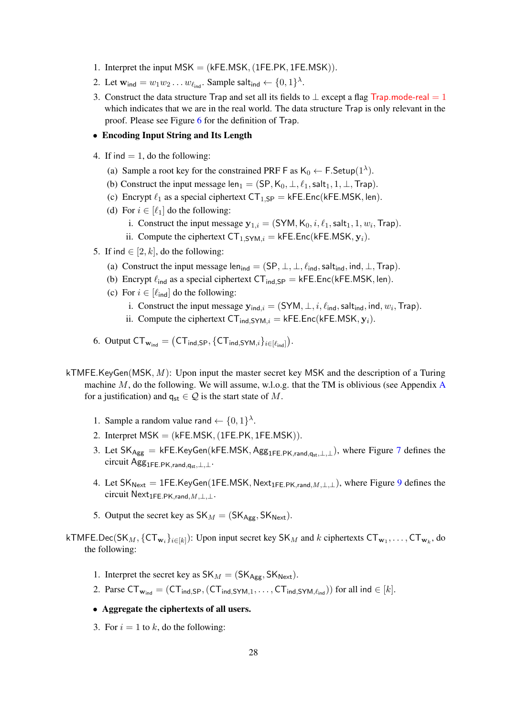- 1. Interpret the input  $MSK = (kFE.MSK, (1FE.PK, 1FE.MSK))$ .
- 2. Let  $\mathbf{w}_{\mathsf{ind}} = w_1 w_2 \dots w_{\ell_{\mathsf{ind}}}$ . Sample salt<sub>ind</sub>  $\leftarrow \{0, 1\}^{\lambda}$ .
- 3. Construct the data structure Trap and set all its fields to  $\perp$  except a flag Trap.mode-real = 1 which indicates that we are in the real world. The data structure Trap is only relevant in the proof. Please see Figure [6](#page-21-0) for the definition of Trap.
- Encoding Input String and Its Length
- 4. If ind  $= 1$ , do the following:
	- (a) Sample a root key for the constrained PRF  $\mathsf{F}$  as  $\mathsf{K}_0 \leftarrow \mathsf{F}.\mathsf{Setup}(1^{\lambda})$ .
	- (b) Construct the input message len<sub>1</sub> = (SP,  $K_0$ ,  $\perp$ ,  $\ell_1$ , salt<sub>1</sub>, 1,  $\perp$ , Trap).
	- (c) Encrypt  $\ell_1$  as a special ciphertext  $CT_{1,SP} = kFE.Enc(kFE.MSK, len)$ .
	- (d) For  $i \in [\ell_1]$  do the following:
		- i. Construct the input message  $y_{1,i} = (SYM, K_0, i, \ell_1, \text{salt}_1, 1, w_i, \text{Trap})$ .
		- ii. Compute the ciphertext  $CT_{1,SYM,i} = kFE.Enc(kFE.MSK,  $y_i$ ).$
- 5. If ind  $\in$  [2, k], do the following:
	- (a) Construct the input message len<sub>ind</sub> =  $(SP, \perp, \perp, \ell_{ind}, \text{salt}_{ind}, \text{ind}, \perp, \text{Trap}).$
	- (b) Encrypt  $\ell_{\text{ind}}$  as a special ciphertext CT<sub>ind,SP</sub> = kFE.Enc(kFE.MSK, len).
	- (c) For  $i \in [\ell_{\text{ind}}]$  do the following:
		- i. Construct the input message  $\mathbf{y}_{\text{ind},i} = (\text{SYM}, \perp, i, \ell_{\text{ind}}, \text{salt}_{\text{ind}}, \text{ind}, w_i, \text{Trap}).$
		- ii. Compute the ciphertext  $CT_{ind,SYM,i} = kFE.Enc(kFE.MSK, y_i)$ .
- 6. Output  $\mathsf{CT}_{\mathbf{w}_{\mathsf{ind}}} = \big(\mathsf{CT}_{\mathsf{ind},\mathsf{SP}}, \{\mathsf{CT}_{\mathsf{ind},\mathsf{SYM},i}\}_{i \in [\ell_{\mathsf{ind}}]}\big).$
- kTMFE.KeyGen(MSK,  $M$ ): Upon input the master secret key MSK and the description of a Turing machine  $M$ , do the following. We will assume, w.l.o.g. that the TM is oblivious (see [A](#page-38-9)ppendix A for a justification) and  $q_{st} \in \mathcal{Q}$  is the start state of M.
	- 1. Sample a random value rand  $\leftarrow \{0,1\}^{\lambda}$ .
	- 2. Interpret  $MSK = (kFE.MSK, (1FE.PK, 1FE.MSK)).$
	- 3. Let  $SK_{Agg} = kFE.KeyGen(kFE.MSK, Agg_{1FE.PK,rand,gen,1}, k)$ , where Figure [7](#page-28-0) defines the circuit Agg<sub>1FE.PK,rand,qst,⊥,⊥</sub>.
	- 4. Let  $SK_{\text{Next}} = 1FE.KeyGen(1FE.MSK, \text{Next}_{1FE.PK, \text{rand}, M, \perp, \perp})$ , where Figure [9](#page-30-0) defines the circuit  $Next_{1FE.PK,rand,M,\perp,\perp}$ .
	- 5. Output the secret key as  $SK_M = (SK_{Agg}, SK_{Next})$ .
- kTMFE.Dec(SK<sub>M</sub>, {CT<sub>w<sub>i</sub>}<sub>i∈[k]</sub>): Upon input secret key SK<sub>M</sub> and k ciphertexts CT<sub>w1</sub>,..., CT<sub>w<sub>k</sub>, do</sub></sub> the following:
	- 1. Interpret the secret key as  $SK_M = (SK_{Ageg}, SK_{Next})$ .
	- 2. Parse  $CT_{\mathbf{w}_{ind}} = (CT_{ind,SP}, (CT_{ind,SYM,1}, \ldots, CT_{ind,SYM, \ell_{ind}}))$  for all ind  $\in [k]$ .
	- Aggregate the ciphertexts of all users.
	- 3. For  $i = 1$  to k, do the following: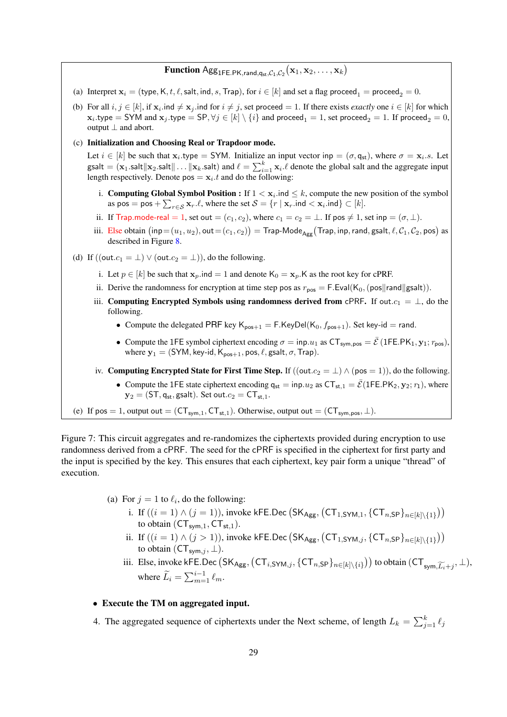# $\mathbf{Function} \ \mathsf{Agg}_{1\mathsf{FE}.\mathsf{PK},\mathsf{rand},\mathsf{q}_{\mathsf{st}},\mathcal{C}_1,\mathcal{C}_2}(\mathbf{x}_1,\mathbf{x}_2,\dots,\mathbf{x}_k)$

- (a) Interpret  $x_i = (type, K, t, \ell, salt, ind, s, Trap)$ , for  $i \in [k]$  and set a flag proceed<sub>1</sub> = proceed<sub>2</sub> = 0.
- (b) For all  $i, j \in [k]$ , if  $x_i$  ind  $\neq x_j$  ind for  $i \neq j$ , set proceed  $= 1$ . If there exists *exactly* one  $i \in [k]$  for which  ${\bf x}_i.$ type  $={\sf SYM}$  and  ${\bf x}_j.$ type  $={\sf SP}, \forall j \in [k] \setminus \{i\}$  and proceed $_1=1,$  set proceed $_2=1.$  If proceed $_2=0,$ output  $\perp$  and abort.

#### (c) Initialization and Choosing Real or Trapdoor mode.

Let  $i \in [k]$  be such that  $x_i$  type = SYM. Initialize an input vector inp =  $(\sigma, q_{st})$ , where  $\sigma = x_i$  s. Let gsalt = ( $\mathbf{x}_1$ .salt $\|\mathbf{x}_2$ .salt $\|\dots\|\mathbf{x}_k$ .salt) and  $\ell = \sum_{i=1}^k \mathbf{x}_i \cdot \ell$  denote the global salt and the aggregate input length respectively. Denote  $pos = x_i \cdot t$  and do the following:

- i. Computing Global Symbol Position : If  $1 < x_i$  ind  $\leq k$ , compute the new position of the symbol as pos = pos +  $\sum_{r \in S} \mathbf{x}_r \cdot \ell$ , where the set  $S = \{r \mid \mathbf{x}_r \cdot \text{ind} < \mathbf{x}_i \cdot \text{ind}\} \subset [k]$ .
- ii. If Trap.mode-real = 1, set out =  $(c_1, c_2)$ , where  $c_1 = c_2 = \perp$ . If pos  $\neq 1$ , set inp =  $(\sigma, \perp)$ .
- iii.  $\text{Else obtain } \big(\mathsf{inp=} (u_1,u_2), \mathsf{out=} (c_1,c_2)\big) = \mathsf{Trap}\text{-}\mathsf{Mode}_{\mathsf{Agg}}\big(\mathsf{Trap}, \mathsf{inp}, \mathsf{rand}, \mathsf{gsalt}, \ell, \mathcal{C}_1, \mathcal{C}_2, \mathsf{pos}\big) \text{ as }$ described in Figure [8.](#page-29-0)
- (d) If  $((\text{out.c}_1 = \bot) \vee (\text{out.c}_2 = \bot))$ , do the following.
	- i. Let  $p \in [k]$  be such that  $\mathbf{x}_p$  ind = 1 and denote  $K_0 = \mathbf{x}_p$ . K as the root key for cPRF.
	- ii. Derive the randomness for encryption at time step pos as  $r_{\text{pos}} = F.Eval(K_0, (pos||rand||gsalt)).$
	- iii. Computing Encrypted Symbols using randomness derived from cPRF. If out. $c_1 = \perp$ , do the following.
		- Compute the delegated PRF key  $K_{pos+1} = F.KeyDel(K_0, f_{pos+1})$ . Set key-id = rand.
		- Compute the 1FE symbol ciphertext encoding  $\sigma = \text{inp.} u_1$  as  $CT_{\text{sym,pos}} = \overline{\mathcal{E}}$  (1FE.PK<sub>1</sub>, y<sub>1</sub>; r<sub>pos</sub>) where  $y_1 = (SYM, \text{key-id}, K_{pos+1}, \text{pos}, \ell, \text{gsalt}, \sigma, \text{Trap}).$
	- iv. Computing Encrypted State for First Time Step. If  $((out.c_2 = \bot) \wedge (pos = 1))$ , do the following. • Compute the 1FE state ciphertext encoding  $q_{st} = inp.u_2$  as  $CT_{st,1} = \overline{\mathcal{E}}(1FE.PK_2, y_2; r_1)$ , where
		- $y_2 = (ST, q_{st}, g_{s}$ alt). Set out. $c_2 = CT_{st,1}$ .
- <span id="page-28-0"></span>(e) If pos = 1, output out =  $(CT_{sym,1}, CT_{st,1})$ . Otherwise, output out =  $(CT_{sym,pos}, \perp)$ .

Figure 7: This circuit aggregates and re-randomizes the ciphertexts provided during encryption to use randomness derived from a cPRF. The seed for the cPRF is specified in the ciphertext for first party and the input is specified by the key. This ensures that each ciphertext, key pair form a unique "thread" of execution.

- (a) For  $j = 1$  to  $\ell_i$ , do the following:
	- i. If  $((i = 1) \wedge (j = 1))$ , invoke kFE.Dec  $(SK_{Agg}, (CT_{1,SYM,1}, \{CT_{n,SP}\}_{n \in [k] \setminus \{1\}}))$ to obtain  $(CT_{sym,1}, CT_{st,1}).$
	- ii. If  $((i = 1) \wedge (j > 1))$ , invoke kFE.Dec  $(SK_{Agg}, (CT_{1, SYM,j}, \{CT_{n,SP}\}_{n \in [k] \setminus \{1\}}))$ to obtain  $(\mathsf{CT}_{\mathsf{sym},j}, \perp)$ .
	- iii. Else, invoke kFE.Dec  $(SK_{Agg}, (CT_{i,SYM,j}, \{CT_{n,SP}\}_{n\in[k]\setminus\{i\}}))$  to obtain  $(CT_{sym,\widetilde{L_i}+j}, \perp)$ , where  $\widetilde{L}_i = \sum_{m=1}^{i-1} \ell_m$ .

### • Execute the TM on aggregated input.

4. The aggregated sequence of ciphertexts under the Next scheme, of length  $L_k = \sum_{j=1}^k \ell_j$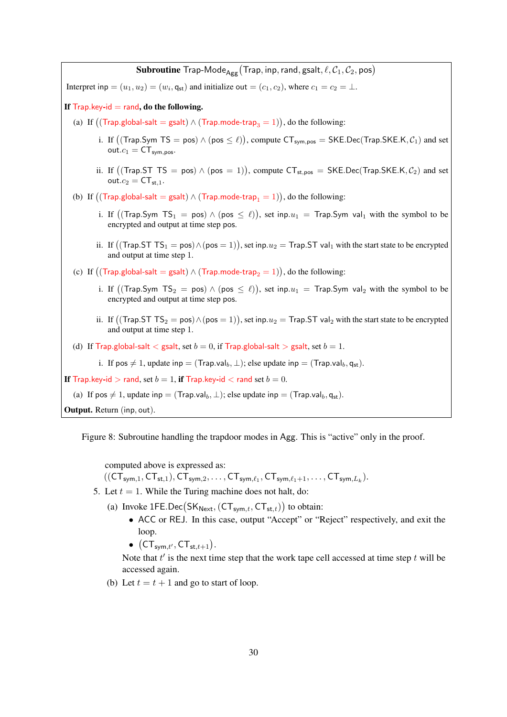**Subroutine** Trap-Mode $_{\mathsf{Agg}}$  (Trap, inp, rand, gsalt,  $\ell, \mathcal{C}_1, \mathcal{C}_2, \mathsf{pos}$ ) Interpret inp  $=(u_1, u_2) = (w_i, \mathsf{q}_{st})$  and initialize out  $=(c_1, c_2)$ , where  $c_1 = c_2 = \perp$ . If  $Trap key-id = rand$ , do the following. (a) If  $((\mathsf{Trap.global-salt} = \mathsf{gsalt}) \land (\mathsf{Trap.mode-trap}_3 = 1)),$  do the following: i. If  $((\text{Trap.Sym TS} = \text{pos}) \land (\text{pos} \leq \ell))$ , compute  $\text{CT}_{\text{sym,pos}} = \text{SKE.Dec}(\text{Trap.SKE.K}, \mathcal{C}_1)$  and set  $out.c_1 = CT_{sym,pos}.$ ii. If  $((\text{Trap}.ST TS = pos) \wedge (pos = 1)),$  compute  $CT_{st,pos} = SKE.Dec(Trap.SKE.K, C<sub>2</sub>)$  and set  $out.c_2 = CT_{st.1}.$ (b) If  $((\mathsf{Trap}.\mathsf{global}\text{-}\mathsf{salt}=\mathsf{gsalt}) \land (\mathsf{Trap}.\mathsf{mode}\text{-}\mathsf{trap}_1 = 1)),$  do the following: i. If  $((\textsf{Trap}.\textsf{Sym }\textsf{T}\textsf{S}_1 = \textsf{pos}) \land (\textsf{pos} \leq \ell)),$  set inp. $u_1 = \textsf{Trap}.\textsf{Sym}$  val $_1$  with the symbol to be encrypted and output at time step pos. ii. If  $((\text{Trap}.STTS_1 = \text{pos}) \land (\text{pos} = 1)),$  set inp. $u_2 = \text{Trap}.ST$  val<sub>1</sub> with the start state to be encrypted and output at time step 1. (c) If  $((\text{Trap.global-salt} = \text{gsalt}) \land (\text{Trap.mode-trap}_2 = 1)),$  do the following: i. If  $((\textsf{Trap}.\textsf{Sym }\textsf{T}\textsf{S}_2=\textsf{pos})\wedge(\textsf{pos}\leq \ell)),$  set inp. $u_1=\textsf{Trap}.\textsf{Sym}$  val $_2$  with the symbol to be encrypted and output at time step pos. ii. If  $((\text{Trap}.STTS_2 = \text{pos}) \land (\text{pos} = 1)),$  set inp. $u_2 = \text{Trap}.ST$  val<sub>2</sub> with the start state to be encrypted and output at time step 1. (d) If Trap.global-salt  $\lt$  gsalt, set  $b = 0$ , if Trap.global-salt  $>$  gsalt, set  $b = 1$ . i. If pos  $\neq 1$ , update inp = (Trap.val<sub>b</sub>,  $\perp$ ); else update inp = (Trap.val<sub>b</sub>, q<sub>st</sub>). If Trap.key-id > rand, set  $b = 1$ , if Trap.key-id < rand set  $b = 0$ . (a) If pos  $\neq 1$ , update inp = (Trap.val<sub>b</sub>,  $\perp$ ); else update inp = (Trap.val<sub>b</sub>, q<sub>st</sub>). Output. Return (inp, out).

Figure 8: Subroutine handling the trapdoor modes in Agg. This is "active" only in the proof.

<span id="page-29-0"></span>computed above is expressed as:

 $((\mathsf{CT}_{\mathsf{sym},1},\mathsf{CT}_{\mathsf{st},1}),\mathsf{CT}_{\mathsf{sym},2},\ldots,\mathsf{CT}_{\mathsf{sym},\ell_1},\mathsf{CT}_{\mathsf{sym},\ell_1+1},\ldots,\mathsf{CT}_{\mathsf{sym},L_k}).$ 

- 5. Let  $t = 1$ . While the Turing machine does not halt, do:
	- (a) Invoke  $1FE\cdot Dec(SK_{Next}, (CT_{sym,t}, CT_{st,t}))$  to obtain:
		- ACC or REJ. In this case, output "Accept" or "Reject" respectively, and exit the loop.
		- $\bullet$   $(\mathsf{CT}_{\mathsf{sym},t'},\mathsf{CT}_{\mathsf{st},t+1}).$

Note that  $t'$  is the next time step that the work tape cell accessed at time step  $t$  will be accessed again.

(b) Let  $t = t + 1$  and go to start of loop.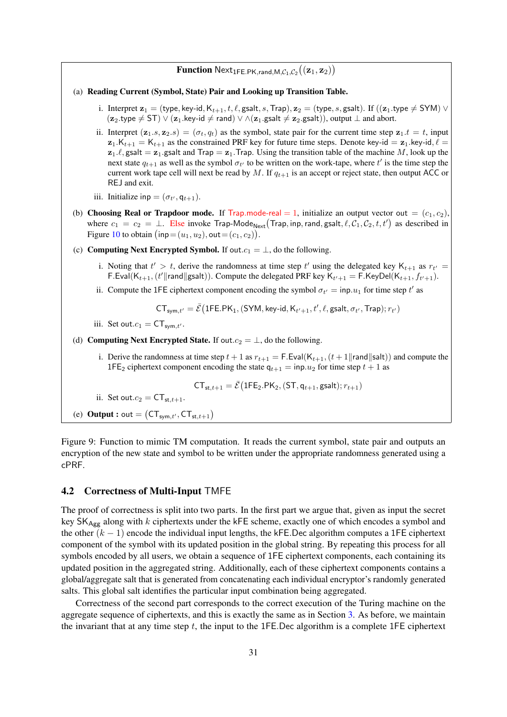# $\mathbf{Function}\ \mathsf{Next}_{1\mathsf{FE}.\mathsf{PK},\mathsf{rand},\mathsf{M},\mathcal{C}_1,\mathcal{C}_2}\big((\mathbf{z}_1,\mathbf{z}_2)\big)$

#### (a) Reading Current (Symbol, State) Pair and Looking up Transition Table.

- i. Interpret  $z_1 =$  (type, key-id,  $K_{t+1}, t, \ell$ , gsalt, s, Trap),  $z_2 =$  (type, s, gsalt). If  $((z_1, type \neq SYM)$   $\vee$  $(z_2.type \neq ST) \vee (z_1.key-id \neq rand) \vee \wedge (z_1.gsalt \neq z_2.gsalt)), output \perp and abort.$
- ii. Interpret  $(z_1, s, z_2, s) = (\sigma_t, q_t)$  as the symbol, state pair for the current time step  $z_1, t = t$ , input  $z_1.K_{t+1} = K_{t+1}$  as the constrained PRF key for future time steps. Denote key-id =  $z_1$ .key-id,  $\ell$  =  $z_1,\ell$ , gsalt =  $z_1$ .gsalt and Trap =  $z_1$ . Trap. Using the transition table of the machine M, look up the next state  $q_{t+1}$  as well as the symbol  $\sigma_{t'}$  to be written on the work-tape, where  $t'$  is the time step the current work tape cell will next be read by M. If  $q_{t+1}$  is an accept or reject state, then output ACC or REJ and exit.
- iii. Initialize inp =  $(\sigma_{t'}, q_{t+1})$ .
- (b) Choosing Real or Trapdoor mode. If Trap.mode-real = 1, initialize an output vector out =  $(c_1, c_2)$ , where  $c_1 = c_2 = \bot$ . Else invoke Trap-Mode<sub>Next</sub> (Trap, inp, rand, gsalt,  $\ell, C_1, C_2, t, t'$ ) as described in Figure [10](#page-31-0) to obtain  $(\textsf{inp} = (u_1, u_2), \textsf{out} = (c_1, c_2)).$
- (c) Computing Next Encrypted Symbol. If out. $c_1 = \perp$ , do the following.
	- i. Noting that  $t' > t$ , derive the randomness at time step  $t'$  using the delegated key  $K_{t+1}$  as  $r_{t'} =$ F. Eval $(K_{t+1}, (t' \| \text{rand} \| \text{gsalt}))$ . Compute the delegated PRF key  $K_{t'+1} = F$ . KeyDel $(K_{t+1}, f_{t'+1})$ .
	- ii. Compute the 1FE ciphertext component encoding the symbol  $\sigma_{t'} = \text{inp.} u_1$  for time step t' as

 $CT_{sym,t'} = \bar{\mathcal{E}}(1FE.PK_1, (SYM, key-id, K_{t'+1}, t', \ell, gsalt, \sigma_{t'}, Trap); r_{t'})$ 

iii. Set out. $c_1 = \mathsf{CT}_{\mathsf{sym}.t'}$ .

(d) Computing Next Encrypted State. If out. $c_2 = \perp$ , do the following.

i. Derive the randomness at time step  $t + 1$  as  $r_{t+1} = F.Eval(K_{t+1}, (t+1||rand||salt))$  and compute the 1FE<sub>2</sub> ciphertext component encoding the state  $q_{t+1} = \text{inp.} u_2$  for time step  $t + 1$  as

$$
\mathsf{CT}_{\mathsf{st},t+1} = \bar{\mathcal{E}} \big( \mathsf{1FE}_2.\mathsf{PK}_2, (\mathsf{ST},\mathsf{q}_{t+1},\mathsf{gsalt}) ; r_{t+1} \big)
$$

ii. Set out. $c_2 = CT_{st,t+1}$ .

<span id="page-30-0"></span>(e) **Output :** out =  $(CT_{sym,t}, CT_{st,t+1})$ 

Figure 9: Function to mimic TM computation. It reads the current symbol, state pair and outputs an encryption of the new state and symbol to be written under the appropriate randomness generated using a cPRF.

#### 4.2 Correctness of Multi-Input TMFE

The proof of correctness is split into two parts. In the first part we argue that, given as input the secret key  $SK_{Agg}$  along with k ciphertexts under the kFE scheme, exactly one of which encodes a symbol and the other  $(k - 1)$  encode the individual input lengths, the kFE.Dec algorithm computes a 1FE ciphertext component of the symbol with its updated position in the global string. By repeating this process for all symbols encoded by all users, we obtain a sequence of 1FE ciphertext components, each containing its updated position in the aggregated string. Additionally, each of these ciphertext components contains a global/aggregate salt that is generated from concatenating each individual encryptor's randomly generated salts. This global salt identifies the particular input combination being aggregated.

Correctness of the second part corresponds to the correct execution of the Turing machine on the aggregate sequence of ciphertexts, and this is exactly the same as in Section [3.](#page-15-0) As before, we maintain the invariant that at any time step  $t$ , the input to the 1FE. Dec algorithm is a complete 1FE ciphertext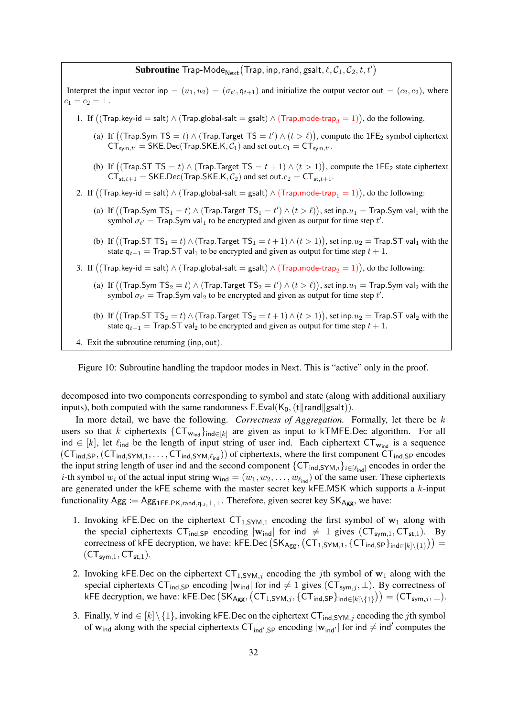# ${\bf Subroutine\; Trap-Mode}_{\sf Next}({\sf Trap}, {\sf inp}, {\sf rand}, {\sf gaslt}, \ell, {\cal C}_1, {\cal C}_2, t, t')$

Interpret the input vector inp  $=(u_1, u_2) = (\sigma_{t'}, q_{t+1})$  and initialize the output vector out  $=(c_2, c_2)$ , where  $c_1 = c_2 = \bot.$ 

- 1. If  $((\textsf{Trap}.\textsf{key-id}=\textsf{salt}) \land (\textsf{Trap}.\textsf{gold-salt}=\textsf{gsalt}) \land (\textsf{Trap}.\textsf{mode-trap}_3=1)),$  do the following.
	- (a) If  $((\text{Trap}.\text{Sym TS}=t) \wedge (\text{Trap}.\text{Target TS}=t') \wedge (t > \ell)),$  compute the 1FE<sub>2</sub> symbol ciphertext  $CT_{sym,t'} = SKE.Dec(Trap.SKE.K, C_1)$  and set out. $c_1 = CT_{sym,t'}$ .
	- (b) If  $((\text{Trap}.ST TS = t) \land (\text{Trap}.Target TS = t + 1) \land (t > 1)),$  compute the 1FE<sub>2</sub> state ciphertext  $CT_{st,t+1} = \text{SKE.Dec}(\text{Trap.SKE.K}, \mathcal{C}_2)$  and set out. $c_2 = \text{CT}_{st,t+1}$ .
- $2. \,$  If  $\big((\mathsf{Trap}.\mathsf{key}\text{-}\mathsf{id}=\mathsf{salt}) \land (\mathsf{Trap}.\mathsf{gold}\text{-}\mathsf{salt}=\mathsf{gsalt}) \land (\mathsf{Trap}.\mathsf{mode}\text{-}\mathsf{trap}_1=1)\big),$  do the following:
	- (a) If  $((\textsf{Trap.Sym TS}_1=t)\wedge (\textsf{Trap.Target TS}_1=t')\wedge (t>\ell)),$  set inp. $u_1=\textsf{Trap.Sym val}_1$  with the symbol  $\sigma_{t'} =$  Trap. Sym val<sub>1</sub> to be encrypted and given as output for time step t'.
	- (b) If  $((\text{Trap}.ST TS_1 = t) \land (\text{Trap}.Target TS_1 = t + 1) \land (t > 1)),$  set inp. $u_2 = \text{Trap}.ST val_1$  with the state  $q_{t+1}$  = Trap. ST val<sub>1</sub> to be encrypted and given as output for time step  $t + 1$ .
- $3. \,$  If  $\big((\textsf{Trap}.\textsf{key-id}=\textsf{salt}) \land (\textsf{Trap}.\textsf{gold-salt}=\textsf{gsalt}) \land (\textsf{Trap}.\textsf{mode-trap}_2=1)\big),$  do the following:
	- (a) If  $((\textsf{Trap.Sym TS}_2=t)\wedge (\textsf{Trap.Target TS}_2=t')\wedge (t>\ell)),$  set inp. $u_1=\textsf{Trap.Sym val}_2$  with the symbol  $\sigma_{t'} =$  Trap. Sym val<sub>2</sub> to be encrypted and given as output for time step t'.
	- (b) If  $((\text{Trap}.ST TS}_2 = t) \wedge (\text{Trap}.Target TS}_2 = t + 1) \wedge (t > 1)),$  set inp. $u_2 = \text{Trap}.ST$  val<sub>2</sub> with the state  $q_{t+1}$  = Trap. ST val<sub>2</sub> to be encrypted and given as output for time step  $t + 1$ .
- 4. Exit the subroutine returning (inp, out).

<span id="page-31-0"></span>Figure 10: Subroutine handling the trapdoor modes in Next. This is "active" only in the proof.

decomposed into two components corresponding to symbol and state (along with additional auxiliary inputs), both computed with the same randomness  $F.Eval(K_0, (t||rand||gsalt)).$ 

In more detail, we have the following. *Correctness of Aggregation.* Formally, let there be k users so that k ciphertexts  ${CT_{w_{ind}}}_{ind \in [k]}$  are given as input to kTMFE.Dec algorithm. For all ind ∈ [k], let  $\ell_{\text{ind}}$  be the length of input string of user ind. Each ciphertext CT<sub>wind</sub> is a sequence  $(CT_{ind,SP}, (CT_{ind,SYM,1}, \ldots, CT_{ind,SYM,\ell_{ind}}))$  of ciphertexts, where the first component  $CT_{ind,SP}$  encodes the input string length of user ind and the second component  $\{CT_{ind,SYM,i}\}_{i\in[\ell_{ind}]}$  encodes in order the *i*-th symbol  $w_i$  of the actual input string  $\mathbf{w}_{ind} = (w_1, w_2, \dots, w_{\ell_{ind}})$  of the same user. These ciphertexts are generated under the kFE scheme with the master secret key kFE.MSK which supports a  $k$ -input functionality Agg :=  $\text{Agg}_{1FE.PK,rand,qst}, \perp, \perp$ . Therefore, given secret key SK<sub>Agg</sub>, we have:

- 1. Invoking kFE.Dec on the ciphertext  $CT_{1,SYM,1}$  encoding the first symbol of  $w_1$  along with the special ciphertexts  $CT_{ind,SP}$  encoding  $|w_{ind}|$  for ind  $\neq 1$  gives  $(CT_{sym,1}, CT_{st,1})$ . By correctness of kFE decryption, we have: kFE.Dec  $(SK_{Agg}, (CT_{1, SYM, 1}, \{CT_{ind, SP}\}_{ind \in [k] \setminus \{1\}})) =$  $(CT_{sym,1}, CT_{st,1}).$
- 2. Invoking kFE.Dec on the ciphertext  $CT_{1,SYM,j}$  encoding the jth symbol of  $w_1$  along with the special ciphertexts CT<sub>ind,SP</sub> encoding  $|\mathbf{w}_{ind}|$  for ind  $\neq 1$  gives (CT<sub>sym,j</sub>,  $\perp$ ). By correctness of kFE decryption, we have: kFE.Dec  $(SK_{Agg}, (CT_{1, SYM,j}, \{CT_{ind, SP}\}_{ind \in [k] \setminus \{1\}})) = (CT_{sym,j}, \perp)$ .
- 3. Finally,  $\forall$  ind ∈  $[k] \setminus \{1\}$ , invoking kFE.Dec on the ciphertext CT<sub>ind,SYM,j</sub> encoding the jth symbol of  $w_{ind}$  along with the special ciphertexts  $CT_{ind',SP}$  encoding  $|w_{ind'}|$  for ind  $\neq$  ind<sup>'</sup> computes the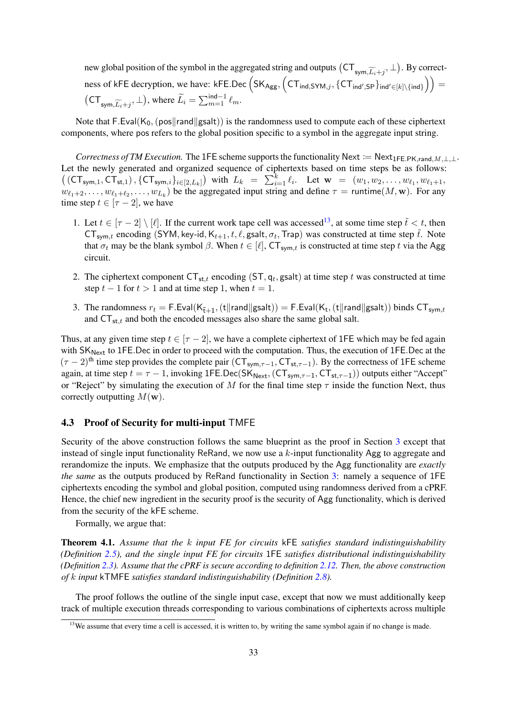new global position of the symbol in the aggregated string and outputs  $(CT_{sym,\widetilde{L_i}+j}, \perp)$ . By correctness of kFE decryption, we have: kFE.Dec  $(SK_{Agg}, (CT_{ind,SYM,j}, \{CT_{ind',SP}\}_{ind' \in [k] \setminus \{ind\}})) =$  $\left(\mathsf{CT}_{\mathsf{sym}, \widetilde{L_i}+j}, \bot\right)$ , where  $\widetilde{L_i} = \sum_{m=1}^{\mathsf{ind}-1} \ell_m$ .

Note that F.Eval( $K_0$ , (pos||rand||gsalt)) is the randomness used to compute each of these ciphertext components, where pos refers to the global position specific to a symbol in the aggregate input string.

*Correctness of TM Execution.* The 1FE scheme supports the functionality Next := Next<sub>1FE.PK,rand,M, $\perp$ , $\perp$ .</sub> Let the newly generated and organized sequence of ciphertexts based on time steps be as follows:  $((\mathsf{CT}_{\mathsf{sym},1},\mathsf{CT}_{\mathsf{st},1}), \{\mathsf{CT}_{\mathsf{sym},i}\}_{i\in[2,L_k]})$  with  $L_k = \sum_{i=1}^k \ell_i$ . Let  $\mathbf{w} = (w_1, w_2, \ldots, w_{\ell_1}, w_{\ell_1+1}, \ldots, w_{\ell_k+1})$  $w_{\ell_1+2}, \ldots, w_{\ell_1+\ell_2}, \ldots, w_{L_k}$  be the aggregated input string and define  $\tau = \text{runtime}(M, \mathbf{w})$ . For any time step  $t \in [\tau - 2]$ , we have

- 1. Let  $t \in [\tau 2] \setminus [\ell]$ . If the current work tape cell was accessed<sup>[13](#page-32-0)</sup>, at some time step  $\tilde{t} < t$ , then  $CT_{sym,t}$  encoding (SYM, key-id,  $K_{t+1}, t, \ell$ , gsalt,  $\sigma_t$ , Trap) was constructed at time step  $\tilde{t}$ . Note that  $\sigma_t$  may be the blank symbol  $\beta$ . When  $t \in [\ell], C\mathsf{T}_{\mathsf{sym},t}$  is constructed at time step t via the Agg circuit.
- 2. The ciphertext component  $CT_{st,t}$  encoding (ST,  $q_t$ , gsalt) at time step t was constructed at time step  $t - 1$  for  $t > 1$  and at time step 1, when  $t = 1$ .
- 3. The randomness  $r_t =$  F.Eval $(\mathsf{K}_{\tilde{\mathsf{t}}+1},(\mathsf{t}\Vert \mathsf{rand}\Vert \mathsf{gsalt}))$   $=$  F.Eval $(\mathsf{K}_{\mathsf{t}},(\mathsf{t}\Vert \mathsf{rand}\Vert \mathsf{gsalt}))$  binds  $\mathsf{CT}_{\mathsf{sym},t}$ and  $CT_{st,t}$  and both the encoded messages also share the same global salt.

Thus, at any given time step  $t \in [\tau - 2]$ , we have a complete ciphertext of 1FE which may be fed again with  $SK_{Next}$  to 1FE. Dec in order to proceed with the computation. Thus, the execution of 1FE. Dec at the  $(\tau - 2)$ <sup>th</sup> time step provides the complete pair (CT<sub>sym, $\tau$ </sub>-1, CT<sub>st, $\tau$ </sub>-1). By the correctness of 1FE scheme again, at time step  $t = \tau - 1$ , invoking 1FE.Dec(SK<sub>Next</sub>, (CT<sub>sym, $\tau$ </sub>-1, CT<sub>st, $\tau$ </sub>-1)) outputs either "Accept" or "Reject" by simulating the execution of M for the final time step  $\tau$  inside the function Next, thus correctly outputting  $M(\mathbf{w})$ .

### 4.3 Proof of Security for multi-input TMFE

Security of the above construction follows the same blueprint as the proof in Section [3](#page-15-0) except that instead of single input functionality ReRand, we now use a  $k$ -input functionality Agg to aggregate and rerandomize the inputs. We emphasize that the outputs produced by the Agg functionality are *exactly the same* as the outputs produced by ReRand functionality in Section [3:](#page-15-0) namely a sequence of 1FE ciphertexts encoding the symbol and global position, computed using randomness derived from a cPRF. Hence, the chief new ingredient in the security proof is the security of Agg functionality, which is derived from the security of the kFE scheme.

Formally, we argue that:

<span id="page-32-1"></span>Theorem 4.1. *Assume that the* k *input FE for circuits* kFE *satisfies standard indistinguishability (Definition [2.5\)](#page-9-1), and the single input FE for circuits* 1FE *satisfies distributional indistinguishability (Definition [2.3\)](#page-8-1). Assume that the cPRF is secure according to definition [2.12.](#page-14-1) Then, the above construction of* k *input* kTMFE *satisfies standard indistinguishability (Definition [2.8\)](#page-11-1).*

The proof follows the outline of the single input case, except that now we must additionally keep track of multiple execution threads corresponding to various combinations of ciphertexts across multiple

<span id="page-32-0"></span> $13$ We assume that every time a cell is accessed, it is written to, by writing the same symbol again if no change is made.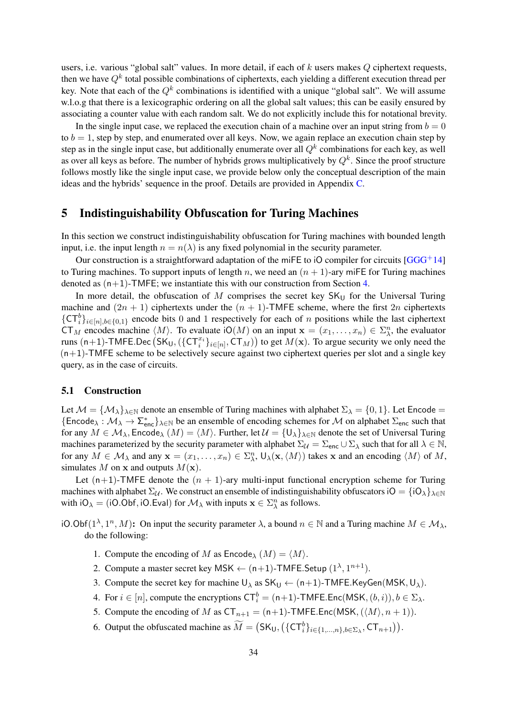users, i.e. various "global salt" values. In more detail, if each of  $k$  users makes  $Q$  ciphertext requests, then we have  $Q^k$  total possible combinations of ciphertexts, each yielding a different execution thread per key. Note that each of the  $Q^k$  combinations is identified with a unique "global salt". We will assume w.l.o.g that there is a lexicographic ordering on all the global salt values; this can be easily ensured by associating a counter value with each random salt. We do not explicitly include this for notational brevity.

In the single input case, we replaced the execution chain of a machine over an input string from  $b = 0$ to  $b = 1$ , step by step, and enumerated over all keys. Now, we again replace an execution chain step by step as in the single input case, but additionally enumerate over all  $Q<sup>k</sup>$  combinations for each key, as well as over all keys as before. The number of hybrids grows multiplicatively by  $Q^k$ . Since the proof structure follows mostly like the single input case, we provide below only the conceptual description of the main ideas and the hybrids' sequence in the proof. Details are provided in Appendix [C.](#page-56-1)

### <span id="page-33-0"></span>5 Indistinguishability Obfuscation for Turing Machines

In this section we construct indistinguishability obfuscation for Turing machines with bounded length input, i.e. the input length  $n = n(\lambda)$  is any fixed polynomial in the security parameter.

Our construction is a straightforward adaptation of the miFE to iO compiler for circuits  $[GGG^+14]$  $[GGG^+14]$ to Turing machines. To support inputs of length n, we need an  $(n + 1)$ -ary miffer for Turing machines denoted as  $(n+1)$ -TMFE; we instantiate this with our construction from Section [4.](#page-25-0)

In more detail, the obfuscation of M comprises the secret key  $SK_{U}$  for the Universal Turing machine and  $(2n + 1)$  ciphertexts under the  $(n + 1)$ -TMFE scheme, where the first  $2n$  ciphertexts  ${C}T_i^b\}_{i\in[n],b\in\{0,1\}}$  encode bits 0 and 1 respectively for each of n positions while the last ciphertext CT<sub>M</sub> encodes machine  $\langle M \rangle$ . To evaluate iO(M) on an input  $x = (x_1, \dots, x_n) \in \Sigma_{\lambda}^n$ , the evaluator runs  $(n+1)$ -TMFE.Dec  $(SK_U, (\{CT_i^x\}_{i\in[n]}, CT_M))$  to get  $M(\mathbf{x})$ . To argue security we only need the  $(n+1)$ -TMFE scheme to be selectively secure against two ciphertext queries per slot and a single key query, as in the case of circuits.

### <span id="page-33-1"></span>5.1 Construction

Let  $\mathcal{M} = {\{\mathcal{M}_\lambda\}}_{\lambda \in \mathbb{N}}$  denote an ensemble of Turing machines with alphabet  $\Sigma_\lambda = \{0, 1\}$ . Let Encode =  $\{\text{Encode}_\lambda : \mathcal{M}_\lambda \to \Sigma_{\text{enc}}^*\}_{\lambda \in \mathbb{N}}\}$  be an ensemble of encoding schemes for  $\mathcal M$  on alphabet  $\Sigma_{\text{enc}}$  such that for any  $M \in \mathcal{M}_{\lambda}$ , Encode $_{\lambda}$   $(M) = \langle M \rangle$ . Further, let  $\mathcal{U} = {\{U_{\lambda}\}}_{\lambda \in \mathbb{N}}$  denote the set of Universal Turing machines parameterized by the security parameter with alphabet  $\Sigma_{\mathcal{U}} = \Sigma_{\text{enc}} \cup \Sigma_{\lambda}$  such that for all  $\lambda \in \mathbb{N}$ , for any  $M \in \mathcal{M}_{\lambda}$  and any  $\mathbf{x} = (x_1, \dots, x_n) \in \Sigma_{\lambda}^n$ ,  $\mathsf{U}_{\lambda}(\mathbf{x}, \langle M \rangle)$  takes x and an encoding  $\langle M \rangle$  of  $M$ , simulates M on x and outputs  $M(\mathbf{x})$ .

Let  $(n+1)$ -TMFE denote the  $(n + 1)$ -ary multi-input functional encryption scheme for Turing machines with alphabet  $\Sigma_{\mathcal{U}}$ . We construct an ensemble of indistinguishability obfuscators iO =  $\{iO_\lambda\}_{\lambda\in\mathbb{N}}$ with  $iO_\lambda = (iO.Obf, iO.Eval)$  for  $\mathcal{M}_\lambda$  with inputs  $\mathbf{x} \in \Sigma^n_\lambda$  as follows.

iO.Obf $(1^{\lambda}, 1^n, M)$ : On input the security parameter  $\lambda$ , a bound  $n \in \mathbb{N}$  and a Turing machine  $M \in \mathcal{M}_{\lambda}$ , do the following:

- 1. Compute the encoding of M as  $\text{Encode}_{\lambda}(M) = \langle M \rangle$ .
- 2. Compute a master secret key MSK  $\leftarrow$  (n+1)-TMFE.Setup  $(1^{\lambda}, 1^{n+1})$ .
- 3. Compute the secret key for machine  $U_{\lambda}$  as  $SK_{U} \leftarrow (n+1)$ -TMFE.KeyGen(MSK,  $U_{\lambda}$ ).
- 4. For  $i \in [n]$ , compute the encryptions  $\mathsf{CT}_i^b = (\mathsf{n+1})\text{-}\mathsf{TMFE}$ . Enc $(\mathsf{MSK}, (b, i)), b \in \Sigma_\lambda$ .
- 5. Compute the encoding of M as  $CT_{n+1} = (n+1)$ -TMFE.Enc(MSK,  $(\langle M \rangle, n+1)$ ).
- 6. Output the obfuscated machine as  $\widetilde{M} = (SK_U, (\{CT_i^b\}_{i \in \{1,\ldots,n\}, b \in \Sigma_\lambda}, CT_{n+1})).$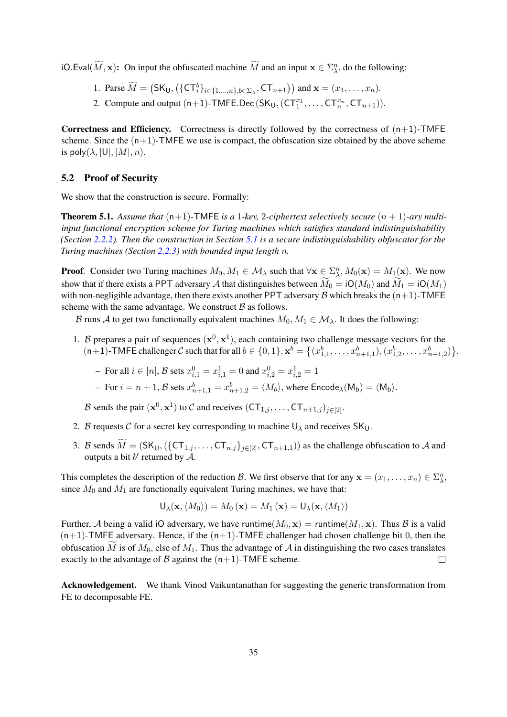iO.Eval $(M, x)$ : On input the obfuscated machine M and an input  $x \in \Sigma_{\lambda}^n$ , do the following:

- 1. Parse  $\widetilde{M} = (\mathsf{SK}_\mathsf{U}, (\{\mathsf{CT}_i^b\}_{i\in\{1,\ldots,n\},b\in\Sigma_\lambda}, \mathsf{CT}_{n+1}))$  and  $\mathbf{x} = (x_1, \ldots, x_n)$ .
- 2. Compute and output  $(n+1)$ -TMFE.Dec  $(SK_U, (CT_1^{x_1}, \ldots, CT_n^{x_n}, CT_{n+1})).$

**Correctness and Efficiency.** Correctness is directly followed by the correctness of  $(n+1)$ -TMFE scheme. Since the  $(n+1)$ -TMFE we use is compact, the obfuscation size obtained by the above scheme is poly $(\lambda, |U|, |M|, n)$ .

### 5.2 Proof of Security

We show that the construction is secure. Formally:

**Theorem 5.1.** Assume that  $(n+1)$ -TMFE is a 1-key, 2-ciphertext selectively secure  $(n + 1)$ -ary multi*input functional encryption scheme for Turing machines which satisfies standard indistinguishability (Section [2.2.2\)](#page-12-1). Then the construction in Section [5.1](#page-33-1) is a secure indistinguishability obfuscator for the Turing machines (Section [2.2.3\)](#page-13-0) with bounded input length* n*.*

**Proof.** Consider two Turing machines  $M_0, M_1 \in \mathcal{M}_\lambda$  such that  $\forall \mathbf{x} \in \sum_{\lambda}^n M_0(\mathbf{x}) = M_1(\mathbf{x})$ . We now show that if there exists a PPT adversary A that distinguishes between  $\overline{M}_0 = iO(M_0)$  and  $\overline{M}_1 = iO(M_1)$ with non-negligible advantage, then there exists another PPT adversary B which breaks the  $(n+1)$ -TMFE scheme with the same advantage. We construct  $B$  as follows.

B runs A to get two functionally equivalent machines  $M_0, M_1 \in \mathcal{M}_\lambda$ . It does the following:

- 1. B prepares a pair of sequences  $(x^0, x^1)$ , each containing two challenge message vectors for the  $(n+1)$ -TMFE challenger C such that for all  $b \in \{0, 1\}$ ,  $\mathbf{x}^{b} = \{(x_{1,1}^{b}, \dots, x_{n+1,1}^{b}), (x_{1,2}^{b}, \dots, x_{n+1,2}^{b})\}$ .
	- − For all  $i \in [n]$ ,  $\mathcal{B}$  sets  $x_{i,1}^0 = x_{i,1}^1 = 0$  and  $x_{i,2}^0 = x_{i,2}^1 = 1$
	- $-$  For  $i=n+1,$   ${\cal B}$  sets  $x_{n+1,1}^b=x_{n+1,2}^b=\langle M_b\rangle,$  where  ${\sf Encode}_\lambda({\sf M_b})=\langle {\sf M_b}\rangle.$

B sends the pair  $(\mathbf{x}^0, \mathbf{x}^1)$  to C and receives  $(CT_{1,j}, \ldots, CT_{n+1,j})_{j \in [2]}$ .

- 2. B requests C for a secret key corresponding to machine  $U_{\lambda}$  and receives  $SK_{U}$ .
- 3. B sends  $\widetilde{M} = (SK_U, (\{CT_{1,j}, \ldots, CT_{n,j}\}_{j \in [2]}, CT_{n+1,1}))$  as the challenge obfuscation to A and outputs a bit  $b'$  returned by  $\mathcal{A}$ .

This completes the description of the reduction B. We first observe that for any  $\mathbf{x} = (x_1, \dots, x_n) \in \Sigma_{\lambda}^n$ , since  $M_0$  and  $M_1$  are functionally equivalent Turing machines, we have that:

$$
\mathsf{U}_{\lambda}(\mathbf{x}, \langle M_0 \rangle) = M_0(\mathbf{x}) = M_1(\mathbf{x}) = \mathsf{U}_{\lambda}(\mathbf{x}, \langle M_1 \rangle)
$$

Further, A being a valid iO adversary, we have runtime( $M_0$ , x) = runtime( $M_1$ , x). Thus B is a valid  $(n+1)$ -TMFE adversary. Hence, if the  $(n+1)$ -TMFE challenger had chosen challenge bit 0, then the obfuscation M is of  $M_0$ , else of  $M_1$ . Thus the advantage of A in distinguishing the two cases translates exactly to the advantage of B against the  $(n+1)$ -TMFE scheme. exactly to the advantage of  $\beta$  against the  $(n+1)$ -TMFE scheme.

Acknowledgement. We thank Vinod Vaikuntanathan for suggesting the generic transformation from FE to decomposable FE.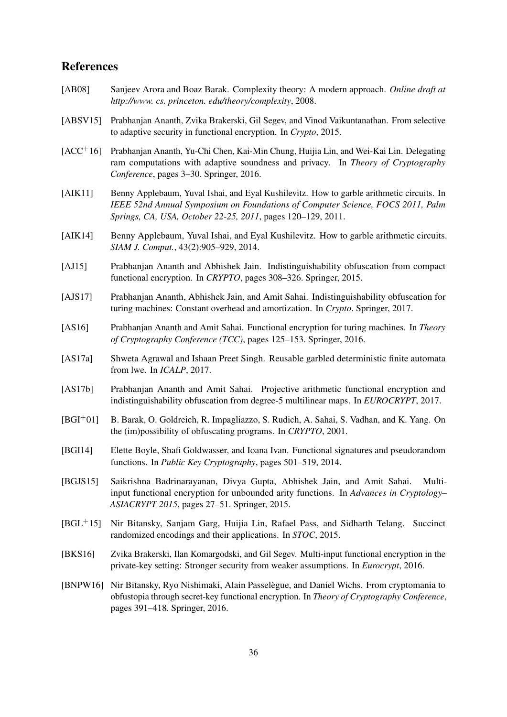# References

- <span id="page-35-15"></span>[AB08] Sanjeev Arora and Boaz Barak. Complexity theory: A modern approach. *Online draft at http://www. cs. princeton. edu/theory/complexity*, 2008.
- <span id="page-35-10"></span>[ABSV15] Prabhanjan Ananth, Zvika Brakerski, Gil Segev, and Vinod Vaikuntanathan. From selective to adaptive security in functional encryption. In *Crypto*, 2015.
- <span id="page-35-6"></span>[ACC<sup>+</sup>16] Prabhanjan Ananth, Yu-Chi Chen, Kai-Min Chung, Huijia Lin, and Wei-Kai Lin. Delegating ram computations with adaptive soundness and privacy. In *Theory of Cryptography Conference*, pages 3–30. Springer, 2016.
- <span id="page-35-11"></span>[AIK11] Benny Applebaum, Yuval Ishai, and Eyal Kushilevitz. How to garble arithmetic circuits. In *IEEE 52nd Annual Symposium on Foundations of Computer Science, FOCS 2011, Palm Springs, CA, USA, October 22-25, 2011*, pages 120–129, 2011.
- <span id="page-35-14"></span>[AIK14] Benny Applebaum, Yuval Ishai, and Eyal Kushilevitz. How to garble arithmetic circuits. *SIAM J. Comput.*, 43(2):905–929, 2014.
- <span id="page-35-1"></span>[AJ15] Prabhanjan Ananth and Abhishek Jain. Indistinguishability obfuscation from compact functional encryption. In *CRYPTO*, pages 308–326. Springer, 2015.
- <span id="page-35-0"></span>[AJS17] Prabhanjan Ananth, Abhishek Jain, and Amit Sahai. Indistinguishability obfuscation for turing machines: Constant overhead and amortization. In *Crypto*. Springer, 2017.
- <span id="page-35-2"></span>[AS16] Prabhanjan Ananth and Amit Sahai. Functional encryption for turing machines. In *Theory of Cryptography Conference (TCC)*, pages 125–153. Springer, 2016.
- <span id="page-35-12"></span>[AS17a] Shweta Agrawal and Ishaan Preet Singh. Reusable garbled deterministic finite automata from lwe. In *ICALP*, 2017.
- <span id="page-35-9"></span>[AS17b] Prabhanjan Ananth and Amit Sahai. Projective arithmetic functional encryption and indistinguishability obfuscation from degree-5 multilinear maps. In *EUROCRYPT*, 2017.
- <span id="page-35-4"></span>[BGI+01] B. Barak, O. Goldreich, R. Impagliazzo, S. Rudich, A. Sahai, S. Vadhan, and K. Yang. On the (im)possibility of obfuscating programs. In *CRYPTO*, 2001.
- <span id="page-35-13"></span>[BGI14] Elette Boyle, Shafi Goldwasser, and Ioana Ivan. Functional signatures and pseudorandom functions. In *Public Key Cryptography*, pages 501–519, 2014.
- <span id="page-35-3"></span>[BGJS15] Saikrishna Badrinarayanan, Divya Gupta, Abhishek Jain, and Amit Sahai. Multiinput functional encryption for unbounded arity functions. In *Advances in Cryptology– ASIACRYPT 2015*, pages 27–51. Springer, 2015.
- <span id="page-35-5"></span>[BGL+15] Nir Bitansky, Sanjam Garg, Huijia Lin, Rafael Pass, and Sidharth Telang. Succinct randomized encodings and their applications. In *STOC*, 2015.
- <span id="page-35-7"></span>[BKS16] Zvika Brakerski, Ilan Komargodski, and Gil Segev. Multi-input functional encryption in the private-key setting: Stronger security from weaker assumptions. In *Eurocrypt*, 2016.
- <span id="page-35-8"></span>[BNPW16] Nir Bitansky, Ryo Nishimaki, Alain Passelegue, and Daniel Wichs. From cryptomania to ` obfustopia through secret-key functional encryption. In *Theory of Cryptography Conference*, pages 391–418. Springer, 2016.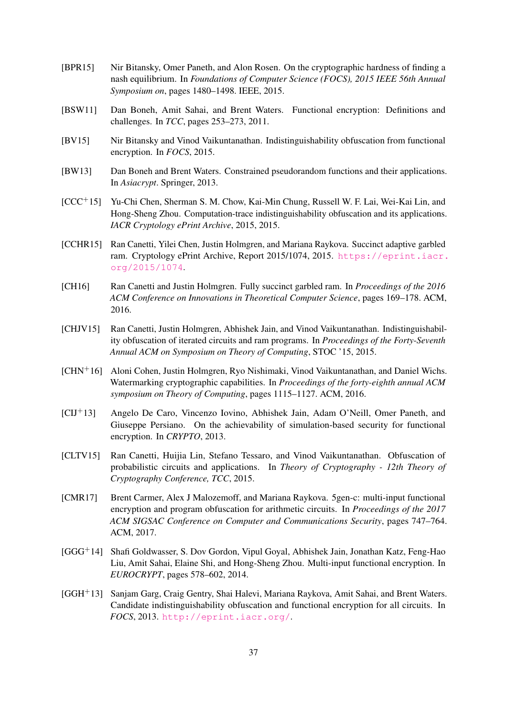- <span id="page-36-4"></span>[BPR15] Nir Bitansky, Omer Paneth, and Alon Rosen. On the cryptographic hardness of finding a nash equilibrium. In *Foundations of Computer Science (FOCS), 2015 IEEE 56th Annual Symposium on*, pages 1480–1498. IEEE, 2015.
- <span id="page-36-7"></span>[BSW11] Dan Boneh, Amit Sahai, and Brent Waters. Functional encryption: Definitions and challenges. In *TCC*, pages 253–273, 2011.
- <span id="page-36-0"></span>[BV15] Nir Bitansky and Vinod Vaikuntanathan. Indistinguishability obfuscation from functional encryption. In *FOCS*, 2015.
- <span id="page-36-11"></span>[BW13] Dan Boneh and Brent Waters. Constrained pseudorandom functions and their applications. In *Asiacrypt*. Springer, 2013.
- <span id="page-36-9"></span>[CCC+15] Yu-Chi Chen, Sherman S. M. Chow, Kai-Min Chung, Russell W. F. Lai, Wei-Kai Lin, and Hong-Sheng Zhou. Computation-trace indistinguishability obfuscation and its applications. *IACR Cryptology ePrint Archive*, 2015, 2015.
- <span id="page-36-8"></span>[CCHR15] Ran Canetti, Yilei Chen, Justin Holmgren, and Mariana Raykova. Succinct adaptive garbled ram. Cryptology ePrint Archive, Report 2015/1074, 2015. [https://eprint.iacr.](https://eprint.iacr.org/2015/1074) [org/2015/1074](https://eprint.iacr.org/2015/1074).
- <span id="page-36-10"></span>[CH16] Ran Canetti and Justin Holmgren. Fully succinct garbled ram. In *Proceedings of the 2016 ACM Conference on Innovations in Theoretical Computer Science*, pages 169–178. ACM, 2016.
- <span id="page-36-3"></span>[CHJV15] Ran Canetti, Justin Holmgren, Abhishek Jain, and Vinod Vaikuntanathan. Indistinguishability obfuscation of iterated circuits and ram programs. In *Proceedings of the Forty-Seventh Annual ACM on Symposium on Theory of Computing*, STOC '15, 2015.
- <span id="page-36-5"></span>[CHN+16] Aloni Cohen, Justin Holmgren, Ryo Nishimaki, Vinod Vaikuntanathan, and Daniel Wichs. Watermarking cryptographic capabilities. In *Proceedings of the forty-eighth annual ACM symposium on Theory of Computing*, pages 1115–1127. ACM, 2016.
- <span id="page-36-13"></span>[CIJ+13] Angelo De Caro, Vincenzo Iovino, Abhishek Jain, Adam O'Neill, Omer Paneth, and Giuseppe Persiano. On the achievability of simulation-based security for functional encryption. In *CRYPTO*, 2013.
- <span id="page-36-2"></span>[CLTV15] Ran Canetti, Huijia Lin, Stefano Tessaro, and Vinod Vaikuntanathan. Obfuscation of probabilistic circuits and applications. In *Theory of Cryptography - 12th Theory of Cryptography Conference, TCC*, 2015.
- <span id="page-36-6"></span>[CMR17] Brent Carmer, Alex J Malozemoff, and Mariana Raykova. 5gen-c: multi-input functional encryption and program obfuscation for arithmetic circuits. In *Proceedings of the 2017 ACM SIGSAC Conference on Computer and Communications Security*, pages 747–764. ACM, 2017.
- <span id="page-36-12"></span>[GGG+14] Shafi Goldwasser, S. Dov Gordon, Vipul Goyal, Abhishek Jain, Jonathan Katz, Feng-Hao Liu, Amit Sahai, Elaine Shi, and Hong-Sheng Zhou. Multi-input functional encryption. In *EUROCRYPT*, pages 578–602, 2014.
- <span id="page-36-1"></span>[GGH+13] Sanjam Garg, Craig Gentry, Shai Halevi, Mariana Raykova, Amit Sahai, and Brent Waters. Candidate indistinguishability obfuscation and functional encryption for all circuits. In *FOCS*, 2013. <http://eprint.iacr.org/>.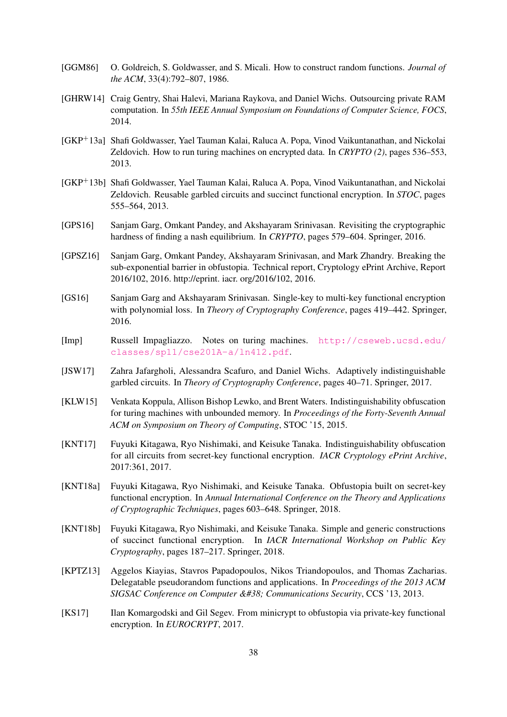- <span id="page-37-11"></span>[GGM86] O. Goldreich, S. Goldwasser, and S. Micali. How to construct random functions. *Journal of the ACM*, 33(4):792–807, 1986.
- <span id="page-37-7"></span>[GHRW14] Craig Gentry, Shai Halevi, Mariana Raykova, and Daniel Wichs. Outsourcing private RAM computation. In *55th IEEE Annual Symposium on Foundations of Computer Science, FOCS*, 2014.
- <span id="page-37-6"></span>[GKP+13a] Shafi Goldwasser, Yael Tauman Kalai, Raluca A. Popa, Vinod Vaikuntanathan, and Nickolai Zeldovich. How to run turing machines on encrypted data. In *CRYPTO (2)*, pages 536–553, 2013.
- <span id="page-37-14"></span>[GKP+13b] Shafi Goldwasser, Yael Tauman Kalai, Raluca A. Popa, Vinod Vaikuntanathan, and Nickolai Zeldovich. Reusable garbled circuits and succinct functional encryption. In *STOC*, pages 555–564, 2013.
- <span id="page-37-8"></span>[GPS16] Sanjam Garg, Omkant Pandey, and Akshayaram Srinivasan. Revisiting the cryptographic hardness of finding a nash equilibrium. In *CRYPTO*, pages 579–604. Springer, 2016.
- <span id="page-37-9"></span>[GPSZ16] Sanjam Garg, Omkant Pandey, Akshayaram Srinivasan, and Mark Zhandry. Breaking the sub-exponential barrier in obfustopia. Technical report, Cryptology ePrint Archive, Report 2016/102, 2016. http://eprint. iacr. org/2016/102, 2016.
- <span id="page-37-1"></span>[GS16] Sanjam Garg and Akshayaram Srinivasan. Single-key to multi-key functional encryption with polynomial loss. In *Theory of Cryptography Conference*, pages 419–442. Springer, 2016.
- <span id="page-37-12"></span>[Imp] Russell Impagliazzo. Notes on turing machines. [http://cseweb.ucsd.edu/](http://cseweb.ucsd.edu/classes/sp11/cse201A-a/ln412.pdf) [classes/sp11/cse201A-a/ln412.pdf](http://cseweb.ucsd.edu/classes/sp11/cse201A-a/ln412.pdf).
- <span id="page-37-13"></span>[JSW17] Zahra Jafargholi, Alessandra Scafuro, and Daniel Wichs. Adaptively indistinguishable garbled circuits. In *Theory of Cryptography Conference*, pages 40–71. Springer, 2017.
- <span id="page-37-0"></span>[KLW15] Venkata Koppula, Allison Bishop Lewko, and Brent Waters. Indistinguishability obfuscation for turing machines with unbounded memory. In *Proceedings of the Forty-Seventh Annual ACM on Symposium on Theory of Computing*, STOC '15, 2015.
- <span id="page-37-3"></span>[KNT17] Fuyuki Kitagawa, Ryo Nishimaki, and Keisuke Tanaka. Indistinguishability obfuscation for all circuits from secret-key functional encryption. *IACR Cryptology ePrint Archive*, 2017:361, 2017.
- <span id="page-37-4"></span>[KNT18a] Fuyuki Kitagawa, Ryo Nishimaki, and Keisuke Tanaka. Obfustopia built on secret-key functional encryption. In *Annual International Conference on the Theory and Applications of Cryptographic Techniques*, pages 603–648. Springer, 2018.
- <span id="page-37-5"></span>[KNT18b] Fuyuki Kitagawa, Ryo Nishimaki, and Keisuke Tanaka. Simple and generic constructions of succinct functional encryption. In *IACR International Workshop on Public Key Cryptography*, pages 187–217. Springer, 2018.
- <span id="page-37-10"></span>[KPTZ13] Aggelos Kiayias, Stavros Papadopoulos, Nikos Triandopoulos, and Thomas Zacharias. Delegatable pseudorandom functions and applications. In *Proceedings of the 2013 ACM SIGSAC Conference on Computer & Communications Security, CCS '13, 2013.*
- <span id="page-37-2"></span>[KS17] Ilan Komargodski and Gil Segev. From minicrypt to obfustopia via private-key functional encryption. In *EUROCRYPT*, 2017.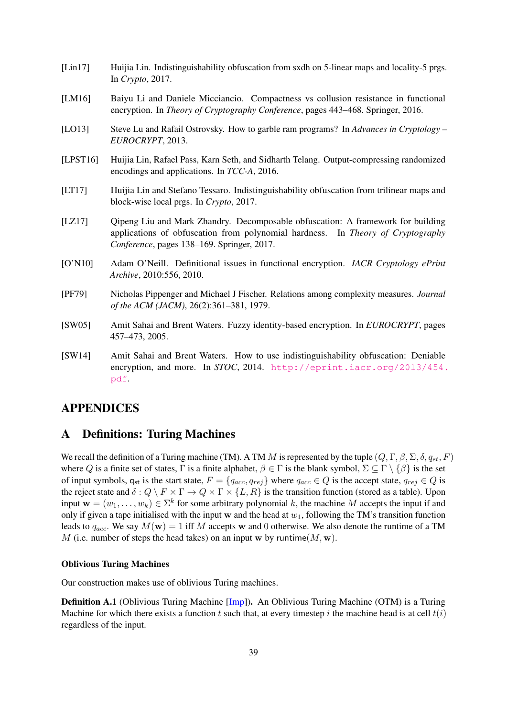- <span id="page-38-6"></span>[Lin17] Huijia Lin. Indistinguishability obfuscation from sxdh on 5-linear maps and locality-5 prgs. In *Crypto*, 2017.
- <span id="page-38-5"></span>[LM16] Baiyu Li and Daniele Micciancio. Compactness vs collusion resistance in functional encryption. In *Theory of Cryptography Conference*, pages 443–468. Springer, 2016.
- <span id="page-38-8"></span>[LO13] Steve Lu and Rafail Ostrovsky. How to garble ram programs? In *Advances in Cryptology – EUROCRYPT*, 2013.
- <span id="page-38-1"></span>[LPST16] Huijia Lin, Rafael Pass, Karn Seth, and Sidharth Telang. Output-compressing randomized encodings and applications. In *TCC-A*, 2016.
- <span id="page-38-7"></span>[LT17] Huijia Lin and Stefano Tessaro. Indistinguishability obfuscation from trilinear maps and block-wise local prgs. In *Crypto*, 2017.
- <span id="page-38-2"></span>[LZ17] Qipeng Liu and Mark Zhandry. Decomposable obfuscation: A framework for building applications of obfuscation from polynomial hardness. In *Theory of Cryptography Conference*, pages 138–169. Springer, 2017.
- <span id="page-38-4"></span>[O'N10] Adam O'Neill. Definitional issues in functional encryption. *IACR Cryptology ePrint Archive*, 2010:556, 2010.
- <span id="page-38-10"></span>[PF79] Nicholas Pippenger and Michael J Fischer. Relations among complexity measures. *Journal of the ACM (JACM)*, 26(2):361–381, 1979.
- <span id="page-38-3"></span>[SW05] Amit Sahai and Brent Waters. Fuzzy identity-based encryption. In *EUROCRYPT*, pages 457–473, 2005.
- <span id="page-38-0"></span>[SW14] Amit Sahai and Brent Waters. How to use indistinguishability obfuscation: Deniable encryption, and more. In *STOC*, 2014. [http://eprint.iacr.org/2013/454.](http://eprint.iacr.org/2013/454.pdf) [pdf](http://eprint.iacr.org/2013/454.pdf).

# APPENDICES

### <span id="page-38-9"></span>A Definitions: Turing Machines

We recall the definition of a Turing machine (TM). A TM M is represented by the tuple  $(Q, \Gamma, \beta, \Sigma, \delta, q_{st}, F)$ where Q is a finite set of states,  $\Gamma$  is a finite alphabet,  $\beta \in \Gamma$  is the blank symbol,  $\Sigma \subseteq \Gamma \setminus \{\beta\}$  is the set of input symbols,  $q_{st}$  is the start state,  $F = \{q_{acc}, q_{rej}\}\$  where  $q_{acc} \in Q$  is the accept state,  $q_{rej} \in Q$  is the reject state and  $\delta: Q \setminus F \times \Gamma \to Q \times \Gamma \times \{L, R\}$  is the transition function (stored as a table). Upon input  $\mathbf{w} = (w_1, \dots, w_k) \in \Sigma^k$  for some arbitrary polynomial k, the machine M accepts the input if and only if given a tape initialised with the input w and the head at  $w_1$ , following the TM's transition function leads to  $q_{acc}$ . We say  $M(\mathbf{w}) = 1$  iff M accepts w and 0 otherwise. We also denote the runtime of a TM M (i.e. number of steps the head takes) on an input w by runtime  $(M, w)$ .

### Oblivious Turing Machines

Our construction makes use of oblivious Turing machines.

Definition A.1 (Oblivious Turing Machine [\[Imp\]](#page-37-12)). An Oblivious Turing Machine (OTM) is a Turing Machine for which there exists a function t such that, at every timestep i the machine head is at cell  $t(i)$ regardless of the input.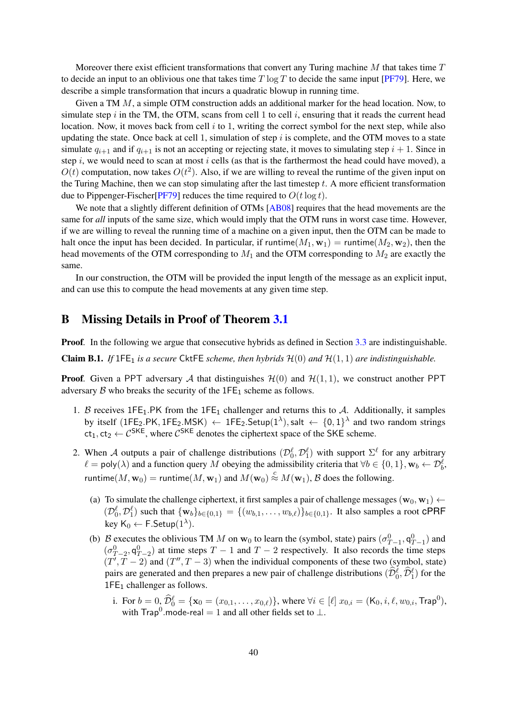Moreover there exist efficient transformations that convert any Turing machine  $M$  that takes time  $T$ to decide an input to an oblivious one that takes time  $T \log T$  to decide the same input [\[PF79\]](#page-38-10). Here, we describe a simple transformation that incurs a quadratic blowup in running time.

Given a TM M, a simple OTM construction adds an additional marker for the head location. Now, to simulate step i in the TM, the OTM, scans from cell 1 to cell i, ensuring that it reads the current head location. Now, it moves back from cell  $i$  to 1, writing the correct symbol for the next step, while also updating the state. Once back at cell 1, simulation of step  $i$  is complete, and the OTM moves to a state simulate  $q_{i+1}$  and if  $q_{i+1}$  is not an accepting or rejecting state, it moves to simulating step  $i + 1$ . Since in step  $i$ , we would need to scan at most  $i$  cells (as that is the farthermost the head could have moved), a  $O(t)$  computation, now takes  $O(t^2)$ . Also, if we are willing to reveal the runtime of the given input on the Turing Machine, then we can stop simulating after the last timestep  $t$ . A more efficient transformation due to Pippenger-Fischer [\[PF79\]](#page-38-10) reduces the time required to  $O(t \log t)$ .

We note that a slightly different definition of OTMs [\[AB08\]](#page-35-15) requires that the head movements are the same for *all* inputs of the same size, which would imply that the OTM runs in worst case time. However, if we are willing to reveal the running time of a machine on a given input, then the OTM can be made to halt once the input has been decided. In particular, if runtime( $M_1$ ,  $w_1$ ) = runtime( $M_2$ ,  $w_2$ ), then the head movements of the OTM corresponding to  $M_1$  and the OTM corresponding to  $M_2$  are exactly the same.

In our construction, the OTM will be provided the input length of the message as an explicit input, and can use this to compute the head movements at any given time step.

### <span id="page-39-0"></span>B Missing Details in Proof of Theorem [3.1](#page-20-2)

**Proof.** In the following we argue that consecutive hybrids as defined in Section [3.3](#page-20-0) are indistinguishable.

**Claim B.1.** If 1FE<sub>1</sub> is a secure CktFE scheme, then hybrids  $\mathcal{H}(0)$  and  $\mathcal{H}(1, 1)$  are indistinguishable.

**Proof.** Given a PPT adversary A that distinguishes  $\mathcal{H}(0)$  and  $\mathcal{H}(1, 1)$ , we construct another PPT adversary  $\beta$  who breaks the security of the 1FE<sub>1</sub> scheme as follows.

- 1. B receives  $1FE_1.PK$  from the  $1FE_1$  challenger and returns this to A. Additionally, it samples by itself (1FE<sub>2</sub>.PK, 1FE<sub>2</sub>.MSK)  $\leftarrow$  1FE<sub>2</sub>.Setup(1<sup> $\lambda$ </sup>), salt  $\leftarrow$  {0, 1}<sup> $\lambda$ </sup> and two random strings  $ct_1, ct_2 \leftarrow C^{SKE}$ , where  $C^{SKE}$  denotes the ciphertext space of the SKE scheme.
- 2. When A outputs a pair of challenge distributions  $(\mathcal{D}_0^{\ell}, \mathcal{D}_1^{\ell})$  with support  $\Sigma^{\ell}$  for any arbitrary  $\ell = \text{poly}(\lambda)$  and a function query M obeying the admissibility criteria that  $\forall b \in \{0, 1\}, \mathbf{w}_b \leftarrow \mathcal{D}_b^{\ell}$ , runtime $(M, w_0)$  = runtime $(M, w_1)$  and  $M(w_0) \stackrel{c}{\approx} M(w_1)$ ,  $\mathcal B$  does the following.
	- (a) To simulate the challenge ciphertext, it first samples a pair of challenge messages ( $\mathbf{w}_0$ ,  $\mathbf{w}_1$ )  $\leftarrow$  $(\mathcal{D}_0^{\ell}, \mathcal{D}_1^{\ell})$  such that  $\{w_b\}_{b \in \{0,1\}} = \{(w_{b,1}, \ldots, w_{b,\ell})\}_{b \in \{0,1\}}$ . It also samples a root CPRF key  $\mathsf{K}_0 \leftarrow \mathsf{F}.\mathsf{Setup}(1^{\lambda}).$
	- (b) B executes the oblivious TM M on  $w_0$  to learn the (symbol, state) pairs  $(\sigma_{T-1}^0, \mathsf{q}_{T-1}^0)$  and  $(\sigma_{T-2}^0, \mathsf{q}_{T-2}^0)$  at time steps  $T-1$  and  $T-2$  respectively. It also records the time steps  $(T', T - 2)$  and  $(T'', T - 3)$  when the individual components of these two (symbol, state) pairs are generated and then prepares a new pair of challenge distributions  $(\widehat{\mathcal{D}}_0^{\ell}, \widehat{\mathcal{D}}_1^{\ell})$  for the  $1FE<sub>1</sub>$  challenger as follows.
		- i. For  $b = 0$ ,  $\widehat{\mathcal{D}}_0^{\ell} = {\mathbf{x}_0 = (x_{0,1}, \dots, x_{0,\ell})}$ , where  $\forall i \in [\ell]$   $x_{0,i} = (\mathsf{K}_0, i, \ell, w_{0,i}, \mathsf{Trap}^0)$ , with Trap<sup>0</sup>.mode-real = 1 and all other fields set to  $\perp$ .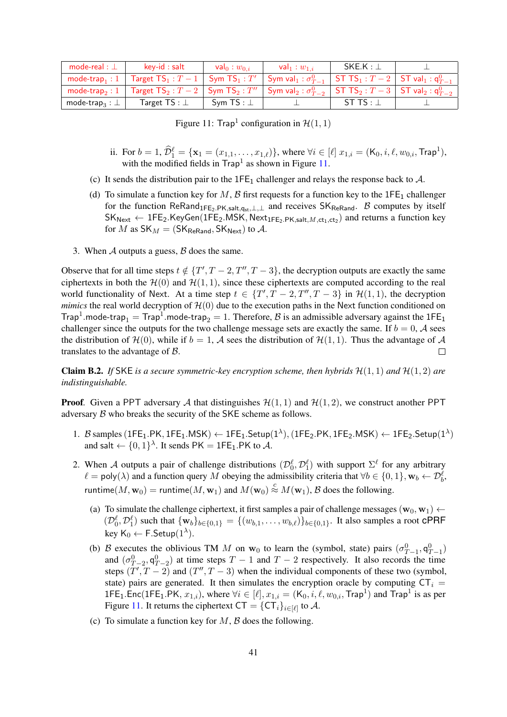| mode-real : $\perp$              | kev-id : salt                                                                                                                            | val $_0:w_{0,i}$ | $\mathsf{val}_1: w_{1,i}$ | $SKE.K : \bot$  |  |
|----------------------------------|------------------------------------------------------------------------------------------------------------------------------------------|------------------|---------------------------|-----------------|--|
| mode-trap, : $1 \parallel$       | Target $TS_1: T-1$ Sym $TS_1: T'$ Sym $val_1: \sigma_{T-1}^0$ ST $TS_1: T-2$ ST $val_1: q_{T-1}^0$                                       |                  |                           |                 |  |
| mode-trap <sub>2</sub> : $1$     | $\top$ Target $TS_2: T-2$ $\mid$ Sym $TS_2: T''$ $\mid$ Sym val $_2: \sigma_{T-2}^0$ $\mid$ ST $TS_2: T-3$ $\mid$ ST val $_2: q_{T-2}^0$ |                  |                           |                 |  |
| mode-trap <sub>3</sub> : $\perp$ | Target TS : $\bot$                                                                                                                       | Svm TS : $\perp$ |                           | ST TS : $\perp$ |  |

<span id="page-40-0"></span>Figure 11: Trap<sup>1</sup> configuration in  $H(1, 1)$ 

- ii. For  $b = 1$ ,  $\widehat{\mathcal{D}}_1^{\ell} = {\mathbf{x}_1 = (x_{1,1}, \dots, x_{1,\ell})}$ , where  $\forall i \in [\ell]$   $x_{1,i} = (\mathsf{K}_0, i, \ell, w_{0,i}, \mathsf{Trap}^1)$ , with the modified fields in  $\text{Trap}^1$  as shown in Figure [11.](#page-40-0)
- (c) It sends the distribution pair to the  $1FE_1$  challenger and relays the response back to  $A$ .
- (d) To simulate a function key for M, B first requests for a function key to the  $1FE_1$  challenger for the function ReRand<sub>1FE2.PK,salt,qst,⊥,⊥</sub> and receives  $SK_{ReRand}$ . B computes by itself  $\mathsf{SK}_{\mathsf{Next}} \leftarrow \mathsf{1FE}_2.\mathsf{KeyGen}(\mathsf{1FE}_2.\mathsf{MSK},\mathsf{Next}_{\mathsf{1FE}_2.\mathsf{PK},\mathsf{salt},M,\mathsf{ct}_1,\mathsf{ct}_2})$  and returns a function key for M as  $SK_M = (SK_{\text{ReRand}}, SK_{\text{Next}})$  to A.
- 3. When  $A$  outputs a guess,  $B$  does the same.

Observe that for all time steps  $t \notin \{T', T-2, T'', T-3\}$ , the decryption outputs are exactly the same ciphertexts in both the  $H(0)$  and  $H(1, 1)$ , since these ciphertexts are computed according to the real world functionality of Next. At a time step  $t \in \{T', T-2, T'', T-3\}$  in  $\mathcal{H}(1, 1)$ , the decryption *mimics* the real world decryption of  $H(0)$  due to the execution paths in the Next function conditioned on Trap<sup>1</sup>.mode-trap<sub>1</sub> = Trap<sup>1</sup>.mode-trap<sub>2</sub> = 1. Therefore, B is an admissible adversary against the 1FE<sub>1</sub> challenger since the outputs for the two challenge message sets are exactly the same. If  $b = 0$ , A sees the distribution of  $\mathcal{H}(0)$ , while if  $b = 1$ , A sees the distribution of  $\mathcal{H}(1, 1)$ . Thus the advantage of A translates to the advantage of B.  $\Box$ 

**Claim B.2.** If SKE is a secure symmetric-key encryption scheme, then hybrids  $\mathcal{H}(1,1)$  and  $\mathcal{H}(1,2)$  are *indistinguishable.*

**Proof.** Given a PPT adversary A that distinguishes  $\mathcal{H}(1, 1)$  and  $\mathcal{H}(1, 2)$ , we construct another PPT adversary B who breaks the security of the SKE scheme as follows.

- 1. B samples (1FE<sub>1</sub>.PK, 1FE<sub>1</sub>.MSK)  $\leftarrow$  1FE<sub>1</sub>.Setup(1<sup> $\lambda$ </sup>), (1FE<sub>2</sub>.PK, 1FE<sub>2</sub>.MSK)  $\leftarrow$  1FE<sub>2</sub>.Setup(1<sup> $\lambda$ </sup>) and salt  $\leftarrow \{0,1\}^{\lambda}$ . It sends PK = 1FE<sub>1</sub>.PK to A.
- 2. When A outputs a pair of challenge distributions  $(\mathcal{D}_0^{\ell}, \mathcal{D}_1^{\ell})$  with support  $\Sigma^{\ell}$  for any arbitrary  $\ell = \text{poly}(\lambda)$  and a function query M obeying the admissibility criteria that  $\forall b \in \{0, 1\}, \mathbf{w}_b \leftarrow \mathcal{D}_b^{\ell}$ , runtime $(M, w_0)$  = runtime $(M, w_1)$  and  $M(w_0) \stackrel{c}{\approx} M(w_1)$ ,  $\mathcal B$  does the following.
	- (a) To simulate the challenge ciphertext, it first samples a pair of challenge messages ( $\mathbf{w}_0$ ,  $\mathbf{w}_1$ )  $\leftarrow$  $(\mathcal{D}_0^{\ell}, \mathcal{D}_1^{\ell})$  such that  $\{w_b\}_{b \in \{0,1\}} = \{(w_{b,1}, \ldots, w_{b,\ell})\}_{b \in \{0,1\}}$ . It also samples a root CPRF key K<sub>0</sub>  $\leftarrow$  F.Setup $(1^{\lambda})$ .
	- (b) B executes the oblivious TM M on w<sub>0</sub> to learn the (symbol, state) pairs  $(\sigma_{T-1}^0, \mathsf{q}_{T-1}^0)$ and  $(\sigma_{T-2}^0, \mathsf{q}_{T-2}^0)$  at time steps  $T-1$  and  $T-2$  respectively. It also records the time steps  $(T', T - 2)$  and  $(T'', T - 3)$  when the individual components of these two (symbol, state) pairs are generated. It then simulates the encryption oracle by computing  $CT_i$  = 1FE<sub>1</sub>.Enc(1FE<sub>1</sub>.PK,  $x_{1,i}$ ), where  $\forall i \in [\ell], x_{1,i} = (K_0, i, \ell, w_{0,i}, \text{Trap}^1)$  and Trap<sup>1</sup> is as per Figure [11.](#page-40-0) It returns the ciphertext  $CT = \{CT_i\}_{i \in [\ell]}$  to A.
	- (c) To simulate a function key for  $M$ ,  $\beta$  does the following.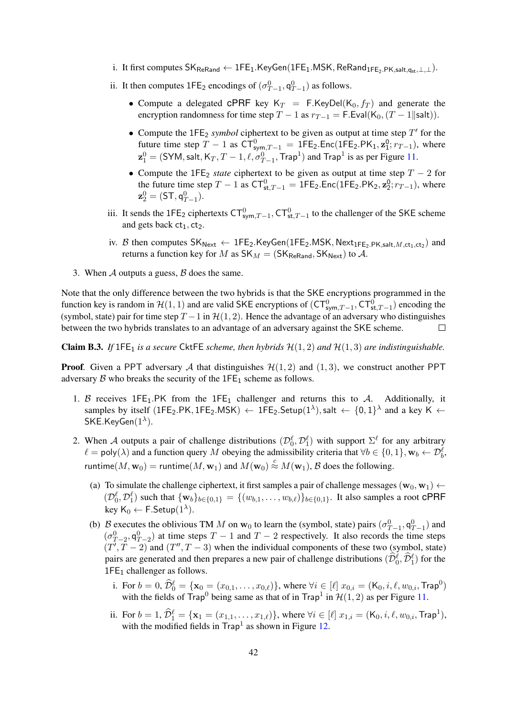- i. It first computes  $\mathsf{SK}_{\mathsf{ReRand}} \leftarrow \mathsf{1FE}_1.\mathsf{KeyGen}(\mathsf{1FE}_1.\mathsf{MSK}, \mathsf{ReRand}_{\mathsf{1FE}_2.\mathsf{PK},\mathsf{salt},q_{st},\perp,\perp}).$
- ii. It then computes  $1\text{FE}_2$  encodings of  $(\sigma_{T-1}^0, \mathsf{q}_{T-1}^0)$  as follows.
	- Compute a delegated CPRF key  $K_T = F.KeyDel(K_0, f_T)$  and generate the encryption randomness for time step  $T - 1$  as  $r_{T-1} = F$ . Eval(K<sub>0</sub>,  $(T - 1||\text{salt})$ ).
	- Compute the  $1FE_2$  *symbol* ciphertext to be given as output at time step  $T'$  for the future time step  $T - 1$  as  $CT_{sym,T-1}^0 = 1FE_2$ . Enc(1FE<sub>2</sub>.PK<sub>1</sub>,  $z_1^0$ ;  $r_{T-1}$ ), where  $\mathbf{z}_1^0 = (\textsf{SYM}, \textsf{salt}, \textsf{K}_T, T-1, \ell, \sigma_{T-1}^0, \textsf{Trap}^1)$  and  $\textsf{Trap}^1$  is as per Figure [11.](#page-40-0)
	- Compute the 1FE<sub>2</sub> *state* ciphertext to be given as output at time step  $T 2$  for the future time step  $T - 1$  as  $CT_{st,T-1}^0 = 1FE_2$ . Enc(1FE<sub>2</sub>.PK<sub>2</sub>,  $\mathbf{z}_2^0$ ;  $r_{T-1}$ ), where  $\mathbf{z}_2^0 = (\mathsf{ST},\mathsf{q}_{T-1}^0).$
- iii. It sends the 1FE<sub>2</sub> ciphertexts  $CT_{sym,T-1}^0$ ,  $CT_{st,T-1}^0$  to the challenger of the SKE scheme and gets back  $ct_1$ ,  $ct_2$ .
- iv. B then computes  $SK_{Next} \leftarrow$  1FE<sub>2</sub>.KeyGen(1FE<sub>2</sub>.MSK, Next<sub>1FE<sub>2</sub>.PK,salt, M,ct<sub>1</sub>,ct<sub>2</sub>) and</sub> returns a function key for M as  $SK_M = (SK_{\text{ReRand}}, SK_{\text{Next}})$  to A.
- 3. When  $A$  outputs a guess,  $B$  does the same.

Note that the only difference between the two hybrids is that the SKE encryptions programmed in the function key is random in  $H(1, 1)$  and are valid SKE encryptions of  $(CT_{sym,T-1}^0, CT_{st,T-1}^0)$  encoding the (symbol, state) pair for time step  $T - 1$  in  $H(1, 2)$ . Hence the advantage of an adversary who distinguishes between the two hybrids translates to an advantage of an adversary against the SKE scheme.  $\Box$ 

<span id="page-41-0"></span>**Claim B.3.** If  $1FE_1$  is a secure CktFE scheme, then hybrids  $H(1,2)$  and  $H(1,3)$  are indistinguishable.

**Proof.** Given a PPT adversary A that distinguishes  $\mathcal{H}(1, 2)$  and  $(1, 3)$ , we construct another PPT adversary  $\beta$  who breaks the security of the 1FE<sub>1</sub> scheme as follows.

- 1. B receives 1FE<sub>1</sub>.PK from the 1FE<sub>1</sub> challenger and returns this to A. Additionally, it samples by itself (1FE<sub>2</sub>.PK, 1FE<sub>2</sub>.MSK)  $\leftarrow$  1FE<sub>2</sub>.Setup(1<sup> $\lambda$ </sup>), salt  $\leftarrow \{0,1\}^{\lambda}$  and a key K  $\leftarrow$  $\mathsf{SKE}$ .Key $\mathsf{Gen}(1^\lambda).$
- 2. When A outputs a pair of challenge distributions  $(\mathcal{D}_0^{\ell}, \mathcal{D}_1^{\ell})$  with support  $\Sigma^{\ell}$  for any arbitrary  $\ell = \text{poly}(\lambda)$  and a function query M obeying the admissibility criteria that  $\forall b \in \{0, 1\}, \mathbf{w}_b \leftarrow \mathcal{D}_b^{\ell}$ , runtime $(M, w_0)$  = runtime $(M, w_1)$  and  $M(w_0) \stackrel{c}{\approx} M(w_1)$ ,  $\mathcal B$  does the following.
	- (a) To simulate the challenge ciphertext, it first samples a pair of challenge messages ( $\mathbf{w}_0$ ,  $\mathbf{w}_1$ )  $\leftarrow$  $(\mathcal{D}_0^{\ell}, \mathcal{D}_1^{\ell})$  such that  $\{w_b\}_{b \in \{0,1\}} = \{(w_{b,1}, \ldots, w_{b,\ell})\}_{b \in \{0,1\}}$ . It also samples a root CPRF key  $\mathsf{K}_0 \leftarrow \mathsf{F}.\mathsf{Setup}(1^{\lambda}).$
	- (b) B executes the oblivious TM M on  $w_0$  to learn the (symbol, state) pairs  $(\sigma_{T-1}^0, \mathsf{q}_{T-1}^0)$  and  $(\sigma_{T-2}^0, \mathsf{q}_{T-2}^0)$  at time steps  $T-1$  and  $T-2$  respectively. It also records the time steps  $(T', T - 2)$  and  $(T'', T - 3)$  when the individual components of these two (symbol, state) pairs are generated and then prepares a new pair of challenge distributions  $(\widehat{\mathcal{D}}_0^{\ell}, \widehat{\mathcal{D}}_1^{\ell})$  for the 1FE<sub>1</sub> challenger as follows.
		- i. For  $b = 0$ ,  $\widehat{\mathcal{D}}_0^{\ell} = {\mathbf{x}_0 = (x_{0,1}, \dots, x_{0,\ell})}$ , where  $\forall i \in [\ell]$   $x_{0,i} = (\mathsf{K}_0, i, \ell, w_{0,i}, \mathsf{Trap}^0)$ with the fields of Trap<sup>0</sup> being same as that of in Trap<sup>1</sup> in  $\mathcal{H}(1, 2)$  as per Figure [11.](#page-40-0)
		- ii. For  $b = 1$ ,  $\widehat{\mathcal{D}}_1^{\ell} = {\mathbf{x}_1 = (x_{1,1}, \dots, x_{1,\ell})}$ , where  $\forall i \in [\ell]$   $x_{1,i} = (\mathsf{K}_0, i, \ell, w_{0,i}, \mathsf{Trap}^1)$ , with the modified fields in  $\text{Trap}^1$  as shown in Figure [12.](#page-42-0)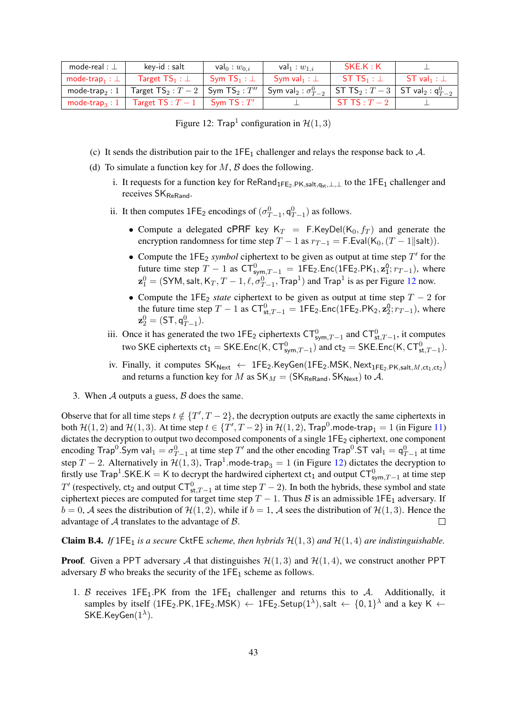| mode-real : $\perp$                    | key-id : salt                                 | val <sub>0</sub> : $w_{0,i}$ | val $_1:w_{1,i}$                                                    | SKE.K:K          |                   |
|----------------------------------------|-----------------------------------------------|------------------------------|---------------------------------------------------------------------|------------------|-------------------|
| mode-trap <sub>1</sub> : $\perp$       | Target $TS_1 : \bot$                          | Sym $\mathsf{TS}_1 : \bot$   | Sym val <sub>1</sub> : $\perp$                                      | ST TS $_1: \bot$ | $ST$ val $_1 : L$ |
| mode-trap $_2:1$                       | Target $TS_2: T-2$ Sym $TS_2: T''$            |                              | Sym val $_2: \sigma_{T-2}^0$ ST TS $_2: T-3$ ST val $_2: q_{T-2}^0$ |                  |                   |
| mode-trap <sub>3</sub> : $1 \parallel$ | <b>Target TS</b> : $T-1$ <b>Sym TS</b> : $T'$ |                              |                                                                     | ST TS : $T-2$    |                   |

<span id="page-42-0"></span>Figure 12: Trap<sup>1</sup> configuration in  $\mathcal{H}(1,3)$ 

- (c) It sends the distribution pair to the  $1FE_1$  challenger and relays the response back to A.
- (d) To simulate a function key for  $M$ ,  $\beta$  does the following.
	- i. It requests for a function key for  $\text{ReRand}_{1\text{FE}_2,\text{PK},\text{salt},q_{st},\perp,\perp}$  to the  $1\text{FE}_1$  challenger and receives SK<sub>ReRand</sub>.
	- ii. It then computes  $1\text{FE}_2$  encodings of  $(\sigma_{T-1}^0, \mathsf{q}_{T-1}^0)$  as follows.
		- Compute a delegated CPRF key  $K_T = F.KeyDel(K_0, f_T)$  and generate the encryption randomness for time step  $T - 1$  as  $r_{T-1} = F$ . Eval(K<sub>0</sub>, (T – 1||salt)).
		- Compute the  $1FE_2$  *symbol* ciphertext to be given as output at time step  $T'$  for the future time step  $T - 1$  as  $CT_{sym,T-1}^0 = 1FE_2$ . Enc(1FE<sub>2</sub>.PK<sub>1</sub>,  $z_1^0$ ;  $r_{T-1}$ ), where  $\mathbf{z}_1^0 = (\textsf{SYM}, \textsf{salt}, \textsf{K}_T, T-1, \ell, \sigma_{T-1}^0, \textsf{Trap}^1)$  and  $\textsf{Trap}^1$  is as per Figure [12](#page-42-0) now.
		- Compute the 1FE<sub>2</sub> *state* ciphertext to be given as output at time step  $T 2$  for the future time step  $T - 1$  as  $CT_{st,T-1}^0 = 1FE_2$ . Enc(1FE<sub>2</sub>.PK<sub>2</sub>,  $\mathbf{z}_2^0$ ;  $r_{T-1}$ ), where  $\mathbf{z}_2^0 = (\mathsf{ST},\mathsf{q}_{T-1}^0).$
	- iii. Once it has generated the two 1FE<sub>2</sub> ciphertexts  $CT_{sym,T-1}^0$  and  $CT_{st,T-1}^0$ , it computes two SKE ciphertexts  $ct_1 = \mathsf{SKE}$ . Enc $(\mathsf{K}, \mathsf{CT}^0_{\mathsf{sym},T-1})$  and  $ct_2 = \mathsf{SKE}$ . Enc $(\mathsf{K}, \mathsf{CT}^0_{\mathsf{st},T-1})$ .
	- iv. Finally, it computes  $SK_{Next} \leftarrow$  1FE<sub>2</sub>.KeyGen(1FE<sub>2</sub>.MSK, Next<sub>1FE<sub>2</sub>.PK,salt, M,ct<sub>1</sub>,ct<sub>2</sub>)</sub> and returns a function key for M as  $SK_M = (SK_{ReRand}, SK_{Next})$  to A.
- 3. When  $A$  outputs a guess,  $B$  does the same.

Observe that for all time steps  $t \notin \{T', T-2\}$ , the decryption outputs are exactly the same ciphertexts in both  $\mathcal{H}(1,2)$  and  $\mathcal{H}(1,3)$ . At time step  $t \in \{T',T-2\}$  in  $\mathcal{H}(1,2)$ , Trap<sup>0</sup>.mode-trap<sub>1</sub> = 1 (in Figure [11\)](#page-40-0) dictates the decryption to output two decomposed components of a single 1FE<sub>2</sub> ciphertext, one component encoding Trap<sup>0</sup>. Sym val $_1 = \sigma_{T-1}^0$  at time step  $T'$  and the other encoding Trap<sup>0</sup>. ST val $_1 = \mathsf{q}_{T-1}^0$  at time step T – 2. Alternatively in  $\mathcal{H}(1,3)$ , Trap<sup>1</sup>.mode-trap<sub>3</sub> = 1 (in Figure [12\)](#page-42-0) dictates the decryption to firstly use Trap<sup>1</sup>.SKE.K = K to decrypt the hardwired ciphertext  $ct_1$  and output  $CT_{sym,T-1}^0$  at time step T' (respectively, ct<sub>2</sub> and output  $CT_{st,T-1}^0$  at time step  $T-2$ ). In both the hybrids, these symbol and state ciphertext pieces are computed for target time step  $T - 1$ . Thus B is an admissible 1FE<sub>1</sub> adversary. If  $b = 0$ , A sees the distribution of  $\mathcal{H}(1, 2)$ , while if  $b = 1$ , A sees the distribution of  $\mathcal{H}(1, 3)$ . Hence the advantage of  $A$  translates to the advantage of  $B$ .  $\Box$ 

<span id="page-42-1"></span>**Claim B.4.** *If* 1FE<sub>1</sub> *is a secure* CktFE *scheme, then hybrids*  $\mathcal{H}(1,3)$  *and*  $\mathcal{H}(1,4)$  *are indistinguishable.* 

**Proof.** Given a PPT adversary A that distinguishes  $\mathcal{H}(1,3)$  and  $\mathcal{H}(1,4)$ , we construct another PPT adversary  $\beta$  who breaks the security of the 1FE<sub>1</sub> scheme as follows.

1. B receives 1FE<sub>1</sub>.PK from the 1FE<sub>1</sub> challenger and returns this to A. Additionally, it samples by itself (1FE<sub>2</sub>.PK, 1FE<sub>2</sub>.MSK)  $\leftarrow$  1FE<sub>2</sub>.Setup(1<sup> $\lambda$ </sup>), salt  $\leftarrow \{0,1\}^{\lambda}$  and a key K  $\leftarrow$  $\mathsf{SKE}$ .Key $\mathsf{Gen}(1^\lambda).$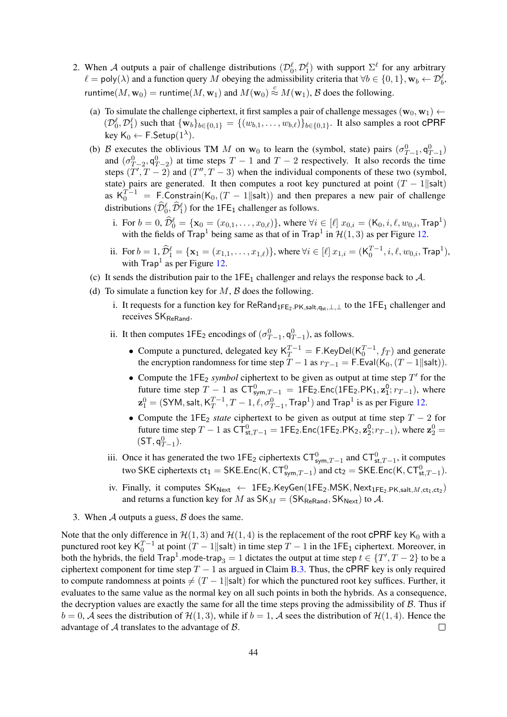- 2. When A outputs a pair of challenge distributions  $(\mathcal{D}_0^{\ell}, \mathcal{D}_1^{\ell})$  with support  $\Sigma^{\ell}$  for any arbitrary  $\ell = \text{poly}(\lambda)$  and a function query M obeying the admissibility criteria that  $\forall b \in \{0, 1\}, \mathbf{w}_b \leftarrow \mathcal{D}_b^{\ell}$ , runtime $(M, w_0) =$  runtime $(M, w_1)$  and  $M(w_0) \stackrel{c}{\approx} M(w_1)$ ,  $\mathcal B$  does the following.
	- (a) To simulate the challenge ciphertext, it first samples a pair of challenge messages ( $\mathbf{w}_0$ ,  $\mathbf{w}_1$ )  $\leftarrow$  $(\mathcal{D}_0^{\ell}, \mathcal{D}_1^{\ell})$  such that  $\{w_b\}_{b \in \{0,1\}} = \{(w_{b,1}, \ldots, w_{b,\ell})\}_{b \in \{0,1\}}$ . It also samples a root CPRF key  $\mathsf{K}_0 \leftarrow \mathsf{F}.\mathsf{Setup}(1^{\lambda}).$
	- (b) B executes the oblivious TM M on  $w_0$  to learn the (symbol, state) pairs  $(\sigma_{T-1}^0, q_{T-1}^0)$ and  $(\sigma_{T-2}^0, \mathsf{q}_{T-2}^0)$  at time steps  $T-1$  and  $T-2$  respectively. It also records the time steps  $(T', T - 2)$  and  $(T'', T - 3)$  when the individual components of these two (symbol, state) pairs are generated. It then computes a root key punctured at point  $(T - 1||\text{salt})$ as  $K_0^{T-1}$  = F.Constrain( $K_0$ ,  $(T-1||\text{salt})$ ) and then prepares a new pair of challenge distributions  $(\widehat{\mathcal{D}}_0^{\ell}, \widehat{\mathcal{D}}_1^{\ell})$  for the 1FE<sub>1</sub> challenger as follows.
		- i. For  $b = 0$ ,  $\widehat{\mathcal{D}}_0^{\ell} = {\mathbf{x}_0 = (x_{0,1}, \dots, x_{0,\ell})}$ , where  $\forall i \in [\ell]$   $x_{0,i} = (\mathsf{K}_0, i, \ell, w_{0,i}, \mathsf{Trap}^1)$ with the fields of Trap<sup>1</sup> being same as that of in Trap<sup>1</sup> in  $\mathcal{H}(1,3)$  as per Figure [12.](#page-42-0)
		- ii. For  $b = 1$ ,  $\widehat{\mathcal{D}}_1^{\ell} = {\mathbf{x}_1 = (x_{1,1}, \dots, x_{1,\ell})}$ , where  $\forall i \in [\ell]$   $x_{1,i} = (\mathcal{K}_0^{T-1}, i, \ell, w_{0,i}, \mathsf{Trap}^1)$ , with  $\text{Trap}^1$  as per Figure [12.](#page-42-0)
	- (c) It sends the distribution pair to the  $1FE_1$  challenger and relays the response back to A.
	- (d) To simulate a function key for  $M$ ,  $\beta$  does the following.
		- i. It requests for a function key for ReRand<sub>1FE2</sub>.PK,salt,qst,⊥,⊥ to the 1FE<sub>1</sub> challenger and receives SK<sub>ReRand</sub>.
		- ii. It then computes  $1FE_2$  encodings of  $(\sigma_{T-1}^0, \mathsf{q}_{T-1}^0)$ , as follows.
			- Compute a punctured, delegated key  $K_T^{T-1} = F.KeyDel(K_0^{T-1}, f_T)$  and generate the encryption randomness for time step  $T - 1$  as  $r_{T-1} = F$ . Eval $(K_0, (T - 1 \parallel salt))$ .
			- Compute the  $1FE_2$  *symbol* ciphertext to be given as output at time step  $T'$  for the future time step  $T - 1$  as  $CT_{sym,T-1}^0 = 1FE_2$ . Enc(1FE<sub>2</sub>.PK<sub>1</sub>,  $z_1^0$ ;  $r_{T-1}$ ), where  $\mathbf{z}^0_1 = (\mathsf{SYM}, \mathsf{salt}, \mathsf{K}_T^{T-1})$  $T_T^{T-1}, T-1, \ell, \sigma_{T-1}^0$ , Trap<sup>1</sup>) and Trap<sup>1</sup> is as per Figure [12.](#page-42-0)
			- Compute the 1FE<sub>2</sub> *state* ciphertext to be given as output at time step  $T 2$  for future time step  $T - 1$  as  $CT_{st,T-1}^0 = 1FE_2$ . Enc(1FE<sub>2</sub>.PK<sub>2</sub>,  $z_2^0$ ;  $r_{T-1}$ ), where  $z_2^0 =$  $(ST, q_{T-1}^0).$
		- iii. Once it has generated the two 1FE<sub>2</sub> ciphertexts  $CT_{sym,T-1}^0$  and  $CT_{st,T-1}^0$ , it computes two SKE ciphertexts  $ct_1 = \mathsf{SKE}$ . Enc $(\mathsf{K}, \mathsf{CT}^0_{\mathsf{sym},T-1})$  and  $ct_2 = \mathsf{SKE}$ . Enc $(\mathsf{K}, \mathsf{CT}^0_{\mathsf{st},T-1})$ .
		- iv. Finally, it computes  $SK_{Next} \leftarrow$  1FE<sub>2</sub>.KeyGen(1FE<sub>2</sub>.MSK, Next<sub>1FE<sub>2</sub>.PK,salt, M,ct<sub>1</sub>,ct<sub>2</sub>)</sub> and returns a function key for M as  $SK_M = (SK_{\text{ReRand}}, SK_{\text{Next}})$  to A.
- 3. When  $\mathcal A$  outputs a guess,  $\mathcal B$  does the same.

Note that the only difference in  $H(1,3)$  and  $H(1,4)$  is the replacement of the root CPRF key K<sub>0</sub> with a punctured root key  $K_0^{T-1}$  at point  $(T-1||\text{salt})$  in time step  $T-1$  in the 1FE<sub>1</sub> ciphertext. Moreover, in both the hybrids, the field  $\text{Trap}^1$  mode-trap $_3 = 1$  dictates the output at time step  $t \in \{T', T - 2\}$  to be a ciphertext component for time step  $T - 1$  as argued in Claim [B.3.](#page-41-0) Thus, the cPRF key is only required to compute randomness at points  $\neq (T - 1 \mid \text{salt})$  for which the punctured root key suffices. Further, it evaluates to the same value as the normal key on all such points in both the hybrids. As a consequence, the decryption values are exactly the same for all the time steps proving the admissibility of  $\beta$ . Thus if  $b = 0$ , A sees the distribution of  $\mathcal{H}(1, 3)$ , while if  $b = 1$ , A sees the distribution of  $\mathcal{H}(1, 4)$ . Hence the advantage of  $A$  translates to the advantage of  $B$ .  $\Box$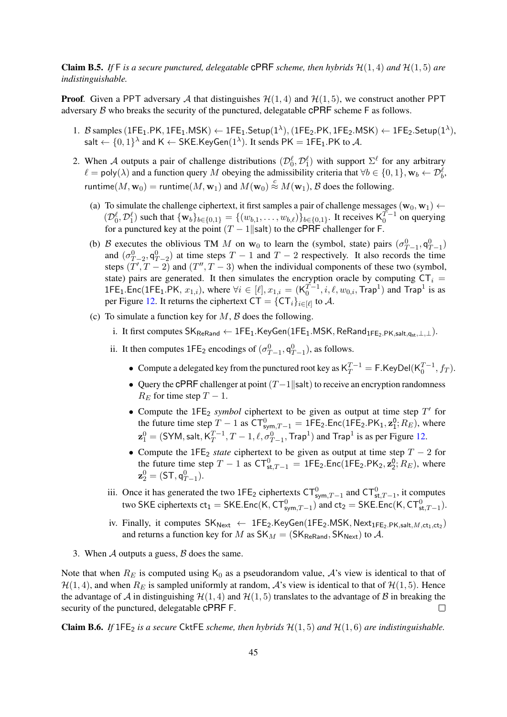<span id="page-44-0"></span>**Claim B.5.** If F is a secure punctured, delegatable **cPRF** scheme, then hybrids  $\mathcal{H}(1,4)$  and  $\mathcal{H}(1,5)$  are *indistinguishable.*

**Proof.** Given a PPT adversary A that distinguishes  $\mathcal{H}(1, 4)$  and  $\mathcal{H}(1, 5)$ , we construct another PPT adversary  $\beta$  who breaks the security of the punctured, delegatable cPRF scheme F as follows.

- 1. B samples  $(1FE_1.PK, 1FE_1.MSK) \leftarrow 1FE_1.Setup(1^{\lambda}), (1FE_2.PK, 1FE_2.MSK) \leftarrow 1FE_2.Setup(1^{\lambda}),$ salt  $\leftarrow \{0,1\}^{\lambda}$  and K  $\leftarrow$  SKE.KeyGen $(1^{\lambda})$ . It sends PK  $=$  1FE $_1$ .PK to  $\mathcal{A}$ .
- 2. When A outputs a pair of challenge distributions  $(\mathcal{D}_0^{\ell}, \mathcal{D}_1^{\ell})$  with support  $\Sigma^{\ell}$  for any arbitrary  $\ell = \text{poly}(\lambda)$  and a function query M obeying the admissibility criteria that  $\forall b \in \{0, 1\}, \mathbf{w}_b \leftarrow \mathcal{D}_b^{\ell}$ , runtime $(M, w_0)$  = runtime $(M, w_1)$  and  $M(w_0) \stackrel{c}{\approx} M(w_1)$ ,  $\beta$  does the following.
	- (a) To simulate the challenge ciphertext, it first samples a pair of challenge messages  $(\mathbf{w}_0, \mathbf{w}_1) \leftarrow$  $(\mathcal{D}_0^{\ell}, \mathcal{D}_1^{\ell})$  such that  $\{w_b\}_{b \in \{0,1\}} = \{(w_{b,1}, \ldots, w_{b,\ell})\}_{b \in \{0,1\}}$ . It receives  $\mathsf{K}_0^{T-1}$  on querying for a punctured key at the point  $(T - 1||\text{salt})$  to the CPRF challenger for F.
	- (b) B executes the oblivious TM M on  $w_0$  to learn the (symbol, state) pairs  $(\sigma_{T-1}^0, q_{T-1}^0)$ and  $(\sigma_{T-2}^0, \mathsf{q}_{T-2}^0)$  at time steps  $T-1$  and  $T-2$  respectively. It also records the time steps  $(T', T - 2)$  and  $(T'', T - 3)$  when the individual components of these two (symbol, state) pairs are generated. It then simulates the encryption oracle by computing  $CT_i$  = 1FE<sub>1</sub>.Enc(1FE<sub>1</sub>.PK,  $x_{1,i}$ ), where  $\forall i \in [\ell], x_{1,i} = (K_0^{T-1}, i, \ell, w_{0,i}, \text{Trap}^1)$  and Trap<sup>1</sup> is as per Figure [12.](#page-42-0) It returns the ciphertext  $CT = {CT<sub>i</sub>}<sub>i \in [\ell]}</sub>$  to A.
	- (c) To simulate a function key for  $M$ ,  $\beta$  does the following.
		- i. It first computes  $SK_{ReRand} \leftarrow$  1FE<sub>1</sub>.KeyGen(1FE<sub>1</sub>.MSK, ReRand<sub>1FE2.PK,salt,q<sub>st</sub>, ⊥, ⊥).</sub>
		- ii. It then computes  $1FE_2$  encodings of  $(\sigma_{T-1}^0, \mathsf{q}_{T-1}^0)$ , as follows.
			- Compute a delegated key from the punctured root key as  $K_T^{T-1} = F$ . KeyDel $(K_0^{T-1}, f_T)$ .
			- Query the cPRF challenger at point  $(T-1|\text{salt})$  to receive an encryption randomness  $R_E$  for time step  $T-1$ .
			- Compute the  $1FE_2$  *symbol* ciphertext to be given as output at time step  $T'$  for the future time step  $T - 1$  as  $CT_{sym,T-1}^0 = 1FE_2$ . Enc(1FE<sub>2</sub>.PK<sub>1</sub>,  $\mathbf{z}_1^0$ ;  $R_E$ ), where  $\mathbf{z}^0_1 = (\mathsf{SYM}, \mathsf{salt}, \mathsf{K}_T^{T-1})$  $T_T^{T-1}, T-1, \ell, \sigma_{T-1}^0$ , Trap<sup>1</sup>) and Trap<sup>1</sup> is as per Figure [12.](#page-42-0)
			- Compute the 1FE<sub>2</sub> *state* ciphertext to be given as output at time step  $T 2$  for the future time step  $T - 1$  as  $CT_{st,T-1}^0 = 1FE_2$ . Enc(1FE<sub>2</sub>.PK<sub>2</sub>,  $\mathbf{z}_2^0$ ;  $R_E$ ), where  $\mathbf{z}_2^0 = (\mathsf{ST},\mathsf{q}_{T-1}^0).$
		- iii. Once it has generated the two 1FE<sub>2</sub> ciphertexts  $CT_{sym,T-1}^0$  and  $CT_{st,T-1}^0$ , it computes two SKE ciphertexts  $ct_1 = \mathsf{SKE}$ . Enc $(\mathsf{K}, \mathsf{CT}^0_{\mathsf{sym},T-1})$  and  $ct_2 = \mathsf{SKE}$ . Enc $(\mathsf{K}, \mathsf{CT}^0_{\mathsf{st},T-1})$ .
		- iv. Finally, it computes  $\mathsf{SK}_{\mathsf{Next}} \leftarrow \mathsf{1FE}_2.\mathsf{KeyGen}(\mathsf{1FE}_2.\mathsf{MSK},\mathsf{Next}_{\mathsf{1FE}_2.\mathsf{PK},\mathsf{salt},M,\mathsf{ct}_1,\mathsf{ct}_2})$ and returns a function key for M as  $SK_M = (SK_{\text{ReRand}}, SK_{\text{Next}})$  to A.
- 3. When  $A$  outputs a guess,  $B$  does the same.

Note that when  $R_E$  is computed using  $K_0$  as a pseudorandom value, A's view is identical to that of  $\mathcal{H}(1, 4)$ , and when  $R_E$  is sampled uniformly at random,  $\mathcal{A}$ 's view is identical to that of  $\mathcal{H}(1, 5)$ . Hence the advantage of A in distinguishing  $H(1, 4)$  and  $H(1, 5)$  translates to the advantage of B in breaking the security of the punctured, delegatable cPRF F.  $\Box$ 

**Claim B.6.** *If*  $1FE_2$  *is a secure* CktFE *scheme, then hybrids*  $H(1,5)$  *and*  $H(1,6)$  *are indistinguishable.*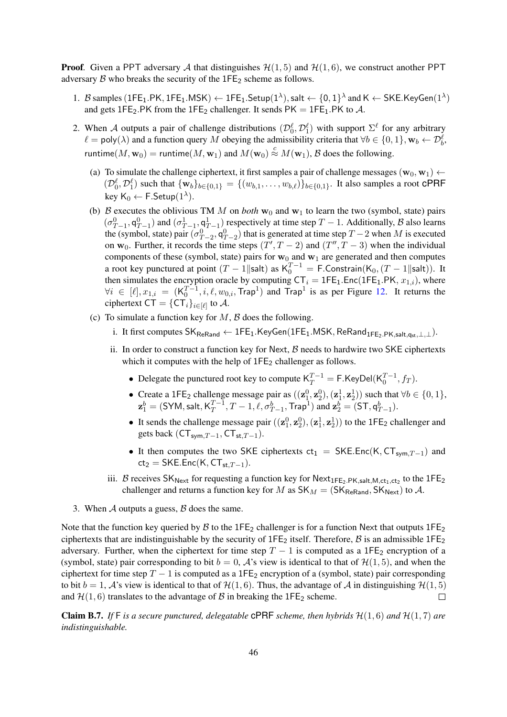**Proof.** Given a PPT adversary A that distinguishes  $\mathcal{H}(1, 5)$  and  $\mathcal{H}(1, 6)$ , we construct another PPT adversary  $\beta$  who breaks the security of the 1FE<sub>2</sub> scheme as follows.

- 1. B samples  $(\text{1FE}_1.\text{PK},\text{1FE}_1.\text{MSK}) \leftarrow \text{1FE}_1.\text{Setup}(1^\lambda),$  salt  $\leftarrow \{0,1\}^\lambda$  and  $\mathsf{K} \leftarrow \mathsf{SKE}.\mathsf{KeyGen}(1^\lambda)$ and gets 1FE<sub>2</sub>.PK from the 1FE<sub>2</sub> challenger. It sends PK = 1FE<sub>1</sub>.PK to A.
- 2. When A outputs a pair of challenge distributions  $(\mathcal{D}_0^{\ell}, \mathcal{D}_1^{\ell})$  with support  $\Sigma^{\ell}$  for any arbitrary  $\ell = \text{poly}(\lambda)$  and a function query M obeying the admissibility criteria that  $\forall b \in \{0, 1\}, \mathbf{w}_b \leftarrow \mathcal{D}_b^{\ell}$ , runtime $(M, w_0)$  = runtime $(M, w_1)$  and  $M(w_0) \stackrel{c}{\approx} M(w_1)$ ,  $\mathcal B$  does the following.
	- (a) To simulate the challenge ciphertext, it first samples a pair of challenge messages ( $\mathbf{w}_0$ ,  $\mathbf{w}_1$ )  $\leftarrow$  $(\mathcal{D}_0^{\ell}, \mathcal{D}_1^{\ell})$  such that  $\{w_b\}_{b \in \{0,1\}} = \{(w_{b,1}, \ldots, w_{b,\ell})\}_{b \in \{0,1\}}$ . It also samples a root CPRF key K $_0 \leftarrow$  F.Setup $(1^{\lambda})$ .
	- (b) B executes the oblivious TM M on *both*  $w_0$  and  $w_1$  to learn the two (symbol, state) pairs  $(\sigma_{T-1}^0, \mathsf{q}_{T-1}^0)$  and  $(\sigma_{T-1}^1, \mathsf{q}_{T-1}^1)$  respectively at time step  $T-1$ . Additionally, B also learns the (symbol, state) pair  $(\sigma_{T-2}^0, \mathsf{q}_{T-2}^0)$  that is generated at time step  $T-2$  when M is executed on  $w_0$ . Further, it records the time steps  $(T', T - 2)$  and  $(T'', T - 3)$  when the individual components of these (symbol, state) pairs for  $w_0$  and  $w_1$  are generated and then computes a root key punctured at point  $(T-1||\text{salt})$  as  $K_0^{T-1} = F$ . Constrain $(K_0, (T-1||\text{salt}))$ . It then simulates the encryption oracle by computing  $CT_i = 1FE_1.Enc(1FE_1.PK, x_{1,i})$ , where  $\forall i \in [\ell], x_{1,i} = (K_0^{T-1}, i, \ell, w_{0,i}, \text{Trap}^1)$  and  $\text{Trap}^1$  is as per Figure [12.](#page-42-0) It returns the ciphertext CT =  $\{{\sf CT}_i\}_{i\in[\ell]}$  to  ${\cal A}.$
	- (c) To simulate a function key for  $M$ ,  $\beta$  does the following.
		- i. It first computes  $SK_{\text{ReRand}} \leftarrow 1FE_1.KeyGen(1FE_1.MSK, \text{ReRand}_{\text{1FE}_2, PK, salt,gt, \perp}).$
		- ii. In order to construct a function key for Next,  $\beta$  needs to hardwire two SKE ciphertexts which it computes with the help of  $1FE<sub>2</sub>$  challenger as follows.
			- Delegate the punctured root key to compute  $K_T^{T-1} = F.KeyDel(K_0^{T-1}, f_T)$ .
			- Create a 1FE<sub>2</sub> challenge message pair as  $((\mathbf{z}_1^0, \mathbf{z}_2^0), (\mathbf{z}_1^1, \mathbf{z}_2^1))$  such that  $\forall b \in \{0, 1\}$ ,  $\mathbf{z}_1^{b} = (\mathsf{SYM}, \mathsf{salt}, \mathsf{K}_T^{T-1})$  $T^{-1}_T, T-1, \ell, \sigma^b_{T-1}, {\mathsf{Trap}}^1)$  and  $\mathbf{z}^b_2 = ({\mathsf{ST}}, \mathsf{q}^b_{T-1}).$
			- It sends the challenge message pair  $((\mathbf{z}_1^0, \mathbf{z}_2^0), (\mathbf{z}_1^1, \mathbf{z}_2^1))$  to the 1FE<sub>2</sub> challenger and gets back ( $CT_{\text{sym}.T-1}$ ,  $CT_{\text{st}.T-1}$ ).
			- It then computes the two SKE ciphertexts  $ct_1 = SKE.Enc(K, CT_{sym,T-1})$  and  $ct_2 = SKE.Enc(K, CT<sub>st.T-1</sub>).$
		- iii. B receives  $SK_{Next}$  for requesting a function key for  $Next_{1FE_2.PK, salt,M,ct_1,ct_2}$  to the  $1FE_2$ challenger and returns a function key for M as  $SK_M = (SK_{ReRand}, SK_{Next})$  to A.
- 3. When  $\mathcal A$  outputs a guess,  $\mathcal B$  does the same.

Note that the function key queried by B to the 1FE<sub>2</sub> challenger is for a function Next that outputs  $1FE_2$ ciphertexts that are indistinguishable by the security of  $1FE_2$  itself. Therefore,  $\beta$  is an admissible  $1FE_2$ adversary. Further, when the ciphertext for time step  $T - 1$  is computed as a 1FE<sub>2</sub> encryption of a (symbol, state) pair corresponding to bit  $b = 0$ , A's view is identical to that of  $\mathcal{H}(1, 5)$ , and when the ciphertext for time step  $T - 1$  is computed as a 1FE<sub>2</sub> encryption of a (symbol, state) pair corresponding to bit  $b = 1$ , A's view is identical to that of  $\mathcal{H}(1, 6)$ . Thus, the advantage of A in distinguishing  $\mathcal{H}(1, 5)$ and  $H(1, 6)$  translates to the advantage of  $\beta$  in breaking the 1FE<sub>2</sub> scheme.  $\Box$ 

<span id="page-45-0"></span>**Claim B.7.** If F is a secure punctured, delegatable **cPRF** scheme, then hybrids  $\mathcal{H}(1,6)$  and  $\mathcal{H}(1,7)$  are *indistinguishable.*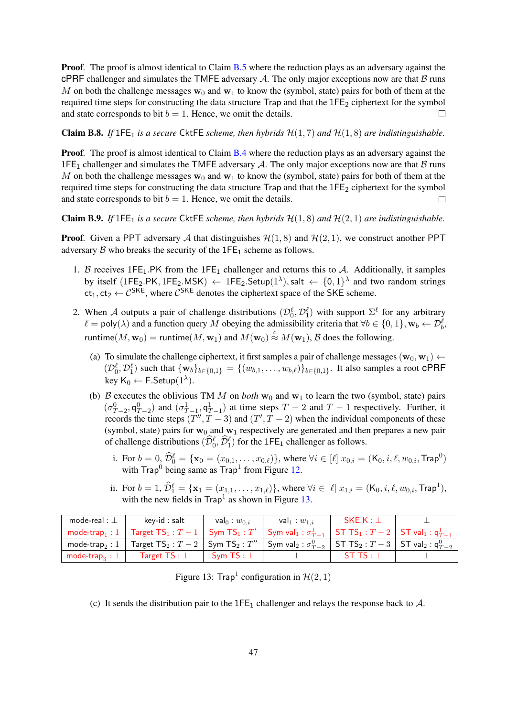**Proof.** The proof is almost identical to Claim [B.5](#page-44-0) where the reduction plays as an adversary against the cPRF challenger and simulates the TMFE adversary  $A$ . The only major exceptions now are that  $B$  runs M on both the challenge messages  $w_0$  and  $w_1$  to know the (symbol, state) pairs for both of them at the required time steps for constructing the data structure Trap and that the 1FE<sub>2</sub> ciphertext for the symbol and state corresponds to bit  $b = 1$ . Hence, we omit the details.  $\Box$ 

<span id="page-46-1"></span>**Claim B.8.** *If*  $1FE_1$  *is a secure* CktFE *scheme, then hybrids*  $H(1,7)$  *and*  $H(1,8)$  *are indistinguishable.* 

**Proof.** The proof is almost identical to Claim [B.4](#page-42-1) where the reduction plays as an adversary against the 1FE<sub>1</sub> challenger and simulates the TMFE adversary A. The only major exceptions now are that  $\beta$  runs M on both the challenge messages  $w_0$  and  $w_1$  to know the (symbol, state) pairs for both of them at the required time steps for constructing the data structure  $Trap$  and that the  $1FE<sub>2</sub>$  ciphertext for the symbol and state corresponds to bit  $b = 1$ . Hence, we omit the details.  $\Box$ 

Claim B.9. If  $1FE_1$  *is a secure* CktFE *scheme, then hybrids*  $H(1, 8)$  *and*  $H(2, 1)$  *are indistinguishable.* 

**Proof.** Given a PPT adversary A that distinguishes  $\mathcal{H}(1, 8)$  and  $\mathcal{H}(2, 1)$ , we construct another PPT adversary  $\beta$  who breaks the security of the 1FE<sub>1</sub> scheme as follows.

- 1. B receives  $1FE_1.PK$  from the  $1FE_1$  challenger and returns this to A. Additionally, it samples by itself (1FE<sub>2</sub>.PK, 1FE<sub>2</sub>.MSK)  $\leftarrow$  1FE<sub>2</sub>.Setup(1<sup> $\lambda$ </sup>), salt  $\leftarrow$  {0,1}<sup> $\lambda$ </sup> and two random strings  $ct_1, ct_2 \leftarrow C^{SKE}$ , where  $C^{SKE}$  denotes the ciphertext space of the SKE scheme.
- 2. When A outputs a pair of challenge distributions  $(\mathcal{D}_0^{\ell}, \mathcal{D}_1^{\ell})$  with support  $\Sigma^{\ell}$  for any arbitrary  $\ell = \text{poly}(\lambda)$  and a function query M obeying the admissibility criteria that  $\forall b \in \{0, 1\}, \mathbf{w}_b \leftarrow \mathcal{D}_b^{\ell}$ , runtime $(M, w_0) =$  runtime $(M, w_1)$  and  $M(w_0) \stackrel{c}{\approx} M(w_1)$ ,  $\mathcal B$  does the following.
	- (a) To simulate the challenge ciphertext, it first samples a pair of challenge messages ( $\mathbf{w}_0, \mathbf{w}_1$ )  $\leftarrow$  $(\mathcal{D}_0^{\ell}, \mathcal{D}_1^{\ell})$  such that  $\{w_b\}_{b \in \{0,1\}} = \{(w_{b,1}, \ldots, w_{b,\ell})\}_{b \in \{0,1\}}$ . It also samples a root CPRF key  $\mathsf{K}_0 \leftarrow \mathsf{F}.\mathsf{Setup}(1^{\lambda}).$
	- (b) B executes the oblivious TM M on *both*  $w_0$  and  $w_1$  to learn the two (symbol, state) pairs  $(\sigma_{T-2}^0, \mathsf{q}_{T-2}^0)$  and  $(\sigma_{T-1}^1, \mathsf{q}_{T-1}^1)$  at time steps  $T-2$  and  $T-1$  respectively. Further, it records the time steps  $(T'', T - 3)$  and  $(T', T - 2)$  when the individual components of these (symbol, state) pairs for  $w_0$  and  $w_1$  respectively are generated and then prepares a new pair of challenge distributions  $(\widehat{\mathcal{D}}_0^{\ell}, \widehat{\mathcal{D}}_1^{\ell})$  for the 1FE<sub>1</sub> challenger as follows.
		- i. For  $b = 0$ ,  $\widehat{\mathcal{D}}_0^{\ell} = {\mathbf{x}_0 = (x_{0,1}, \dots, x_{0,\ell})}$ , where  $\forall i \in [\ell]$   $x_{0,i} = (K_0, i, \ell, w_{0,i}, \text{Trap}^0)$ with  $\text{Trap}^0$  being same as  $\text{Trap}^1$  from Figure [12.](#page-42-0)
		- ii. For  $b = 1$ ,  $\widehat{\mathcal{D}}_1^{\ell} = {\mathbf{x}_1 = (x_{1,1}, \ldots, x_{1,\ell})}$ , where  $\forall i \in [\ell]$   $x_{1,i} = (\mathsf{K}_0, i, \ell, w_{0,i}, \mathsf{Trap}^1)$ , with the new fields in  $\text{Trap}^1$  as shown in Figure [13.](#page-46-0)

| mode-real : $\perp$              | key-id : salt                                                                                                                                                                                       | val <sub>0</sub> : $w_{0,i}$ | val <sub>1</sub> : $w_{1,i}$ | $SKE.K : \bot$ |  |
|----------------------------------|-----------------------------------------------------------------------------------------------------------------------------------------------------------------------------------------------------|------------------------------|------------------------------|----------------|--|
|                                  | mode-trap <sub>1</sub> : 1   Target TS <sub>1</sub> : $T-1$   Sym TS <sub>1</sub> : $T'$   Sym val <sub>1</sub> : $\sigma_{T-1}^1$   ST TS <sub>1</sub> : $T-2$   ST val <sub>1</sub> : $q_{T-1}^1$ |                              |                              |                |  |
|                                  | mode-trap <sub>2</sub> : 1   Target $TS_2: T-2$   Sym $TS_2: T''$   Sym val <sub>2</sub> : $\sigma_{T-2}^0$   ST $TS_2: T-3$   ST val <sub>2</sub> : $q_{T-2}^0$                                    |                              |                              |                |  |
| mode-trap <sub>3</sub> : $\perp$ | Target $TS : \bot$                                                                                                                                                                                  | Sym TS : $\perp$             |                              | STTS:1         |  |

<span id="page-46-0"></span>Figure 13: Trap<sup>1</sup> configuration in  $H(2, 1)$ 

(c) It sends the distribution pair to the  $1FE<sub>1</sub>$  challenger and relays the response back to A.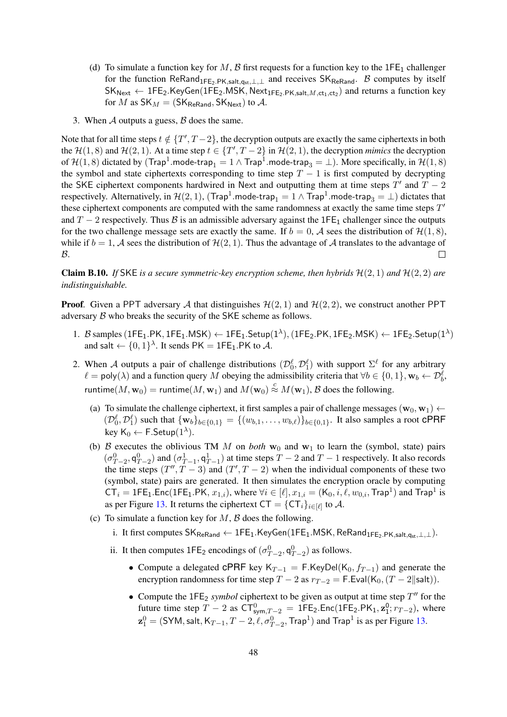- (d) To simulate a function key for M, B first requests for a function key to the  $1FE_1$  challenger for the function ReRand<sub>1FE2.PK,salt,q<sub>st</sub>,⊥,⊥ and receives SK<sub>ReRand</sub>. B computes by itself</sub>  $\mathsf{SK}_{\mathsf{Next}} \leftarrow \mathsf{1FE}_2.\mathsf{KeyGen}(\mathsf{1FE}_2.\mathsf{MSK},\mathsf{Next}_{\mathsf{1FE}_2.\mathsf{PK},\mathsf{salt},M,\mathsf{ct}_1,\mathsf{ct}_2)$  and returns a function key for M as  $SK_M = (SK_{\text{ReRand}}, SK_{\text{Next}})$  to A.
- 3. When  $A$  outputs a guess,  $B$  does the same.

Note that for all time steps  $t \notin \{T', T-2\}$ , the decryption outputs are exactly the same ciphertexts in both the  $H(1, 8)$  and  $H(2, 1)$ . At a time step  $t \in \{T', T-2\}$  in  $H(2, 1)$ , the decryption *mimics* the decryption of  $\mathcal{H}(1,8)$  dictated by  $(\textsf{Trap}^1.\textsf{mode-trap}_1=1 \land \textsf{Trap}^1.\textsf{mode-trap}_3=\bot).$  More specifically, in  $\mathcal{H}(1,8)$ the symbol and state ciphertexts corresponding to time step  $T - 1$  is first computed by decrypting the SKE ciphertext components hardwired in Next and outputting them at time steps  $T'$  and  $T - 2$ respectively. Alternatively, in  $\mathcal{H}(2,1)$ ,  $(\textsf{Trap}^1.\textsf{mode-trap}_1 = 1 \land \textsf{Trap}^1.\textsf{mode-trap}_3 = \bot)$  dictates that these ciphertext components are computed with the same randomness at exactly the same time steps  $T'$ and T – 2 respectively. Thus B is an admissible adversary against the 1FE<sub>1</sub> challenger since the outputs for the two challenge message sets are exactly the same. If  $b = 0$ , A sees the distribution of  $\mathcal{H}(1, 8)$ , while if  $b = 1$ , A sees the distribution of  $\mathcal{H}(2, 1)$ . Thus the advantage of A translates to the advantage of  $\mathcal{B}$ .  $\Box$ 

**Claim B.10.** If SKE is a secure symmetric-key encryption scheme, then hybrids  $H(2,1)$  and  $H(2,2)$  are *indistinguishable.*

**Proof.** Given a PPT adversary A that distinguishes  $\mathcal{H}(2, 1)$  and  $\mathcal{H}(2, 2)$ , we construct another PPT adversary  $\beta$  who breaks the security of the SKE scheme as follows.

- 1. B samples  $(1FE_1.PK, 1FE_1.MSK) \leftarrow 1FE_1.Setup(1^{\lambda}), (1FE_2.PK, 1FE_2.MSK) \leftarrow 1FE_2.Setup(1^{\lambda})$ and salt  $\leftarrow \{0,1\}^{\lambda}$ . It sends PK = 1FE<sub>1</sub>.PK to A.
- 2. When A outputs a pair of challenge distributions  $(\mathcal{D}_0^{\ell}, \mathcal{D}_1^{\ell})$  with support  $\Sigma^{\ell}$  for any arbitrary  $\ell = \text{poly}(\lambda)$  and a function query M obeying the admissibility criteria that  $\forall b \in \{0, 1\}, \mathbf{w}_b \leftarrow \mathcal{D}_b^{\ell}$ , runtime $(M, w_0)$  = runtime $(M, w_1)$  and  $M(w_0) \stackrel{c}{\approx} M(w_1)$ ,  $\beta$  does the following.
	- (a) To simulate the challenge ciphertext, it first samples a pair of challenge messages ( $\mathbf{w}_0, \mathbf{w}_1$ )  $\leftarrow$  $(\mathcal{D}_0^{\ell}, \mathcal{D}_1^{\ell})$  such that  $\{w_b\}_{b \in \{0,1\}} = \{(w_{b,1}, \ldots, w_{b,\ell})\}_{b \in \{0,1\}}$ . It also samples a root CPRF key  $\mathsf{K}_0 \leftarrow \mathsf{F}.\mathsf{Setup}(1^{\lambda}).$
	- (b) B executes the oblivious TM M on *both*  $w_0$  and  $w_1$  to learn the (symbol, state) pairs  $(\sigma_{T-2}^0, \mathsf{q}_{T-2}^0)$  and  $(\sigma_{T-1}^1, \mathsf{q}_{T-1}^1)$  at time steps  $T-2$  and  $T-1$  respectively. It also records the time steps  $(T'', T - 3)$  and  $(T', T - 2)$  when the individual components of these two (symbol, state) pairs are generated. It then simulates the encryption oracle by computing  $CT_i = 1FE_1.Enc(1FE_1.PK, x_{1,i}),$  where  $\forall i \in [\ell], x_{1,i} = (K_0, i, \ell, w_{0,i}, \text{Trap}^1)$  and  $\text{Trap}^1$  is as per Figure [13.](#page-46-0) It returns the ciphertext  $CT = {CT<sub>i</sub>}<sub>i \in [\ell]}</sub>$  to A.
	- (c) To simulate a function key for  $M$ ,  $\beta$  does the following.
		- i. It first computes  $SK_{\text{ReRand}} \leftarrow \text{1FE}_1.KeyGen(\text{1FE}_1.MSK, \text{ReRand}_{\text{1FE}_2,PK, \text{salt},\text{det},\perp,\perp}).$
		- ii. It then computes  $1FE_2$  encodings of  $(\sigma_{T-2}^0, q_{T-2}^0)$  as follows.
			- Compute a delegated cPRF key K<sub>T-1</sub> = F.KeyDel(K<sub>0</sub>,  $f_{T-1}$ ) and generate the encryption randomness for time step  $T - 2$  as  $r_{T-2} = F$ . Eval(K<sub>0</sub>,  $(T - 2||\text{salt})$ ).
			- Compute the  $1FE_2$  *symbol* ciphertext to be given as output at time step  $T''$  for the future time step  $T - 2$  as  $CT_{sym,T-2}^0 = 1FE_2$ . Enc(1FE<sub>2</sub>.PK<sub>1</sub>,  $z_1^0$ ;  $r_{T-2}$ ), where  $\mathbf{z}_1^0 = (\textsf{SYM}, \textsf{salt}, \textsf{K}_{T-1}, T-2, \ell, \sigma_{T-2}^0, \textsf{Trap}^1)$  and  $\textsf{Trap}^1$  is as per Figure [13.](#page-46-0)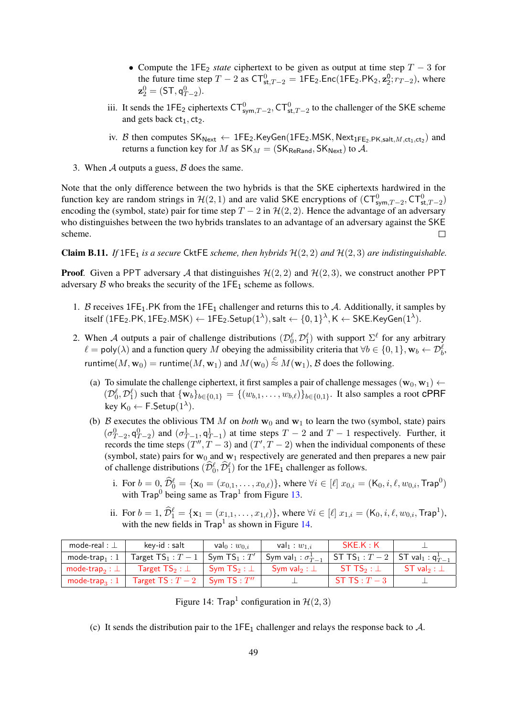- Compute the 1FE<sup>2</sup> *state* ciphertext to be given as output at time step T − 3 for the future time step  $T - 2$  as  $CT_{st,T-2}^0 = 1FE_2$ . Enc(1FE<sub>2</sub>.PK<sub>2</sub>,  $\mathbf{z}_2^0$ ;  $r_{T-2}$ ), where  $z_2^0 = (\mathsf{ST},\mathsf{q}_{T-2}^0).$
- iii. It sends the 1FE<sub>2</sub> ciphertexts  $CT_{sym,T-2}^0$ ,  $CT_{st,T-2}^0$  to the challenger of the SKE scheme and gets back  $ct_1$ ,  $ct_2$ .
- iv. B then computes  $SK_{Next} \leftarrow$  1FE<sub>2</sub>.KeyGen(1FE<sub>2</sub>.MSK, Next<sub>1FE<sub>2</sub>.PK,salt, M,ct<sub>1</sub>,ct<sub>2</sub>) and</sub> returns a function key for M as  $SK_M = (SK_{\text{ReRand}}, SK_{\text{Next}})$  to A.
- 3. When  $A$  outputs a guess,  $B$  does the same.

Note that the only difference between the two hybrids is that the SKE ciphertexts hardwired in the function key are random strings in  $H(2, 1)$  and are valid SKE encryptions of  $(CT^0_{sym,T-2}, CT^0_{st,T-2})$ encoding the (symbol, state) pair for time step  $T - 2$  in  $\mathcal{H}(2, 2)$ . Hence the advantage of an adversary who distinguishes between the two hybrids translates to an advantage of an adversary against the SKE scheme.  $\Box$ 

<span id="page-48-1"></span>**Claim B.11.** *If*  $1 \in E_1$  *is a secure* CktFE *scheme, then hybrids*  $\mathcal{H}(2, 2)$  *and*  $\mathcal{H}(2, 3)$  *are indistinguishable.* 

**Proof.** Given a PPT adversary A that distinguishes  $\mathcal{H}(2, 2)$  and  $\mathcal{H}(2, 3)$ , we construct another PPT adversary  $\beta$  who breaks the security of the 1FE<sub>1</sub> scheme as follows.

- 1. B receives  $1FE_1.PK$  from the  $1FE_1$  challenger and returns this to A. Additionally, it samples by  ${\rm itself}~({\rm 1FE_2.PK, 1FE_2.MSK}) \leftarrow {\rm 1FE_2.Setup}(1^\lambda),{\sf salt} \leftarrow \{0,1\}^\lambda, {\sf K} \leftarrow {\sf SKE.KeyGen}(1^\lambda).$
- 2. When A outputs a pair of challenge distributions  $(\mathcal{D}_0^{\ell}, \mathcal{D}_1^{\ell})$  with support  $\Sigma^{\ell}$  for any arbitrary  $\ell = \text{poly}(\lambda)$  and a function query M obeying the admissibility criteria that  $\forall b \in \{0, 1\}, \mathbf{w}_b \leftarrow \mathcal{D}_b^{\ell}$ , runtime $(M, w_0)$  = runtime $(M, w_1)$  and  $M(w_0) \stackrel{c}{\approx} M(w_1)$ ,  $\mathcal B$  does the following.
	- (a) To simulate the challenge ciphertext, it first samples a pair of challenge messages ( $\mathbf{w}_0$ ,  $\mathbf{w}_1$ )  $\leftarrow$  $(\mathcal{D}_0^{\ell}, \mathcal{D}_1^{\ell})$  such that  $\{w_b\}_{b \in \{0,1\}} = \{(w_{b,1}, \ldots, w_{b,\ell})\}_{b \in \{0,1\}}$ . It also samples a root CPRF key K $_0 \leftarrow$  F.Setup $(1^{\lambda})$ .
	- (b) B executes the oblivious TM M on *both*  $w_0$  and  $w_1$  to learn the two (symbol, state) pairs  $(\sigma_{T-2}^0, \mathsf{q}_{T-2}^0)$  and  $(\sigma_{T-1}^1, \mathsf{q}_{T-1}^1)$  at time steps  $T-2$  and  $T-1$  respectively. Further, it records the time steps  $(T'', T - 3)$  and  $(T', T - 2)$  when the individual components of these (symbol, state) pairs for  $w_0$  and  $w_1$  respectively are generated and then prepares a new pair of challenge distributions  $(\widehat{\mathcal{D}}_0^{\ell}, \widehat{\mathcal{D}}_1^{\ell})$  for the 1FE<sub>1</sub> challenger as follows.
		- i. For  $b = 0$ ,  $\widehat{\mathcal{D}}_0^{\ell} = {\mathbf{x}_0 = (x_{0,1}, \dots, x_{0,\ell})}$ , where  $\forall i \in [\ell]$   $x_{0,i} = (K_0, i, \ell, w_{0,i}, \text{Trap}^0)$ with  $\text{Trap}^0$  being same as  $\text{Trap}^1$  from Figure [13.](#page-46-0)
		- ii. For  $b = 1$ ,  $\widehat{\mathcal{D}}_1^{\ell} = {\mathbf{x}_1 = (x_{1,1}, \ldots, x_{1,\ell})}$ , where  $\forall i \in [\ell]$   $x_{1,i} = (\mathsf{K}_0, i, \ell, w_{0,i}, \mathsf{Trap}^1)$ , with the new fields in  $\text{Trap}^1$  as shown in Figure [14.](#page-48-0)

| mode-real : $\perp$        | key-id : salt                         | val <sub>0</sub> : $w_{0,i}$ | val <sub>1</sub> : $w_{1,i}$                  | SKE.K:K                                                        |                       |
|----------------------------|---------------------------------------|------------------------------|-----------------------------------------------|----------------------------------------------------------------|-----------------------|
| mode-trap, : $1$           | Target $TS_1 : T - 1$ Sym $TS_1 : T'$ |                              | $\frac{1}{1}$ Sym val $_1$ : $\sigma_{T-1}^1$ | ST TS <sub>1</sub> : $T-2$   ST val <sub>1</sub> : $q_{T-1}^1$ |                       |
| mode-trap $_2: \perp$      | Target $\mathsf{TS}_2 : \bot$         | Sym TS $_2$ : $\perp$        | Sym val $_2: \bot$                            | ST TS <sub>2</sub> : $\perp$                                   | ST val $_2$ : $\perp$ |
| mode-trap <sub>3</sub> : 1 | Target $TS: T-2$ Sym TS: $T''$        |                              |                                               | ST TS : $T-3$                                                  |                       |

<span id="page-48-0"></span>Figure 14: Trap<sup>1</sup> configuration in  $\mathcal{H}(2,3)$ 

(c) It sends the distribution pair to the  $1FE<sub>1</sub>$  challenger and relays the response back to  $A$ .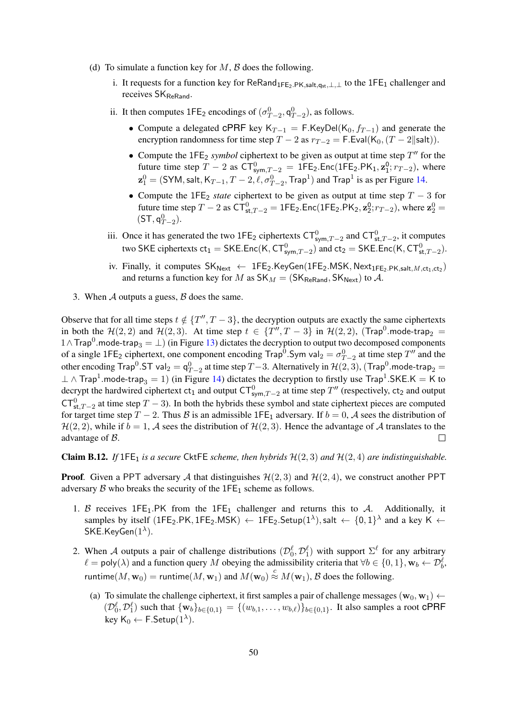- (d) To simulate a function key for  $M$ ,  $\beta$  does the following.
	- i. It requests for a function key for ReRand<sub>1FE2.PK,salt,qst</sub>,⊥,⊥ to the 1FE<sub>1</sub> challenger and receives SK<sub>ReRand</sub>.
	- ii. It then computes  $1FE_2$  encodings of  $(\sigma_{T-2}^0, \mathsf{q}_{T-2}^0)$ , as follows.
		- Compute a delegated cPRF key K<sub>T-1</sub> = F.KeyDel(K<sub>0</sub>,  $f_{T-1}$ ) and generate the encryption randomness for time step  $T - 2$  as  $r_{T-2} = F$ . Eval(K<sub>0</sub>,  $(T - 2||\text{salt})$ ).
		- Compute the  $1FE_2$  *symbol* ciphertext to be given as output at time step  $T''$  for the future time step  $T - 2$  as  $CT_{sym,T-2}^0 = 1FE_2$ . Enc(1FE<sub>2</sub>.PK<sub>1</sub>,  $z_1^0$ ;  $r_{T-2}$ ), where  $\mathbf{z}_1^0 = (\textsf{SYM}, \textsf{salt}, \textsf{K}_{T-1}, T-2, \ell, \sigma_{T-2}^0, \textsf{Trap}^1)$  and  $\textsf{Trap}^1$  is as per Figure [14.](#page-48-0)
		- Compute the  $1FE_2$  *state* ciphertext to be given as output at time step  $T 3$  for future time step  $T - 2$  as  $CT_{st,T-2}^0 = 1FE_2$ . Enc(1FE<sub>2</sub>.PK<sub>2</sub>,  $z_2^0$ ;  $r_{T-2}$ ), where  $z_2^0 =$  $(ST, q_{T-2}^0).$
	- iii. Once it has generated the two 1FE<sub>2</sub> ciphertexts  $CT_{sym,T-2}^0$  and  $CT_{st,T-2}^0$ , it computes two SKE ciphertexts  $ct_1 = \mathsf{SKE}$ . Enc $(\mathsf{K}, \mathsf{CT}^0_{\mathsf{sym},T-2})$  and  $ct_2 = \mathsf{SKE}$ . Enc $(\mathsf{K}, \mathsf{CT}^0_{\mathsf{st},T-2})$ .
	- iv. Finally, it computes  $SK_{Next} \leftarrow$  1FE<sub>2</sub>.KeyGen(1FE<sub>2</sub>.MSK, Next<sub>1FE<sub>2</sub>.PK,salt, M,ct<sub>1</sub>,ct<sub>2</sub>)</sub> and returns a function key for M as  $SK_M = (SK_{\text{ReRand}}, SK_{\text{Next}})$  to A.
- 3. When  $A$  outputs a guess,  $B$  does the same.

Observe that for all time steps  $t \notin \{T'', T - 3\}$ , the decryption outputs are exactly the same ciphertexts in both the  $\mathcal{H}(2,2)$  and  $\mathcal{H}(2,3)$ . At time step  $t \in \{T'', T-3\}$  in  $\mathcal{H}(2,2)$ , (Trap<sup>0</sup>.mode-trap<sub>2</sub> =  $1 \wedge \textsf{Trap}^0$  mode-trap $_3 = \bot$ ) (in Figure [13\)](#page-46-0) dictates the decryption to output two decomposed components of a single 1FE<sub>2</sub> ciphertext, one component encoding Trap<sup>0</sup>. Sym val<sub>2</sub> =  $\sigma_{T-2}^0$  at time step T'' and the other encoding  $\text{Trap}^0.\text{ST}$  val $_2 = \textsf{q}_{T-2}^0$  at time step  $T-3$ . Alternatively in  $\mathcal{H}(2,3)$ ,  $(\text{Trap}^0.\textsf{mode-trap}_2 =$  $\perp\wedge$  Trap<sup>1</sup>.mode-trap<sub>3</sub> = 1) (in Figure [14\)](#page-48-0) dictates the decryption to firstly use Trap<sup>1</sup>.SKE.K = K to decrypt the hardwired ciphertext  $ct_1$  and output  $CT_{sym,T-2}^0$  at time step  $T''$  (respectively,  $ct_2$  and output  $CT_{st,T-2}^0$  at time step  $T-3$ ). In both the hybrids these symbol and state ciphertext pieces are computed for target time step T − 2. Thus B is an admissible 1FE<sub>1</sub> adversary. If  $b = 0$ , A sees the distribution of  $\mathcal{H}(2, 2)$ , while if  $b = 1$ , A sees the distribution of  $\mathcal{H}(2, 3)$ . Hence the advantage of A translates to the advantage of B.  $\Box$ 

Claim B.12. *If*  $1FE_1$  *is a secure* CktFE *scheme, then hybrids*  $H(2,3)$  *and*  $H(2,4)$  *are indistinguishable.* 

**Proof.** Given a PPT adversary A that distinguishes  $\mathcal{H}(2,3)$  and  $\mathcal{H}(2,4)$ , we construct another PPT adversary  $\beta$  who breaks the security of the 1FE<sub>1</sub> scheme as follows.

- 1. B receives  $1FE_1.PK$  from the  $1FE_1$  challenger and returns this to A. Additionally, it samples by itself (1FE<sub>2</sub>.PK, 1FE<sub>2</sub>.MSK)  $\leftarrow$  1FE<sub>2</sub>.Setup(1<sup> $\lambda$ </sup>), salt  $\leftarrow \{0,1\}^{\lambda}$  and a key K  $\leftarrow$  $\mathsf{SKE}$ .Key $\mathsf{Gen}(1^\lambda).$
- 2. When A outputs a pair of challenge distributions  $(\mathcal{D}_0^{\ell}, \mathcal{D}_1^{\ell})$  with support  $\Sigma^{\ell}$  for any arbitrary  $\ell = \text{poly}(\lambda)$  and a function query M obeying the admissibility criteria that  $\forall b \in \{0, 1\}, \mathbf{w}_b \leftarrow \mathcal{D}_b^{\ell}$ , runtime $(M, w_0)$  = runtime $(M, w_1)$  and  $M(w_0) \stackrel{c}{\approx} M(w_1)$ ,  $\mathcal B$  does the following.
	- (a) To simulate the challenge ciphertext, it first samples a pair of challenge messages ( $\mathbf{w}_0$ ,  $\mathbf{w}_1$ )  $\leftarrow$  $(\mathcal{D}_0^{\ell}, \mathcal{D}_1^{\ell})$  such that  $\{w_b\}_{b \in \{0,1\}} = \{(w_{b,1}, \ldots, w_{b,\ell})\}_{b \in \{0,1\}}$ . It also samples a root CPRF key K $_0 \leftarrow$  F.Setup $(1^{\lambda})$ .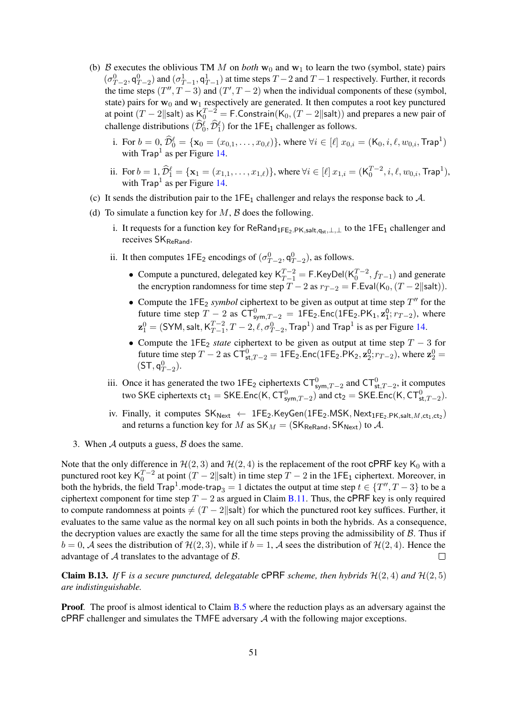- (b) B executes the oblivious TM M on *both*  $w_0$  and  $w_1$  to learn the two (symbol, state) pairs  $(\sigma_{T-2}^0, \mathsf{q}_{T-2}^0)$  and  $(\sigma_{T-1}^1, \mathsf{q}_{T-1}^1)$  at time steps  $T-2$  and  $T-1$  respectively. Further, it records the time steps  $(T'', T - 3)$  and  $(T', T - 2)$  when the individual components of these (symbol, state) pairs for  $w_0$  and  $w_1$  respectively are generated. It then computes a root key punctured at point  $(T-2|\text{salt})$  as  $K_0^{T-2} = F$ . Constrain $(K_0, (T-2|\text{salt}))$  and prepares a new pair of challenge distributions  $(\widehat{\mathcal{D}}_0^{\ell}, \widehat{\mathcal{D}}_1^{\ell})$  for the 1FE<sub>1</sub> challenger as follows.
	- i. For  $b = 0$ ,  $\widehat{\mathcal{D}}_0^{\ell} = {\mathbf{x}_0 = (x_{0,1}, \dots, x_{0,\ell})}$ , where  $\forall i \in [\ell]$   $x_{0,i} = (\mathsf{K}_0, i, \ell, w_{0,i}, \mathsf{Trap}^1)$ with  $\text{Trap}^1$  as per Figure [14.](#page-48-0)
	- ii. For  $b = 1$ ,  $\widehat{\mathcal{D}}_1^{\ell} = {\mathbf{x}_1 = (x_{1,1}, \dots, x_{1,\ell})}$ , where  $\forall i \in [\ell]$   $x_{1,i} = (\mathsf{K}_0^{T-2}, i, \ell, w_{0,i}, \mathsf{Trap}^1)$ , with  $\text{Trap}^1$  as per Figure [14.](#page-48-0)
- (c) It sends the distribution pair to the  $1FE_1$  challenger and relays the response back to  $A$ .
- (d) To simulate a function key for  $M$ ,  $\beta$  does the following.
	- i. It requests for a function key for ReRand<sub>1FE2</sub>.PK,salt,q<sub>st</sub>,⊥,⊥ to the 1FE<sub>1</sub> challenger and receives SK<sub>ReRand</sub>.
	- ii. It then computes  $1FE_2$  encodings of  $(\sigma_{T-2}^0, \mathsf{q}_{T-2}^0)$ , as follows.
		- Compute a punctured, delegated key  $K_{T-1}^{T-2} = F.KeyDel(K_0^{T-2}, f_{T-1})$  and generate the encryption randomness for time step  $T - 2$  as  $r_{T-2} =$  F.Eval(K<sub>0</sub>, (T – 2||salt)).
		- Compute the  $1FE_2$  *symbol* ciphertext to be given as output at time step  $T''$  for the future time step  $T - 2$  as  $CT_{sym,T-2}^0 = 1FE_2$ . Enc(1FE<sub>2</sub>.PK<sub>1</sub>,  $z_1^0$ ;  $r_{T-2}$ ), where  $\mathbf{z}^0_1 = (\mathsf{SYM}, \mathsf{salt}, \mathsf{K}_{T-1}^{T-2})$  $_{T-1}^{T-2}$ ,  $T-2$ ,  $\ell$ ,  $\sigma_{T-2}^0$ , Trap<sup>1</sup>) and Trap<sup>1</sup> is as per Figure [14.](#page-48-0)
		- Compute the 1FE<sup>2</sup> *state* ciphertext to be given as output at time step T − 3 for future time step  $T - 2$  as  $CT_{st,T-2}^0 = 1FE_2$ . Enc(1FE<sub>2</sub>.PK<sub>2</sub>,  $z_2^0$ ;  $r_{T-2}$ ), where  $z_2^0 =$  $(ST, q_{T-2}^0).$
	- iii. Once it has generated the two 1FE<sub>2</sub> ciphertexts  $CT_{sym,T-2}^0$  and  $CT_{st,T-2}^0$ , it computes two SKE ciphertexts  $ct_1 = \mathsf{SKE}$ . Enc $(\mathsf{K}, \mathsf{CT}^0_{\mathsf{sym},T-2})$  and  $ct_2 = \mathsf{SKE}$ . Enc $(\mathsf{K}, \mathsf{CT}^0_{\mathsf{st},T-2})$ .
	- iv. Finally, it computes  $SK_{Next} \leftarrow$  1FE<sub>2</sub>.KeyGen(1FE<sub>2</sub>.MSK, Next<sub>1FE<sub>2</sub>.PK,salt, M,ct<sub>1</sub>,ct<sub>2</sub>)</sub> and returns a function key for M as  $SK_M = (SK_{\text{ReRand}}, SK_{\text{Next}})$  to A.
- 3. When  $\mathcal A$  outputs a guess,  $\mathcal B$  does the same.

Note that the only difference in  $\mathcal{H}(2,3)$  and  $\mathcal{H}(2,4)$  is the replacement of the root CPRF key K<sub>0</sub> with a punctured root key  $K_0^{T-2}$  at point  $(T-2||\text{salt})$  in time step  $T-2$  in the 1FE<sub>1</sub> ciphertext. Moreover, in both the hybrids, the field  $\text{Trap}^1$  mode-trap $_3 = 1$  dictates the output at time step  $t \in \{T'', T - 3\}$  to be a ciphertext component for time step  $T - 2$  as argued in Claim [B.11.](#page-48-1) Thus, the cPRF key is only required to compute randomness at points  $\neq (T - 2||\text{salt})$  for which the punctured root key suffices. Further, it evaluates to the same value as the normal key on all such points in both the hybrids. As a consequence, the decryption values are exactly the same for all the time steps proving the admissibility of  $\beta$ . Thus if  $b = 0$ , A sees the distribution of  $\mathcal{H}(2, 3)$ , while if  $b = 1$ , A sees the distribution of  $\mathcal{H}(2, 4)$ . Hence the advantage of A translates to the advantage of B.  $\Box$ 

**Claim B.13.** If F is a secure punctured, delegatable **cPRF** scheme, then hybrids  $H(2, 4)$  and  $H(2, 5)$ *are indistinguishable.*

**Proof.** The proof is almost identical to Claim [B.5](#page-44-0) where the reduction plays as an adversary against the cPRF challenger and simulates the TMFE adversary A with the following major exceptions.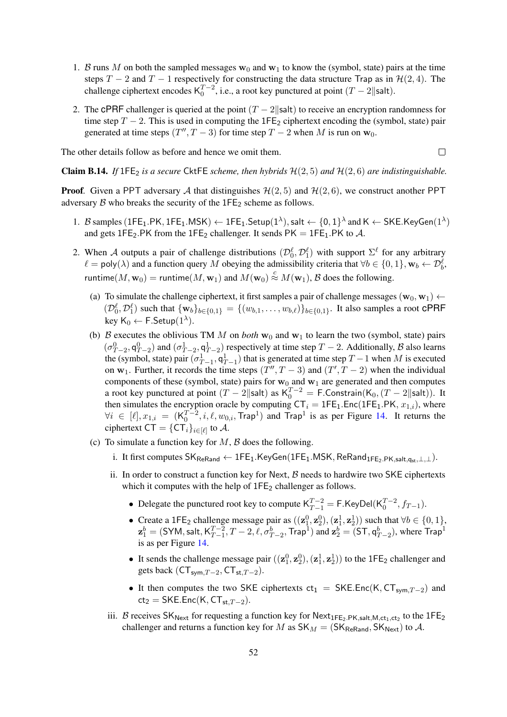- 1. B runs M on both the sampled messages  $w_0$  and  $w_1$  to know the (symbol, state) pairs at the time steps T − 2 and T − 1 respectively for constructing the data structure Trap as in  $\mathcal{H}(2, 4)$ . The challenge ciphertext encodes  $K_0^{T-2}$ , i.e., a root key punctured at point  $(T-2||\mathsf{salt})$ .
- 2. The cPRF challenger is queried at the point  $(T 2||\text{salt})$  to receive an encryption randomness for time step  $T - 2$ . This is used in computing the 1FE<sub>2</sub> ciphertext encoding the (symbol, state) pair generated at time steps  $(T'', T - 3)$  for time step  $T - 2$  when M is run on  $w_0$ .

The other details follow as before and hence we omit them.

 $\Box$ 

**Claim B.14.** *If*  $1FE_2$  *is a secure* CktFE *scheme, then hybrids*  $H(2, 5)$  *and*  $H(2, 6)$  *are indistinguishable.* 

**Proof.** Given a PPT adversary A that distinguishes  $\mathcal{H}(2, 5)$  and  $\mathcal{H}(2, 6)$ , we construct another PPT adversary  $\beta$  who breaks the security of the 1FE<sub>2</sub> scheme as follows.

- 1. B samples (1FE<sub>1</sub>.PK, 1FE<sub>1</sub>.MSK)  $\leftarrow$  1FE<sub>1</sub>.Setup(1<sup> $\lambda$ </sup>), salt  $\leftarrow$  {0, 1}<sup> $\lambda$ </sup> and K  $\leftarrow$  SKE.KeyGen(1<sup> $\lambda$ </sup>) and gets 1FE<sub>2</sub>.PK from the 1FE<sub>2</sub> challenger. It sends PK = 1FE<sub>1</sub>.PK to A.
- 2. When A outputs a pair of challenge distributions  $(\mathcal{D}_0^{\ell}, \mathcal{D}_1^{\ell})$  with support  $\Sigma^{\ell}$  for any arbitrary  $\ell = \text{poly}(\lambda)$  and a function query M obeying the admissibility criteria that  $\forall b \in \{0, 1\}, \mathbf{w}_b \leftarrow \mathcal{D}_b^{\ell}$ , runtime $(M, w_0)$  = runtime $(M, w_1)$  and  $M(w_0) \stackrel{c}{\approx} M(w_1)$ ,  $\mathcal B$  does the following.
	- (a) To simulate the challenge ciphertext, it first samples a pair of challenge messages  $(\mathbf{w}_0, \mathbf{w}_1) \leftarrow$  $(\mathcal{D}_0^{\ell}, \mathcal{D}_1^{\ell})$  such that  $\{w_b\}_{b \in \{0,1\}} = \{(w_{b,1}, \ldots, w_{b,\ell})\}_{b \in \{0,1\}}$ . It also samples a root CPRF key  $\mathsf{K}_0 \leftarrow \mathsf{F}.\mathsf{Setup}(1^{\lambda}).$
	- (b) B executes the oblivious TM M on *both*  $w_0$  and  $w_1$  to learn the two (symbol, state) pairs  $(\sigma_{T-2}^0, \mathsf{q}_{T-2}^0)$  and  $(\sigma_{T-2}^1, \mathsf{q}_{T-2}^1)$  respectively at time step  $T-2$ . Additionally,  $\beta$  also learns the (symbol, state) pair  $(\sigma_{T-1}^1, q_{T-1}^1)$  that is generated at time step  $T-1$  when M is executed on  $w_1$ . Further, it records the time steps  $(T'', T - 3)$  and  $(T', T - 2)$  when the individual components of these (symbol, state) pairs for  $w_0$  and  $w_1$  are generated and then computes a root key punctured at point  $(T - 2||\text{salt})$  as  $K_0^{T-2} = F$ . Constrain $(K_0, (T - 2||\text{salt}))$ . It then simulates the encryption oracle by computing  $CT_i = 1FE_1.Enc(1FE_1.PK, x_{1,i})$ , where  $\forall i \in [\ell], x_{1,i} = (\mathsf{K}_0^{T-2}, i, \ell, w_{0,i}, \mathsf{Trap}^1)$  and  $\mathsf{Trap}^1$  is as per Figure [14.](#page-48-0) It returns the ciphertext CT =  $\{{\sf CT}_i\}_{i\in[\ell]}$  to  ${\cal A}.$
	- (c) To simulate a function key for  $M$ ,  $\beta$  does the following.
		- i. It first computes  $SK_{ReRand} \leftarrow 1FE_1.KeyGen(1FE_1.MSK, ReRand_{1FE_2.PK, salt,qst,L,L}).$
		- ii. In order to construct a function key for Next,  $\beta$  needs to hardwire two SKE ciphertexts which it computes with the help of  $1FE<sub>2</sub>$  challenger as follows.
			- Delegate the punctured root key to compute  $K_{T-1}^{T-2} = F.KeyDel(K_0^{T-2}, f_{T-1}).$
			- Create a 1FE<sub>2</sub> challenge message pair as  $((\mathbf{z}_1^0, \mathbf{z}_2^0), (\mathbf{z}_1^1, \mathbf{z}_2^1))$  such that  $\forall b \in \{0, 1\}$ ,  $\mathbf{z}_1^{b} = (\mathsf{SYM}, \mathsf{salt}, \mathsf{K}_{T-1}^{T-2})$  $_{T-1}^{T-2},$   $T-2,$   $\ell,$   $\sigma_{T-2}^b,$   $\textsf{Trap}^1)$  and  $\mathbf{z}_2^b = (\mathsf{ST}, \mathsf{q}_{T-2}^b),$  where  $\textsf{Trap}^1$ is as per Figure [14.](#page-48-0)
			- It sends the challenge message pair  $((\mathbf{z}_1^0, \mathbf{z}_2^0), (\mathbf{z}_1^1, \mathbf{z}_2^1))$  to the 1FE<sub>2</sub> challenger and gets back  $(CT_{sym,T-2}, CT_{st,T-2}).$
			- It then computes the two SKE ciphertexts  $ct_1 = SKE.Enc(K, CT_{sym,T-2})$  and  $ct_2 = SKE.Enc(K, CT<sub>st,T-2</sub>).$
		- iii. B receives  $SK_{Next}$  for requesting a function key for  $Next_{1FE_2.PK, salt,M,ct_1,ct_2}$  to the  $1FE_2$ challenger and returns a function key for M as  $SK_M = (SK_{ReRand}, SK_{Next})$  to A.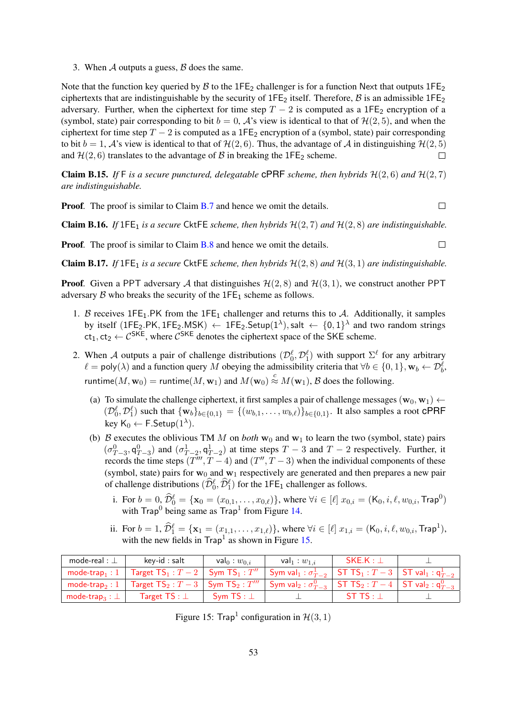3. When  $A$  outputs a guess,  $B$  does the same.

Note that the function key queried by  $\beta$  to the 1FE<sub>2</sub> challenger is for a function Next that outputs 1FE<sub>2</sub> ciphertexts that are indistinguishable by the security of  $1FE_2$  itself. Therefore,  $\beta$  is an admissible  $1FE_2$ adversary. Further, when the ciphertext for time step  $T - 2$  is computed as a 1FE<sub>2</sub> encryption of a (symbol, state) pair corresponding to bit  $b = 0$ , A's view is identical to that of  $\mathcal{H}(2, 5)$ , and when the ciphertext for time step  $T - 2$  is computed as a 1FE<sub>2</sub> encryption of a (symbol, state) pair corresponding to bit  $b = 1$ , A's view is identical to that of  $\mathcal{H}(2, 6)$ . Thus, the advantage of A in distinguishing  $\mathcal{H}(2, 5)$ and  $H(2, 6)$  translates to the advantage of B in breaking the 1FE<sub>2</sub> scheme.  $\Box$ 

**Claim B.15.** If F is a secure punctured, delegatable **CPRF** scheme, then hybrids  $H(2, 6)$  and  $H(2, 7)$ *are indistinguishable.*

**Proof.** The proof is similar to Claim **[B.7](#page-45-0)** and hence we omit the details.

**Claim B.16.** *If*  $1FE_1$  *is a secure* CktFE *scheme, then hybrids*  $H(2, 7)$  *and*  $H(2, 8)$  *are indistinguishable.* 

**Proof.** The proof is similar to Claim **[B.8](#page-46-1)** and hence we omit the details.

Claim B.17. *If*  $1FE_1$  *is a secure* CktFE *scheme, then hybrids*  $H(2, 8)$  *and*  $H(3, 1)$  *are indistinguishable.* 

**Proof.** Given a PPT adversary A that distinguishes  $\mathcal{H}(2, 8)$  and  $\mathcal{H}(3, 1)$ , we construct another PPT adversary  $\beta$  who breaks the security of the 1FE<sub>1</sub> scheme as follows.

- 1. B receives 1FE<sub>1</sub>.PK from the 1FE<sub>1</sub> challenger and returns this to A. Additionally, it samples by itself (1FE<sub>2</sub>.PK, 1FE<sub>2</sub>.MSK)  $\leftarrow$  1FE<sub>2</sub>.Setup(1<sup> $\lambda$ </sup>), salt  $\leftarrow$  {0,1}<sup> $\lambda$ </sup> and two random strings  $ct_1, ct_2 \leftarrow C^{SKE}$ , where  $C^{SKE}$  denotes the ciphertext space of the SKE scheme.
- 2. When A outputs a pair of challenge distributions  $(\mathcal{D}_0^{\ell}, \mathcal{D}_1^{\ell})$  with support  $\Sigma^{\ell}$  for any arbitrary  $\ell = \text{poly}(\lambda)$  and a function query M obeying the admissibility criteria that  $\forall b \in \{0, 1\}, \mathbf{w}_b \leftarrow \mathcal{D}_b^{\ell}$ , runtime $(M, w_0)$  = runtime $(M, w_1)$  and  $M(w_0) \stackrel{c}{\approx} M(w_1)$ ,  $\mathcal B$  does the following.
	- (a) To simulate the challenge ciphertext, it first samples a pair of challenge messages ( $\mathbf{w}_0, \mathbf{w}_1$ )  $\leftarrow$  $(\mathcal{D}_0^{\ell}, \mathcal{D}_1^{\ell})$  such that  $\{w_b\}_{b \in \{0,1\}} = \{(w_{b,1}, \ldots, w_{b,\ell})\}_{b \in \{0,1\}}$ . It also samples a root CPRF key  $\mathsf{K}_0 \leftarrow \mathsf{F}.\mathsf{Setup}(1^{\lambda}).$
	- (b) B executes the oblivious TM M on *both*  $w_0$  and  $w_1$  to learn the two (symbol, state) pairs  $(\sigma_{T-3}^0, \mathsf{q}_{T-3}^0)$  and  $(\sigma_{T-2}^1, \mathsf{q}_{T-2}^1)$  at time steps  $T-3$  and  $T-2$  respectively. Further, it records the time steps  $(T'''$ ,  $T-4$ ) and  $(T''$ ,  $T-3)$  when the individual components of these (symbol, state) pairs for  $w_0$  and  $w_1$  respectively are generated and then prepares a new pair of challenge distributions  $(\widehat{\mathcal{D}}_0^{\ell}, \widehat{\mathcal{D}}_1^{\ell})$  for the 1FE<sub>1</sub> challenger as follows.
		- i. For  $b = 0$ ,  $\widehat{\mathcal{D}}_0^{\ell} = {\mathbf{x}_0 = (x_{0,1}, \dots, x_{0,\ell})}$ , where  $\forall i \in [\ell]$   $x_{0,i} = (K_0, i, \ell, w_{0,i}, \text{Trap}^0)$ with  $\text{Trap}^0$  being same as  $\text{Trap}^1$  from Figure [14.](#page-48-0)
		- ii. For  $b = 1$ ,  $\widehat{\mathcal{D}}_1^{\ell} = {\mathbf{x}_1 = (x_{1,1}, \ldots, x_{1,\ell})}$ , where  $\forall i \in [\ell]$   $x_{1,i} = (\mathsf{K}_0, i, \ell, w_{0,i}, \mathsf{Trap}^1)$ , with the new fields in  $\text{Trap}^1$  as shown in Figure [15.](#page-52-0)

| mode-real : $\perp$              | key-id : salt                                                                             | val <sub>0</sub> : $w_{0,i}$ | val <sub>1</sub> : $w_{1,i}$                                        | $SKE.K : \bot$ |  |
|----------------------------------|-------------------------------------------------------------------------------------------|------------------------------|---------------------------------------------------------------------|----------------|--|
|                                  | mode-trap <sub>1</sub> : 1   Target TS <sub>1</sub> : $T-2$   Sym TS <sub>1</sub> : $T''$ |                              | Sym val $_1: \sigma_{T-2}^1$ ST TS $_1: T-3$ ST val $_1: q_{T-2}^1$ |                |  |
|                                  | mode-trap <sub>2</sub> : 1   Target $TS_2: T-3$   Sym $TS_2: T'''$                        |                              | Sym val $_2: \sigma_{T-3}^0$ ST TS $_2: T-4$ ST val $_2: q_{T-3}^0$ |                |  |
| mode-trap <sub>3</sub> : $\perp$ | Target $TS : \bot$                                                                        | Svm $TS : \bot$              |                                                                     | $STTS: \bot$   |  |

<span id="page-52-0"></span>Figure 15: Trap<sup>1</sup> configuration in  $H(3, 1)$ 

 $\Box$ 

 $\Box$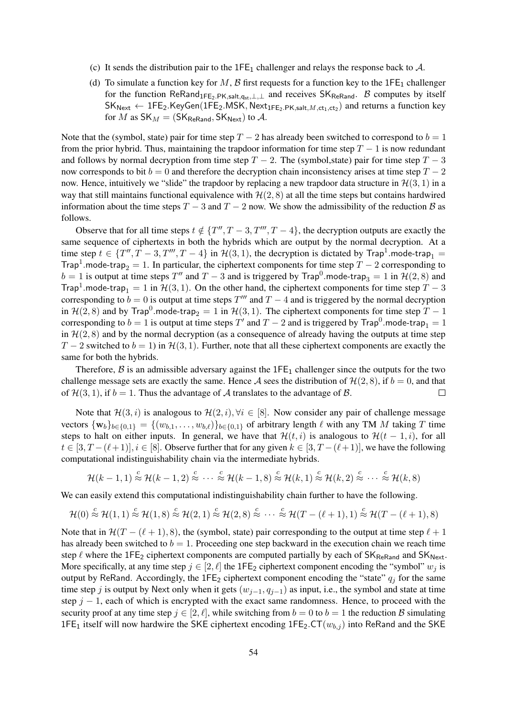- (c) It sends the distribution pair to the  $1FE<sub>1</sub>$  challenger and relays the response back to  $A$ .
- (d) To simulate a function key for M, B first requests for a function key to the  $1FE_1$  challenger for the function ReRand<sub>1FE2.PK,salt,q<sub>st</sub>,⊥,⊥ and receives SK<sub>ReRand</sub>. B computes by itself</sub>  $\mathsf{SK}_{\mathsf{Next}} \leftarrow \mathsf{1FE}_2.\mathsf{KeyGen}(\mathsf{1FE}_2.\mathsf{MSK},\mathsf{Next}_{\mathsf{1FE}_2.\mathsf{PK},\mathsf{salt},M,\mathsf{ct}_1,\mathsf{ct}_2})$  and returns a function key for M as  $SK_M = (SK_{\text{ReRand}}, SK_{\text{Next}})$  to A.

Note that the (symbol, state) pair for time step  $T - 2$  has already been switched to correspond to  $b = 1$ from the prior hybrid. Thus, maintaining the trapdoor information for time step  $T - 1$  is now redundant and follows by normal decryption from time step  $T - 2$ . The (symbol, state) pair for time step  $T - 3$ now corresponds to bit  $b = 0$  and therefore the decryption chain inconsistency arises at time step  $T - 2$ now. Hence, intuitively we "slide" the trapdoor by replacing a new trapdoor data structure in  $\mathcal{H}(3, 1)$  in a way that still maintains functional equivalence with  $H(2, 8)$  at all the time steps but contains hardwired information about the time steps  $T - 3$  and  $T - 2$  now. We show the admissibility of the reduction B as follows.

Observe that for all time steps  $t \notin \{T'', T-3, T''', T-4\}$ , the decryption outputs are exactly the same sequence of ciphertexts in both the hybrids which are output by the normal decryption. At a time step  $t \in \{T'', T-3, T''', T-4\}$  in  $\mathcal{H}(3,1)$ , the decryption is dictated by Trap<sup>1</sup>.mode-trap<sub>1</sub> = Trap<sup>1</sup>.mode-trap<sub>2</sub> = 1. In particular, the ciphertext components for time step  $T - 2$  corresponding to  $b = 1$  is output at time steps  $T''$  and  $T - 3$  and is triggered by Trap<sup>0</sup>. mode-trap<sub>3</sub> = 1 in  $\mathcal{H}(2,8)$  and Trap<sup>1</sup>.mode-trap<sub>1</sub> = 1 in  $H(3, 1)$ . On the other hand, the ciphertext components for time step  $T - 3$ corresponding to  $b = 0$  is output at time steps  $T'''$  and  $T - 4$  and is triggered by the normal decryption in  $H(2, 8)$  and by Trap<sup>0</sup>.mode-trap<sub>2</sub> = 1 in  $H(3, 1)$ . The ciphertext components for time step  $T - 1$ corresponding to  $b = 1$  is output at time steps  $T'$  and  $T - 2$  and is triggered by  $\text{Trap}^0$ .mode-trap $_1 = 1$ in  $H(2, 8)$  and by the normal decryption (as a consequence of already having the outputs at time step  $T-2$  switched to  $b=1$ ) in  $\mathcal{H}(3, 1)$ . Further, note that all these ciphertext components are exactly the same for both the hybrids.

Therefore,  $\beta$  is an admissible adversary against the 1FE<sub>1</sub> challenger since the outputs for the two challenge message sets are exactly the same. Hence A sees the distribution of  $\mathcal{H}(2, 8)$ , if  $b = 0$ , and that of  $\mathcal{H}(3, 1)$ , if  $b = 1$ . Thus the advantage of A translates to the advantage of B.  $\Box$ 

Note that  $\mathcal{H}(3, i)$  is analogous to  $\mathcal{H}(2, i)$ ,  $\forall i \in [8]$ . Now consider any pair of challenge message vectors  $\{w_b\}_{b \in \{0,1\}} = \{(w_{b,1}, \ldots, w_{b,\ell})\}_{b \in \{0,1\}}$  of arbitrary length  $\ell$  with any TM M taking T time steps to halt on either inputs. In general, we have that  $\mathcal{H}(t, i)$  is analogous to  $\mathcal{H}(t - 1, i)$ , for all  $t \in [3, T - (\ell + 1)], i \in [8]$ . Observe further that for any given  $k \in [3, T - (\ell + 1)]$ , we have the following computational indistinguishability chain via the intermediate hybrids.

$$
\mathcal{H}(k-1,1) \stackrel{c}{\approx} \mathcal{H}(k-1,2) \stackrel{c}{\approx} \cdots \stackrel{c}{\approx} \mathcal{H}(k-1,8) \stackrel{c}{\approx} \mathcal{H}(k,1) \stackrel{c}{\approx} \mathcal{H}(k,2) \stackrel{c}{\approx} \cdots \stackrel{c}{\approx} \mathcal{H}(k,8)
$$

We can easily extend this computational indistinguishability chain further to have the following.

$$
\mathcal{H}(0) \stackrel{c}{\approx} \mathcal{H}(1,1) \stackrel{c}{\approx} \mathcal{H}(1,8) \stackrel{c}{\approx} \mathcal{H}(2,1) \stackrel{c}{\approx} \mathcal{H}(2,8) \stackrel{c}{\approx} \cdots \stackrel{c}{\approx} \mathcal{H}(T-(\ell+1),1) \stackrel{c}{\approx} \mathcal{H}(T-(\ell+1),8)
$$

Note that in  $\mathcal{H}(T - (\ell + 1), 8)$ , the (symbol, state) pair corresponding to the output at time step  $\ell + 1$ has already been switched to  $b = 1$ . Proceeding one step backward in the execution chain we reach time step  $\ell$  where the 1FE<sub>2</sub> ciphertext components are computed partially by each of  $SK_{\text{ReRand}}$  and  $SK_{\text{Next}}$ . More specifically, at any time step  $j \in [2, \ell]$  the 1FE<sub>2</sub> ciphertext component encoding the "symbol"  $w_j$  is output by ReRand. Accordingly, the  $1FE_2$  ciphertext component encoding the "state"  $q_i$  for the same time step j is output by Next only when it gets  $(w_{j-1}, q_{j-1})$  as input, i.e., the symbol and state at time step  $j - 1$ , each of which is encrypted with the exact same randomness. Hence, to proceed with the security proof at any time step  $j \in [2, \ell]$ , while switching from  $b = 0$  to  $b = 1$  the reduction B simulating 1FE<sub>1</sub> itself will now hardwire the SKE ciphertext encoding 1FE<sub>2</sub>.CT( $w_{b,j}$ ) into ReRand and the SKE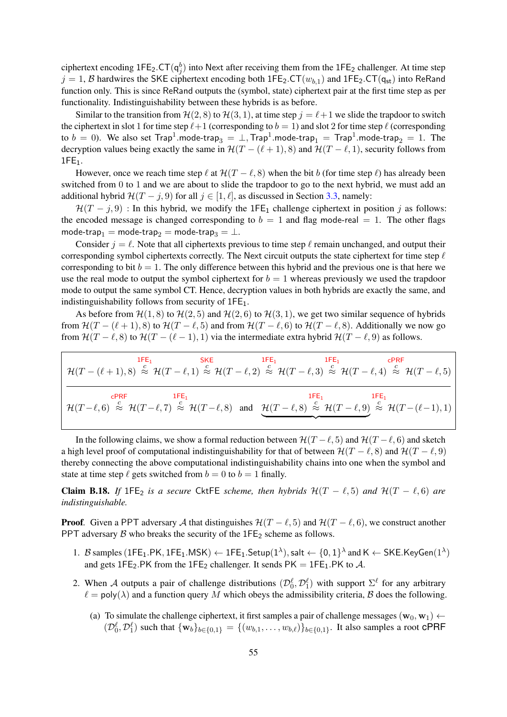ciphertext encoding  $1FE_2$ .CT( $q_j^b$ ) into Next after receiving them from the  $1FE_2$  challenger. At time step  $j = 1$ , B hardwires the SKE ciphertext encoding both 1FE<sub>2</sub>.CT( $w_{b,1}$ ) and 1FE<sub>2</sub>.CT( $q_{st}$ ) into ReRand function only. This is since ReRand outputs the (symbol, state) ciphertext pair at the first time step as per functionality. Indistinguishability between these hybrids is as before.

Similar to the transition from  $\mathcal{H}(2, 8)$  to  $\mathcal{H}(3, 1)$ , at time step  $j = \ell+1$  we slide the trapdoor to switch the ciphertext in slot 1 for time step  $\ell+1$  (corresponding to  $b = 1$ ) and slot 2 for time step  $\ell$  (corresponding to  $b\,=\,0$ ). We also set  $\mathsf{Trap}^1.\mathsf{mode}\text{-}\mathsf{trap}_3\,=\,\bot, \mathsf{Trap}^1.\mathsf{mode}\text{-}\mathsf{trap}_1\,=\,\mathsf{Trap}^1.\mathsf{mode}\text{-}\mathsf{trap}_2\,=\,1.$  The decryption values being exactly the same in  $\mathcal{H}(T - (\ell + 1), 8)$  and  $\mathcal{H}(T - \ell, 1)$ , security follows from  $1FE<sub>1</sub>$ .

However, once we reach time step  $\ell$  at  $\mathcal{H}(T - \ell, s)$  when the bit b (for time step  $\ell$ ) has already been switched from 0 to 1 and we are about to slide the trapdoor to go to the next hybrid, we must add an additional hybrid  $\mathcal{H}(T - j, 9)$  for all  $j \in [1, \ell]$ , as discussed in Section [3.3,](#page-20-0) namely:

 $H(T - j, 9)$ : In this hybrid, we modify the 1FE<sub>1</sub> challenge ciphertext in position j as follows: the encoded message is changed corresponding to  $b = 1$  and flag mode-real  $= 1$ . The other flags mode-trap<sub>1</sub> = mode-trap<sub>2</sub> = mode-trap<sub>3</sub> =  $\perp$ .

Consider  $j = \ell$ . Note that all ciphertexts previous to time step  $\ell$  remain unchanged, and output their corresponding symbol ciphertexts correctly. The Next circuit outputs the state ciphertext for time step  $\ell$ corresponding to bit  $b = 1$ . The only difference between this hybrid and the previous one is that here we use the real mode to output the symbol ciphertext for  $b = 1$  whereas previously we used the trapdoor mode to output the same symbol CT. Hence, decryption values in both hybrids are exactly the same, and indistinguishability follows from security of 1FE<sub>1</sub>.

As before from  $\mathcal{H}(1, 8)$  to  $\mathcal{H}(2, 5)$  and  $\mathcal{H}(2, 6)$  to  $\mathcal{H}(3, 1)$ , we get two similar sequence of hybrids from  $\mathcal{H}(T - (\ell + 1), 8)$  to  $\mathcal{H}(T - \ell, 5)$  and from  $\mathcal{H}(T - \ell, 6)$  to  $\mathcal{H}(T - \ell, 8)$ . Additionally we now go from  $\mathcal{H}(T - \ell, 8)$  to  $\mathcal{H}(T - (\ell - 1), 1)$  via the intermediate extra hybrid  $\mathcal{H}(T - \ell, 9)$  as follows.

$$
\mathcal{H}(T - (\ell+1), 8) \stackrel{\text{IFE}_1}{\approx} \mathcal{H}(T - \ell, 1) \stackrel{\text{SKE}}{\approx} \mathcal{H}(T - \ell, 2) \stackrel{\text{IFE}_1}{\approx} \mathcal{H}(T - \ell, 3) \stackrel{\text{IFE}_1}{\approx} \mathcal{H}(T - \ell, 4) \stackrel{\text{CPRF}}{\approx} \mathcal{H}(T - \ell, 5)
$$
\n
$$
\mathcal{H}(T - \ell, 6) \stackrel{\text{CPRF}}{\approx} \mathcal{H}(T - \ell, 7) \stackrel{\text{IFE}_1}{\approx} \mathcal{H}(T - \ell, 8) \quad \text{and} \quad \underbrace{\mathcal{H}(T - \ell, 8) \stackrel{\text{IFE}_1}{\approx} \mathcal{H}(T - \ell, 9) \stackrel{\text{IFE}_1}{\approx} \mathcal{H}(T - (\ell-1), 1)}_{\text{FKE}_1}
$$

In the following claims, we show a formal reduction between  $\mathcal{H}(T - \ell, 5)$  and  $\mathcal{H}(T - \ell, 6)$  and sketch a high level proof of computational indistinguishability for that of between  $\mathcal{H}(T - \ell, 8)$  and  $\mathcal{H}(T - \ell, 9)$ thereby connecting the above computational indistinguishability chains into one when the symbol and state at time step  $\ell$  gets switched from  $b = 0$  to  $b = 1$  finally.

**Claim B.18.** If 1FE<sub>2</sub> is a secure CktFE scheme, then hybrids  $\mathcal{H}(T - \ell, 5)$  and  $\mathcal{H}(T - \ell, 6)$  are *indistinguishable.*

**Proof.** Given a PPT adversary A that distinguishes  $\mathcal{H}(T - \ell, 5)$  and  $\mathcal{H}(T - \ell, 6)$ , we construct another PPT adversary  $\beta$  who breaks the security of the 1FE<sub>2</sub> scheme as follows.

- 1. B samples  $(\text{1FE}_1.\text{PK},\text{1FE}_1.\text{MSK}) \leftarrow \text{1FE}_1.\text{Setup}(1^\lambda),$  salt  $\leftarrow \{0,1\}^\lambda$  and  $\mathsf{K} \leftarrow \mathsf{SKE}.\mathsf{KeyGen}(1^\lambda)$ and gets 1FE<sub>2</sub>.PK from the 1FE<sub>2</sub> challenger. It sends PK = 1FE<sub>1</sub>.PK to A.
- 2. When A outputs a pair of challenge distributions  $(\mathcal{D}_0^{\ell}, \mathcal{D}_1^{\ell})$  with support  $\Sigma^{\ell}$  for any arbitrary  $\ell = \text{poly}(\lambda)$  and a function query M which obeys the admissibility criteria, B does the following.
	- (a) To simulate the challenge ciphertext, it first samples a pair of challenge messages ( $\mathbf{w}_0$ ,  $\mathbf{w}_1$ )  $\leftarrow$  $(\mathcal{D}_0^{\ell}, \mathcal{D}_1^{\ell})$  such that  $\{w_b\}_{b \in \{0,1\}} = \{(w_{b,1}, \ldots, w_{b,\ell})\}_{b \in \{0,1\}}$ . It also samples a root CPRF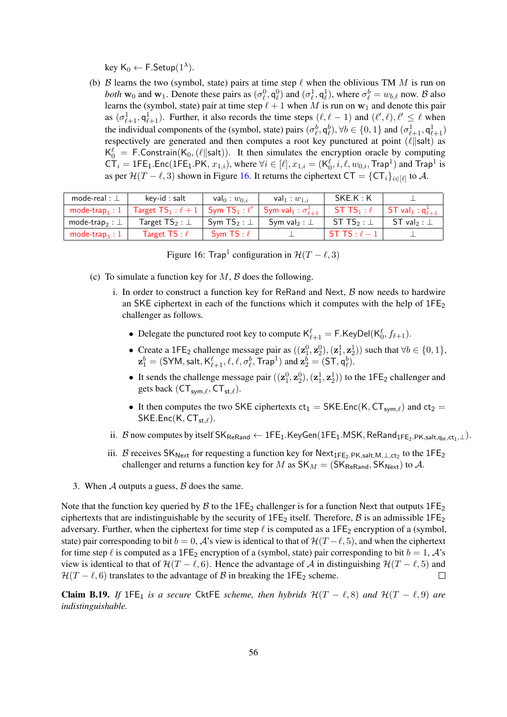key  $\mathsf{K}_0 \leftarrow \mathsf{F}.\mathsf{Setup}(1^{\lambda}).$ 

(b) B learns the two (symbol, state) pairs at time step  $\ell$  when the oblivious TM M is run on *both*  $w_0$  and  $w_1$ . Denote these pairs as  $(\sigma_\ell^0, q_\ell^0)$  and  $(\sigma_\ell^1, q_\ell^1)$ , where  $\sigma_\ell^b = w_{b,\ell}$  now. B also learns the (symbol, state) pair at time step  $\ell + 1$  when M is run on  $w_1$  and denote this pair as  $(\sigma_{\ell+1}^1, \mathsf{q}_{\ell+1}^1)$ . Further, it also records the time steps  $(\ell, \ell-1)$  and  $(\ell', \ell), \ell' \leq \ell$  when the individual components of the (symbol, state) pairs  $(\sigma_{\ell}^b, q_{\ell}^b), \forall b \in \{0, 1\}$  and  $(\sigma_{\ell+1}^1, q_{\ell+1}^1)$ respectively are generated and then computes a root key punctured at point  $(\ell || \text{salt})$  as  $K_0^{\ell} = F$ . Constrain(K<sub>0</sub>, ( $\ell$ ||salt)). It then simulates the encryption oracle by computing  $C\overline{T}_i = 1FE_1.Enc(1FE_1.PK, x_{1,i}),$  where  $\forall i \in [\ell], x_{1,i} = (K_0^{\ell}, i, \ell, w_{0,i}, \text{Trap}^1)$  and  $\text{Trap}^1$  is as per  $\mathcal{H}(T - \ell, 3)$  shown in Figure [16.](#page-55-0) It returns the ciphertext  $CT = \{CT_i\}_{i \in [\ell]}$  to A.

| mode-real : $\perp$          | $key-id : salt$                       | val $_0:w_{0,i}$      | val $_1:w_{1,i}$                                    | SKE.K : K                    |                           |
|------------------------------|---------------------------------------|-----------------------|-----------------------------------------------------|------------------------------|---------------------------|
| mode-trap <sub>1</sub> : $1$ | Target $\mathsf{TS}_1:\ell+1 \, \mid$ |                       | Sym $TS_1: \ell' \mid Sym val_1: \sigma_{\ell+1}^1$ | ST TS <sub>1</sub> : $\ell$  | ST val $_1: q^1_{\ell+1}$ |
| mode-trap. : $\perp$         | Target $\mathsf{TS}_2 : \bot$         | Sym TS $_2$ : $\perp$ | Sym val <sub>2</sub> : $\perp$                      | ST TS <sub>2</sub> : $\perp$ | ST val $_2$ : $\perp$     |
| mode-trap <sub>3</sub> : $1$ | Target TS : $\ell$                    | Sym TS : $\ell$       |                                                     | ST TS : $\ell$ – 1           |                           |

<span id="page-55-0"></span>Figure 16: Trap<sup>1</sup> configuration in  $\mathcal{H}(T - \ell, 3)$ 

- (c) To simulate a function key for  $M$ ,  $\beta$  does the following.
	- i. In order to construct a function key for ReRand and Next,  $\beta$  now needs to hardwire an SKE ciphertext in each of the functions which it computes with the help of  $1FE<sub>2</sub>$ challenger as follows.
		- Delegate the punctured root key to compute  $K_{\ell+1}^{\ell} = F.KeyDel(K_0^{\ell}, f_{\ell+1}).$
		- Create a 1FE<sub>2</sub> challenge message pair as  $((\mathbf{z}_1^0, \mathbf{z}_2^0), (\mathbf{z}_1^1, \mathbf{z}_2^1))$  such that  $\forall b \in \{0, 1\}$ ,  $\mathbf{z}_1^b = (\mathsf{SYM}, \mathsf{salt}, \mathsf{K}^{\ell}_{\ell+1}, \ell, \ell, \sigma_{\ell}^b, \mathsf{Trap}^1)$  and  $\mathbf{z}_2^b = (\mathsf{ST}, \mathsf{q}_{\ell}^b).$
		- It sends the challenge message pair  $((\mathbf{z}_1^0, \mathbf{z}_2^0), (\mathbf{z}_1^1, \mathbf{z}_2^1))$  to the 1FE<sub>2</sub> challenger and gets back  $(CT_{sym,\ell}, CT_{st,\ell}).$
		- It then computes the two SKE ciphertexts  $ct_1 = SKE.Enc(K, CT_{sym,\ell})$  and  $ct_2$  =  $SKE.Enc(K, CT<sub>st</sub>).$
	- ii. B now computes by itself  $SK_{ReRand} \leftarrow 1FE_1.KeyGen(1FE_1.MSK, ReRand_{1FE_2.PK,salt,q<sub>st,ct1</sub>,\perp}).$
	- iii. B receives  $SK_{Next}$  for requesting a function key for  $Next_{1FE_2.PK, salt,M,\perp,ct_2}$  to the  $1FE_2$ challenger and returns a function key for M as  $SK_M = (SK_{ReRand}, SK_{Next})$  to A.
- 3. When  $\mathcal A$  outputs a guess,  $\mathcal B$  does the same.

Note that the function key queried by  $\beta$  to the 1FE<sub>2</sub> challenger is for a function Next that outputs 1FE<sub>2</sub> ciphertexts that are indistinguishable by the security of  $1FE_2$  itself. Therefore, B is an admissible  $1FE_2$ adversary. Further, when the ciphertext for time step  $\ell$  is computed as a 1FE<sub>2</sub> encryption of a (symbol, state) pair corresponding to bit  $b = 0$ , A's view is identical to that of  $\mathcal{H}(T - \ell, 5)$ , and when the ciphertext for time step  $\ell$  is computed as a 1FE<sub>2</sub> encryption of a (symbol, state) pair corresponding to bit  $b = 1$ , A's view is identical to that of  $\mathcal{H}(T - \ell, 6)$ . Hence the advantage of A in distinguishing  $\mathcal{H}(T - \ell, 5)$  and  $\mathcal{H}(T - \ell, 6)$  translates to the advantage of B in breaking the 1FE<sub>2</sub> scheme.  $\Box$ 

**Claim B.19.** *If* 1FE<sub>1</sub> *is a secure* CktFE *scheme, then hybrids*  $\mathcal{H}(T - \ell, 8)$  *and*  $\mathcal{H}(T - \ell, 9)$  *are indistinguishable.*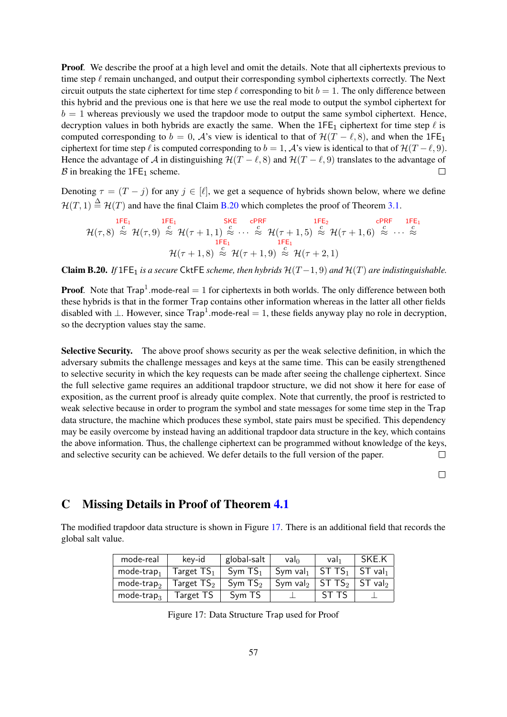**Proof.** We describe the proof at a high level and omit the details. Note that all ciphertexts previous to time step  $\ell$  remain unchanged, and output their corresponding symbol ciphertexts correctly. The Next circuit outputs the state ciphertext for time step  $\ell$  corresponding to bit  $b = 1$ . The only difference between this hybrid and the previous one is that here we use the real mode to output the symbol ciphertext for  $b = 1$  whereas previously we used the trapdoor mode to output the same symbol ciphertext. Hence, decryption values in both hybrids are exactly the same. When the  $1FE_1$  ciphertext for time step  $\ell$  is computed corresponding to  $b = 0$ , A's view is identical to that of  $\mathcal{H}(T - \ell, 8)$ , and when the 1FE<sub>1</sub> ciphertext for time step  $\ell$  is computed corresponding to  $b = 1$ , A's view is identical to that of  $\mathcal{H}(T - \ell, 9)$ . Hence the advantage of A in distinguishing  $\mathcal{H}(T - \ell, 8)$  and  $\mathcal{H}(T - \ell, 9)$  translates to the advantage of  $\beta$  in breaking the 1FE<sub>1</sub> scheme.  $\Box$ 

Denoting  $\tau = (T - j)$  for any  $j \in [\ell]$ , we get a sequence of hybrids shown below, where we define  $\mathcal{H}(T, 1) \stackrel{\triangle}{=} \mathcal{H}(T)$  and have the final Claim [B.20](#page-56-2) which completes the proof of Theorem [3.1.](#page-20-2)

$$
\mathcal{H}(\tau,8) \stackrel{\text{1FE}_1}{\approx} \mathcal{H}(\tau,9) \stackrel{\text{1FE}_1}{\approx} \mathcal{H}(\tau+1,1) \stackrel{\text{2F}_1}{\approx} \cdots \stackrel{\text{2F}_n}{\approx} \mathcal{H}(\tau+1,5) \stackrel{\text{2F}_2}{\approx} \mathcal{H}(\tau+1,6) \stackrel{\text{2F}_n}{\approx} \cdots \stackrel{\text{2F}_n}{\approx} \mathcal{H}(\tau+1,6) \stackrel{\text{1FE}_1}{\approx} \cdots \stackrel{\text{2F}_n}{\approx} \mathcal{H}(\tau+1,8) \stackrel{\text{2F}_n}{\approx} \mathcal{H}(\tau+1,9) \stackrel{\text{2F}_n}{\approx} \mathcal{H}(\tau+2,1)
$$

<span id="page-56-2"></span>Claim B.20. *If*  $1FE_1$  *is a secure* CktFE *scheme, then hybrids*  $H(T-1, 9)$  *and*  $H(T)$  *are indistinguishable.* 

**Proof.** Note that  $\text{Trap}^1$  mode-real  $= 1$  for ciphertexts in both worlds. The only difference between both these hybrids is that in the former Trap contains other information whereas in the latter all other fields disabled with  $\perp$ . However, since Trap<sup>1</sup>.mode-real = 1, these fields anyway play no role in decryption, so the decryption values stay the same.

Selective Security. The above proof shows security as per the weak selective definition, in which the adversary submits the challenge messages and keys at the same time. This can be easily strengthened to selective security in which the key requests can be made after seeing the challenge ciphertext. Since the full selective game requires an additional trapdoor structure, we did not show it here for ease of exposition, as the current proof is already quite complex. Note that currently, the proof is restricted to weak selective because in order to program the symbol and state messages for some time step in the Trap data structure, the machine which produces these symbol, state pairs must be specified. This dependency may be easily overcome by instead having an additional trapdoor data structure in the key, which contains the above information. Thus, the challenge ciphertext can be programmed without knowledge of the keys, and selective security can be achieved. We defer details to the full version of the paper.  $\Box$ 

 $\Box$ 

# <span id="page-56-1"></span>C Missing Details in Proof of Theorem [4.1](#page-32-1)

The modified trapdoor data structure is shown in Figure [17.](#page-56-0) There is an additional field that records the global salt value.

| mode-real              | kev-id                  | global-salt         | $val_0$              | Val <sub>1</sub>           | SKE.K                 |
|------------------------|-------------------------|---------------------|----------------------|----------------------------|-----------------------|
| $mode-trap_1$          | $\sf Target$ $\sf TS_1$ | Sym TS <sub>1</sub> | $Sym val_1$          | $\mid$ ST TS $_1$          | $ST$ val              |
| mode-trap $_2$         | Target $\mathsf{TS}_2$  | Sym $TS2$           | Sym val <sub>2</sub> | $\vert$ ST TS <sub>2</sub> | $ST$ val <sub>2</sub> |
| mode-trap <sub>3</sub> | Target TS               | Sym TS              |                      | ST TS                      |                       |

<span id="page-56-0"></span>Figure 17: Data Structure Trap used for Proof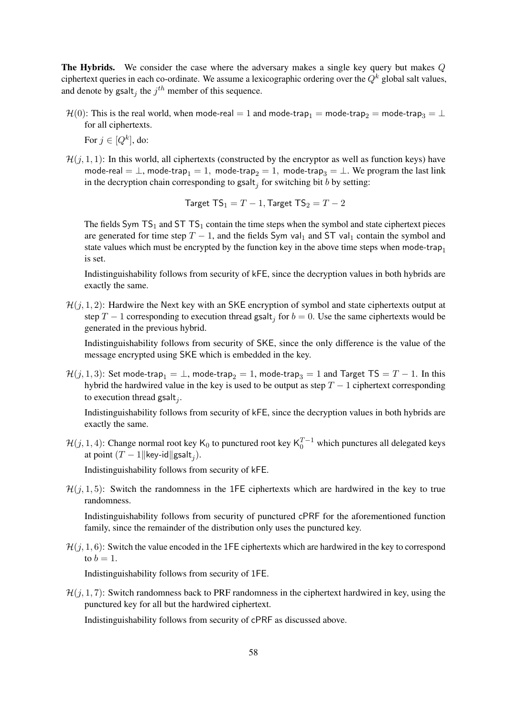The Hybrids. We consider the case where the adversary makes a single key query but makes Q ciphertext queries in each co-ordinate. We assume a lexicographic ordering over the  $Q^k$  global salt values, and denote by gsalt<sub>j</sub> the  $j<sup>th</sup>$  member of this sequence.

 $\mathcal{H}(0)$ : This is the real world, when mode-real = 1 and mode-trap<sub>1</sub> = mode-trap<sub>2</sub> = mode-trap<sub>3</sub> = ⊥ for all ciphertexts.

For  $j \in [Q^k]$ , do:

 $\mathcal{H}(i, 1, 1)$ : In this world, all ciphertexts (constructed by the encryptor as well as function keys) have mode-real =  $\perp$ , mode-trap<sub>1</sub> = 1, mode-trap<sub>2</sub> = 1, mode-trap<sub>3</sub> =  $\perp$ . We program the last link in the decryption chain corresponding to gsalt<sub>j</sub> for switching bit b by setting:

$$
\mathsf{Target}\ \mathsf{TS}_1=T-1, \mathsf{Target}\ \mathsf{TS}_2=T-2
$$

The fields Sym  $TS_1$  and ST  $TS_1$  contain the time steps when the symbol and state ciphertext pieces are generated for time step  $T - 1$ , and the fields Sym val<sub>1</sub> and ST val<sub>1</sub> contain the symbol and state values which must be encrypted by the function key in the above time steps when mode-trap<sub>1</sub> is set.

Indistinguishability follows from security of kFE, since the decryption values in both hybrids are exactly the same.

 $\mathcal{H}(j, 1, 2)$ : Hardwire the Next key with an SKE encryption of symbol and state ciphertexts output at step  $T-1$  corresponding to execution thread gsalt<sub>j</sub> for  $b=0$ . Use the same ciphertexts would be generated in the previous hybrid.

Indistinguishability follows from security of SKE, since the only difference is the value of the message encrypted using SKE which is embedded in the key.

 $\mathcal{H}(j, 1, 3)$ : Set mode-trap<sub>1</sub> =  $\perp$ , mode-trap<sub>2</sub> = 1, mode-trap<sub>3</sub> = 1 and Target TS = T – 1. In this hybrid the hardwired value in the key is used to be output as step  $T - 1$  ciphertext corresponding to execution thread gsalt<sub>j</sub>.

Indistinguishability follows from security of kFE, since the decryption values in both hybrids are exactly the same.

 $\mathcal{H}(j, 1, 4)$ : Change normal root key K<sub>0</sub> to punctured root key K<sub>0</sub><sup>T-1</sup> which punctures all delegated keys at point  $(T-1 \|\text{key-id}\| \text{gsalt}_j)$ .

Indistinguishability follows from security of kFE.

 $\mathcal{H}(i, 1, 5)$ : Switch the randomness in the 1FE ciphertexts which are hardwired in the key to true randomness.

Indistinguishability follows from security of punctured cPRF for the aforementioned function family, since the remainder of the distribution only uses the punctured key.

 $\mathcal{H}(j, 1, 6)$ : Switch the value encoded in the 1FE ciphertexts which are hardwired in the key to correspond to  $b = 1$ .

Indistinguishability follows from security of 1FE.

 $\mathcal{H}(i, 1, 7)$ : Switch randomness back to PRF randomness in the ciphertext hardwired in key, using the punctured key for all but the hardwired ciphertext.

Indistinguishability follows from security of cPRF as discussed above.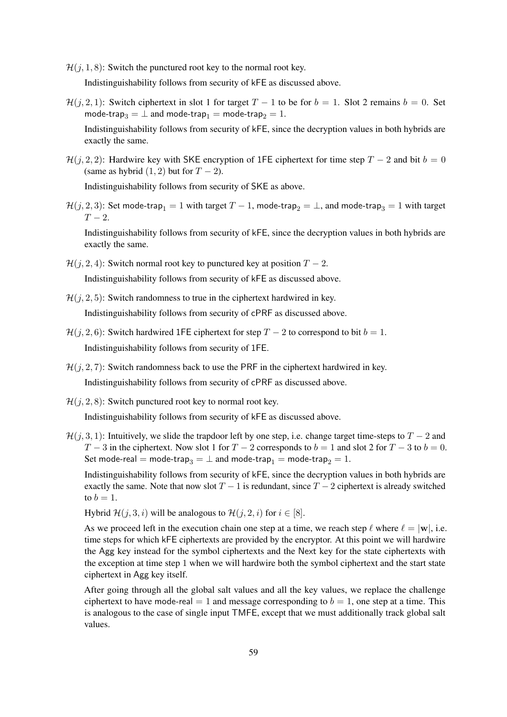- $\mathcal{H}(j, 1, 8)$ : Switch the punctured root key to the normal root key. Indistinguishability follows from security of kFE as discussed above.
- $\mathcal{H}(j, 2, 1)$ : Switch ciphertext in slot 1 for target  $T 1$  to be for  $b = 1$ . Slot 2 remains  $b = 0$ . Set mode-trap<sub>3</sub> =  $\perp$  and mode-trap<sub>1</sub> = mode-trap<sub>2</sub> = 1.

Indistinguishability follows from security of kFE, since the decryption values in both hybrids are exactly the same.

 $\mathcal{H}(j, 2, 2)$ : Hardwire key with SKE encryption of 1FE ciphertext for time step  $T - 2$  and bit  $b = 0$ (same as hybrid  $(1, 2)$  but for  $T - 2$ ).

Indistinguishability follows from security of SKE as above.

 $\mathcal{H}(j, 2, 3)$ : Set mode-trap<sub>1</sub> = 1 with target  $T - 1$ , mode-trap<sub>2</sub> =  $\perp$ , and mode-trap<sub>3</sub> = 1 with target  $T-2$ .

Indistinguishability follows from security of kFE, since the decryption values in both hybrids are exactly the same.

- $\mathcal{H}(i, 2, 4)$ : Switch normal root key to punctured key at position  $T 2$ . Indistinguishability follows from security of kFE as discussed above.
- $\mathcal{H}(i, 2, 5)$ : Switch randomness to true in the ciphertext hardwired in key. Indistinguishability follows from security of cPRF as discussed above.
- $\mathcal{H}(j, 2, 6)$ : Switch hardwired 1FE ciphertext for step  $T 2$  to correspond to bit  $b = 1$ . Indistinguishability follows from security of 1FE.
- $\mathcal{H}(j, 2, 7)$ : Switch randomness back to use the PRF in the ciphertext hardwired in key. Indistinguishability follows from security of cPRF as discussed above.
- $\mathcal{H}(j, 2, 8)$ : Switch punctured root key to normal root key. Indistinguishability follows from security of kFE as discussed above.
- $\mathcal{H}(j, 3, 1)$ : Intuitively, we slide the trapdoor left by one step, i.e. change target time-steps to  $T 2$  and  $T-3$  in the ciphertext. Now slot 1 for  $T-2$  corresponds to  $b = 1$  and slot 2 for  $T-3$  to  $b = 0$ . Set mode-real = mode-trap<sub>3</sub> =  $\perp$  and mode-trap<sub>1</sub> = mode-trap<sub>2</sub> = 1.

Indistinguishability follows from security of kFE, since the decryption values in both hybrids are exactly the same. Note that now slot  $T - 1$  is redundant, since  $T - 2$  ciphertext is already switched to  $b = 1$ .

Hybrid  $\mathcal{H}(j, 3, i)$  will be analogous to  $\mathcal{H}(j, 2, i)$  for  $i \in [8]$ .

As we proceed left in the execution chain one step at a time, we reach step  $\ell$  where  $\ell = |w|$ , i.e. time steps for which kFE ciphertexts are provided by the encryptor. At this point we will hardwire the Agg key instead for the symbol ciphertexts and the Next key for the state ciphertexts with the exception at time step 1 when we will hardwire both the symbol ciphertext and the start state ciphertext in Agg key itself.

After going through all the global salt values and all the key values, we replace the challenge ciphertext to have mode-real  $= 1$  and message corresponding to  $b = 1$ , one step at a time. This is analogous to the case of single input TMFE, except that we must additionally track global salt values.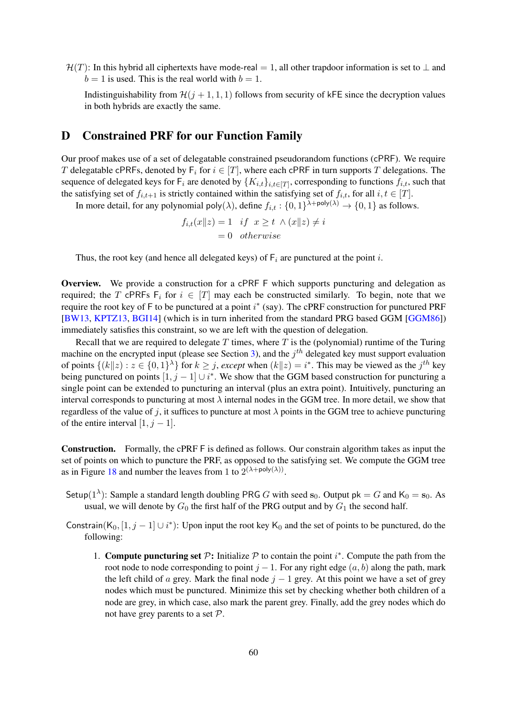$\mathcal{H}(T)$ : In this hybrid all ciphertexts have mode-real = 1, all other trapdoor information is set to  $\perp$  and  $b = 1$  is used. This is the real world with  $b = 1$ .

Indistinguishability from  $\mathcal{H}(j + 1, 1, 1)$  follows from security of kFE since the decryption values in both hybrids are exactly the same.

### <span id="page-59-0"></span>D Constrained PRF for our Function Family

Our proof makes use of a set of delegatable constrained pseudorandom functions (cPRF). We require T delegatable cPRFs, denoted by  $F_i$  for  $i \in [T]$ , where each cPRF in turn supports T delegations. The sequence of delegated keys for  $F_i$  are denoted by  $\{K_{i,t}\}_{i,t\in[T]}$ , corresponding to functions  $f_{i,t}$ , such that the satisfying set of  $f_{i,t+1}$  is strictly contained within the satisfying set of  $f_{i,t}$ , for all  $i, t \in [T]$ .

In more detail, for any polynomial poly $(\lambda)$ , define  $f_{i,t} : \{0,1\}^{\lambda + \text{poly}(\lambda)} \to \{0,1\}$  as follows.

$$
f_{i,t}(x||z) = 1 \quad if \quad x \ge t \land (x||z) \ne i
$$

$$
= 0 \quad otherwise
$$

Thus, the root key (and hence all delegated keys) of  $F_i$  are punctured at the point i.

Overview. We provide a construction for a cPRF F which supports puncturing and delegation as required; the T cPRFs  $F_i$  for  $i \in [T]$  may each be constructed similarly. To begin, note that we require the root key of  $F$  to be punctured at a point  $i^*$  (say). The cPRF construction for punctured PRF [\[BW13,](#page-36-11) [KPTZ13,](#page-37-10) [BGI14\]](#page-35-13) (which is in turn inherited from the standard PRG based GGM [\[GGM86\]](#page-37-11)) immediately satisfies this constraint, so we are left with the question of delegation.

Recall that we are required to delegate  $T$  times, where  $T$  is the (polynomial) runtime of the Turing machine on the encrypted input (please see Section [3\)](#page-15-0), and the  $j<sup>th</sup>$  delegated key must support evaluation of points  $\{(k||z): z \in \{0,1\}^{\lambda}\}\$  for  $k \geq j$ , *except* when  $(k||z) = i^*$ . This may be viewed as the  $j^{th}$  key being punctured on points  $[1, j - 1] \cup i^*$ . We show that the GGM based construction for puncturing a single point can be extended to puncturing an interval (plus an extra point). Intuitively, puncturing an interval corresponds to puncturing at most  $\lambda$  internal nodes in the GGM tree. In more detail, we show that regardless of the value of j, it suffices to puncture at most  $\lambda$  points in the GGM tree to achieve puncturing of the entire interval  $[1, j - 1]$ .

Construction. Formally, the cPRF F is defined as follows. Our constrain algorithm takes as input the set of points on which to puncture the PRF, as opposed to the satisfying set. We compute the GGM tree as in Figure [18](#page-60-0) and number the leaves from 1 to  $2^{(\lambda + \text{poly}(\lambda))}$ .

- Setup(1<sup> $\lambda$ </sup>): Sample a standard length doubling PRG G with seed s<sub>0</sub>. Output pk = G and K<sub>0</sub> = s<sub>0</sub>. As usual, we will denote by  $G_0$  the first half of the PRG output and by  $G_1$  the second half.
- Constrain(K<sub>0</sub>, [1, j 1]  $\cup i^*$ ): Upon input the root key K<sub>0</sub> and the set of points to be punctured, do the following:
	- 1. Compute puncturing set  $P$ : Initialize  $P$  to contain the point  $i^*$ . Compute the path from the root node to node corresponding to point  $j - 1$ . For any right edge  $(a, b)$  along the path, mark the left child of a grey. Mark the final node  $j - 1$  grey. At this point we have a set of grey nodes which must be punctured. Minimize this set by checking whether both children of a node are grey, in which case, also mark the parent grey. Finally, add the grey nodes which do not have grey parents to a set P.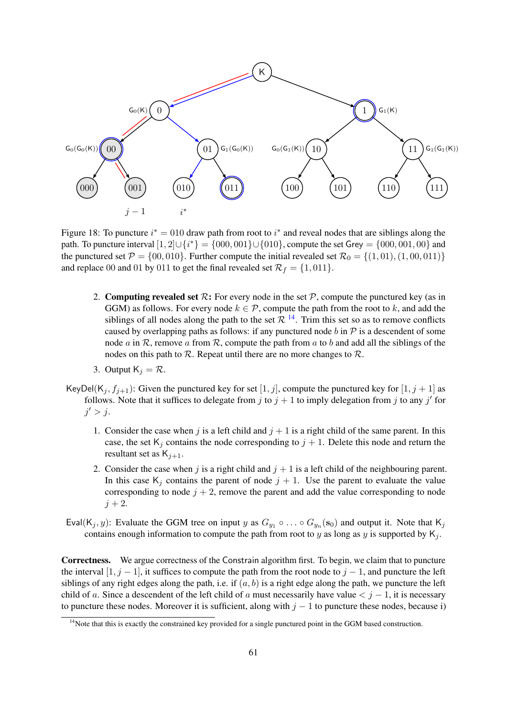

<span id="page-60-0"></span>Figure 18: To puncture  $i^* = 010$  draw path from root to  $i^*$  and reveal nodes that are siblings along the path. To puncture interval  $[1, 2] \cup \{i^*\} = \{000, 001\} \cup \{010\}$ , compute the set Grey =  $\{000, 001, 00\}$  and the punctured set  $\mathcal{P} = \{00, 010\}$ . Further compute the initial revealed set  $\mathcal{R}_0 = \{(1, 01), (1, 00, 011)\}$ and replace 00 and 01 by 011 to get the final revealed set  $\mathcal{R}_f = \{1, 011\}.$ 

- 2. Computing revealed set  $\mathcal{R}$ : For every node in the set  $\mathcal{P}$ , compute the punctured key (as in GGM) as follows. For every node  $k \in \mathcal{P}$ , compute the path from the root to k, and add the siblings of all nodes along the path to the set  $\mathcal{R}$  <sup>[14](#page-60-1)</sup>. Trim this set so as to remove conflicts caused by overlapping paths as follows: if any punctured node b in  $\mathcal P$  is a descendent of some node a in R, remove a from R, compute the path from a to b and add all the siblings of the nodes on this path to  $R$ . Repeat until there are no more changes to  $R$ .
- 3. Output  $K_i = \mathcal{R}$ .
- KeyDel(K<sub>j</sub>,  $f_{i+1}$ ): Given the punctured key for set [1, j], compute the punctured key for [1, j + 1] as follows. Note that it suffices to delegate from j to  $j + 1$  to imply delegation from j to any j' for  $j' > j$ .
	- 1. Consider the case when j is a left child and  $j + 1$  is a right child of the same parent. In this case, the set  $K_j$  contains the node corresponding to  $j + 1$ . Delete this node and return the resultant set as  $K_{i+1}$ .
	- 2. Consider the case when j is a right child and  $j + 1$  is a left child of the neighbouring parent. In this case  $K_j$  contains the parent of node  $j + 1$ . Use the parent to evaluate the value corresponding to node  $j + 2$ , remove the parent and add the value corresponding to node  $j + 2$ .
- Eval(K<sub>j</sub>, y): Evaluate the GGM tree on input y as  $G_{y_1} \circ \dots \circ G_{y_n}(\mathbf{s}_0)$  and output it. Note that K<sub>j</sub> contains enough information to compute the path from root to y as long as y is supported by  $K_i$ .

Correctness. We argue correctness of the Constrain algorithm first. To begin, we claim that to puncture the interval  $[1, j - 1]$ , it suffices to compute the path from the root node to  $j - 1$ , and puncture the left siblings of any right edges along the path, i.e. if  $(a, b)$  is a right edge along the path, we puncture the left child of a. Since a descendent of the left child of a must necessarily have value  $\langle j - 1$ , it is necessary to puncture these nodes. Moreover it is sufficient, along with  $j - 1$  to puncture these nodes, because i)

<span id="page-60-1"></span> $14$ Note that this is exactly the constrained key provided for a single punctured point in the GGM based construction.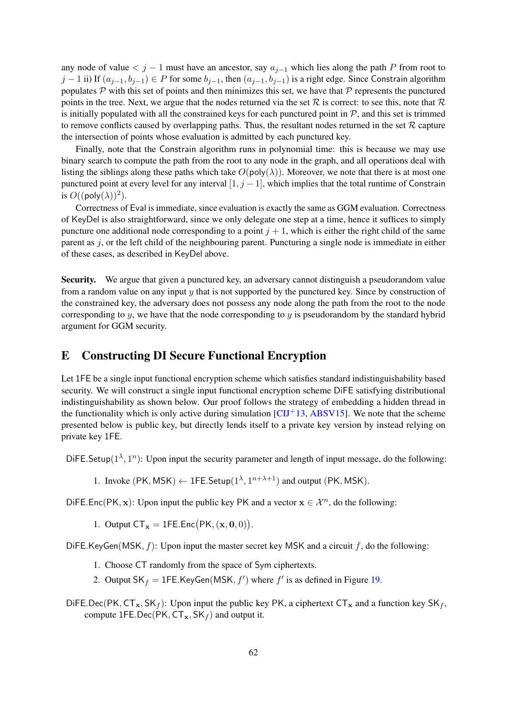any node of value  $\lt j - 1$  must have an ancestor, say  $a_{j-1}$  which lies along the path P from root to  $j-1$  ii) If  $(a_{j-1}, b_{j-1}) \in P$  for some  $b_{j-1}$ , then  $(a_{j-1}, b_{j-1})$  is a right edge. Since Constrain algorithm populates  $\mathcal P$  with this set of points and then minimizes this set, we have that  $\mathcal P$  represents the punctured points in the tree. Next, we argue that the nodes returned via the set  $R$  is correct: to see this, note that  $R$ is initially populated with all the constrained keys for each punctured point in  $P$ , and this set is trimmed to remove conflicts caused by overlapping paths. Thus, the resultant nodes returned in the set  $R$  capture the intersection of points whose evaluation is admitted by each punctured key.

Finally, note that the Constrain algorithm runs in polynomial time: this is because we may use binary search to compute the path from the root to any node in the graph, and all operations deal with listing the siblings along these paths which take  $O(poly(\lambda))$ . Moreover, we note that there is at most one punctured point at every level for any interval  $[1, j - 1]$ , which implies that the total runtime of Constrain is  $O((\text{poly}(\lambda))^2)$ .

Correctness of Eval is immediate, since evaluation is exactly the same as GGM evaluation. Correctness of KeyDel is also straightforward, since we only delegate one step at a time, hence it suffices to simply puncture one additional node corresponding to a point  $j + 1$ , which is either the right child of the same parent as  $j$ , or the left child of the neighbouring parent. Puncturing a single node is immediate in either of these cases, as described in KeyDel above.

Security. We argue that given a punctured key, an adversary cannot distinguish a pseudorandom value from a random value on any input y that is not supported by the punctured key. Since by construction of the constrained key, the adversary does not possess any node along the path from the root to the node corresponding to  $\gamma$ , we have that the node corresponding to  $\gamma$  is pseudorandom by the standard hybrid argument for GGM security.

# <span id="page-61-0"></span>E Constructing DI Secure Functional Encryption

Let 1FE be a single input functional encryption scheme which satisfies standard indistinguishability based security. We will construct a single input functional encryption scheme DiFE satisfying distributional indistinguishability as shown below. Our proof follows the strategy of embedding a hidden thread in the functionality which is only active during simulation  $\left[CIJ+13, ABSV15\right]$  $\left[CIJ+13, ABSV15\right]$  $\left[CIJ+13, ABSV15\right]$ . We note that the scheme presented below is public key, but directly lends itself to a private key version by instead relying on private key 1FE.

DiFE.Setup( $1^{\lambda}, 1^{n}$ ): Upon input the security parameter and length of input message, do the following:

1. Invoke (PK, MSK)  $\leftarrow$  1FE.Setup( $1^{\lambda}, 1^{n+\lambda+1}$ ) and output (PK, MSK).

DiFE.Enc(PK, x): Upon input the public key PK and a vector  $x \in \mathcal{X}^n$ , do the following:

1. Output  $CT_x = 1FE$ . Enc $(PK, (x, 0, 0))$ .

DiFE.KeyGen(MSK,  $f$ ): Upon input the master secret key MSK and a circuit  $f$ , do the following:

- 1. Choose CT randomly from the space of Sym ciphertexts.
- 2. Output  $SK_f = 1FE.KeyGen(MSK, f')$  where  $f'$  is as defined in Figure [19.](#page-62-0)
- DiFE.Dec(PK,  $CT_x$ , SK<sub>f</sub>): Upon input the public key PK, a ciphertext  $CT_x$  and a function key SK<sub>f</sub>, compute 1FE.Dec(PK,  $CT_x$ , SK<sub>f</sub>) and output it.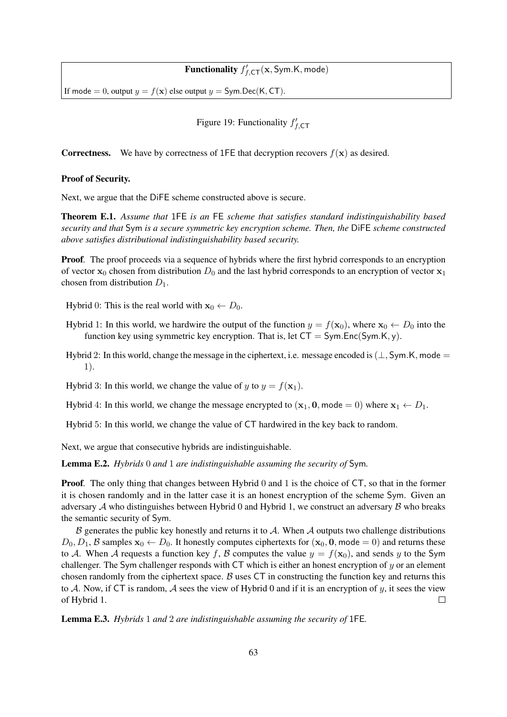# **Functionality**  $f'_{f, \text{CT}}(\mathbf{x}, \text{Sym.K}, \text{mode})$

If mode = 0, output  $y = f(x)$  else output  $y = Sym \cdot Dec(K, CT)$ .

<span id="page-62-0"></span>Figure 19: Functionality  $f'_{f,\text{CT}}$ 

**Correctness.** We have by correctness of 1FE that decryption recovers  $f(x)$  as desired.

#### Proof of Security.

Next, we argue that the DiFE scheme constructed above is secure.

Theorem E.1. *Assume that* 1FE *is an* FE *scheme that satisfies standard indistinguishability based security and that* Sym *is a secure symmetric key encryption scheme. Then, the* DiFE *scheme constructed above satisfies distributional indistinguishability based security.*

**Proof.** The proof proceeds via a sequence of hybrids where the first hybrid corresponds to an encryption of vector  $x_0$  chosen from distribution  $D_0$  and the last hybrid corresponds to an encryption of vector  $x_1$ chosen from distribution  $D_1$ .

Hybrid 0: This is the real world with  $x_0 \leftarrow D_0$ .

- Hybrid 1: In this world, we hardwire the output of the function  $y = f(\mathbf{x}_0)$ , where  $\mathbf{x}_0 \leftarrow D_0$  into the function key using symmetric key encryption. That is, let  $CT = Sym.Enc(Sym.K, y)$ .
- Hybrid 2: In this world, change the message in the ciphertext, i.e. message encoded is  $(\perp, Sym. K,$  mode  $=$ 1).

Hybrid 3: In this world, we change the value of y to  $y = f(\mathbf{x}_1)$ .

Hybrid 4: In this world, we change the message encrypted to  $(\mathbf{x}_1, \mathbf{0}, \text{mode} = 0)$  where  $\mathbf{x}_1 \leftarrow D_1$ .

Hybrid 5: In this world, we change the value of CT hardwired in the key back to random.

Next, we argue that consecutive hybrids are indistinguishable.

<span id="page-62-1"></span>Lemma E.2. *Hybrids* 0 *and* 1 *are indistinguishable assuming the security of* Sym*.*

**Proof.** The only thing that changes between Hybrid 0 and 1 is the choice of CT, so that in the former it is chosen randomly and in the latter case it is an honest encryption of the scheme Sym. Given an adversary  $A$  who distinguishes between Hybrid 0 and Hybrid 1, we construct an adversary  $B$  who breaks the semantic security of Sym.

 $B$  generates the public key honestly and returns it to  $A$ . When  $A$  outputs two challenge distributions  $D_0, D_1, B$  samples  $x_0 \leftarrow D_0$ . It honestly computes ciphertexts for  $(x_0, 0, \text{mode} = 0)$  and returns these to A. When A requests a function key f, B computes the value  $y = f(\mathbf{x}_0)$ , and sends y to the Sym challenger. The Sym challenger responds with  $CT$  which is either an honest encryption of  $y$  or an element chosen randomly from the ciphertext space.  $\beta$  uses CT in constructing the function key and returns this to A. Now, if CT is random, A sees the view of Hybrid 0 and if it is an encryption of y, it sees the view of Hybrid 1.  $\Box$ 

Lemma E.3. *Hybrids* 1 *and* 2 *are indistinguishable assuming the security of* 1FE*.*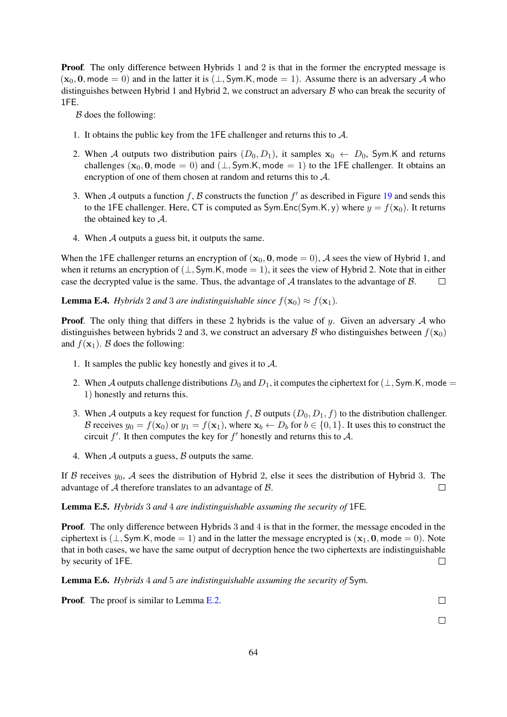**Proof.** The only difference between Hybrids 1 and 2 is that in the former the encrypted message is  $(x_0, 0, \text{mode} = 0)$  and in the latter it is  $(\perp, \text{Sym.K}, \text{mode} = 1)$ . Assume there is an adversary A who distinguishes between Hybrid 1 and Hybrid 2, we construct an adversary  $\beta$  who can break the security of 1FE.

 $B$  does the following:

- 1. It obtains the public key from the 1FE challenger and returns this to A.
- 2. When A outputs two distribution pairs  $(D_0, D_1)$ , it samples  $x_0 \leftarrow D_0$ , Sym.K and returns challenges  $(x_0, 0, \text{mode} = 0)$  and  $(\perp, \text{Sym.K}, \text{mode} = 1)$  to the 1FE challenger. It obtains an encryption of one of them chosen at random and returns this to A.
- 3. When A outputs a function f, B constructs the function  $f'$  as described in Figure [19](#page-62-0) and sends this to the 1FE challenger. Here, CT is computed as  $SymEnc(Sym.K, y)$  where  $y = f(x_0)$ . It returns the obtained key to A.
- 4. When A outputs a guess bit, it outputs the same.

When the 1FE challenger returns an encryption of  $(x_0, 0, \text{mode} = 0)$ , A sees the view of Hybrid 1, and when it returns an encryption of  $(\perp, Sym.K, mode = 1)$ , it sees the view of Hybrid 2. Note that in either case the decrypted value is the same. Thus, the advantage of  $A$  translates to the advantage of  $B$ .  $\Box$ 

**Lemma E.4.** *Hybrids* 2 *and* 3 *are indistinguishable since*  $f(\mathbf{x}_0) \approx f(\mathbf{x}_1)$ *.* 

**Proof.** The only thing that differs in these 2 hybrids is the value of y. Given an adversary  $A$  who distinguishes between hybrids 2 and 3, we construct an adversary B who distinguishes between  $f(\mathbf{x}_0)$ and  $f(\mathbf{x}_1)$ . B does the following:

- 1. It samples the public key honestly and gives it to  $A$ .
- 2. When A outputs challenge distributions  $D_0$  and  $D_1$ , it computes the ciphertext for ( $\perp$ , Sym.K, mode = 1) honestly and returns this.
- 3. When A outputs a key request for function f, B outputs  $(D_0, D_1, f)$  to the distribution challenger. B receives  $y_0 = f(\mathbf{x}_0)$  or  $y_1 = f(\mathbf{x}_1)$ , where  $\mathbf{x}_b \leftarrow D_b$  for  $b \in \{0, 1\}$ . It uses this to construct the circuit  $f'$ . It then computes the key for  $f'$  honestly and returns this to A.
- 4. When  $A$  outputs a guess,  $B$  outputs the same.

If B receives  $y_0$ , A sees the distribution of Hybrid 2, else it sees the distribution of Hybrid 3. The advantage of A therefore translates to an advantage of B.  $\Box$ 

Lemma E.5. *Hybrids* 3 *and* 4 *are indistinguishable assuming the security of* 1FE*.*

**Proof.** The only difference between Hybrids 3 and 4 is that in the former, the message encoded in the ciphertext is  $(\perp, \text{Sym.K}, \text{mode} = 1)$  and in the latter the message encrypted is  $(\mathbf{x}_1, \mathbf{0}, \text{mode} = 0)$ . Note that in both cases, we have the same output of decryption hence the two ciphertexts are indistinguishable by security of 1FE.  $\Box$ 

Lemma E.6. *Hybrids* 4 *and* 5 *are indistinguishable assuming the security of* Sym*.*

Proof. The proof is similar to Lemma [E.2.](#page-62-1)

 $\Box$ 

 $\Box$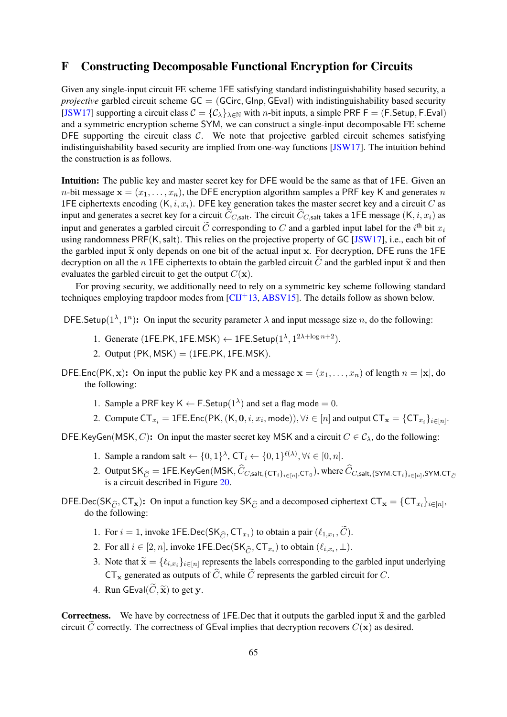# <span id="page-64-0"></span>F Constructing Decomposable Functional Encryption for Circuits

Given any single-input circuit FE scheme 1FE satisfying standard indistinguishability based security, a *projective* garbled circuit scheme GC = (GCirc, Glnp, GEval) with indistinguishability based security [\[JSW17\]](#page-37-13) supporting a circuit class  $C = \{C_{\lambda}\}_{{\lambda \in \mathbb{N}}}$  with *n*-bit inputs, a simple PRF F = (F.Setup, F.Eval) and a symmetric encryption scheme SYM, we can construct a single-input decomposable FE scheme DFE supporting the circuit class  $C$ . We note that projective garbled circuit schemes satisfying indistinguishability based security are implied from one-way functions [\[JSW17\]](#page-37-13). The intuition behind the construction is as follows.

Intuition: The public key and master secret key for DFE would be the same as that of 1FE. Given an *n*-bit message  $\mathbf{x} = (x_1, \dots, x_n)$ , the DFE encryption algorithm samples a PRF key K and generates *n* 1FE ciphertexts encoding  $(K, i, x_i)$ . DFE key generation takes the master secret key and a circuit C as input and generates a secret key for a circuit  $\hat{C}_{C,}$ salt. The circuit  $\hat{C}_{C,}$ salt takes a 1FE message (K, i,  $x_i$ ) as input and generates a garbled circuit  $\tilde{C}$  corresponding to C and a garbled input label for the  $i^{\text{th}}$  bit  $x_i$ using randomness PRF(K, salt). This relies on the projective property of GC [\[JSW17\]](#page-37-13), i.e., each bit of the garbled input  $\tilde{x}$  only depends on one bit of the actual input x. For decryption, DFE runs the 1FE decryption on all the n 1FE ciphertexts to obtain the garbled circuit C and the garbled input  $\tilde{\mathbf{x}}$  and then evaluates the garbled circuit to get the output  $C(\mathbf{x})$ .

For proving security, we additionally need to rely on a symmetric key scheme following standard techniques employing trapdoor modes from  $\left[ \text{CII}^+ \right]$  at  $\left[ \text{ABSV15} \right]$ . The details follow as shown below.

DFE. Setup( $1^{\lambda}, 1^{n}$ ): On input the security parameter  $\lambda$  and input message size n, do the following:

- 1. Generate (1FE.PK, 1FE.MSK)  $\leftarrow$  1FE.Setup( $1^{\lambda}$ ,  $1^{2\lambda + \log n + 2}$ ).
- 2. Output  $(PK, MSK) = (1FE.PK, 1FE.MSK)$ .

DFE.Enc(PK, x): On input the public key PK and a message  $x = (x_1, \ldots, x_n)$  of length  $n = |x|$ , do the following:

- 1. Sample a PRF key  $K \leftarrow F$ . Setup $(1^{\lambda})$  and set a flag mode = 0.
- 2. Compute  $\mathsf{CT}_{x_i} = \mathsf{1FE}.\mathsf{Enc}(\mathsf{PK},(\mathsf{K},\mathbf{0},i,x_i,\mathsf{mode})), \forall i\in[n]$  and output  $\mathsf{CT}_{\mathbf{x}} = \{\mathsf{CT}_{x_i}\}_{i\in[n]}.$

DFE.KeyGen(MSK, C): On input the master secret key MSK and a circuit  $C \in C_{\lambda}$ , do the following:

- 1. Sample a random salt  $\leftarrow \{0,1\}^{\lambda}$ ,  $CT_i \leftarrow \{0,1\}^{\ell(\lambda)}$ ,  $\forall i \in [0,n]$ .
- 2. Output SK  $_{\widehat{C}} = 1$  FE.KeyGen(MSK,  $C_{C,}$ salt,{CT<sub>i</sub>}<sub>i∈[n]</sub>,CT<sub>0</sub>), where  $C_{C,}$ salt,{SYM.CT<sub>i</sub>}<sub>i∈[n]</sub>,SYM.CT<sub> $_{\widehat{C}}$ </sub> is a circuit described in Figure [20.](#page-65-0)
- DFE.Dec(SK<sub>Ĉ</sub>, CT<sub>x</sub>): On input a function key SK<sub>Ĉ</sub> and a decomposed ciphertext CT<sub>x</sub> = {CT<sub>xi</sub>}<sub>i∈[n]</sub>, do the following:
	- 1. For  $i = 1$ , invoke 1FE.Dec(SK $_{\widehat{C}}$ , CT<sub>x1</sub>) to obtain a pair  $(\ell_{1,x_1}, C)$ .
	- 2. For all  $i \in [2, n]$ , invoke 1FE.Dec(SK<sub> $\hat{C}$ </sub>, CT<sub>xi</sub>) to obtain  $(\ell_{i,x_i}, \perp)$ .
	- 3. Note that  $\widetilde{\mathbf{x}} = \{\ell_{i,x_i}\}_{i \in [n]}$  represents the labels corresponding to the garbled input underlying  $CT_x$  generated as outputs of  $\widehat{C}$ , while  $\widetilde{C}$  represents the garbled circuit for C.
	- 4. Run GEval $(\widetilde{C}, \widetilde{\mathbf{x}})$  to get y.

**Correctness.** We have by correctness of 1FE.Dec that it outputs the garbled input  $\tilde{x}$  and the garbled circuit C correctly. The correctness of GEval implies that decryption recovers  $C(\mathbf{x})$  as desired.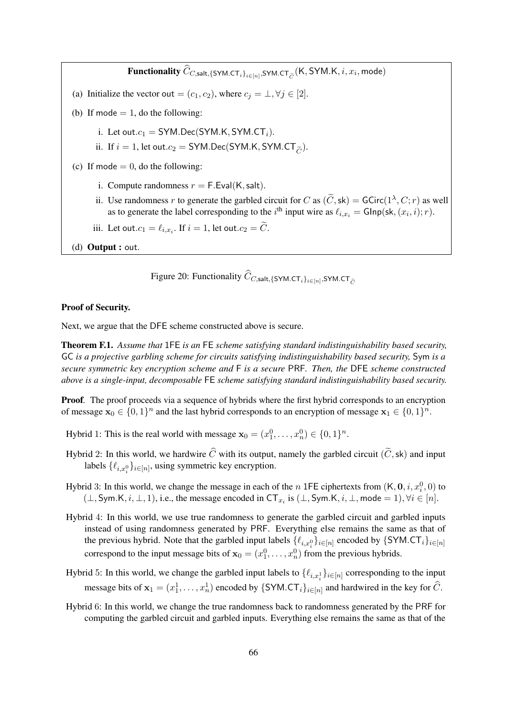${\bf Functionality}$   $C_{C,{\sf salt},\{ \sf SYM.CT}_i \}_{i \in [n]},$ SYM. ${\sf CT}_{\tilde{C}}( {\sf K}, {\sf SYM. K}, i, x_i, {\sf mode})$ (a) Initialize the vector out =  $(c_1, c_2)$ , where  $c_j = \perp, \forall j \in [2]$ . (b) If mode  $= 1$ , do the following: i. Let out. $c_1 = SYM.Dec(SYM.K, SYM.CT_i)$ . ii. If  $i = 1$ , let out. $c_2 = SYM.Dec(SYM.K, SYM.CT<sub>\tilde{c}</sub>).$ (c) If mode  $= 0$ , do the following: i. Compute randomness  $r = F.Eval(K, salt)$ . ii. Use randomness r to generate the garbled circuit for C as  $(\tilde{C}, \text{sk}) = \text{GCirc}(1^{\lambda}, C; r)$  as well as to generate the label corresponding to the *i*<sup>th</sup> input wire as  $\ell_{i,x_i} = \textsf{GInp}(\textsf{sk},(x_i,i); r)$ . iii. Let out. $c_1 = \ell_{i,x_i}$ . If  $i = 1$ , let out. $c_2 = C$ .

(d) Output : out.

<span id="page-65-0"></span>Figure 20: Functionality  $C_{C, \textsf{salt}, \{\textsf{SYM}.\textsf{CT}_i\}_{i \in [n]}, \textsf{SYM}.\textsf{CT}_{\widetilde{C}} }$ 

#### Proof of Security.

Next, we argue that the DFE scheme constructed above is secure.

Theorem F.1. *Assume that* 1FE *is an* FE *scheme satisfying standard indistinguishability based security,* GC *is a projective garbling scheme for circuits satisfying indistinguishability based security,* Sym *is a secure symmetric key encryption scheme and* F *is a secure* PRF*. Then, the* DFE *scheme constructed above is a single-input, decomposable* FE *scheme satisfying standard indistinguishability based security.*

**Proof.** The proof proceeds via a sequence of hybrids where the first hybrid corresponds to an encryption of message  $\mathbf{x}_0 \in \{0,1\}^n$  and the last hybrid corresponds to an encryption of message  $\mathbf{x}_1 \in \{0,1\}^n$ .

Hybrid 1: This is the real world with message  $\mathbf{x}_0 = (x_1^0, \dots, x_n^0) \in \{0, 1\}^n$ .

- Hybrid 2: In this world, we hardwire  $\widehat{C}$  with its output, namely the garbled circuit ( $\widetilde{C}$ , sk) and input labels  $\{\ell_{i,x_i^0}\}_{i \in [n]}$ , using symmetric key encryption.
- Hybrid 3: In this world, we change the message in each of the *n* 1FE ciphertexts from  $(K, 0, i, x_i^0, 0)$  to  $(\perp, \text{Sym.K}, i, \perp, 1)$ , i.e., the message encoded in CT<sub>x<sub>i</sub></sub> is  $(\perp, \text{Sym.K}, i, \perp, \text{mode} = 1)$ ,  $\forall i \in [n]$ .
- Hybrid 4: In this world, we use true randomness to generate the garbled circuit and garbled inputs instead of using randomness generated by PRF. Everything else remains the same as that of the previous hybrid. Note that the garbled input labels  $\{\ell_{i,x_i^0}\}_{i\in[n]}$  encoded by  $\{\textsf{SYM}.\textsf{CT}_i\}_{i\in[n]}$ correspond to the input message bits of  $x_0 = (x_1^0, \dots, x_n^0)$  from the previous hybrids.
- Hybrid 5: In this world, we change the garbled input labels to  $\{\ell_{i,x_i^1}\}_{i\in[n]}$  corresponding to the input message bits of  $x_1 = (x_1^1, \dots, x_n^1)$  encoded by  $\{SYM.CT_i\}_{i \in [n]}$  and hardwired in the key for  $\widehat{C}$ .
- Hybrid 6: In this world, we change the true randomness back to randomness generated by the PRF for computing the garbled circuit and garbled inputs. Everything else remains the same as that of the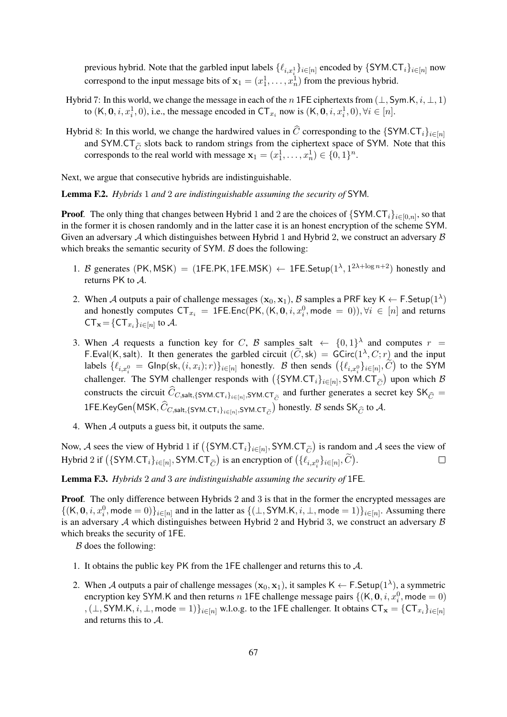previous hybrid. Note that the garbled input labels  $\{\ell_{i,x_i^1}\}_{i\in[n]}$  encoded by  $\{\textsf{SYM}.\textsf{CT}_i\}_{i\in[n]}$  now correspond to the input message bits of  $x_1 = (x_1^1, \dots, x_n^1)$  from the previous hybrid.

- Hybrid 7: In this world, we change the message in each of the n 1FE ciphertexts from  $(\perp, \text{Sym.K}, i, \perp, 1)$ to  $(K, 0, i, x_i^1, 0)$ , i.e., the message encoded in  $CT_{x_i}$  now is  $(K, 0, i, x_i^1, 0)$ ,  $\forall i \in [n]$ .
- Hybrid 8: In this world, we change the hardwired values in  $\hat{C}$  corresponding to the {SYM.CT<sub>i</sub>}<sub>i∈[n]</sub> and SYM.CT $\tilde{C}$  slots back to random strings from the ciphertext space of SYM. Note that this corresponds to the real world with message  $\mathbf{x}_1 = (x_1^1, \dots, x_n^1) \in \{0, 1\}^n$ .

Next, we argue that consecutive hybrids are indistinguishable.

<span id="page-66-1"></span>Lemma F.2. *Hybrids* 1 *and* 2 *are indistinguishable assuming the security of* SYM*.*

**Proof.** The only thing that changes between Hybrid 1 and 2 are the choices of  $\{SYM, CT_i\}_{i \in [0,n]}$ , so that in the former it is chosen randomly and in the latter case it is an honest encryption of the scheme SYM. Given an adversary  $A$  which distinguishes between Hybrid 1 and Hybrid 2, we construct an adversary  $B$ which breaks the semantic security of  $SYM$ .  $\beta$  does the following:

- 1. B generates (PK, MSK) = (1FE.PK, 1FE.MSK)  $\leftarrow$  1FE.Setup( $1^{\lambda}$ ,  $1^{2\lambda + \log n + 2}$ ) honestly and returns PK to A.
- 2. When A outputs a pair of challenge messages  $(x_0, x_1)$ ,  $\beta$  samples a PRF key K  $\leftarrow$  F.Setup $(1^{\lambda})$ and honestly computes  $CT_{x_i} = 1FE.Enc(PK, (K, 0, i, x_i^0, mode = 0)), \forall i \in [n]$  and returns  $CT_{\mathbf{x}} = \{CT_{x_i}\}_{i \in [n]}$  to A.
- 3. When A requests a function key for C, B samples salt  $\leftarrow \{0,1\}^{\lambda}$  and computes  $r =$ F.Eval(K, salt). It then generates the garbled circuit  $(\widetilde{C}, \text{sk}) = \text{GCirc}(1^\lambda, C; r)$  and the input labels  $\{\ell_{i,x_i^0} = \text{Glnp}(\textsf{sk}, (i, x_i); r)\}_{i \in [n]}$  honestly. B then sends  $(\{\ell_{i,x_i^0}\}_{i \in [n]}, C)$  to the SYM challenger. The SYM challenger responds with  $({\{SYM, CT_i\}}_{i \in [n]}, \text{SYM,CT}_{\tilde{C}})$  upon which  $\beta$ constructs the circuit  $C_{C, \text{salt}, \{\text{SYM}, \text{CT}_i\}_{i \in [n]}, \text{SYM}, \text{CT}_{\tilde{C}} }$  and further generates a secret key  $\text{SK}_{\hat{C}} =$  $\mathsf{1FE}$ .KeyGen $\big(\mathsf{MSK}, \hat{C}_{C, \mathsf{salt}, \{\mathsf{SYM}.\mathsf{CT}_i\}_{i\in[n]},\mathsf{SYM}.\mathsf{CT}_{\widetilde{C}}}\big)$  honestly.  $\mathcal B$  sends  $\mathsf{SK}_{\widehat{C}}$  to  $\mathcal A.$
- 4. When A outputs a guess bit, it outputs the same.

Now, A sees the view of Hybrid 1 if  $({\{SYM.CT_i\}}_{i\in[n]}, \text{SYM.CT}_{\tilde{C}})$  is random and A sees the view of Hybrid 2 if  $(\{\textsf{SYM}.\textsf{CT}_i\}_{i\in[n]}, \textsf{SYM}.\textsf{CT}_{\widetilde{C}})$  is an encryption of  $(\{\ell_{i,x_i^0}\}_{i\in[n]}, \widetilde{C})$ .  $\Box$ 

<span id="page-66-0"></span>Lemma F.3. *Hybrids* 2 *and* 3 *are indistinguishable assuming the security of* 1FE*.*

**Proof.** The only difference between Hybrids 2 and 3 is that in the former the encrypted messages are  $\{ (K, 0, i, x_i^0, \text{mode} = 0) \}_{i \in [n]}$  and in the latter as  $\{ (\perp, \text{SYM.K}, i, \perp, \text{mode} = 1) \}_{i \in [n]}$ . Assuming there is an adversary  $A$  which distinguishes between Hybrid 2 and Hybrid 3, we construct an adversary  $B$ which breaks the security of 1FE.

 $B$  does the following:

- 1. It obtains the public key PK from the 1FE challenger and returns this to A.
- 2. When A outputs a pair of challenge messages  $(x_0, x_1)$ , it samples  $\mathsf{K} \leftarrow \mathsf{F}.\mathsf{Setup}(1^{\lambda})$ , a symmetric encryption key SYM.K and then returns n 1FE challenge message pairs  $\{(\mathsf{K}, \mathbf{0}, i, x_i^0, \text{mode} = 0)$ , ( $\perp$ , SYM.K,  $i$ ,  $\perp$ , mode = 1) $\}_{i \in [n]}$  w.l.o.g. to the 1FE challenger. It obtains  $CT_{\mathbf{x}} = \{CT_{x_i}\}_{i \in [n]}$ and returns this to A.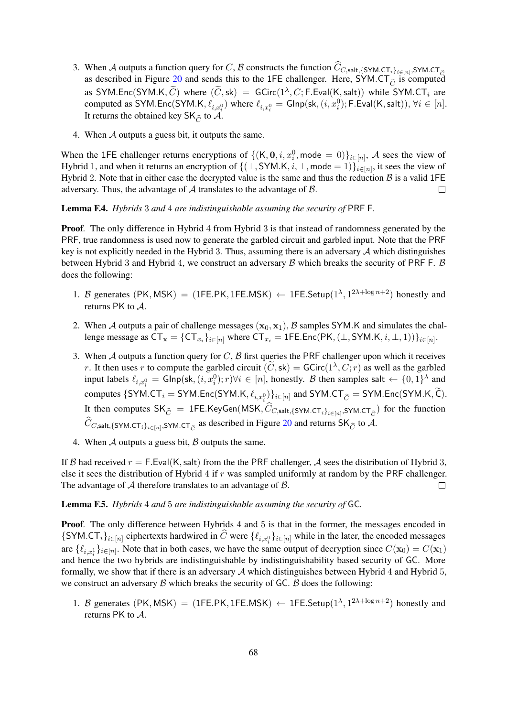- 3. When A outputs a function query for C, B constructs the function  $C_{C,}$ salt,{SYM.CT<sub>i</sub>}i∈[n],SYM.CT<sub> $\tilde{C}$ </sub> as described in Figure [20](#page-65-0) and sends this to the 1FE challenger. Here, SYM.CT<sub> $\tilde{C}$ </sub> is computed<br>  $\tilde{C}$ as SYM.Enc(SYM.K,  $\tilde{C}$ ) where  $(\tilde{C}, sk) = GCirc(1^{\lambda}, C; F.Eval(K, salt))$  while SYM.CT<sub>i</sub> are computed as SYM.Enc(SYM.K,  $\ell_{i,x_i^0}$ ) where  $\ell_{i,x_i^0} = \mathsf{GInp}(\mathsf{sk},(i,x_i^0); \mathsf{F.Eval}(\mathsf{K}, \mathsf{salt})), \forall i \in [n].$ It returns the obtained key  $SK_{\widehat{C}}$  to  $\mathcal{A}$ .
- 4. When A outputs a guess bit, it outputs the same.

When the 1FE challenger returns encryptions of  $\{(\mathsf{K}, \mathbf{0}, i, x_i^0, \text{mode} = 0)\}_{i \in [n]}, \mathcal{A}$  sees the view of Hybrid 1, and when it returns an encryption of  $\{(\perp, SYM.K, i, \perp, mode = 1)\}_{i \in [n]}$ , it sees the view of Hybrid 2. Note that in either case the decrypted value is the same and thus the reduction  $\beta$  is a valid 1FE adversary. Thus, the advantage of  $A$  translates to the advantage of  $B$ .  $\Box$ 

<span id="page-67-0"></span>Lemma F.4. *Hybrids* 3 *and* 4 *are indistinguishable assuming the security of* PRF F*.*

**Proof.** The only difference in Hybrid 4 from Hybrid 3 is that instead of randomness generated by the PRF, true randomness is used now to generate the garbled circuit and garbled input. Note that the PRF key is not explicitly needed in the Hybrid 3. Thus, assuming there is an adversary  $A$  which distinguishes between Hybrid 3 and Hybrid 4, we construct an adversary  $\beta$  which breaks the security of PRF F.  $\beta$ does the following:

- 1. B generates (PK, MSK) = (1FE.PK, 1FE.MSK)  $\leftarrow$  1FE.Setup( $1^{\lambda}$ ,  $1^{2\lambda + \log n + 2}$ ) honestly and returns PK to A.
- 2. When A outputs a pair of challenge messages  $(x_0, x_1)$ , B samples SYM.K and simulates the challenge message as  $CT_{\mathbf{x}} = \{CT_{x_i}\}_{i \in [n]}$  where  $CT_{x_i} = \text{1FE}$ .Enc $(\text{PK}, (\perp, \text{SYM}$ .K,  $i, \perp, 1))\}_{i \in [n]}$ .
- 3. When  $A$  outputs a function query for  $C$ ,  $B$  first queries the PRF challenger upon which it receives r. It then uses r to compute the garbled circuit  $(\tilde{C}, \text{sk}) = \text{GCirc}(1^{\lambda}, C; r)$  as well as the garbled input labels  $\ell_{i,x_i^0} = \text{GInp}(\textsf{sk}, (i, x_i^0); r) \forall i \in [n]$ , honestly. B then samples salt  $\leftarrow \{0, 1\}^{\lambda}$  and computes  $\{SYM.CT_i = SYM.Enc(SYM.K, \ell_{i,x_i^0})\}_{i \in [n]}$  and  $SYM.CT_{\widetilde{C}} = SYM.Enc(SYM.K, C)$ . It then computes  $\mathsf{SK}_{\widehat{C}}~=~\mathsf{1FE}$ .KeyGen $(\mathsf{MSK}, C_{C,{\sf salt},\{\mathsf{SYM}.\mathsf{CT}_i\}_{i\in[n]},\mathsf{SYM}.\mathsf{CT}_{\widetilde{C}}})$  for the function  $C_{C, \textsf{salt}, \{\textsf{SYM}.\textsf{CT}_i\}_{i\in[n]}, \textsf{SYM}.\textsf{CT}_{\widetilde{C}}}$  as described in Figure [20](#page-65-0) and returns SK $_{\widehat{C}}$  to A.
- 4. When  $A$  outputs a guess bit,  $B$  outputs the same.

If B had received  $r = F.Eval(K, salt)$  from the the PRF challenger, A sees the distribution of Hybrid 3, else it sees the distribution of Hybrid 4 if  $r$  was sampled uniformly at random by the PRF challenger. The advantage of  $A$  therefore translates to an advantage of  $B$ .  $\Box$ 

Lemma F.5. *Hybrids* 4 *and* 5 *are indistinguishable assuming the security of* GC*.*

Proof. The only difference between Hybrids 4 and 5 is that in the former, the messages encoded in  ${\sf SYM.CT}_i_{i \in [n]}$  ciphertexts hardwired in C were  $\{\ell_{i,x_i^0}\}_{i \in [n]}$  while in the later, the encoded messages are  $\{\ell_{i,x_i}\}_{i\in[n]}$ . Note that in both cases, we have the same output of decryption since  $C(\mathbf{x}_0) = C(\mathbf{x}_1)$ and hence the two hybrids are indistinguishable by indistinguishability based security of GC. More formally, we show that if there is an adversary  $A$  which distinguishes between Hybrid 4 and Hybrid  $5$ , we construct an adversary  $\beta$  which breaks the security of GC.  $\beta$  does the following:

1. B generates (PK, MSK) = (1FE.PK, 1FE.MSK)  $\leftarrow$  1FE.Setup( $1^{\lambda}$ ,  $1^{2\lambda + \log n + 2}$ ) honestly and returns PK to A.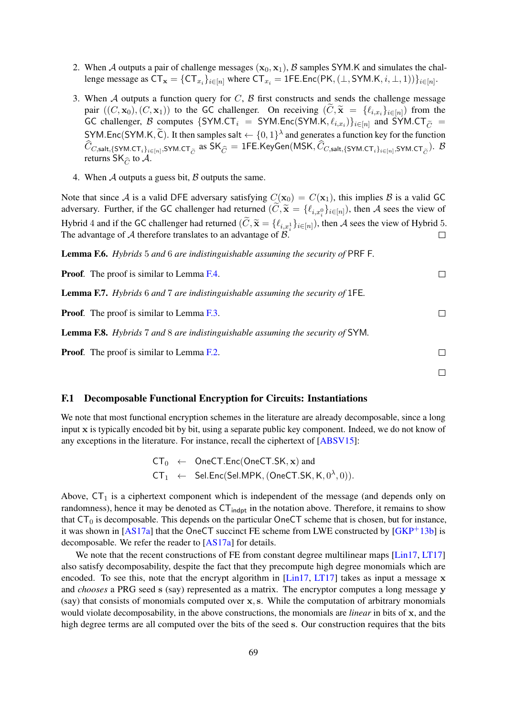- 2. When A outputs a pair of challenge messages  $(x_0, x_1)$ , B samples SYM.K and simulates the challenge message as  $CT_{\mathbf{x}} = \{CT_{x_i}\}_{i \in [n]}$  where  $CT_{x_i} = \text{1FE}$ .Enc $(\text{PK}, (\perp, \text{SYM}$ .K,  $i, \perp, 1))\}_{i \in [n]}$ .
- 3. When A outputs a function query for  $C$ ,  $\beta$  first constructs and sends the challenge message pair  $((C, \mathbf{x}_0), (C, \mathbf{x}_1))$  to the GC challenger. On receiving  $(C, \tilde{\mathbf{x}}) = \{\ell_{i,x_i}\}_{i \in [n]}$  from the GC challenger, B computes  $\{SYM, CT_i = SYM. Enc(SYM. K, \ell_{i,x_i})\}_{i \in [n]}$  and SYM.CT $_{\widetilde{C}}$  = SYM.Enc(SYM.K,  $\widetilde{C}$ ). It then samples salt  $\leftarrow \{0,1\}^{\lambda}$  and generates a function key for the function  $C_{C, \textsf{salt}, \{\textsf{SYM}, \textsf{CT}_i\}_{i \in [n]}, \textsf{SYM}, \textsf{CT}_{\widetilde{C}}}$  as  $\textsf{SK}_{\widehat{C}} = \textsf{1FE}.\textsf{KeyGen}(\textsf{MSK}, C_{C, \textsf{salt}, \{\textsf{SYM}, \textsf{CT}_i\}_{i \in [n]}, \textsf{SYM}, \textsf{CT}_{\widetilde{C}}}).$   $\mathcal B$ returns SK $_{\widehat{C}}$  to  ${\mathcal A}.$
- 4. When  $A$  outputs a guess bit,  $B$  outputs the same.

Note that since A is a valid DFE adversary satisfying  $C(\mathbf{x}_0) = C(\mathbf{x}_1)$ , this implies B is a valid GC adversary. Further, if the GC challenger had returned  $(C, \tilde{\mathbf{x}} = \{\ell_{i,x_i^0}\}_{i \in [n]})$ , then A sees the view of Hybrid 4 and if the GC challenger had returned  $(\widetilde{C}, \widetilde{\mathbf{x}} = \{\ell_{i,x_i^1}\}_{i \in [n]})$ , then A sees the view of Hybrid 5. The advantage of  $A$  therefore translates to an advantage of  $B$ .  $\Box$ 

Lemma F.6. *Hybrids* 5 *and* 6 *are indistinguishable assuming the security of* PRF F*.*

Proof. The proof is similar to Lemma [F.4.](#page-67-0)

Lemma F.7. *Hybrids* 6 *and* 7 *are indistinguishable assuming the security of* 1FE*.*

Proof. The proof is similar to Lemma [F.3.](#page-66-0)

Lemma F.8. *Hybrids* 7 *and* 8 *are indistinguishable assuming the security of* SYM*.*

Proof. The proof is similar to Lemma [F.2.](#page-66-1)

#### <span id="page-68-0"></span>F.1 Decomposable Functional Encryption for Circuits: Instantiations

We note that most functional encryption schemes in the literature are already decomposable, since a long input x is typically encoded bit by bit, using a separate public key component. Indeed, we do not know of any exceptions in the literature. For instance, recall the ciphertext of [\[ABSV15\]](#page-35-10):

$$
CT_0 \leftarrow OneCT.Enc(OneCT.SK, x) and CT_1 \leftarrow SelEnc(Sel.MPK, (OneCT.SK, K, 0^{\lambda}, 0)).
$$

Above,  $CT_1$  is a ciphertext component which is independent of the message (and depends only on randomness), hence it may be denoted as  $CT_{indot}$  in the notation above. Therefore, it remains to show that  $CT_0$  is decomposable. This depends on the particular OneCT scheme that is chosen, but for instance, it was shown in [\[AS17a\]](#page-35-12) that the OneCT succinct FE scheme from LWE constructed by  $[GKP^+13b]$  $[GKP^+13b]$  is decomposable. We refer the reader to [\[AS17a\]](#page-35-12) for details.

We note that the recent constructions of FE from constant degree multilinear maps [\[Lin17,](#page-38-6) [LT17\]](#page-38-7) also satisfy decomposability, despite the fact that they precompute high degree monomials which are encoded. To see this, note that the encrypt algorithm in [\[Lin17,](#page-38-6) [LT17\]](#page-38-7) takes as input a message  $x$ and *chooses* a PRG seed s (say) represented as a matrix. The encryptor computes a long message y (say) that consists of monomials computed over x, s. While the computation of arbitrary monomials would violate decomposability, in the above constructions, the monomials are *linear* in bits of x, and the high degree terms are all computed over the bits of the seed s. Our construction requires that the bits

 $\Box$ 

 $\Box$ 

 $\Box$ 

 $\Box$